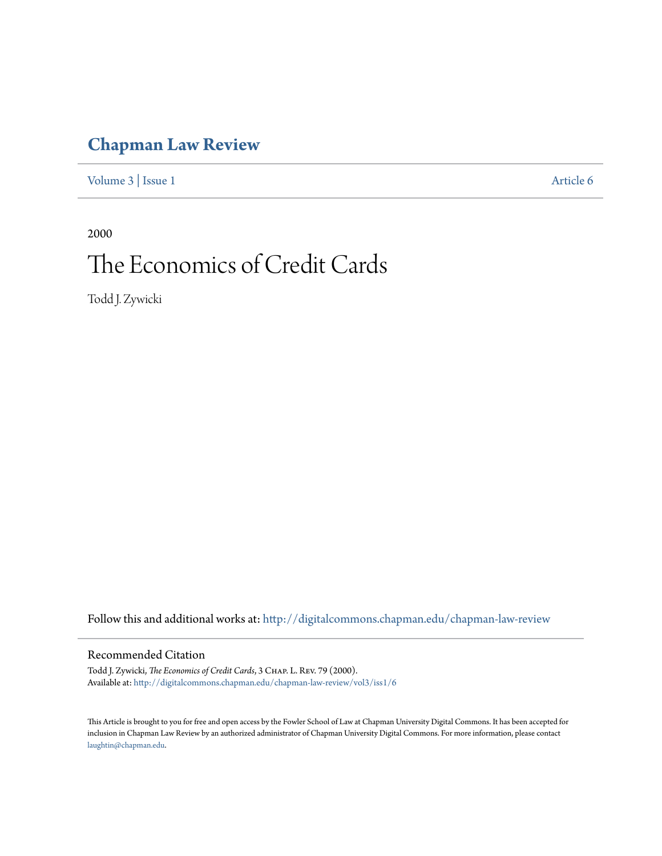# **[Chapman Law Review](http://digitalcommons.chapman.edu/chapman-law-review?utm_source=digitalcommons.chapman.edu%2Fchapman-law-review%2Fvol3%2Fiss1%2F6&utm_medium=PDF&utm_campaign=PDFCoverPages)**

[Volume 3](http://digitalcommons.chapman.edu/chapman-law-review/vol3?utm_source=digitalcommons.chapman.edu%2Fchapman-law-review%2Fvol3%2Fiss1%2F6&utm_medium=PDF&utm_campaign=PDFCoverPages) | [Issue 1](http://digitalcommons.chapman.edu/chapman-law-review/vol3/iss1?utm_source=digitalcommons.chapman.edu%2Fchapman-law-review%2Fvol3%2Fiss1%2F6&utm_medium=PDF&utm_campaign=PDFCoverPages) [Article 6](http://digitalcommons.chapman.edu/chapman-law-review/vol3/iss1/6?utm_source=digitalcommons.chapman.edu%2Fchapman-law-review%2Fvol3%2Fiss1%2F6&utm_medium=PDF&utm_campaign=PDFCoverPages)

2000 The Economics of Credit Cards

Todd J. Zywicki

Follow this and additional works at: [http://digitalcommons.chapman.edu/chapman-law-review](http://digitalcommons.chapman.edu/chapman-law-review?utm_source=digitalcommons.chapman.edu%2Fchapman-law-review%2Fvol3%2Fiss1%2F6&utm_medium=PDF&utm_campaign=PDFCoverPages)

### Recommended Citation

Todd J. Zywicki, *The Economics of Credit Cards*, 3 CHAP. L. REV. 79 (2000). Available at: [http://digitalcommons.chapman.edu/chapman-law-review/vol3/iss1/6](http://digitalcommons.chapman.edu/chapman-law-review/vol3/iss1/6?utm_source=digitalcommons.chapman.edu%2Fchapman-law-review%2Fvol3%2Fiss1%2F6&utm_medium=PDF&utm_campaign=PDFCoverPages)

This Article is brought to you for free and open access by the Fowler School of Law at Chapman University Digital Commons. It has been accepted for inclusion in Chapman Law Review by an authorized administrator of Chapman University Digital Commons. For more information, please contact [laughtin@chapman.edu](mailto:laughtin@chapman.edu).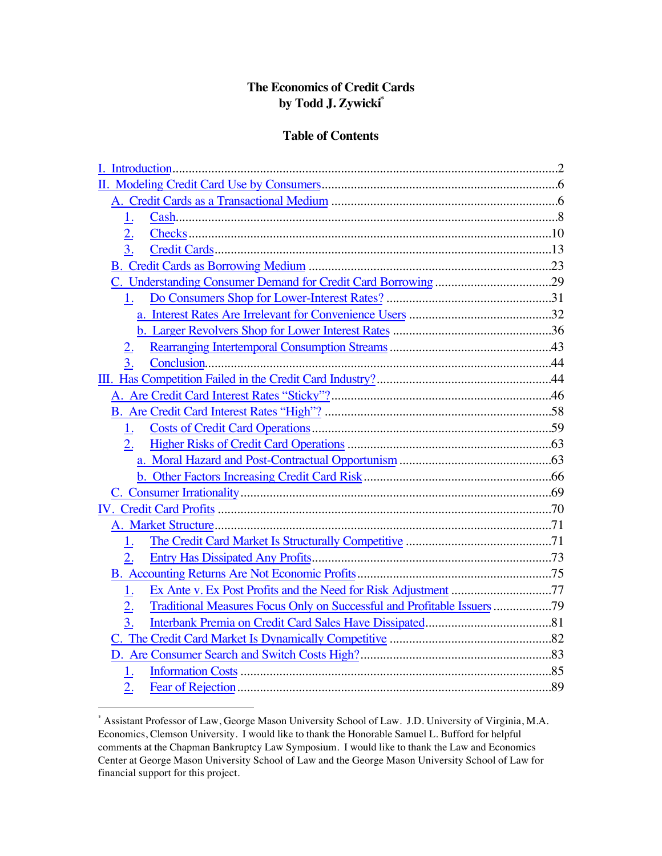# **The Economics of Credit Cards by Todd J. Zywicki\***

## **Table of Contents**

| 1.               |  |
|------------------|--|
|                  |  |
| $\overline{3}$ . |  |
|                  |  |
|                  |  |
| 1.               |  |
|                  |  |
|                  |  |
| 2.               |  |
| 3.               |  |
|                  |  |
|                  |  |
|                  |  |
| 1.               |  |
| 2.               |  |
|                  |  |
|                  |  |
|                  |  |
|                  |  |
|                  |  |
| 1.               |  |
| 2.               |  |
|                  |  |
| 1.               |  |
| $\overline{2}$ . |  |
| $\overline{3}$ . |  |
|                  |  |
|                  |  |
| 1.               |  |
| 2.               |  |

 <sup>\*</sup> Assistant Professor of Law, George Mason University School of Law. J.D. University of Virginia, M.A. Economics, Clemson University. I would like to thank the Honorable Samuel L. Bufford for helpful comments at the Chapman Bankruptcy Law Symposium. I would like to thank the Law and Economics Center at George Mason University School of Law and the George Mason University School of Law for financial support for this project.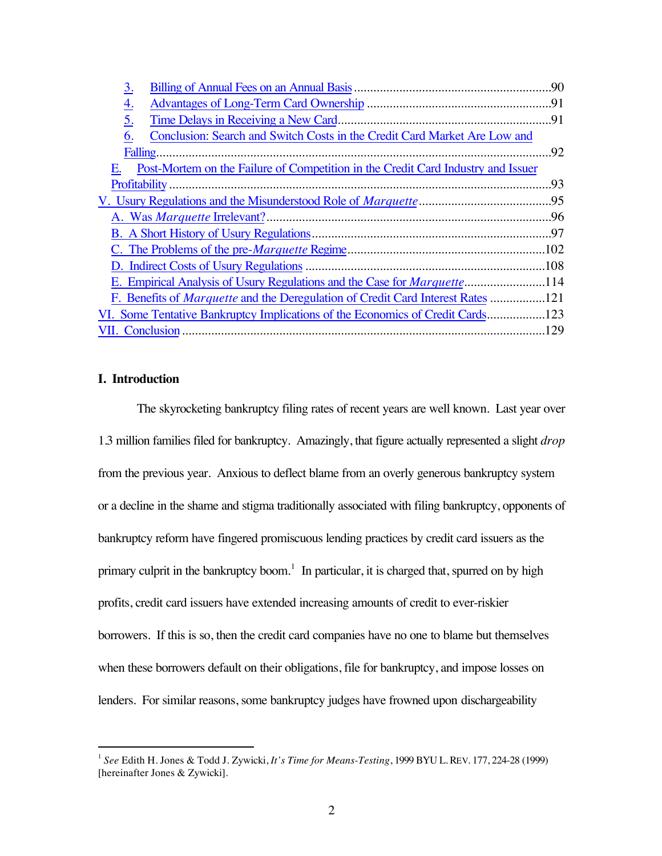| 3.                                                                                     | 90  |
|----------------------------------------------------------------------------------------|-----|
| <u>4.</u>                                                                              |     |
| $\underline{5}$ .                                                                      |     |
| Conclusion: Search and Switch Costs in the Credit Card Market Are Low and<br>6.        |     |
| Falling.                                                                               | .92 |
| Post-Mortem on the Failure of Competition in the Credit Card Industry and Issuer<br>Е. |     |
|                                                                                        | .93 |
|                                                                                        |     |
|                                                                                        |     |
|                                                                                        |     |
|                                                                                        |     |
|                                                                                        |     |
| E. Empirical Analysis of Usury Regulations and the Case for <i>Marquette</i> 114       |     |
| F. Benefits of <i>Marquette</i> and the Deregulation of Credit Card Interest Rates 121 |     |
| VI. Some Tentative Bankruptcy Implications of the Economics of Credit Cards            |     |
|                                                                                        |     |

### **I. Introduction**

The skyrocketing bankruptcy filing rates of recent years are well known. Last year over 1.3 million families filed for bankruptcy. Amazingly, that figure actually represented a slight *drop* from the previous year. Anxious to deflect blame from an overly generous bankruptcy system or a decline in the shame and stigma traditionally associated with filing bankruptcy, opponents of bankruptcy reform have fingered promiscuous lending practices by credit card issuers as the primary culprit in the bankruptcy boom.<sup>1</sup> In particular, it is charged that, spurred on by high profits, credit card issuers have extended increasing amounts of credit to ever-riskier borrowers. If this is so, then the credit card companies have no one to blame but themselves when these borrowers default on their obligations, file for bankruptcy, and impose losses on lenders. For similar reasons, some bankruptcy judges have frowned upon dischargeability

 <sup>1</sup> *See* Edith H. Jones & Todd J. Zywicki, *It's Time for Means-Testing*, 1999 BYU L. REV. 177, 224-28 (1999) [hereinafter Jones & Zywicki].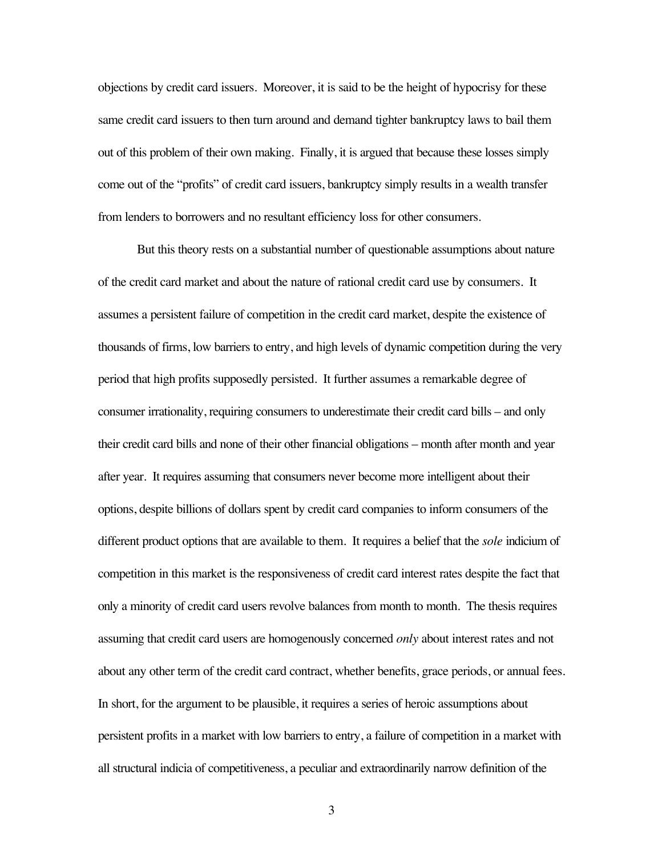objections by credit card issuers. Moreover, it is said to be the height of hypocrisy for these same credit card issuers to then turn around and demand tighter bankruptcy laws to bail them out of this problem of their own making. Finally, it is argued that because these losses simply come out of the "profits" of credit card issuers, bankruptcy simply results in a wealth transfer from lenders to borrowers and no resultant efficiency loss for other consumers.

But this theory rests on a substantial number of questionable assumptions about nature of the credit card market and about the nature of rational credit card use by consumers. It assumes a persistent failure of competition in the credit card market, despite the existence of thousands of firms, low barriers to entry, and high levels of dynamic competition during the very period that high profits supposedly persisted. It further assumes a remarkable degree of consumer irrationality, requiring consumers to underestimate their credit card bills – and only their credit card bills and none of their other financial obligations – month after month and year after year. It requires assuming that consumers never become more intelligent about their options, despite billions of dollars spent by credit card companies to inform consumers of the different product options that are available to them. It requires a belief that the *sole* indicium of competition in this market is the responsiveness of credit card interest rates despite the fact that only a minority of credit card users revolve balances from month to month. The thesis requires assuming that credit card users are homogenously concerned *only* about interest rates and not about any other term of the credit card contract, whether benefits, grace periods, or annual fees. In short, for the argument to be plausible, it requires a series of heroic assumptions about persistent profits in a market with low barriers to entry, a failure of competition in a market with all structural indicia of competitiveness, a peculiar and extraordinarily narrow definition of the

3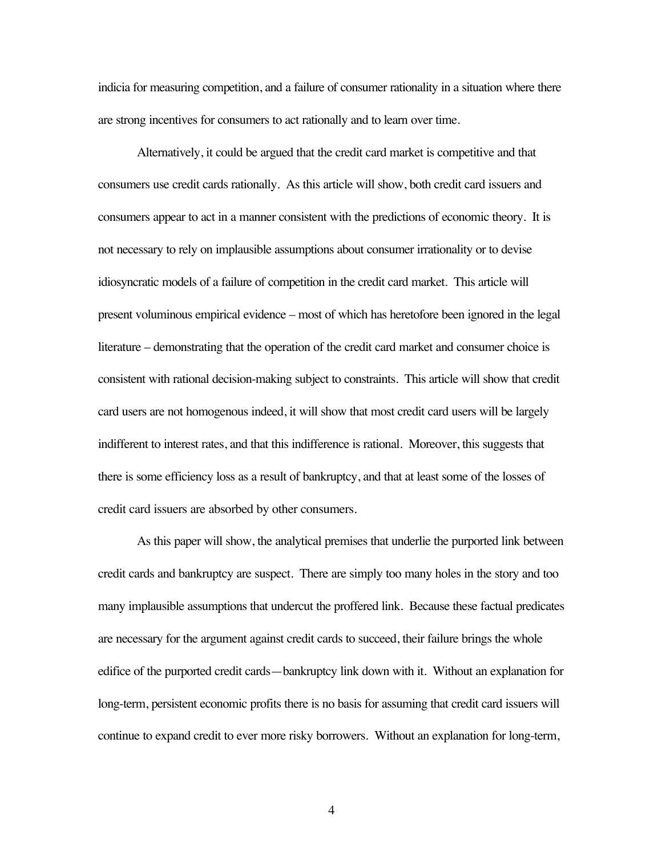indicia for measuring competition, and a failure of consumer rationality in a situation where there are strong incentives for consumers to act rationally and to learn over time.

Alternatively, it could be argued that the credit card market is competitive and that consumers use credit cards rationally. As this article will show, both credit card issuers and consumers appear to act in a manner consistent with the predictions of economic theory. It is not necessary to rely on implausible assumptions about consumer irrationality or to devise idiosyncratic models of a failure of competition in the credit card market. This article will present voluminous empirical evidence – most of which has heretofore been ignored in the legal literature – demonstrating that the operation of the credit card market and consumer choice is consistent with rational decision-making subject to constraints. This article will show that credit card users are not homogenous indeed, it will show that most credit card users will be largely indifferent to interest rates, and that this indifference is rational. Moreover, this suggests that there is some efficiency loss as a result of bankruptcy, and that at least some of the losses of credit card issuers are absorbed by other consumers.

As this paper will show, the analytical premises that underlie the purported link between credit cards and bankruptcy are suspect. There are simply too many holes in the story and too many implausible assumptions that undercut the proffered link. Because these factual predicates are necessary for the argument against credit cards to succeed, their failure brings the whole edifice of the purported credit cards—bankruptcy link down with it. Without an explanation for long-term, persistent economic profits there is no basis for assuming that credit card issuers will continue to expand credit to ever more risky borrowers. Without an explanation for long-term,

4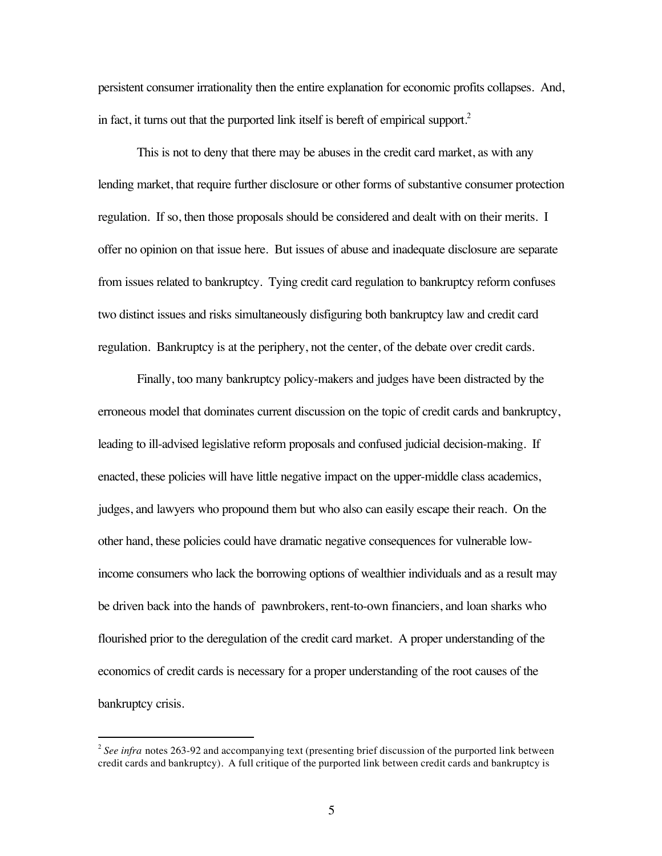persistent consumer irrationality then the entire explanation for economic profits collapses. And, in fact, it turns out that the purported link itself is bereft of empirical support.<sup>2</sup>

This is not to deny that there may be abuses in the credit card market, as with any lending market, that require further disclosure or other forms of substantive consumer protection regulation. If so, then those proposals should be considered and dealt with on their merits. I offer no opinion on that issue here. But issues of abuse and inadequate disclosure are separate from issues related to bankruptcy. Tying credit card regulation to bankruptcy reform confuses two distinct issues and risks simultaneously disfiguring both bankruptcy law and credit card regulation. Bankruptcy is at the periphery, not the center, of the debate over credit cards.

Finally, too many bankruptcy policy-makers and judges have been distracted by the erroneous model that dominates current discussion on the topic of credit cards and bankruptcy, leading to ill-advised legislative reform proposals and confused judicial decision-making. If enacted, these policies will have little negative impact on the upper-middle class academics, judges, and lawyers who propound them but who also can easily escape their reach. On the other hand, these policies could have dramatic negative consequences for vulnerable lowincome consumers who lack the borrowing options of wealthier individuals and as a result may be driven back into the hands of pawnbrokers, rent-to-own financiers, and loan sharks who flourished prior to the deregulation of the credit card market. A proper understanding of the economics of credit cards is necessary for a proper understanding of the root causes of the bankruptcy crisis.

<sup>&</sup>lt;sup>2</sup> See infra notes 263-92 and accompanying text (presenting brief discussion of the purported link between credit cards and bankruptcy). A full critique of the purported link between credit cards and bankruptcy is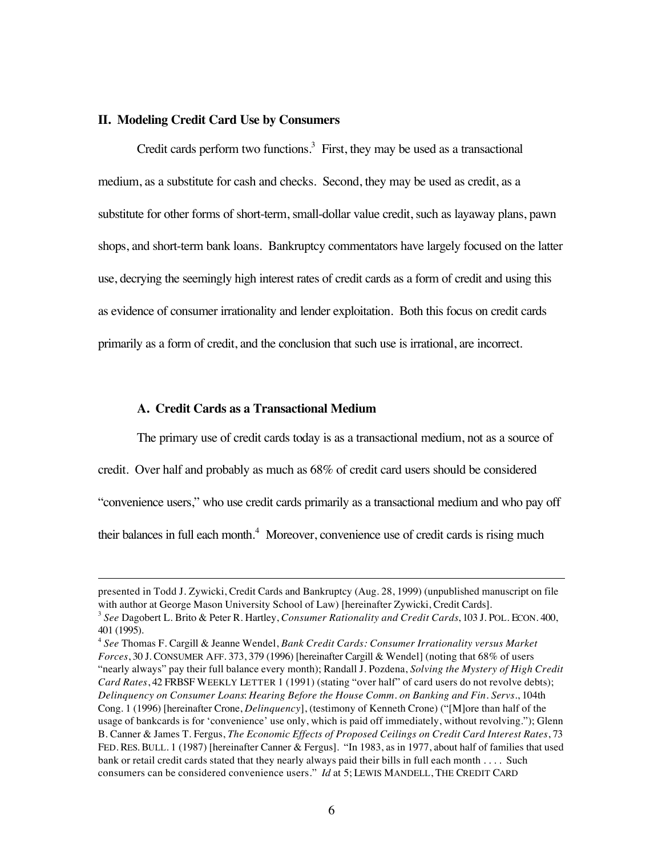#### **II. Modeling Credit Card Use by Consumers**

Credit cards perform two functions.<sup>3</sup> First, they may be used as a transactional medium, as a substitute for cash and checks. Second, they may be used as credit, as a substitute for other forms of short-term, small-dollar value credit, such as layaway plans, pawn shops, and short-term bank loans. Bankruptcy commentators have largely focused on the latter use, decrying the seemingly high interest rates of credit cards as a form of credit and using this as evidence of consumer irrationality and lender exploitation. Both this focus on credit cards primarily as a form of credit, and the conclusion that such use is irrational, are incorrect.

#### **A. Credit Cards as a Transactional Medium**

 $\overline{a}$ 

The primary use of credit cards today is as a transactional medium, not as a source of

credit. Over half and probably as much as 68% of credit card users should be considered

"convenience users," who use credit cards primarily as a transactional medium and who pay off

their balances in full each month.<sup>4</sup> Moreover, convenience use of credit cards is rising much

presented in Todd J. Zywicki, Credit Cards and Bankruptcy (Aug. 28, 1999) (unpublished manuscript on file with author at George Mason University School of Law) [hereinafter Zywicki, Credit Cards]. <sup>3</sup> *See* Dagobert L. Brito & Peter R. Hartley, *Consumer Rationality and Credit Cards*, 103 J. POL. ECON. 400,

<sup>401 (1995).</sup>

<sup>4</sup> *See* Thomas F. Cargill & Jeanne Wendel, *Bank Credit Cards: Consumer Irrationality versus Market Forces*, 30 J. CONSUMER AFF. 373, 379 (1996) [hereinafter Cargill & Wendel] (noting that 68% of users "nearly always" pay their full balance every month); Randall J. Pozdena, *Solving the Mystery of High Credit Card Rates*, 42 FRBSF WEEKLY LETTER 1 (1991) (stating "over half" of card users do not revolve debts); *Delinquency on Consumer Loans*: *Hearing Before the House Comm. on Banking and Fin. Servs.*, 104th Cong. 1 (1996) [hereinafter Crone, *Delinquency*], (testimony of Kenneth Crone) ("[M]ore than half of the usage of bankcards is for 'convenience' use only, which is paid off immediately, without revolving."); Glenn B. Canner & James T. Fergus, *The Economic Effects of Proposed Ceilings on Credit Card Interest Rates*, 73 FED. RES. BULL. 1 (1987) [hereinafter Canner & Fergus]. "In 1983, as in 1977, about half of families that used bank or retail credit cards stated that they nearly always paid their bills in full each month . . . . Such consumers can be considered convenience users." *Id* at 5; LEWIS MANDELL, THE CREDIT CARD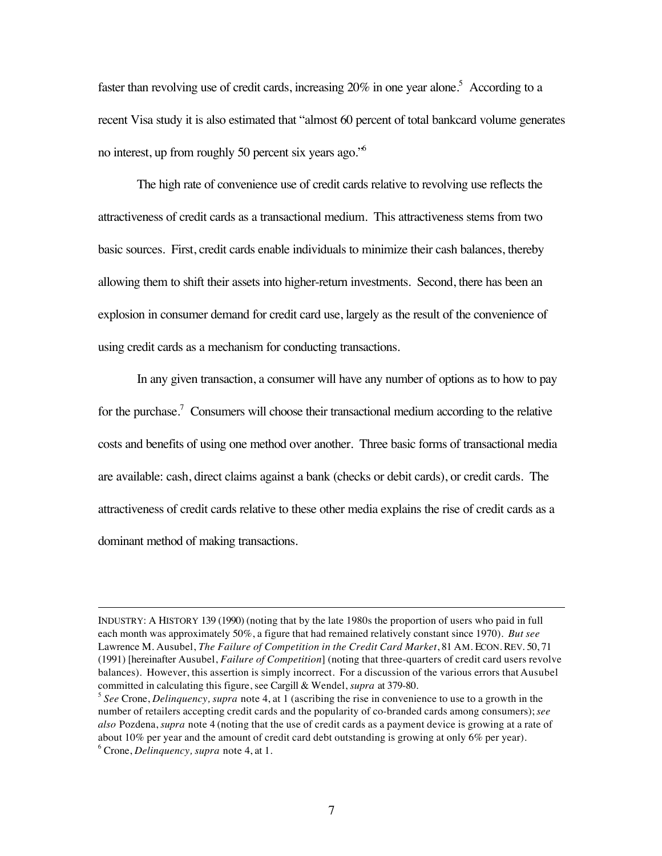faster than revolving use of credit cards, increasing  $20\%$  in one year alone.<sup>5</sup> According to a recent Visa study it is also estimated that "almost 60 percent of total bankcard volume generates no interest, up from roughly 50 percent six years ago."6

The high rate of convenience use of credit cards relative to revolving use reflects the attractiveness of credit cards as a transactional medium. This attractiveness stems from two basic sources. First, credit cards enable individuals to minimize their cash balances, thereby allowing them to shift their assets into higher-return investments. Second, there has been an explosion in consumer demand for credit card use, largely as the result of the convenience of using credit cards as a mechanism for conducting transactions.

In any given transaction, a consumer will have any number of options as to how to pay for the purchase.<sup>7</sup> Consumers will choose their transactional medium according to the relative costs and benefits of using one method over another. Three basic forms of transactional media are available: cash, direct claims against a bank (checks or debit cards), or credit cards. The attractiveness of credit cards relative to these other media explains the rise of credit cards as a dominant method of making transactions.

 $\overline{a}$ 

INDUSTRY: A HISTORY 139 (1990) (noting that by the late 1980s the proportion of users who paid in full each month was approximately 50%, a figure that had remained relatively constant since 1970). *But see* Lawrence M. Ausubel, *The Failure of Competition in the Credit Card Market*, 81 AM. ECON. REV. 50, 71 (1991) [hereinafter Ausubel, *Failure of Competition*] (noting that three-quarters of credit card users revolve balances). However, this assertion is simply incorrect. For a discussion of the various errors that Ausubel committed in calculating this figure, see Cargill & Wendel, *supra* at 379-80.

<sup>5</sup> *See* Crone, *Delinquency, supra* note 4, at 1 (ascribing the rise in convenience to use to a growth in the number of retailers accepting credit cards and the popularity of co-branded cards among consumers); *see also* Pozdena, *supra* note 4 (noting that the use of credit cards as a payment device is growing at a rate of about 10% per year and the amount of credit card debt outstanding is growing at only 6% per year). 6 Crone, *Delinquency, supra* note 4, at 1.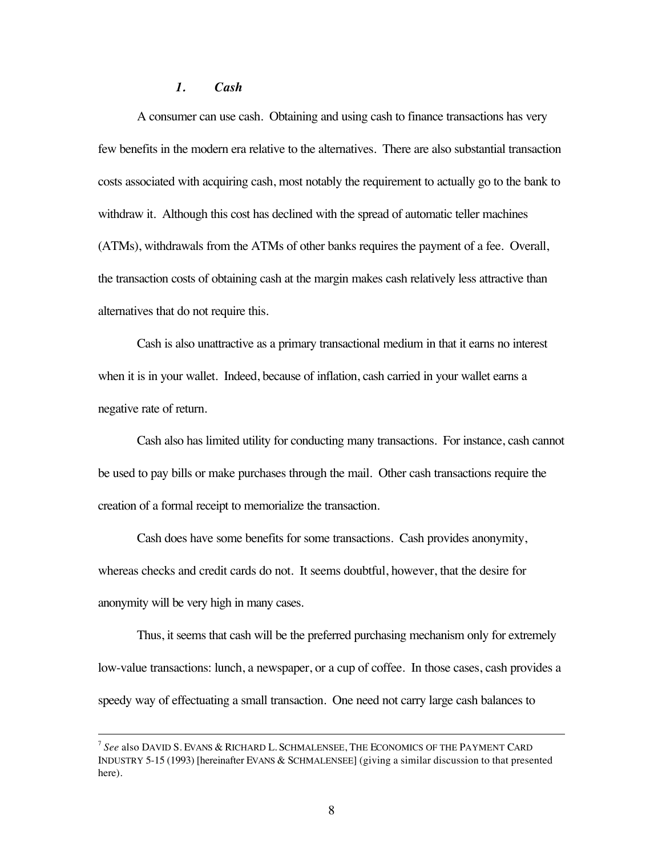#### *1. Cash*

A consumer can use cash. Obtaining and using cash to finance transactions has very few benefits in the modern era relative to the alternatives. There are also substantial transaction costs associated with acquiring cash, most notably the requirement to actually go to the bank to withdraw it. Although this cost has declined with the spread of automatic teller machines (ATMs), withdrawals from the ATMs of other banks requires the payment of a fee. Overall, the transaction costs of obtaining cash at the margin makes cash relatively less attractive than alternatives that do not require this.

Cash is also unattractive as a primary transactional medium in that it earns no interest when it is in your wallet. Indeed, because of inflation, cash carried in your wallet earns a negative rate of return.

Cash also has limited utility for conducting many transactions. For instance, cash cannot be used to pay bills or make purchases through the mail. Other cash transactions require the creation of a formal receipt to memorialize the transaction.

Cash does have some benefits for some transactions. Cash provides anonymity, whereas checks and credit cards do not. It seems doubtful, however, that the desire for anonymity will be very high in many cases.

Thus, it seems that cash will be the preferred purchasing mechanism only for extremely low-value transactions: lunch, a newspaper, or a cup of coffee. In those cases, cash provides a speedy way of effectuating a small transaction. One need not carry large cash balances to

 <sup>7</sup> *See* also DAVID S. EVANS & RICHARD L. SCHMALENSEE, THE ECONOMICS OF THE PAYMENT CARD INDUSTRY 5-15 (1993) [hereinafter EVANS & SCHMALENSEE] (giving a similar discussion to that presented here).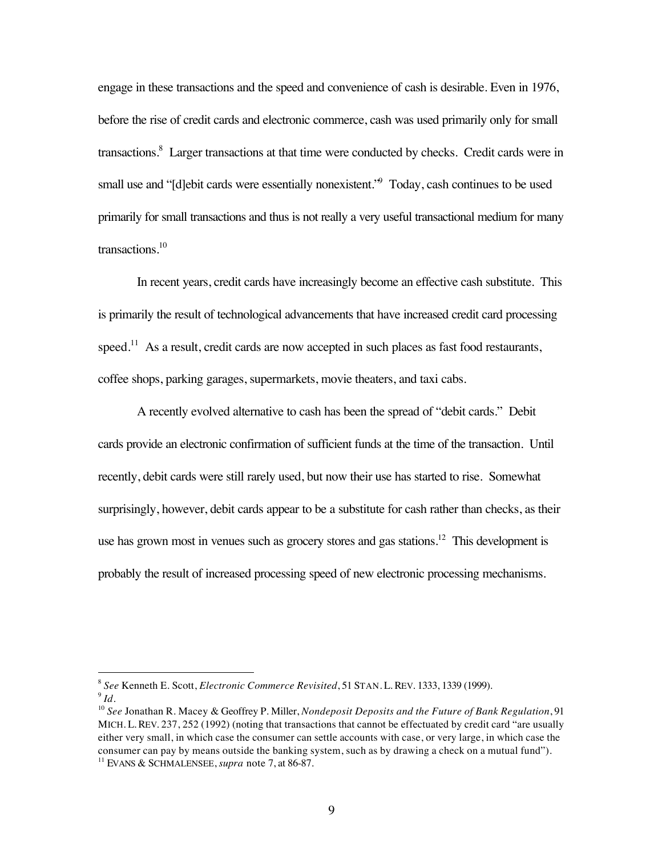engage in these transactions and the speed and convenience of cash is desirable. Even in 1976, before the rise of credit cards and electronic commerce, cash was used primarily only for small transactions.<sup>8</sup> Larger transactions at that time were conducted by checks. Credit cards were in small use and "[d]ebit cards were essentially nonexistent." Today, cash continues to be used primarily for small transactions and thus is not really a very useful transactional medium for many transactions.10

In recent years, credit cards have increasingly become an effective cash substitute. This is primarily the result of technological advancements that have increased credit card processing speed.<sup>11</sup> As a result, credit cards are now accepted in such places as fast food restaurants, coffee shops, parking garages, supermarkets, movie theaters, and taxi cabs.

A recently evolved alternative to cash has been the spread of "debit cards." Debit cards provide an electronic confirmation of sufficient funds at the time of the transaction. Until recently, debit cards were still rarely used, but now their use has started to rise. Somewhat surprisingly, however, debit cards appear to be a substitute for cash rather than checks, as their use has grown most in venues such as grocery stores and gas stations.<sup>12</sup> This development is probably the result of increased processing speed of new electronic processing mechanisms.

 <sup>8</sup> *See* Kenneth E. Scott, *Electronic Commerce Revisited*, 51 STAN. L. REV. 1333, 1339 (1999). <sup>9</sup> *Id.*

<sup>10</sup> *See* Jonathan R. Macey & Geoffrey P. Miller, *Nondeposit Deposits and the Future of Bank Regulation*, 91 MICH. L. REV. 237, 252 (1992) (noting that transactions that cannot be effectuated by credit card "are usually either very small, in which case the consumer can settle accounts with case, or very large, in which case the consumer can pay by means outside the banking system, such as by drawing a check on a mutual fund"). <sup>11</sup> EVANS & SCHMALENSEE, *supra* note 7, at 86-87.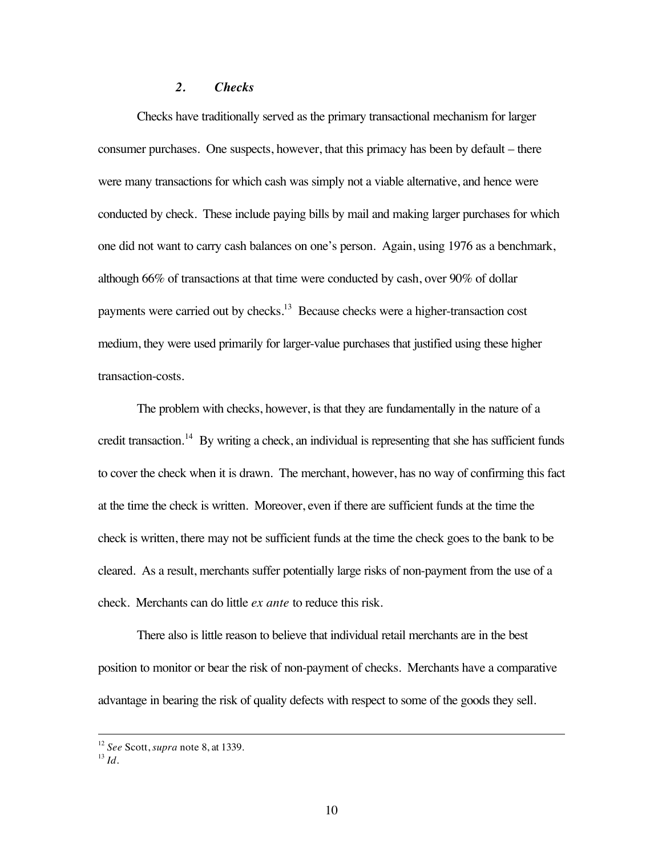## *2. Checks*

Checks have traditionally served as the primary transactional mechanism for larger consumer purchases. One suspects, however, that this primacy has been by default – there were many transactions for which cash was simply not a viable alternative, and hence were conducted by check. These include paying bills by mail and making larger purchases for which one did not want to carry cash balances on one's person. Again, using 1976 as a benchmark, although 66% of transactions at that time were conducted by cash, over 90% of dollar payments were carried out by checks.13 Because checks were a higher-transaction cost medium, they were used primarily for larger-value purchases that justified using these higher transaction-costs.

The problem with checks, however, is that they are fundamentally in the nature of a credit transaction.<sup>14</sup> By writing a check, an individual is representing that she has sufficient funds to cover the check when it is drawn. The merchant, however, has no way of confirming this fact at the time the check is written. Moreover, even if there are sufficient funds at the time the check is written, there may not be sufficient funds at the time the check goes to the bank to be cleared. As a result, merchants suffer potentially large risks of non-payment from the use of a check. Merchants can do little *ex ante* to reduce this risk.

There also is little reason to believe that individual retail merchants are in the best position to monitor or bear the risk of non-payment of checks. Merchants have a comparative advantage in bearing the risk of quality defects with respect to some of the goods they sell.

 <sup>12</sup> *See* Scott, *supra* note 8, at 1339.

 $^{13}$  *Id.*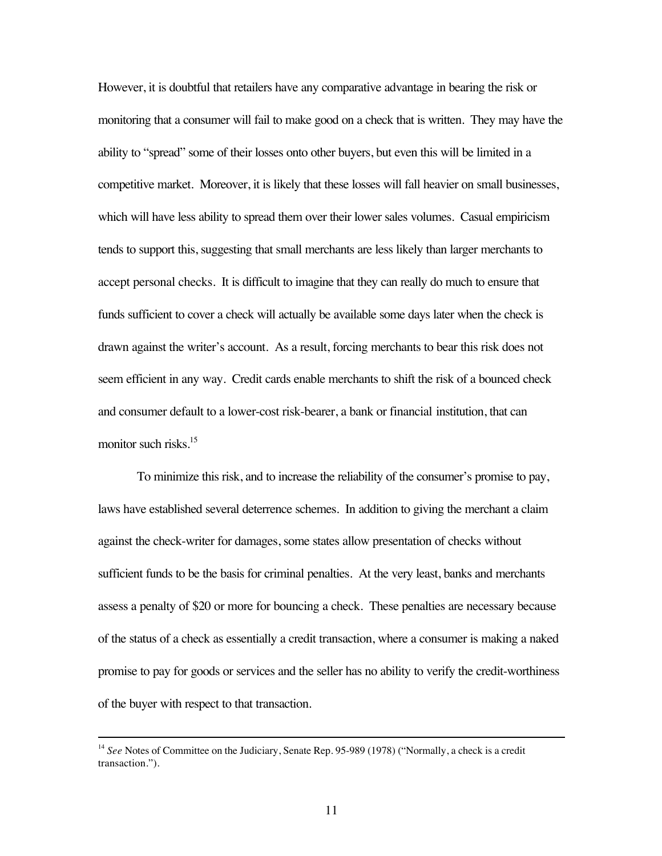However, it is doubtful that retailers have any comparative advantage in bearing the risk or monitoring that a consumer will fail to make good on a check that is written. They may have the ability to "spread" some of their losses onto other buyers, but even this will be limited in a competitive market. Moreover, it is likely that these losses will fall heavier on small businesses, which will have less ability to spread them over their lower sales volumes. Casual empiricism tends to support this, suggesting that small merchants are less likely than larger merchants to accept personal checks. It is difficult to imagine that they can really do much to ensure that funds sufficient to cover a check will actually be available some days later when the check is drawn against the writer's account. As a result, forcing merchants to bear this risk does not seem efficient in any way. Credit cards enable merchants to shift the risk of a bounced check and consumer default to a lower-cost risk-bearer, a bank or financial institution, that can monitor such risks.<sup>15</sup>

To minimize this risk, and to increase the reliability of the consumer's promise to pay, laws have established several deterrence schemes. In addition to giving the merchant a claim against the check-writer for damages, some states allow presentation of checks without sufficient funds to be the basis for criminal penalties. At the very least, banks and merchants assess a penalty of \$20 or more for bouncing a check. These penalties are necessary because of the status of a check as essentially a credit transaction, where a consumer is making a naked promise to pay for goods or services and the seller has no ability to verify the credit-worthiness of the buyer with respect to that transaction.

<sup>&</sup>lt;sup>14</sup> See Notes of Committee on the Judiciary, Senate Rep. 95-989 (1978) ("Normally, a check is a credit" transaction.").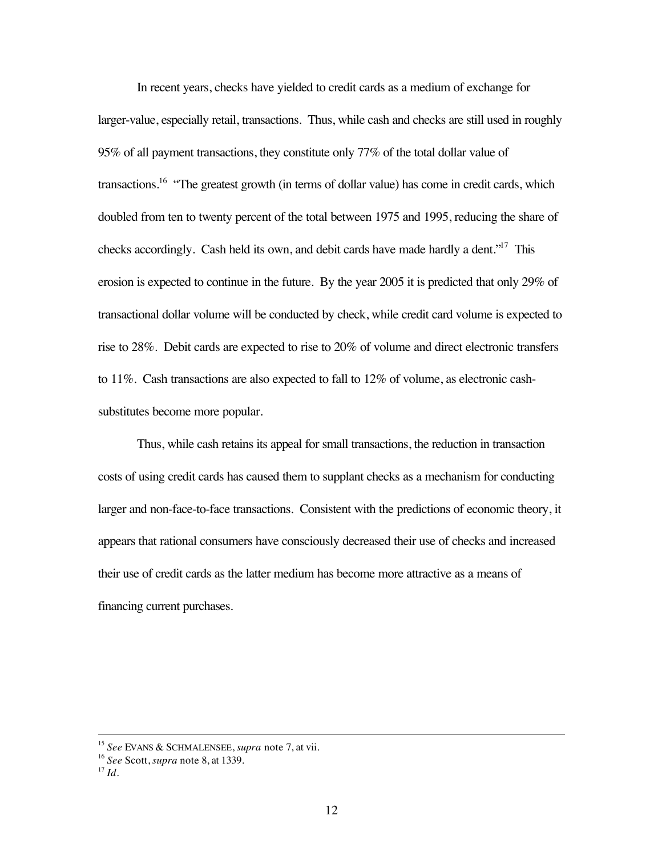In recent years, checks have yielded to credit cards as a medium of exchange for larger-value, especially retail, transactions. Thus, while cash and checks are still used in roughly 95% of all payment transactions, they constitute only 77% of the total dollar value of transactions.<sup>16</sup> "The greatest growth (in terms of dollar value) has come in credit cards, which doubled from ten to twenty percent of the total between 1975 and 1995, reducing the share of checks accordingly. Cash held its own, and debit cards have made hardly a dent."<sup>17</sup> This erosion is expected to continue in the future. By the year 2005 it is predicted that only 29% of transactional dollar volume will be conducted by check, while credit card volume is expected to rise to 28%. Debit cards are expected to rise to 20% of volume and direct electronic transfers to 11%. Cash transactions are also expected to fall to 12% of volume, as electronic cashsubstitutes become more popular.

Thus, while cash retains its appeal for small transactions, the reduction in transaction costs of using credit cards has caused them to supplant checks as a mechanism for conducting larger and non-face-to-face transactions. Consistent with the predictions of economic theory, it appears that rational consumers have consciously decreased their use of checks and increased their use of credit cards as the latter medium has become more attractive as a means of financing current purchases.

 <sup>15</sup> *See* EVANS & SCHMALENSEE, *supra* note 7, at vii.

<sup>16</sup> *See* Scott, *supra* note 8, at 1339.

 $17$  *Id.*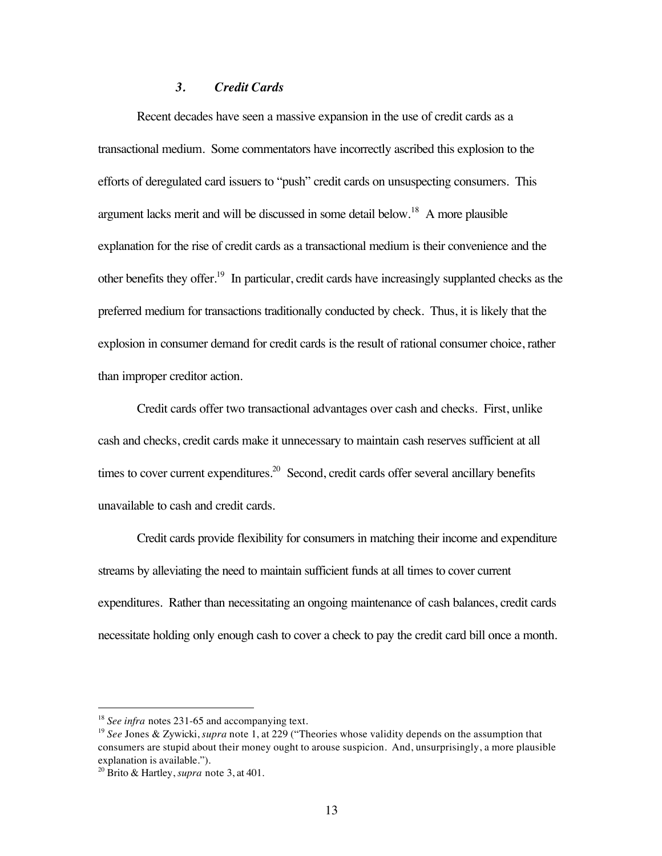#### *3. Credit Cards*

Recent decades have seen a massive expansion in the use of credit cards as a transactional medium. Some commentators have incorrectly ascribed this explosion to the efforts of deregulated card issuers to "push" credit cards on unsuspecting consumers. This argument lacks merit and will be discussed in some detail below.<sup>18</sup> A more plausible explanation for the rise of credit cards as a transactional medium is their convenience and the other benefits they offer.19 In particular, credit cards have increasingly supplanted checks as the preferred medium for transactions traditionally conducted by check. Thus, it is likely that the explosion in consumer demand for credit cards is the result of rational consumer choice, rather than improper creditor action.

Credit cards offer two transactional advantages over cash and checks. First, unlike cash and checks, credit cards make it unnecessary to maintain cash reserves sufficient at all times to cover current expenditures.<sup>20</sup> Second, credit cards offer several ancillary benefits unavailable to cash and credit cards.

Credit cards provide flexibility for consumers in matching their income and expenditure streams by alleviating the need to maintain sufficient funds at all times to cover current expenditures. Rather than necessitating an ongoing maintenance of cash balances, credit cards necessitate holding only enough cash to cover a check to pay the credit card bill once a month.

<sup>&</sup>lt;sup>18</sup> *See infra* notes 231-65 and accompanying text.

<sup>19</sup> *See* Jones & Zywicki, *supra* note 1, at 229 ("Theories whose validity depends on the assumption that consumers are stupid about their money ought to arouse suspicion. And, unsurprisingly, a more plausible explanation is available.").

<sup>20</sup> Brito & Hartley, *supra* note 3, at 401.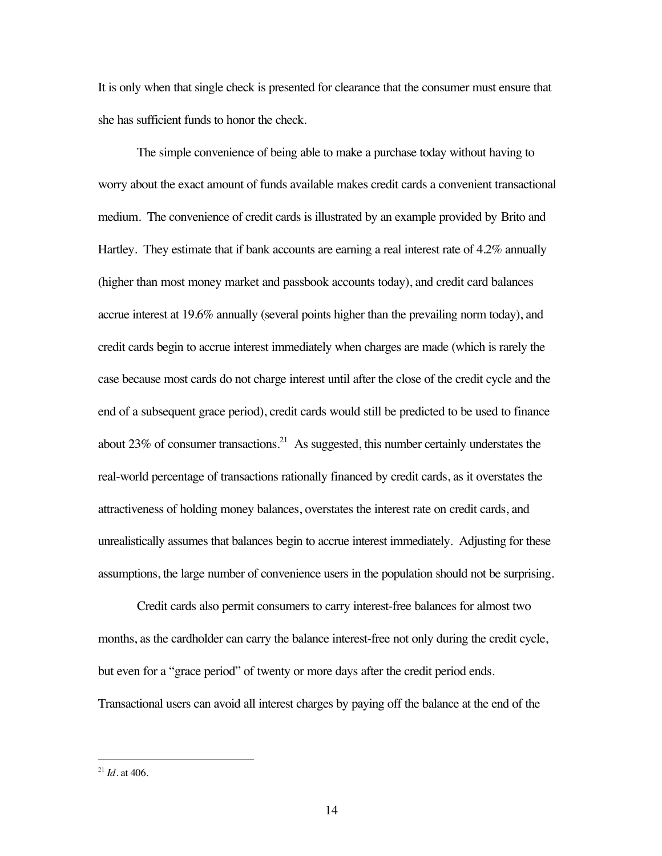It is only when that single check is presented for clearance that the consumer must ensure that she has sufficient funds to honor the check.

The simple convenience of being able to make a purchase today without having to worry about the exact amount of funds available makes credit cards a convenient transactional medium. The convenience of credit cards is illustrated by an example provided by Brito and Hartley. They estimate that if bank accounts are earning a real interest rate of 4.2% annually (higher than most money market and passbook accounts today), and credit card balances accrue interest at 19.6% annually (several points higher than the prevailing norm today), and credit cards begin to accrue interest immediately when charges are made (which is rarely the case because most cards do not charge interest until after the close of the credit cycle and the end of a subsequent grace period), credit cards would still be predicted to be used to finance about 23% of consumer transactions.<sup>21</sup> As suggested, this number certainly understates the real-world percentage of transactions rationally financed by credit cards, as it overstates the attractiveness of holding money balances, overstates the interest rate on credit cards, and unrealistically assumes that balances begin to accrue interest immediately. Adjusting for these assumptions, the large number of convenience users in the population should not be surprising.

Credit cards also permit consumers to carry interest-free balances for almost two months, as the cardholder can carry the balance interest-free not only during the credit cycle, but even for a "grace period" of twenty or more days after the credit period ends. Transactional users can avoid all interest charges by paying off the balance at the end of the

 <sup>21</sup> *Id*. at 406.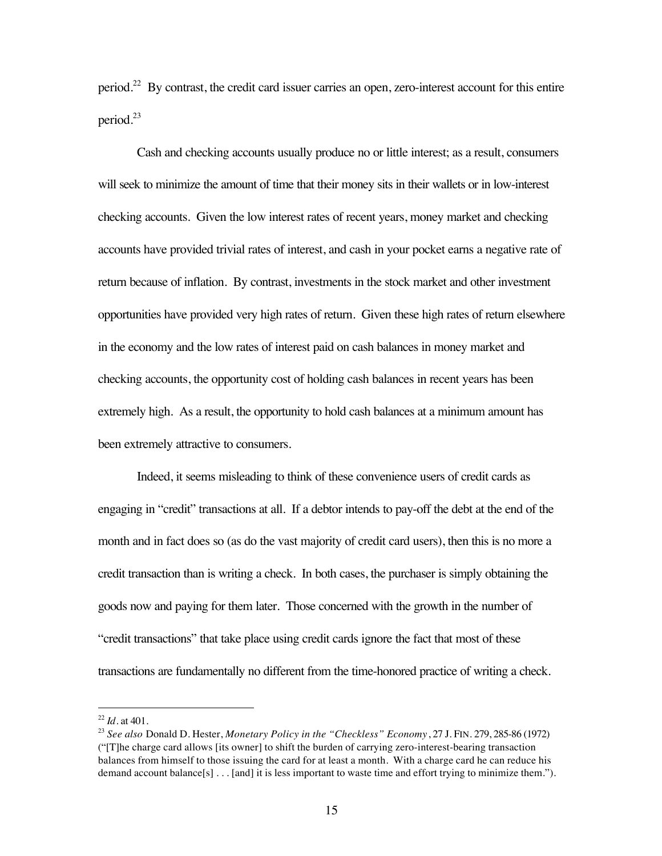period.22 By contrast, the credit card issuer carries an open, zero-interest account for this entire period.<sup>23</sup>

Cash and checking accounts usually produce no or little interest; as a result, consumers will seek to minimize the amount of time that their money sits in their wallets or in low-interest checking accounts. Given the low interest rates of recent years, money market and checking accounts have provided trivial rates of interest, and cash in your pocket earns a negative rate of return because of inflation. By contrast, investments in the stock market and other investment opportunities have provided very high rates of return. Given these high rates of return elsewhere in the economy and the low rates of interest paid on cash balances in money market and checking accounts, the opportunity cost of holding cash balances in recent years has been extremely high. As a result, the opportunity to hold cash balances at a minimum amount has been extremely attractive to consumers.

Indeed, it seems misleading to think of these convenience users of credit cards as engaging in "credit" transactions at all. If a debtor intends to pay-off the debt at the end of the month and in fact does so (as do the vast majority of credit card users), then this is no more a credit transaction than is writing a check. In both cases, the purchaser is simply obtaining the goods now and paying for them later. Those concerned with the growth in the number of "credit transactions" that take place using credit cards ignore the fact that most of these transactions are fundamentally no different from the time-honored practice of writing a check.

 <sup>22</sup> *Id*. at 401.

<sup>23</sup> *See also* Donald D. Hester, *Monetary Policy in the "Checkless" Economy*, 27 J. FIN. 279, 285-86 (1972) ("[T]he charge card allows [its owner] to shift the burden of carrying zero-interest-bearing transaction balances from himself to those issuing the card for at least a month. With a charge card he can reduce his demand account balance[s] . . . [and] it is less important to waste time and effort trying to minimize them.").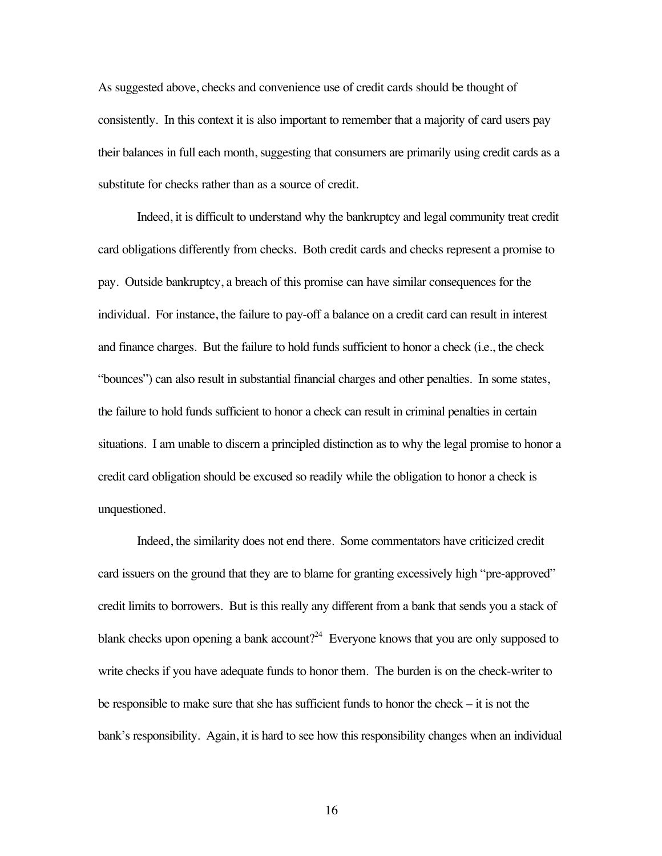As suggested above, checks and convenience use of credit cards should be thought of consistently. In this context it is also important to remember that a majority of card users pay their balances in full each month, suggesting that consumers are primarily using credit cards as a substitute for checks rather than as a source of credit.

Indeed, it is difficult to understand why the bankruptcy and legal community treat credit card obligations differently from checks. Both credit cards and checks represent a promise to pay. Outside bankruptcy, a breach of this promise can have similar consequences for the individual. For instance, the failure to pay-off a balance on a credit card can result in interest and finance charges. But the failure to hold funds sufficient to honor a check (i.e., the check "bounces") can also result in substantial financial charges and other penalties. In some states, the failure to hold funds sufficient to honor a check can result in criminal penalties in certain situations. I am unable to discern a principled distinction as to why the legal promise to honor a credit card obligation should be excused so readily while the obligation to honor a check is unquestioned.

Indeed, the similarity does not end there. Some commentators have criticized credit card issuers on the ground that they are to blame for granting excessively high "pre-approved" credit limits to borrowers. But is this really any different from a bank that sends you a stack of blank checks upon opening a bank account?<sup>24</sup> Everyone knows that you are only supposed to write checks if you have adequate funds to honor them. The burden is on the check-writer to be responsible to make sure that she has sufficient funds to honor the check – it is not the bank's responsibility. Again, it is hard to see how this responsibility changes when an individual

16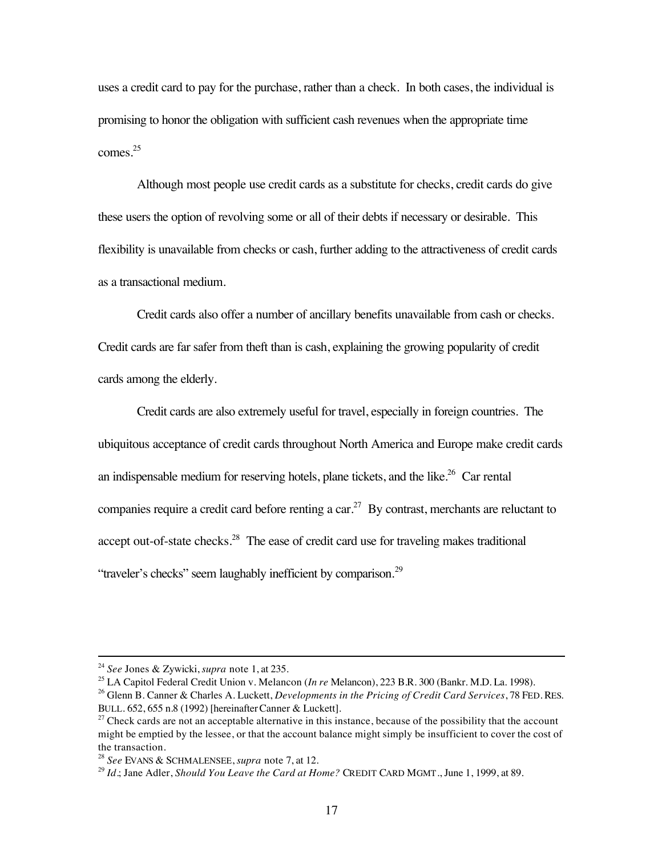uses a credit card to pay for the purchase, rather than a check. In both cases, the individual is promising to honor the obligation with sufficient cash revenues when the appropriate time comes.<sup>25</sup>

Although most people use credit cards as a substitute for checks, credit cards do give these users the option of revolving some or all of their debts if necessary or desirable. This flexibility is unavailable from checks or cash, further adding to the attractiveness of credit cards as a transactional medium.

Credit cards also offer a number of ancillary benefits unavailable from cash or checks. Credit cards are far safer from theft than is cash, explaining the growing popularity of credit cards among the elderly.

Credit cards are also extremely useful for travel, especially in foreign countries. The ubiquitous acceptance of credit cards throughout North America and Europe make credit cards an indispensable medium for reserving hotels, plane tickets, and the like.<sup>26</sup> Car rental companies require a credit card before renting a car.<sup>27</sup> By contrast, merchants are reluctant to accept out-of-state checks.<sup>28</sup> The ease of credit card use for traveling makes traditional "traveler's checks" seem laughably inefficient by comparison.<sup>29</sup>

 <sup>24</sup> *See* Jones & Zywicki, *supra* note 1, at 235.

<sup>25</sup> LA Capitol Federal Credit Union v. Melancon (*In re* Melancon), 223 B.R. 300 (Bankr. M.D. La. 1998).

<sup>26</sup> Glenn B. Canner & Charles A. Luckett, *Developments in the Pricing of Credit Card Services*, 78 FED. RES. BULL. 652, 655 n.8 (1992) [hereinafterCanner & Luckett].

 $27$  Check cards are not an acceptable alternative in this instance, because of the possibility that the account might be emptied by the lessee, or that the account balance might simply be insufficient to cover the cost of the transaction.

<sup>28</sup> *See* EVANS & SCHMALENSEE, *supra* note 7, at 12.

<sup>29</sup> *Id.*; Jane Adler, *Should You Leave the Card at Home?* CREDIT CARD MGMT., June 1, 1999, at 89.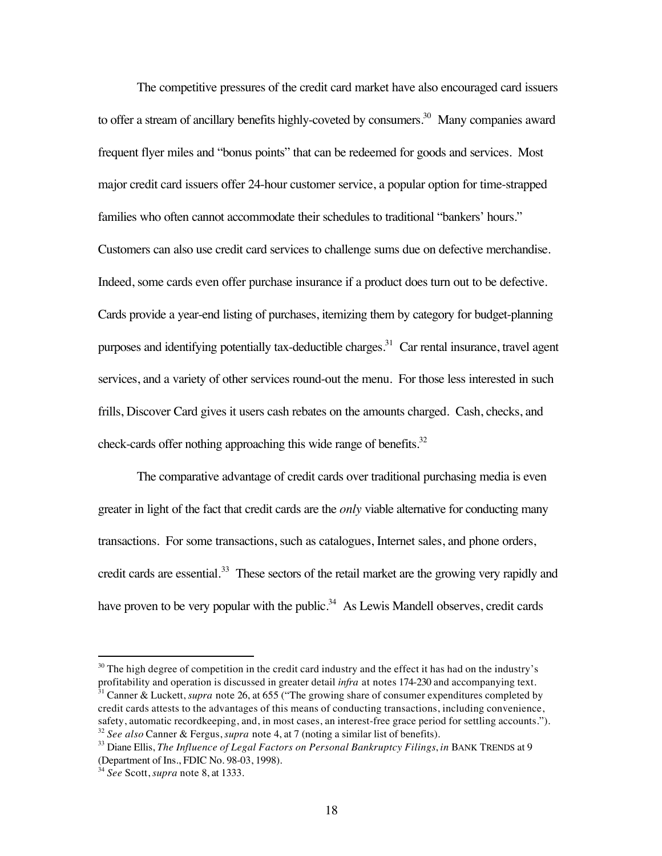The competitive pressures of the credit card market have also encouraged card issuers to offer a stream of ancillary benefits highly-coveted by consumers.<sup>30</sup> Many companies award frequent flyer miles and "bonus points" that can be redeemed for goods and services. Most major credit card issuers offer 24-hour customer service, a popular option for time-strapped families who often cannot accommodate their schedules to traditional "bankers' hours." Customers can also use credit card services to challenge sums due on defective merchandise. Indeed, some cards even offer purchase insurance if a product does turn out to be defective. Cards provide a year-end listing of purchases, itemizing them by category for budget-planning purposes and identifying potentially tax-deductible charges.<sup>31</sup> Car rental insurance, travel agent services, and a variety of other services round-out the menu. For those less interested in such frills, Discover Card gives it users cash rebates on the amounts charged. Cash, checks, and check-cards offer nothing approaching this wide range of benefits.<sup>32</sup>

The comparative advantage of credit cards over traditional purchasing media is even greater in light of the fact that credit cards are the *only* viable alternative for conducting many transactions. For some transactions, such as catalogues, Internet sales, and phone orders, credit cards are essential.<sup>33</sup> These sectors of the retail market are the growing very rapidly and have proven to be very popular with the public.<sup>34</sup> As Lewis Mandell observes, credit cards

 $30$  The high degree of competition in the credit card industry and the effect it has had on the industry's profitability and operation is discussed in greater detail *infra* at notes 174-230 and accompanying text.

<sup>&</sup>lt;sup>31</sup> Canner & Luckett, *supra* note 26, at 655 ("The growing share of consumer expenditures completed by credit cards attests to the advantages of this means of conducting transactions, including convenience, safety, automatic recordkeeping, and, in most cases, an interest-free grace period for settling accounts."). <sup>32</sup> *See also* Canner & Fergus, *supra* note 4, at 7 (noting a similar list of benefits).

<sup>33</sup> Diane Ellis, *The Influence of Legal Factors on Personal Bankruptcy Filings*, *in* BANK TRENDS at 9 (Department of Ins., FDIC No. 98-03, 1998).

<sup>34</sup> *See* Scott, *supra* note 8, at 1333.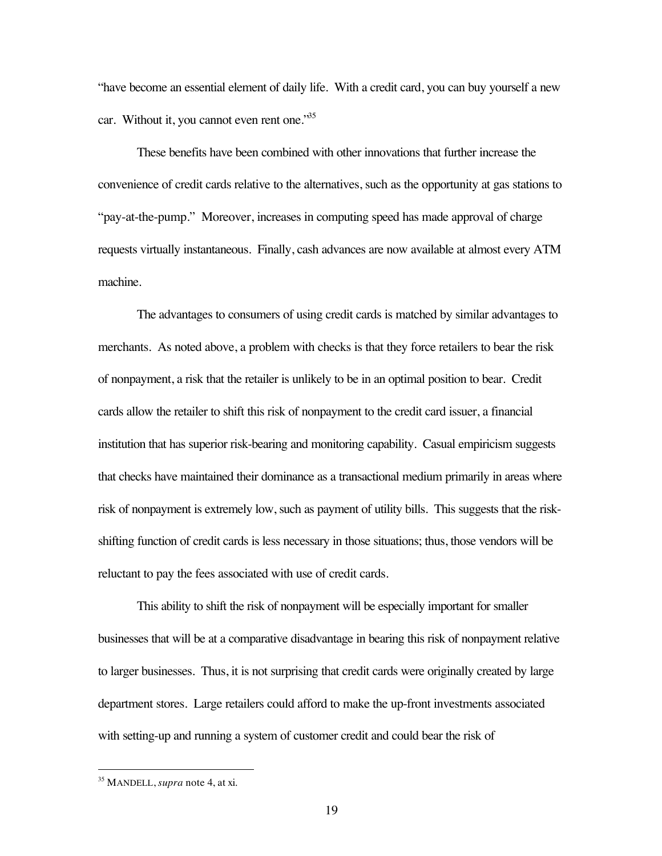"have become an essential element of daily life. With a credit card, you can buy yourself a new car. Without it, you cannot even rent one.<sup>35</sup>

These benefits have been combined with other innovations that further increase the convenience of credit cards relative to the alternatives, such as the opportunity at gas stations to "pay-at-the-pump." Moreover, increases in computing speed has made approval of charge requests virtually instantaneous. Finally, cash advances are now available at almost every ATM machine.

The advantages to consumers of using credit cards is matched by similar advantages to merchants. As noted above, a problem with checks is that they force retailers to bear the risk of nonpayment, a risk that the retailer is unlikely to be in an optimal position to bear. Credit cards allow the retailer to shift this risk of nonpayment to the credit card issuer, a financial institution that has superior risk-bearing and monitoring capability. Casual empiricism suggests that checks have maintained their dominance as a transactional medium primarily in areas where risk of nonpayment is extremely low, such as payment of utility bills. This suggests that the riskshifting function of credit cards is less necessary in those situations; thus, those vendors will be reluctant to pay the fees associated with use of credit cards.

This ability to shift the risk of nonpayment will be especially important for smaller businesses that will be at a comparative disadvantage in bearing this risk of nonpayment relative to larger businesses. Thus, it is not surprising that credit cards were originally created by large department stores. Large retailers could afford to make the up-front investments associated with setting-up and running a system of customer credit and could bear the risk of

 <sup>35</sup> MANDELL, *supra* note 4, at xi.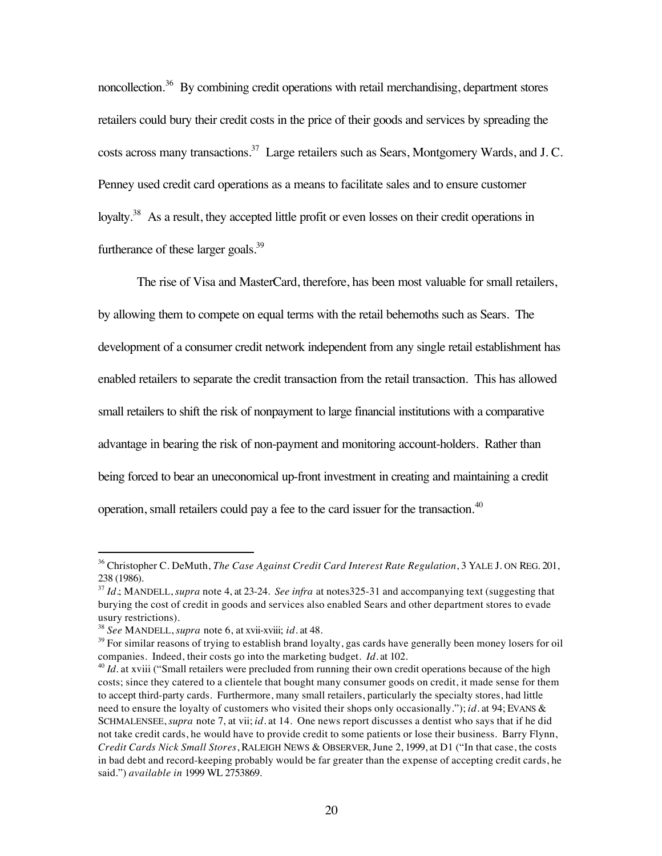noncollection.<sup>36</sup> By combining credit operations with retail merchandising, department stores retailers could bury their credit costs in the price of their goods and services by spreading the costs across many transactions.<sup>37</sup> Large retailers such as Sears, Montgomery Wards, and J.C. Penney used credit card operations as a means to facilitate sales and to ensure customer loyalty.<sup>38</sup> As a result, they accepted little profit or even losses on their credit operations in furtherance of these larger goals. $39$ 

The rise of Visa and MasterCard, therefore, has been most valuable for small retailers, by allowing them to compete on equal terms with the retail behemoths such as Sears. The development of a consumer credit network independent from any single retail establishment has enabled retailers to separate the credit transaction from the retail transaction. This has allowed small retailers to shift the risk of nonpayment to large financial institutions with a comparative advantage in bearing the risk of non-payment and monitoring account-holders. Rather than being forced to bear an uneconomical up-front investment in creating and maintaining a credit operation, small retailers could pay a fee to the card issuer for the transaction.<sup>40</sup>

 <sup>36</sup> Christopher C. DeMuth, *The Case Against Credit Card Interest Rate Regulation*, 3 YALE J. ON REG. 201, 238 (1986).

<sup>37</sup> *Id.*; MANDELL, *supra* note 4, at 23-24. *See infra* at notes325-31 and accompanying text (suggesting that burying the cost of credit in goods and services also enabled Sears and other department stores to evade usury restrictions).

<sup>38</sup> *See* MANDELL, *supra* note 6, at xvii-xviii; *id.* at 48.

 $39$  For similar reasons of trying to establish brand loyalty, gas cards have generally been money losers for oil companies. Indeed, their costs go into the marketing budget. *Id.* at 102.

<sup>&</sup>lt;sup>40</sup> *Id.* at xviii ("Small retailers were precluded from running their own credit operations because of the high costs; since they catered to a clientele that bought many consumer goods on credit, it made sense for them to accept third-party cards. Furthermore, many small retailers, particularly the specialty stores, had little need to ensure the loyalty of customers who visited their shops only occasionally."); *id.* at 94; EVANS & SCHMALENSEE, *supra* note 7, at vii; *id.* at 14. One news report discusses a dentist who says that if he did not take credit cards, he would have to provide credit to some patients or lose their business. Barry Flynn, *Credit Cards Nick Small Stores*, RALEIGH NEWS & OBSERVER, June 2, 1999, at D1 ("In that case, the costs in bad debt and record-keeping probably would be far greater than the expense of accepting credit cards, he said.") *available in* 1999 WL 2753869.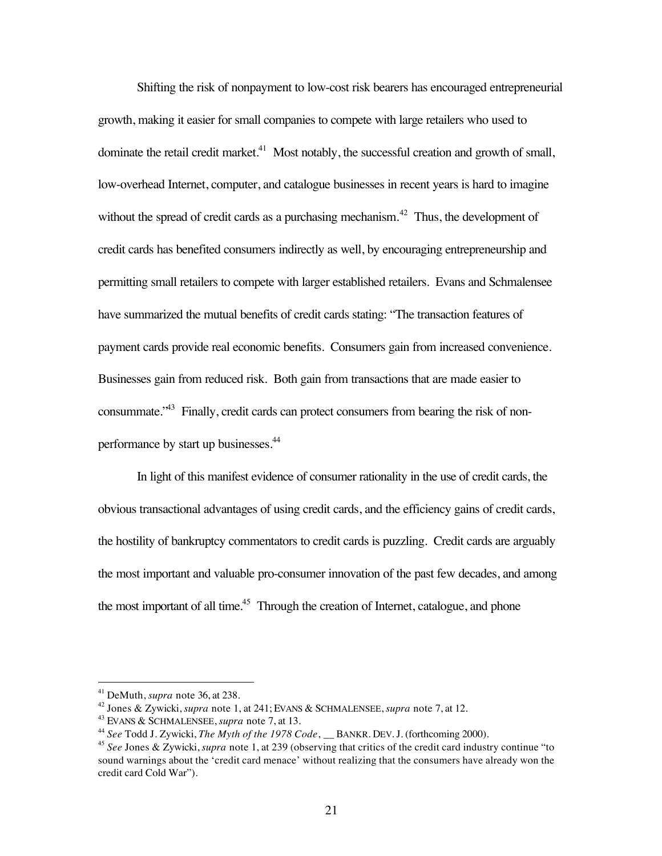Shifting the risk of nonpayment to low-cost risk bearers has encouraged entrepreneurial growth, making it easier for small companies to compete with large retailers who used to dominate the retail credit market.<sup>41</sup> Most notably, the successful creation and growth of small, low-overhead Internet, computer, and catalogue businesses in recent years is hard to imagine without the spread of credit cards as a purchasing mechanism.<sup>42</sup> Thus, the development of credit cards has benefited consumers indirectly as well, by encouraging entrepreneurship and permitting small retailers to compete with larger established retailers. Evans and Schmalensee have summarized the mutual benefits of credit cards stating: "The transaction features of payment cards provide real economic benefits. Consumers gain from increased convenience. Businesses gain from reduced risk. Both gain from transactions that are made easier to consummate.<sup>343</sup> Finally, credit cards can protect consumers from bearing the risk of nonperformance by start up businesses.44

In light of this manifest evidence of consumer rationality in the use of credit cards, the obvious transactional advantages of using credit cards, and the efficiency gains of credit cards, the hostility of bankruptcy commentators to credit cards is puzzling. Credit cards are arguably the most important and valuable pro-consumer innovation of the past few decades, and among the most important of all time.<sup>45</sup> Through the creation of Internet, catalogue, and phone

 <sup>41</sup> DeMuth, *supra* note 36, at 238.

<sup>42</sup> Jones & Zywicki, *supra* note 1, at 241; EVANS & SCHMALENSEE, *supra* note 7, at 12.

<sup>43</sup> EVANS & SCHMALENSEE, *supra* note 7, at 13.

<sup>&</sup>lt;sup>44</sup> See Todd J. Zywicki, *The Myth of the 1978 Code*, BANKR. DEV. J. (forthcoming 2000).

<sup>45</sup> *See* Jones & Zywicki, *supra* note 1, at 239 (observing that critics of the credit card industry continue "to sound warnings about the 'credit card menace' without realizing that the consumers have already won the credit card Cold War").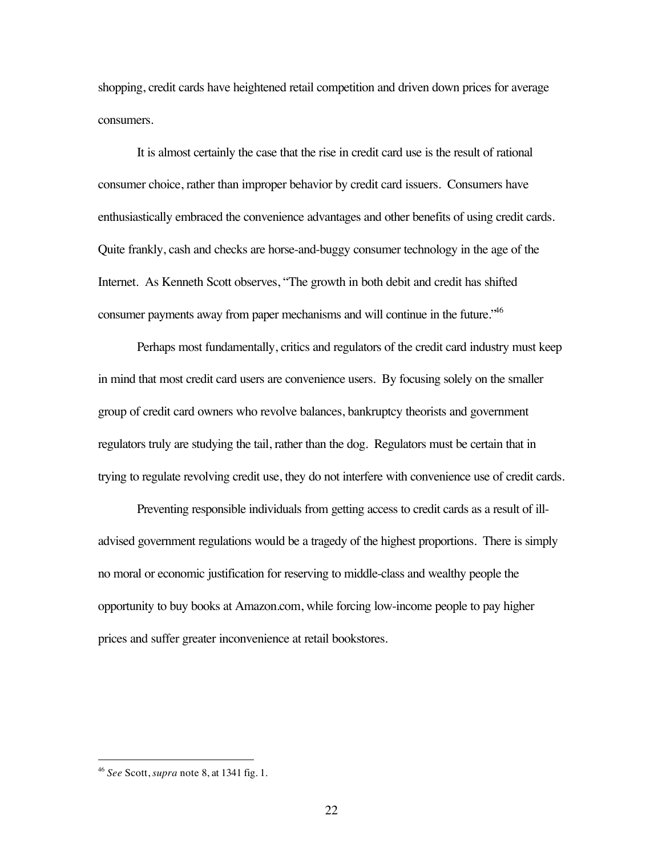shopping, credit cards have heightened retail competition and driven down prices for average consumers.

It is almost certainly the case that the rise in credit card use is the result of rational consumer choice, rather than improper behavior by credit card issuers. Consumers have enthusiastically embraced the convenience advantages and other benefits of using credit cards. Quite frankly, cash and checks are horse-and-buggy consumer technology in the age of the Internet. As Kenneth Scott observes, "The growth in both debit and credit has shifted consumer payments away from paper mechanisms and will continue in the future.<sup>46</sup>

Perhaps most fundamentally, critics and regulators of the credit card industry must keep in mind that most credit card users are convenience users. By focusing solely on the smaller group of credit card owners who revolve balances, bankruptcy theorists and government regulators truly are studying the tail, rather than the dog. Regulators must be certain that in trying to regulate revolving credit use, they do not interfere with convenience use of credit cards.

Preventing responsible individuals from getting access to credit cards as a result of illadvised government regulations would be a tragedy of the highest proportions. There is simply no moral or economic justification for reserving to middle-class and wealthy people the opportunity to buy books at Amazon.com, while forcing low-income people to pay higher prices and suffer greater inconvenience at retail bookstores.

 <sup>46</sup> *See* Scott, *supra* note 8, at 1341 fig. 1.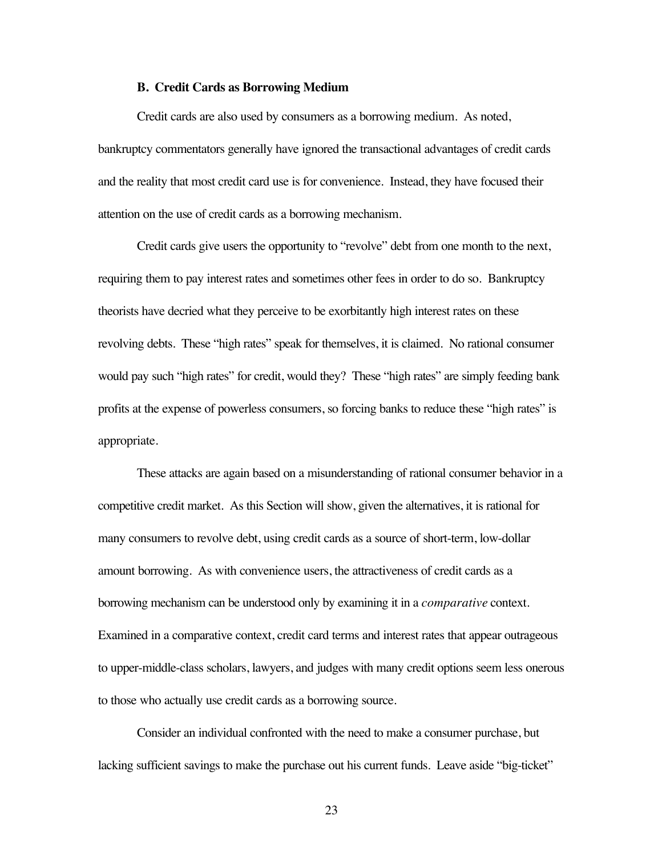#### **B. Credit Cards as Borrowing Medium**

Credit cards are also used by consumers as a borrowing medium. As noted, bankruptcy commentators generally have ignored the transactional advantages of credit cards and the reality that most credit card use is for convenience. Instead, they have focused their attention on the use of credit cards as a borrowing mechanism.

Credit cards give users the opportunity to "revolve" debt from one month to the next, requiring them to pay interest rates and sometimes other fees in order to do so. Bankruptcy theorists have decried what they perceive to be exorbitantly high interest rates on these revolving debts. These "high rates" speak for themselves, it is claimed. No rational consumer would pay such "high rates" for credit, would they? These "high rates" are simply feeding bank profits at the expense of powerless consumers, so forcing banks to reduce these "high rates" is appropriate.

These attacks are again based on a misunderstanding of rational consumer behavior in a competitive credit market. As this Section will show, given the alternatives, it is rational for many consumers to revolve debt, using credit cards as a source of short-term, low-dollar amount borrowing. As with convenience users, the attractiveness of credit cards as a borrowing mechanism can be understood only by examining it in a *comparative* context. Examined in a comparative context, credit card terms and interest rates that appear outrageous to upper-middle-class scholars, lawyers, and judges with many credit options seem less onerous to those who actually use credit cards as a borrowing source.

Consider an individual confronted with the need to make a consumer purchase, but lacking sufficient savings to make the purchase out his current funds. Leave aside "big-ticket"

23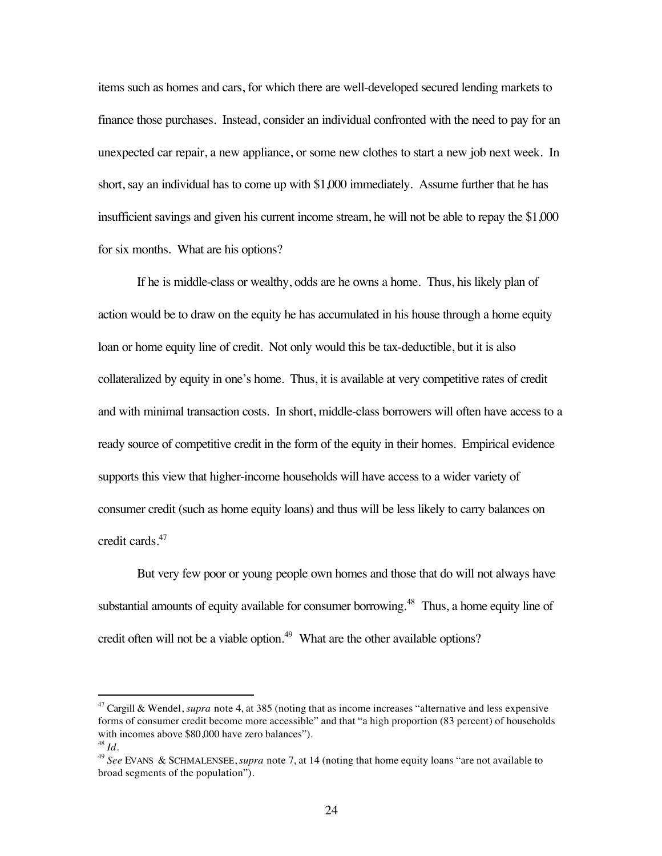items such as homes and cars, for which there are well-developed secured lending markets to finance those purchases. Instead, consider an individual confronted with the need to pay for an unexpected car repair, a new appliance, or some new clothes to start a new job next week. In short, say an individual has to come up with \$1,000 immediately. Assume further that he has insufficient savings and given his current income stream, he will not be able to repay the \$1,000 for six months. What are his options?

If he is middle-class or wealthy, odds are he owns a home. Thus, his likely plan of action would be to draw on the equity he has accumulated in his house through a home equity loan or home equity line of credit. Not only would this be tax-deductible, but it is also collateralized by equity in one's home. Thus, it is available at very competitive rates of credit and with minimal transaction costs. In short, middle-class borrowers will often have access to a ready source of competitive credit in the form of the equity in their homes. Empirical evidence supports this view that higher-income households will have access to a wider variety of consumer credit (such as home equity loans) and thus will be less likely to carry balances on credit cards.47

But very few poor or young people own homes and those that do will not always have substantial amounts of equity available for consumer borrowing.<sup>48</sup> Thus, a home equity line of credit often will not be a viable option.<sup>49</sup> What are the other available options?

 <sup>47</sup> Cargill & Wendel, *supra* note 4, at 385 (noting that as income increases "alternative and less expensive forms of consumer credit become more accessible" and that "a high proportion (83 percent) of households with incomes above \$80,000 have zero balances".

<sup>48</sup> *Id.*

<sup>49</sup> *See* EVANS & SCHMALENSEE, *supra* note 7, at 14 (noting that home equity loans "are not available to broad segments of the population").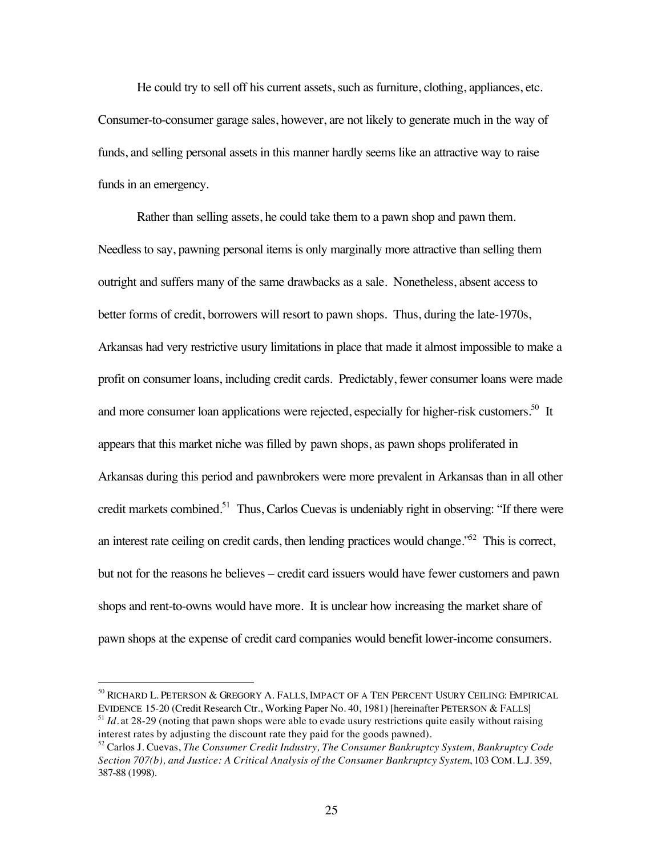He could try to sell off his current assets, such as furniture, clothing, appliances, etc. Consumer-to-consumer garage sales, however, are not likely to generate much in the way of funds, and selling personal assets in this manner hardly seems like an attractive way to raise funds in an emergency.

Rather than selling assets, he could take them to a pawn shop and pawn them. Needless to say, pawning personal items is only marginally more attractive than selling them outright and suffers many of the same drawbacks as a sale. Nonetheless, absent access to better forms of credit, borrowers will resort to pawn shops. Thus, during the late-1970s, Arkansas had very restrictive usury limitations in place that made it almost impossible to make a profit on consumer loans, including credit cards. Predictably, fewer consumer loans were made and more consumer loan applications were rejected, especially for higher-risk customers.<sup>50</sup> It appears that this market niche was filled by pawn shops, as pawn shops proliferated in Arkansas during this period and pawnbrokers were more prevalent in Arkansas than in all other credit markets combined.<sup>51</sup> Thus, Carlos Cuevas is undeniably right in observing: "If there were an interest rate ceiling on credit cards, then lending practices would change.<sup> $52$ </sup> This is correct, but not for the reasons he believes – credit card issuers would have fewer customers and pawn shops and rent-to-owns would have more. It is unclear how increasing the market share of pawn shops at the expense of credit card companies would benefit lower-income consumers.

 <sup>50</sup> RICHARD L. PETERSON & GREGORY A. FALLS, IMPACT OF A TEN PERCENT USURY CEILING: EMPIRICAL EVIDENCE 15-20 (Credit Research Ctr., Working Paper No. 40, 1981) [hereinafter PETERSON & FALLS] <sup>51</sup> *Id.* at 28-29 (noting that pawn shops were able to evade usury restrictions quite easily without raising

interest rates by adjusting the discount rate they paid for the goods pawned).

<sup>52</sup> Carlos J. Cuevas, *The Consumer Credit Industry, The Consumer Bankruptcy System, Bankruptcy Code Section 707(b), and Justice: A Critical Analysis of the Consumer Bankruptcy System*, 103 COM. L.J. 359, 387-88 (1998).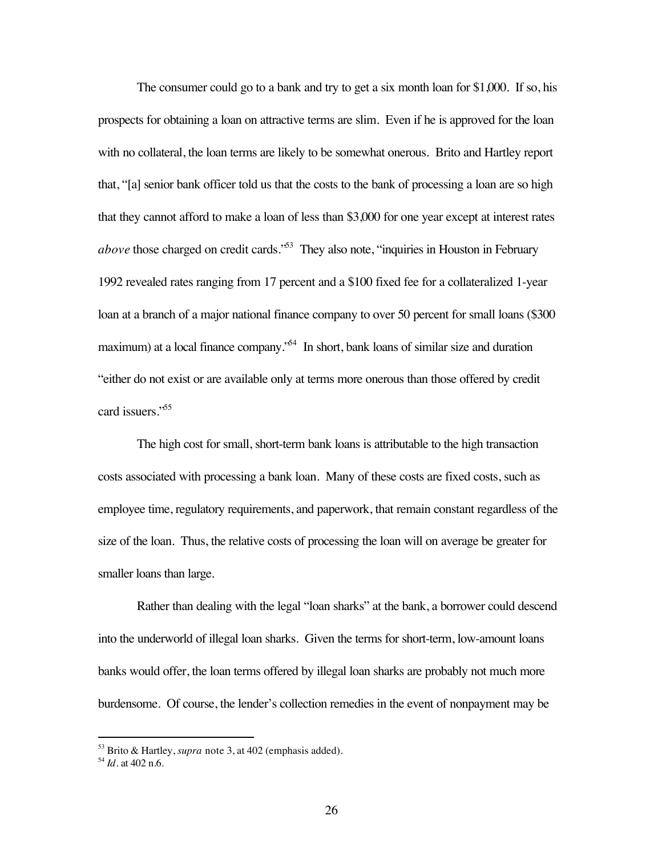The consumer could go to a bank and try to get a six month loan for \$1,000. If so, his prospects for obtaining a loan on attractive terms are slim. Even if he is approved for the loan with no collateral, the loan terms are likely to be somewhat onerous. Brito and Hartley report that, "[a] senior bank officer told us that the costs to the bank of processing a loan are so high that they cannot afford to make a loan of less than \$3,000 for one year except at interest rates *above* those charged on credit cards.<sup>553</sup> They also note, "inquiries in Houston in February 1992 revealed rates ranging from 17 percent and a \$100 fixed fee for a collateralized 1-year loan at a branch of a major national finance company to over 50 percent for small loans (\$300) maximum) at a local finance company.<sup>54</sup> In short, bank loans of similar size and duration "either do not exist or are available only at terms more onerous than those offered by credit card issuers."<sup>55</sup>

The high cost for small, short-term bank loans is attributable to the high transaction costs associated with processing a bank loan. Many of these costs are fixed costs, such as employee time, regulatory requirements, and paperwork, that remain constant regardless of the size of the loan. Thus, the relative costs of processing the loan will on average be greater for smaller loans than large.

Rather than dealing with the legal "loan sharks" at the bank, a borrower could descend into the underworld of illegal loan sharks. Given the terms for short-term, low-amount loans banks would offer, the loan terms offered by illegal loan sharks are probably not much more burdensome. Of course, the lender's collection remedies in the event of nonpayment may be

 <sup>53</sup> Brito & Hartley, *supra* note 3, at 402 (emphasis added).

<sup>54</sup> *Id*. at 402 n.6.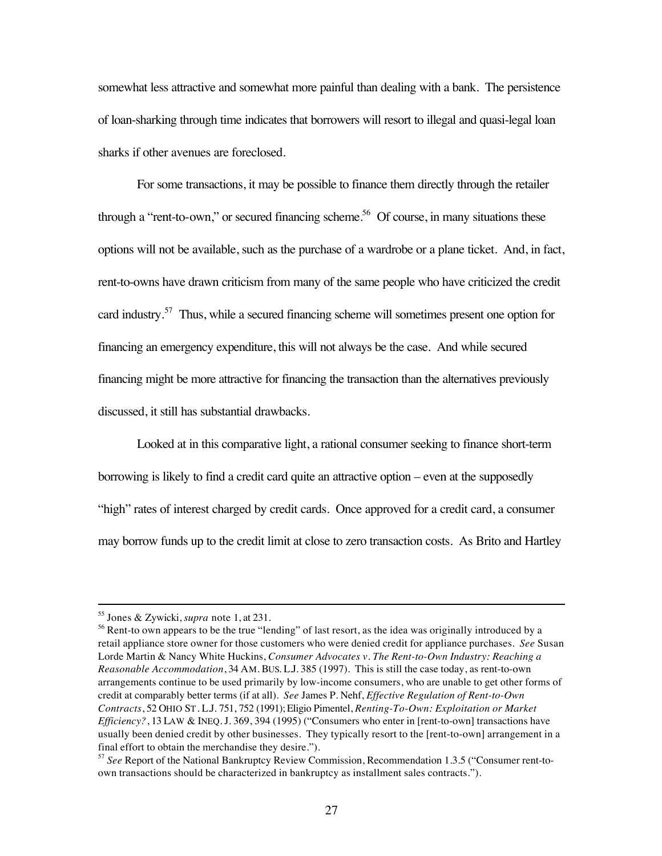somewhat less attractive and somewhat more painful than dealing with a bank. The persistence of loan-sharking through time indicates that borrowers will resort to illegal and quasi-legal loan sharks if other avenues are foreclosed.

For some transactions, it may be possible to finance them directly through the retailer through a "rent-to-own," or secured financing scheme.<sup>56</sup> Of course, in many situations these options will not be available, such as the purchase of a wardrobe or a plane ticket. And, in fact, rent-to-owns have drawn criticism from many of the same people who have criticized the credit card industry.57 Thus, while a secured financing scheme will sometimes present one option for financing an emergency expenditure, this will not always be the case. And while secured financing might be more attractive for financing the transaction than the alternatives previously discussed, it still has substantial drawbacks.

Looked at in this comparative light, a rational consumer seeking to finance short-term borrowing is likely to find a credit card quite an attractive option – even at the supposedly "high" rates of interest charged by credit cards. Once approved for a credit card, a consumer may borrow funds up to the credit limit at close to zero transaction costs. As Brito and Hartley

 <sup>55</sup> Jones & Zywicki, *supra* note 1, at 231.

<sup>&</sup>lt;sup>56</sup> Rent-to own appears to be the true "lending" of last resort, as the idea was originally introduced by a retail appliance store owner for those customers who were denied credit for appliance purchases. *See* Susan Lorde Martin & Nancy White Huckins, *Consumer Advocates v. The Rent-to-Own Industry: Reaching a Reasonable Accommodation*, 34 AM. BUS. L.J. 385 (1997). This is still the case today, as rent-to-own arrangements continue to be used primarily by low-income consumers, who are unable to get other forms of credit at comparably better terms (if at all). *See* James P. Nehf, *Effective Regulation of Rent-to-Own Contracts*, 52 OHIO ST. L.J. 751, 752 (1991); Eligio Pimentel, *Renting-To-Own: Exploitation or Market Efficiency?*, 13 LAW & INEQ. J. 369, 394 (1995) ("Consumers who enter in [rent-to-own] transactions have usually been denied credit by other businesses. They typically resort to the [rent-to-own] arrangement in a final effort to obtain the merchandise they desire.").

<sup>57</sup> *See* Report of the National Bankruptcy Review Commission, Recommendation 1.3.5 ("Consumer rent-toown transactions should be characterized in bankruptcy as installment sales contracts.").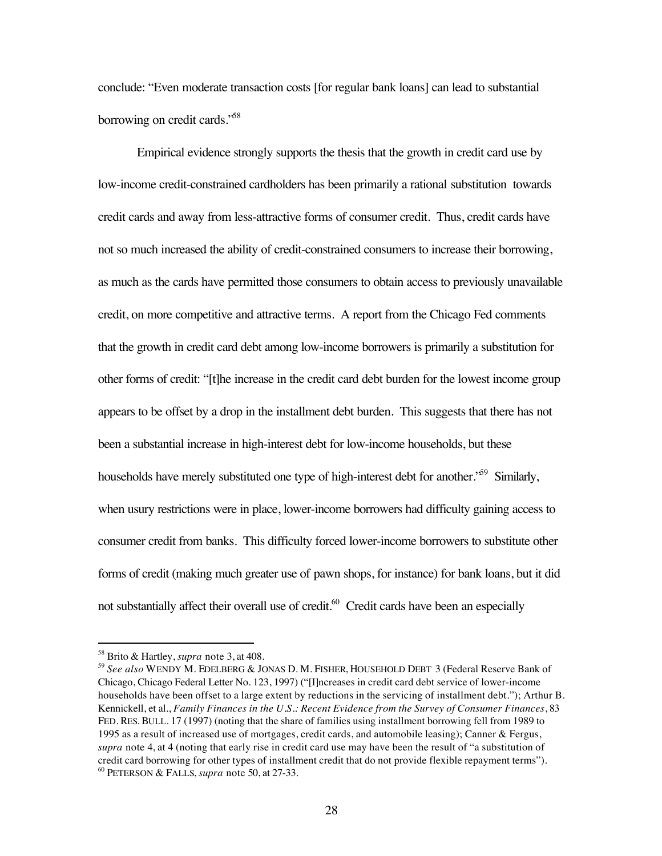conclude: "Even moderate transaction costs [for regular bank loans] can lead to substantial borrowing on credit cards."58

Empirical evidence strongly supports the thesis that the growth in credit card use by low-income credit-constrained cardholders has been primarily a rational substitution towards credit cards and away from less-attractive forms of consumer credit. Thus, credit cards have not so much increased the ability of credit-constrained consumers to increase their borrowing, as much as the cards have permitted those consumers to obtain access to previously unavailable credit, on more competitive and attractive terms. A report from the Chicago Fed comments that the growth in credit card debt among low-income borrowers is primarily a substitution for other forms of credit: "[t]he increase in the credit card debt burden for the lowest income group appears to be offset by a drop in the installment debt burden. This suggests that there has not been a substantial increase in high-interest debt for low-income households, but these households have merely substituted one type of high-interest debt for another.<sup>59</sup> Similarly, when usury restrictions were in place, lower-income borrowers had difficulty gaining access to consumer credit from banks. This difficulty forced lower-income borrowers to substitute other forms of credit (making much greater use of pawn shops, for instance) for bank loans, but it did not substantially affect their overall use of credit.<sup>60</sup> Credit cards have been an especially

 <sup>58</sup> Brito & Hartley, *supra* note 3, at 408.

<sup>59</sup> *See also* WENDY M. EDELBERG & JONAS D. M. FISHER, HOUSEHOLD DEBT 3 (Federal Reserve Bank of Chicago, Chicago Federal Letter No. 123, 1997) ("[I]ncreases in credit card debt service of lower-income households have been offset to a large extent by reductions in the servicing of installment debt."); Arthur B. Kennickell, et al., *Family Finances in the U.S.: Recent Evidence from the Survey of Consumer Finances*, 83 FED. RES. BULL. 17 (1997) (noting that the share of families using installment borrowing fell from 1989 to 1995 as a result of increased use of mortgages, credit cards, and automobile leasing); Canner & Fergus, *supra* note 4, at 4 (noting that early rise in credit card use may have been the result of "a substitution of credit card borrowing for other types of installment credit that do not provide flexible repayment terms"). <sup>60</sup> PETERSON & FALLS, *supra* note 50, at 27-33.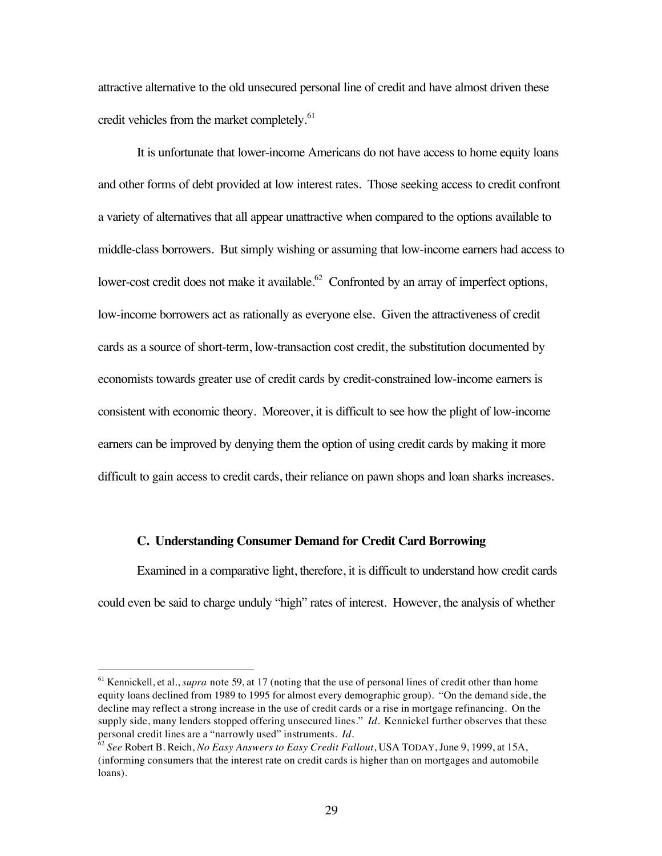attractive alternative to the old unsecured personal line of credit and have almost driven these credit vehicles from the market completely.<sup>61</sup>

It is unfortunate that lower-income Americans do not have access to home equity loans and other forms of debt provided at low interest rates. Those seeking access to credit confront a variety of alternatives that all appear unattractive when compared to the options available to middle-class borrowers. But simply wishing or assuming that low-income earners had access to lower-cost credit does not make it available.<sup>62</sup> Confronted by an array of imperfect options, low-income borrowers act as rationally as everyone else. Given the attractiveness of credit cards as a source of short-term, low-transaction cost credit, the substitution documented by economists towards greater use of credit cards by credit-constrained low-income earners is consistent with economic theory. Moreover, it is difficult to see how the plight of low-income earners can be improved by denying them the option of using credit cards by making it more difficult to gain access to credit cards, their reliance on pawn shops and loan sharks increases.

#### **C. Understanding Consumer Demand for Credit Card Borrowing**

Examined in a comparative light, therefore, it is difficult to understand how credit cards could even be said to charge unduly "high" rates of interest. However, the analysis of whether

<sup>&</sup>lt;sup>61</sup> Kennickell, et al., *supra* note 59, at 17 (noting that the use of personal lines of credit other than home equity loans declined from 1989 to 1995 for almost every demographic group). "On the demand side, the decline may reflect a strong increase in the use of credit cards or a rise in mortgage refinancing. On the supply side, many lenders stopped offering unsecured lines." *Id.* Kennickel further observes that these personal credit lines are a "narrowly used" instruments. *Id.*

<sup>62</sup> *See* Robert B. Reich, *No Easy Answers to Easy Credit Fallout*, USA TODAY, June 9, 1999, at 15A, (informing consumers that the interest rate on credit cards is higher than on mortgages and automobile loans).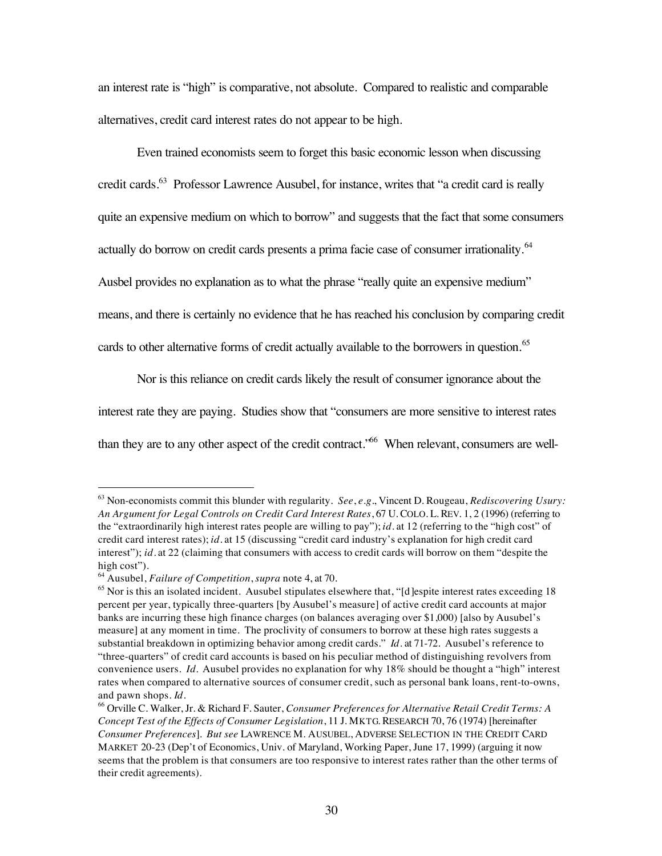an interest rate is "high" is comparative, not absolute. Compared to realistic and comparable alternatives, credit card interest rates do not appear to be high.

Even trained economists seem to forget this basic economic lesson when discussing credit cards.<sup>63</sup> Professor Lawrence Ausubel, for instance, writes that "a credit card is really quite an expensive medium on which to borrow" and suggests that the fact that some consumers actually do borrow on credit cards presents a prima facie case of consumer irrationality.<sup>64</sup> Ausbel provides no explanation as to what the phrase "really quite an expensive medium" means, and there is certainly no evidence that he has reached his conclusion by comparing credit cards to other alternative forms of credit actually available to the borrowers in question.<sup>65</sup>

Nor is this reliance on credit cards likely the result of consumer ignorance about the interest rate they are paying. Studies show that "consumers are more sensitive to interest rates

than they are to any other aspect of the credit contract.<sup>\*66</sup> When relevant, consumers are well-

 <sup>63</sup> Non-economists commit this blunder with regularity. *See*, *e.g.*, Vincent D. Rougeau, *Rediscovering Usury: An Argument for Legal Controls on Credit Card Interest Rates*, 67 U. COLO. L. REV. 1, 2 (1996) (referring to the "extraordinarily high interest rates people are willing to pay"); *id.* at 12 (referring to the "high cost" of credit card interest rates); *id.* at 15 (discussing "credit card industry's explanation for high credit card interest"); *id.* at 22 (claiming that consumers with access to credit cards will borrow on them "despite the high cost").

<sup>64</sup> Ausubel, *Failure of Competition*, *supra* note 4, at 70.

<sup>&</sup>lt;sup>65</sup> Nor is this an isolated incident. Ausubel stipulates elsewhere that, "[d]espite interest rates exceeding 18 percent per year, typically three-quarters [by Ausubel's measure] of active credit card accounts at major banks are incurring these high finance charges (on balances averaging over \$1,000) [also by Ausubel's measure] at any moment in time. The proclivity of consumers to borrow at these high rates suggests a substantial breakdown in optimizing behavior among credit cards." *Id*. at 71-72. Ausubel's reference to "three-quarters" of credit card accounts is based on his peculiar method of distinguishing revolvers from convenience users. *Id.* Ausubel provides no explanation for why 18% should be thought a "high" interest rates when compared to alternative sources of consumer credit, such as personal bank loans, rent-to-owns, and pawn shops. *Id*.

<sup>66</sup> Orville C. Walker, Jr. & Richard F. Sauter, *Consumer Preferences for Alternative Retail Credit Terms: A Concept Test of the Effects of Consumer Legislation*, 11 J. MKTG. RESEARCH 70, 76 (1974) [hereinafter *Consumer Preferences*]. *But see* LAWRENCE M. AUSUBEL, ADVERSE SELECTION IN THE CREDIT CARD MARKET 20-23 (Dep't of Economics, Univ. of Maryland, Working Paper, June 17, 1999) (arguing it now seems that the problem is that consumers are too responsive to interest rates rather than the other terms of their credit agreements).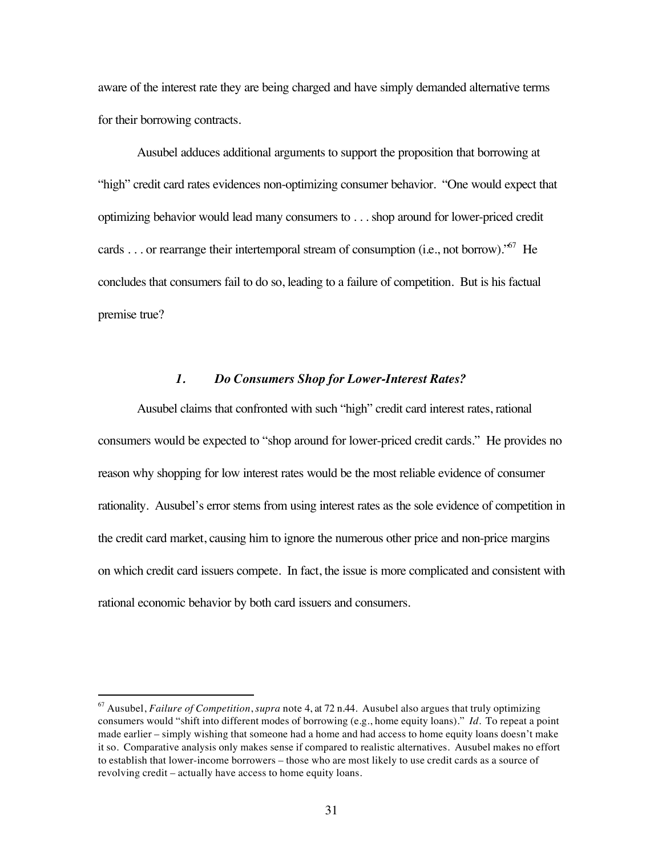aware of the interest rate they are being charged and have simply demanded alternative terms for their borrowing contracts.

Ausubel adduces additional arguments to support the proposition that borrowing at "high" credit card rates evidences non-optimizing consumer behavior. "One would expect that optimizing behavior would lead many consumers to . . . shop around for lower-priced credit cards . . . or rearrange their intertemporal stream of consumption (i.e., not borrow).<sup> $57$ </sup> He concludes that consumers fail to do so, leading to a failure of competition. But is his factual premise true?

#### *1. Do Consumers Shop for Lower-Interest Rates?*

Ausubel claims that confronted with such "high" credit card interest rates, rational consumers would be expected to "shop around for lower-priced credit cards." He provides no reason why shopping for low interest rates would be the most reliable evidence of consumer rationality. Ausubel's error stems from using interest rates as the sole evidence of competition in the credit card market, causing him to ignore the numerous other price and non-price margins on which credit card issuers compete. In fact, the issue is more complicated and consistent with rational economic behavior by both card issuers and consumers.

 <sup>67</sup> Ausubel, *Failure of Competition*, *supra* note 4, at 72 n.44. Ausubel also argues that truly optimizing consumers would "shift into different modes of borrowing (e.g., home equity loans)." *Id.* To repeat a point made earlier – simply wishing that someone had a home and had access to home equity loans doesn't make it so. Comparative analysis only makes sense if compared to realistic alternatives. Ausubel makes no effort to establish that lower-income borrowers – those who are most likely to use credit cards as a source of revolving credit – actually have access to home equity loans.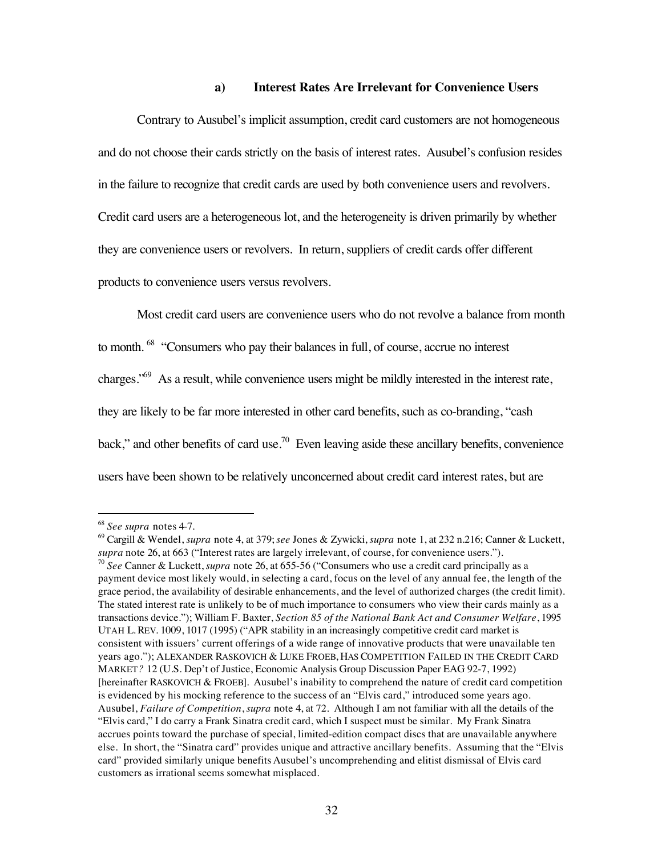#### **a) Interest Rates Are Irrelevant for Convenience Users**

Contrary to Ausubel's implicit assumption, credit card customers are not homogeneous and do not choose their cards strictly on the basis of interest rates. Ausubel's confusion resides in the failure to recognize that credit cards are used by both convenience users and revolvers. Credit card users are a heterogeneous lot, and the heterogeneity is driven primarily by whether they are convenience users or revolvers. In return, suppliers of credit cards offer different products to convenience users versus revolvers.

Most credit card users are convenience users who do not revolve a balance from month to month. 68 "Consumers who pay their balances in full, of course, accrue no interest charges.<sup>"69</sup> As a result, while convenience users might be mildly interested in the interest rate, they are likely to be far more interested in other card benefits, such as co-branding, "cash back," and other benefits of card use.<sup>70</sup> Even leaving aside these ancillary benefits, convenience users have been shown to be relatively unconcerned about credit card interest rates, but are

 <sup>68</sup> *See supra* notes 4-7.

<sup>69</sup> Cargill & Wendel, *supra* note 4, at 379; *see* Jones & Zywicki, *supra* note 1, at 232 n.216; Canner & Luckett, *supra* note 26, at 663 ("Interest rates are largely irrelevant, of course, for convenience users."). <sup>70</sup> *See* Canner & Luckett, *supra* note 26, at 655-56 ("Consumers who use a credit card principally as a payment device most likely would, in selecting a card, focus on the level of any annual fee, the length of the grace period, the availability of desirable enhancements, and the level of authorized charges (the credit limit). The stated interest rate is unlikely to be of much importance to consumers who view their cards mainly as a transactions device."); William F. Baxter, *Section 85 of the National Bank Act and Consumer Welfare*, 1995 UTAH L. REV. 1009, 1017 (1995) ("APR stability in an increasingly competitive credit card market is consistent with issuers' current offerings of a wide range of innovative products that were unavailable ten years ago."); ALEXANDER RASKOVICH & LUKE FROEB, HAS COMPETITION FAILED IN THE CREDIT CARD MARKET*?* 12 (U.S. Dep't of Justice, Economic Analysis Group Discussion Paper EAG 92-7, 1992) [hereinafter RASKOVICH & FROEB]. Ausubel's inability to comprehend the nature of credit card competition is evidenced by his mocking reference to the success of an "Elvis card," introduced some years ago. Ausubel, *Failure of Competition*, *supra* note 4, at 72. Although I am not familiar with all the details of the "Elvis card," I do carry a Frank Sinatra credit card, which I suspect must be similar. My Frank Sinatra accrues points toward the purchase of special, limited-edition compact discs that are unavailable anywhere else. In short, the "Sinatra card" provides unique and attractive ancillary benefits. Assuming that the "Elvis card" provided similarly unique benefits Ausubel's uncomprehending and elitist dismissal of Elvis card customers as irrational seems somewhat misplaced.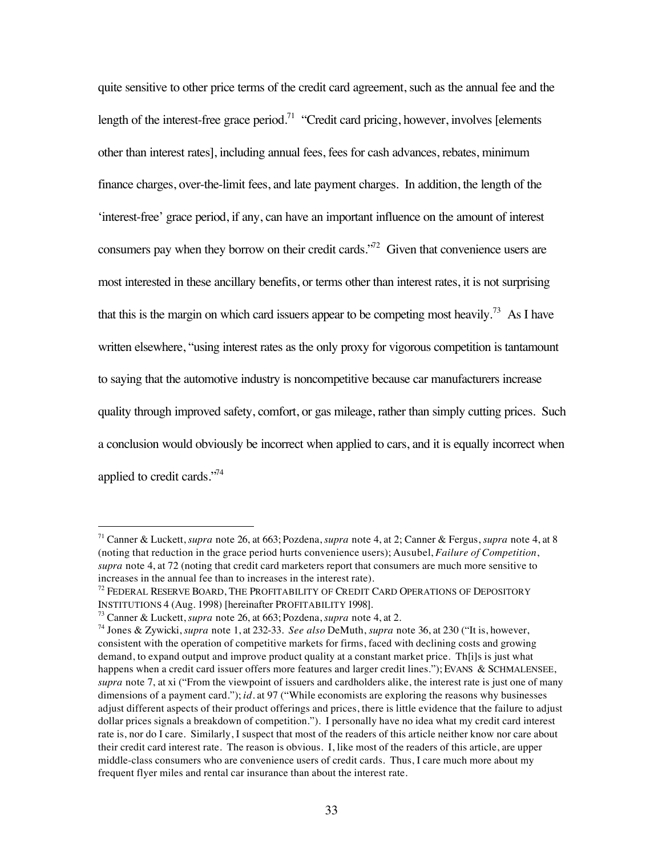quite sensitive to other price terms of the credit card agreement, such as the annual fee and the length of the interest-free grace period.<sup>71</sup> "Credit card pricing, however, involves [elements] other than interest rates], including annual fees, fees for cash advances, rebates, minimum finance charges, over-the-limit fees, and late payment charges. In addition, the length of the 'interest-free' grace period, if any, can have an important influence on the amount of interest consumers pay when they borrow on their credit cards. $1^{72}$  Given that convenience users are most interested in these ancillary benefits, or terms other than interest rates, it is not surprising that this is the margin on which card issuers appear to be competing most heavily.<sup>73</sup> As I have written elsewhere, "using interest rates as the only proxy for vigorous competition is tantamount to saying that the automotive industry is noncompetitive because car manufacturers increase quality through improved safety, comfort, or gas mileage, rather than simply cutting prices. Such a conclusion would obviously be incorrect when applied to cars, and it is equally incorrect when applied to credit cards."74

 <sup>71</sup> Canner & Luckett, *supra* note 26, at 663; Pozdena, *supra* note 4, at 2; Canner & Fergus, *supra* note 4, at 8 (noting that reduction in the grace period hurts convenience users); Ausubel, *Failure of Competition*, *supra* note 4, at 72 (noting that credit card marketers report that consumers are much more sensitive to increases in the annual fee than to increases in the interest rate).

<sup>&</sup>lt;sup>72</sup> FEDERAL RESERVE BOARD, THE PROFITABILITY OF CREDIT CARD OPERATIONS OF DEPOSITORY INSTITUTIONS 4 (Aug. 1998) [hereinafter PROFITABILITY 1998].

<sup>73</sup> Canner & Luckett, *supra* note 26, at 663; Pozdena, *supra* note 4, at 2.

<sup>74</sup> Jones & Zywicki, *supra* note 1, at 232-33. *See also* DeMuth, *supra* note 36, at 230 ("It is, however, consistent with the operation of competitive markets for firms, faced with declining costs and growing demand, to expand output and improve product quality at a constant market price. Th[i]s is just what happens when a credit card issuer offers more features and larger credit lines."); EVANS & SCHMALENSEE, *supra* note 7, at xi ("From the viewpoint of issuers and cardholders alike, the interest rate is just one of many dimensions of a payment card."); *id.* at 97 ("While economists are exploring the reasons why businesses adjust different aspects of their product offerings and prices, there is little evidence that the failure to adjust dollar prices signals a breakdown of competition."). I personally have no idea what my credit card interest rate is, nor do I care. Similarly, I suspect that most of the readers of this article neither know nor care about their credit card interest rate. The reason is obvious. I, like most of the readers of this article, are upper middle-class consumers who are convenience users of credit cards. Thus, I care much more about my frequent flyer miles and rental car insurance than about the interest rate.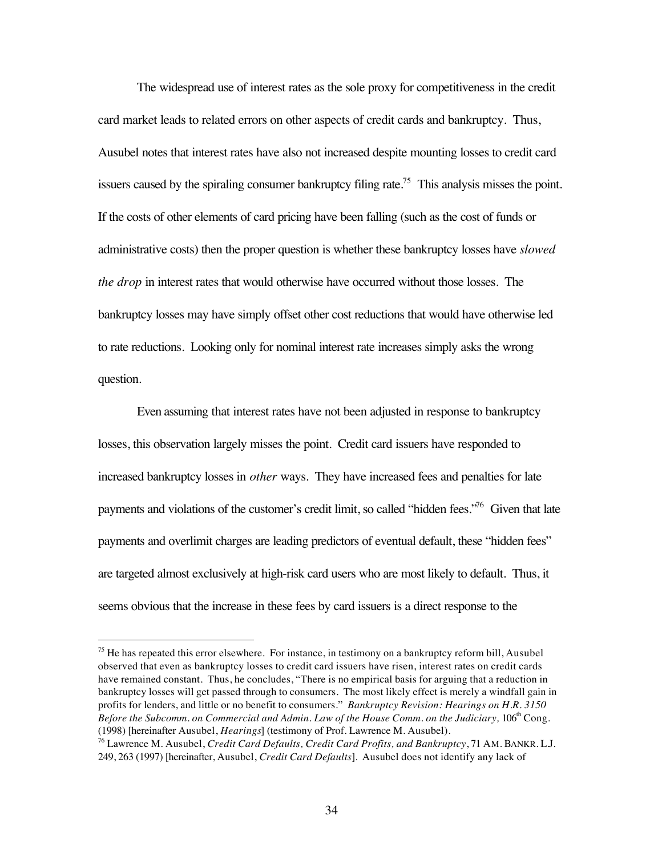The widespread use of interest rates as the sole proxy for competitiveness in the credit card market leads to related errors on other aspects of credit cards and bankruptcy. Thus, Ausubel notes that interest rates have also not increased despite mounting losses to credit card issuers caused by the spiraling consumer bankruptcy filing rate.<sup>75</sup> This analysis misses the point. If the costs of other elements of card pricing have been falling (such as the cost of funds or administrative costs) then the proper question is whether these bankruptcy losses have *slowed the drop* in interest rates that would otherwise have occurred without those losses. The bankruptcy losses may have simply offset other cost reductions that would have otherwise led to rate reductions. Looking only for nominal interest rate increases simply asks the wrong question.

Even assuming that interest rates have not been adjusted in response to bankruptcy losses, this observation largely misses the point. Credit card issuers have responded to increased bankruptcy losses in *other* ways. They have increased fees and penalties for late payments and violations of the customer's credit limit, so called "hidden fees."<sup>76</sup> Given that late payments and overlimit charges are leading predictors of eventual default, these "hidden fees" are targeted almost exclusively at high-risk card users who are most likely to default. Thus, it seems obvious that the increase in these fees by card issuers is a direct response to the

<sup>&</sup>lt;sup>75</sup> He has repeated this error elsewhere. For instance, in testimony on a bankruptcy reform bill, Ausubel observed that even as bankruptcy losses to credit card issuers have risen, interest rates on credit cards have remained constant. Thus, he concludes, "There is no empirical basis for arguing that a reduction in bankruptcy losses will get passed through to consumers. The most likely effect is merely a windfall gain in profits for lenders, and little or no benefit to consumers." *Bankruptcy Revision: Hearings on H.R. 3150 Before the Subcomm. on Commercial and Admin. Law of the House Comm. on the Judiciary, 106<sup>th</sup> Cong.* (1998) [hereinafter Ausubel, *Hearings*] (testimony of Prof. Lawrence M. Ausubel).

<sup>76</sup> Lawrence M. Ausubel, *Credit Card Defaults, Credit Card Profits, and Bankruptcy*, 71 AM. BANKR. L.J. 249, 263 (1997) [hereinafter, Ausubel, *Credit Card Defaults*]. Ausubel does not identify any lack of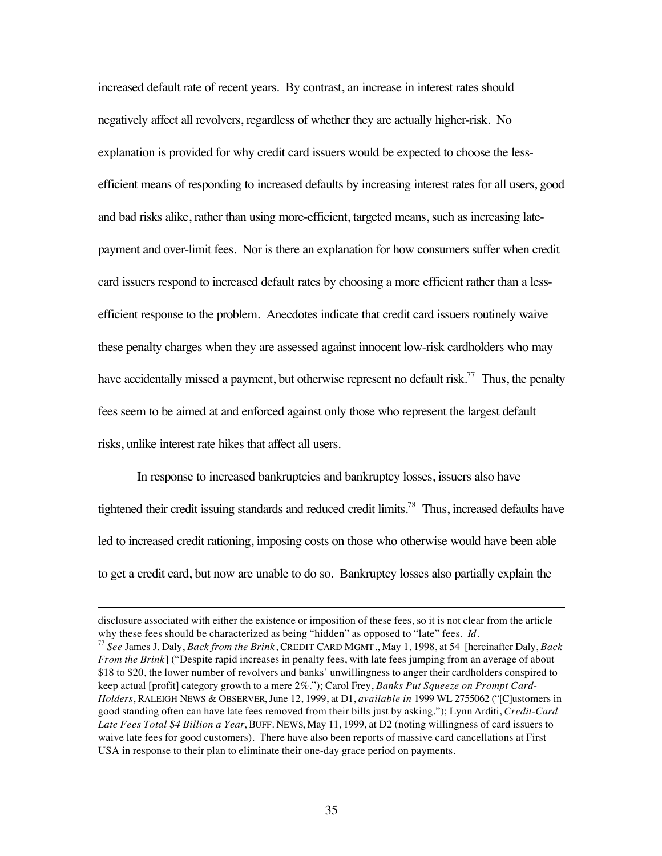increased default rate of recent years. By contrast, an increase in interest rates should negatively affect all revolvers, regardless of whether they are actually higher-risk. No explanation is provided for why credit card issuers would be expected to choose the lessefficient means of responding to increased defaults by increasing interest rates for all users, good and bad risks alike, rather than using more-efficient, targeted means, such as increasing latepayment and over-limit fees. Nor is there an explanation for how consumers suffer when credit card issuers respond to increased default rates by choosing a more efficient rather than a lessefficient response to the problem. Anecdotes indicate that credit card issuers routinely waive these penalty charges when they are assessed against innocent low-risk cardholders who may have accidentally missed a payment, but otherwise represent no default risk.<sup>77</sup> Thus, the penalty fees seem to be aimed at and enforced against only those who represent the largest default risks, unlike interest rate hikes that affect all users.

In response to increased bankruptcies and bankruptcy losses, issuers also have tightened their credit issuing standards and reduced credit limits.<sup>78</sup> Thus, increased defaults have led to increased credit rationing, imposing costs on those who otherwise would have been able to get a credit card, but now are unable to do so. Bankruptcy losses also partially explain the

 $\overline{a}$ 

disclosure associated with either the existence or imposition of these fees, so it is not clear from the article why these fees should be characterized as being "hidden" as opposed to "late" fees. *Id*.

<sup>77</sup> *See* James J. Daly, *Back from the Brink*, CREDIT CARD MGMT., May 1, 1998, at 54 [hereinafter Daly, *Back From the Brink*] ("Despite rapid increases in penalty fees, with late fees jumping from an average of about \$18 to \$20, the lower number of revolvers and banks' unwillingness to anger their cardholders conspired to keep actual [profit] category growth to a mere 2%."); Carol Frey, *Banks Put Squeeze on Prompt Card-Holders*, RALEIGH NEWS & OBSERVER, June 12, 1999, at D1, *available in* 1999 WL 2755062 ("[C]ustomers in good standing often can have late fees removed from their bills just by asking."); Lynn Arditi, *Credit-Card Late Fees Total \$4 Billion a Year*, BUFF. NEWS, May 11, 1999, at D2 (noting willingness of card issuers to waive late fees for good customers). There have also been reports of massive card cancellations at First USA in response to their plan to eliminate their one-day grace period on payments.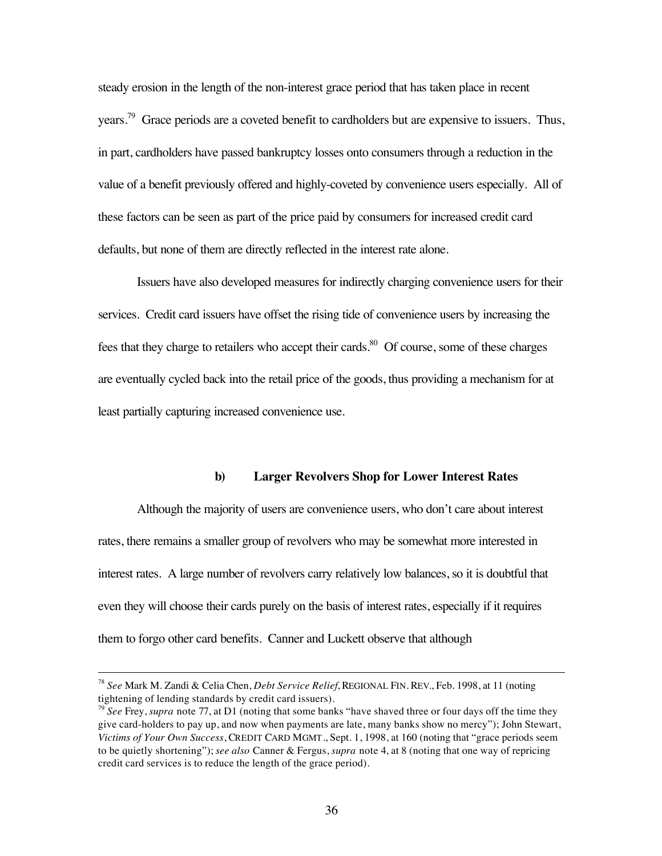steady erosion in the length of the non-interest grace period that has taken place in recent years.<sup>79</sup> Grace periods are a coveted benefit to cardholders but are expensive to issuers. Thus, in part, cardholders have passed bankruptcy losses onto consumers through a reduction in the value of a benefit previously offered and highly-coveted by convenience users especially. All of these factors can be seen as part of the price paid by consumers for increased credit card defaults, but none of them are directly reflected in the interest rate alone.

Issuers have also developed measures for indirectly charging convenience users for their services. Credit card issuers have offset the rising tide of convenience users by increasing the fees that they charge to retailers who accept their cards.<sup>80</sup> Of course, some of these charges are eventually cycled back into the retail price of the goods, thus providing a mechanism for at least partially capturing increased convenience use.

#### **b) Larger Revolvers Shop for Lower Interest Rates**

Although the majority of users are convenience users, who don't care about interest rates, there remains a smaller group of revolvers who may be somewhat more interested in interest rates. A large number of revolvers carry relatively low balances, so it is doubtful that even they will choose their cards purely on the basis of interest rates, especially if it requires them to forgo other card benefits. Canner and Luckett observe that although

 <sup>78</sup> *See* Mark M. Zandi & Celia Chen, *Debt Service Relief*, REGIONAL FIN. REV., Feb. 1998, at 11 (noting tightening of lending standards by credit card issuers).

<sup>79</sup> *See* Frey, *supra* note 77, at D1 (noting that some banks "have shaved three or four days off the time they give card-holders to pay up, and now when payments are late, many banks show no mercy"); John Stewart, *Victims of Your Own Success*, CREDIT CARD MGMT., Sept. 1, 1998, at 160 (noting that "grace periods seem to be quietly shortening"); *see also* Canner & Fergus, *supra* note 4, at 8 (noting that one way of repricing credit card services is to reduce the length of the grace period).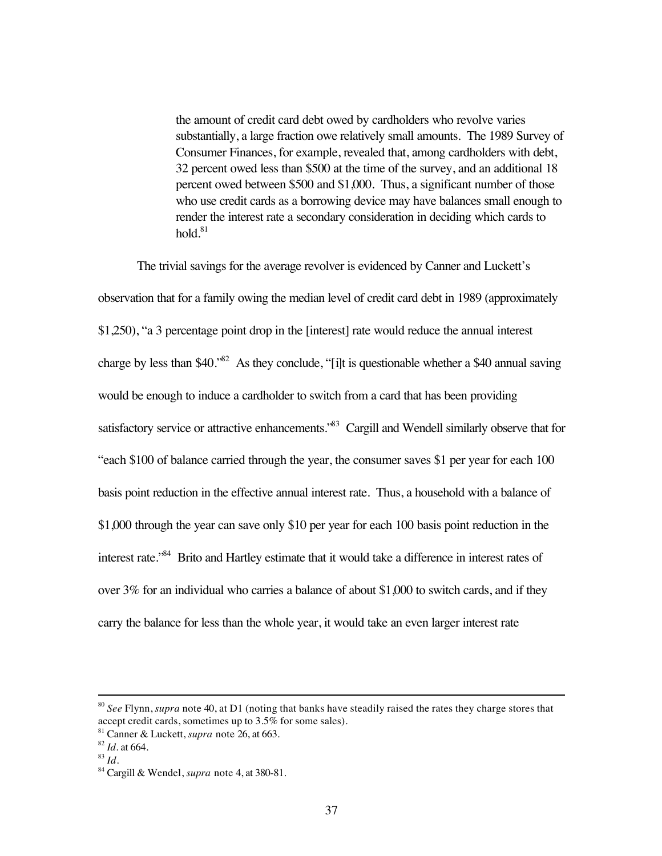the amount of credit card debt owed by cardholders who revolve varies substantially, a large fraction owe relatively small amounts. The 1989 Survey of Consumer Finances, for example, revealed that, among cardholders with debt, 32 percent owed less than \$500 at the time of the survey, and an additional 18 percent owed between \$500 and \$1,000. Thus, a significant number of those who use credit cards as a borrowing device may have balances small enough to render the interest rate a secondary consideration in deciding which cards to hold. $81$ 

The trivial savings for the average revolver is evidenced by Canner and Luckett's observation that for a family owing the median level of credit card debt in 1989 (approximately \$1,250), "a 3 percentage point drop in the [interest] rate would reduce the annual interest charge by less than  $$40.^{82}$  As they conclude, "[i]t is questionable whether a \$40 annual saving would be enough to induce a cardholder to switch from a card that has been providing satisfactory service or attractive enhancements.<sup>83</sup> Cargill and Wendell similarly observe that for "each \$100 of balance carried through the year, the consumer saves \$1 per year for each 100 basis point reduction in the effective annual interest rate. Thus, a household with a balance of \$1,000 through the year can save only \$10 per year for each 100 basis point reduction in the interest rate."84 Brito and Hartley estimate that it would take a difference in interest rates of over 3% for an individual who carries a balance of about \$1,000 to switch cards, and if they carry the balance for less than the whole year, it would take an even larger interest rate

 <sup>80</sup> *See* Flynn, *supra* note 40, at D1 (noting that banks have steadily raised the rates they charge stores that accept credit cards, sometimes up to 3.5% for some sales).

<sup>81</sup> Canner & Luckett, *supra* note 26, at 663.

<sup>82</sup> *Id.* at 664.

<sup>83</sup> *Id.*

<sup>84</sup> Cargill & Wendel, *supra* note 4, at 380-81.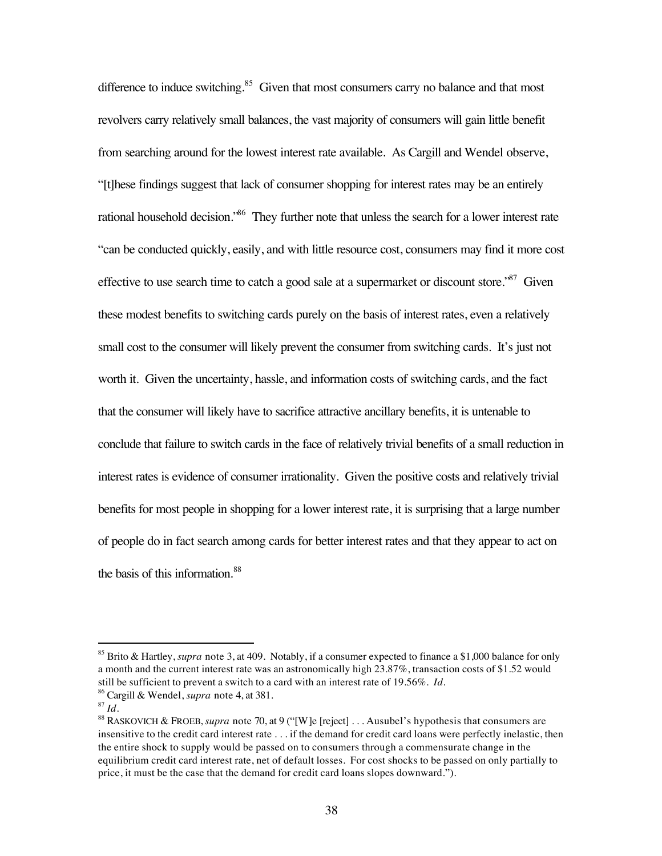difference to induce switching. $85$  Given that most consumers carry no balance and that most revolvers carry relatively small balances, the vast majority of consumers will gain little benefit from searching around for the lowest interest rate available. As Cargill and Wendel observe, "[t]hese findings suggest that lack of consumer shopping for interest rates may be an entirely rational household decision.<sup>86</sup> They further note that unless the search for a lower interest rate "can be conducted quickly, easily, and with little resource cost, consumers may find it more cost effective to use search time to catch a good sale at a supermarket or discount store.<sup>87</sup> Given these modest benefits to switching cards purely on the basis of interest rates, even a relatively small cost to the consumer will likely prevent the consumer from switching cards. It's just not worth it. Given the uncertainty, hassle, and information costs of switching cards, and the fact that the consumer will likely have to sacrifice attractive ancillary benefits, it is untenable to conclude that failure to switch cards in the face of relatively trivial benefits of a small reduction in interest rates is evidence of consumer irrationality. Given the positive costs and relatively trivial benefits for most people in shopping for a lower interest rate, it is surprising that a large number of people do in fact search among cards for better interest rates and that they appear to act on the basis of this information.<sup>88</sup>

 <sup>85</sup> Brito & Hartley, *supra* note 3, at 409. Notably, if a consumer expected to finance a \$1,000 balance for only a month and the current interest rate was an astronomically high 23.87%, transaction costs of \$1.52 would still be sufficient to prevent a switch to a card with an interest rate of 19.56%. *Id.*

<sup>86</sup> Cargill & Wendel, *supra* note 4, at 381.

 $87$  *Id.* 

<sup>88</sup> RASKOVICH & FROEB, *supra* note 70, at 9 ("[W]e [reject] . . . Ausubel's hypothesis that consumers are insensitive to the credit card interest rate . . . if the demand for credit card loans were perfectly inelastic, then the entire shock to supply would be passed on to consumers through a commensurate change in the equilibrium credit card interest rate, net of default losses. For cost shocks to be passed on only partially to price, it must be the case that the demand for credit card loans slopes downward.").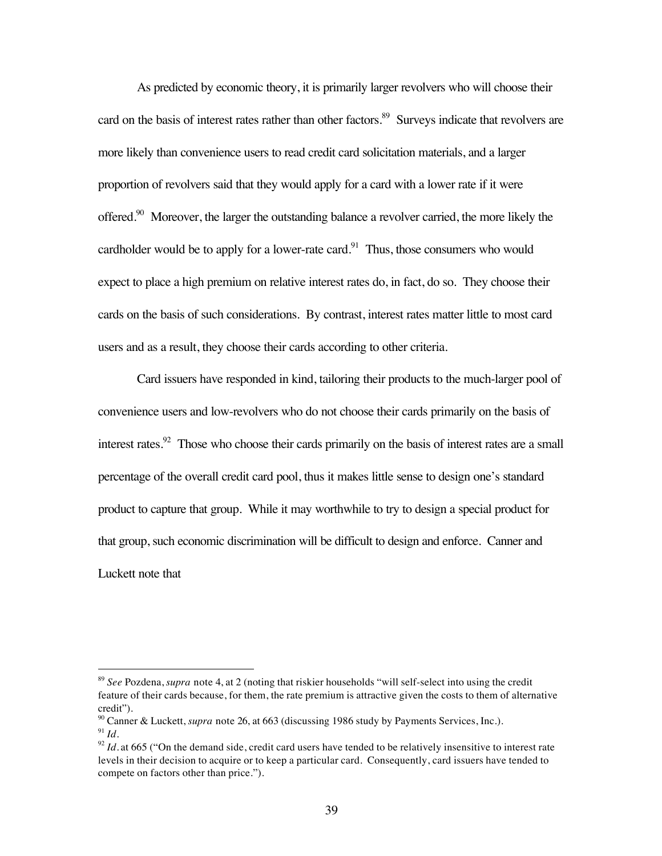As predicted by economic theory, it is primarily larger revolvers who will choose their card on the basis of interest rates rather than other factors.<sup>89</sup> Surveys indicate that revolvers are more likely than convenience users to read credit card solicitation materials, and a larger proportion of revolvers said that they would apply for a card with a lower rate if it were offered.<sup>90</sup> Moreover, the larger the outstanding balance a revolver carried, the more likely the cardholder would be to apply for a lower-rate card.<sup>91</sup> Thus, those consumers who would expect to place a high premium on relative interest rates do, in fact, do so. They choose their cards on the basis of such considerations. By contrast, interest rates matter little to most card users and as a result, they choose their cards according to other criteria.

Card issuers have responded in kind, tailoring their products to the much-larger pool of convenience users and low-revolvers who do not choose their cards primarily on the basis of interest rates.<sup>92</sup> Those who choose their cards primarily on the basis of interest rates are a small percentage of the overall credit card pool, thus it makes little sense to design one's standard product to capture that group. While it may worthwhile to try to design a special product for that group, such economic discrimination will be difficult to design and enforce. Canner and Luckett note that

 <sup>89</sup> *See* Pozdena, *supra* note 4, at 2 (noting that riskier households "will self-select into using the credit feature of their cards because, for them, the rate premium is attractive given the costs to them of alternative credit").

<sup>90</sup> Canner & Luckett, *supra* note 26, at 663 (discussing 1986 study by Payments Services, Inc.).  $91$  *Id.* 

 $\frac{92}{2}$ *Id.* at 665 ("On the demand side, credit card users have tended to be relatively insensitive to interest rate levels in their decision to acquire or to keep a particular card. Consequently, card issuers have tended to compete on factors other than price.").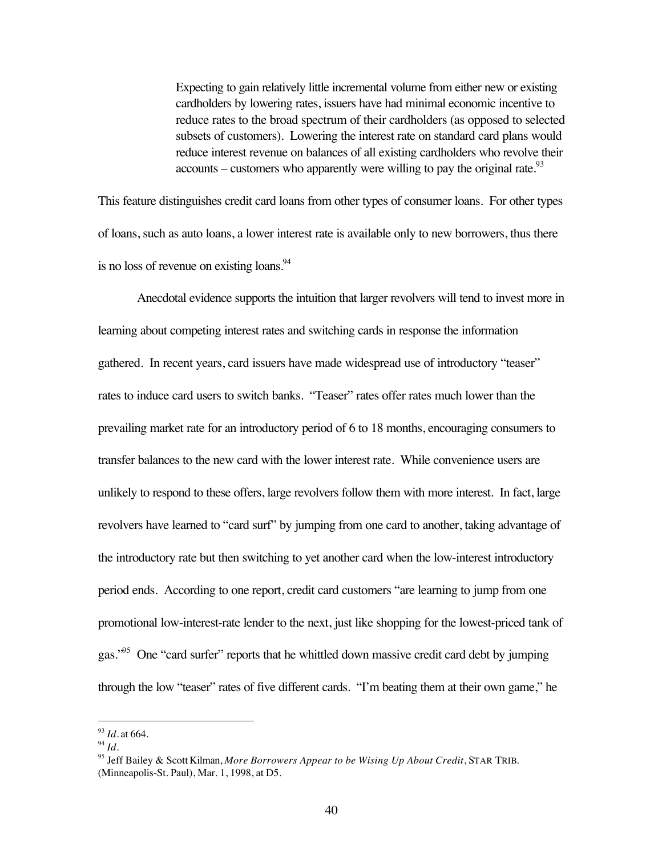Expecting to gain relatively little incremental volume from either new or existing cardholders by lowering rates, issuers have had minimal economic incentive to reduce rates to the broad spectrum of their cardholders (as opposed to selected subsets of customers). Lowering the interest rate on standard card plans would reduce interest revenue on balances of all existing cardholders who revolve their accounts – customers who apparently were willing to pay the original rate.<sup>93</sup>

This feature distinguishes credit card loans from other types of consumer loans. For other types of loans, such as auto loans, a lower interest rate is available only to new borrowers, thus there is no loss of revenue on existing loans.<sup>94</sup>

Anecdotal evidence supports the intuition that larger revolvers will tend to invest more in learning about competing interest rates and switching cards in response the information gathered. In recent years, card issuers have made widespread use of introductory "teaser" rates to induce card users to switch banks. "Teaser" rates offer rates much lower than the prevailing market rate for an introductory period of 6 to 18 months, encouraging consumers to transfer balances to the new card with the lower interest rate. While convenience users are unlikely to respond to these offers, large revolvers follow them with more interest. In fact, large revolvers have learned to "card surf" by jumping from one card to another, taking advantage of the introductory rate but then switching to yet another card when the low-interest introductory period ends. According to one report, credit card customers "are learning to jump from one promotional low-interest-rate lender to the next, just like shopping for the lowest-priced tank of gas.<sup>95</sup> One "card surfer" reports that he whittled down massive credit card debt by jumping through the low "teaser" rates of five different cards. "I'm beating them at their own game," he

 <sup>93</sup> *Id.* at 664.

<sup>94</sup> *Id.*

<sup>95</sup> Jeff Bailey & Scott Kilman, *More Borrowers Appear to be Wising Up About Credit*, STAR TRIB. (Minneapolis-St. Paul), Mar. 1, 1998, at D5.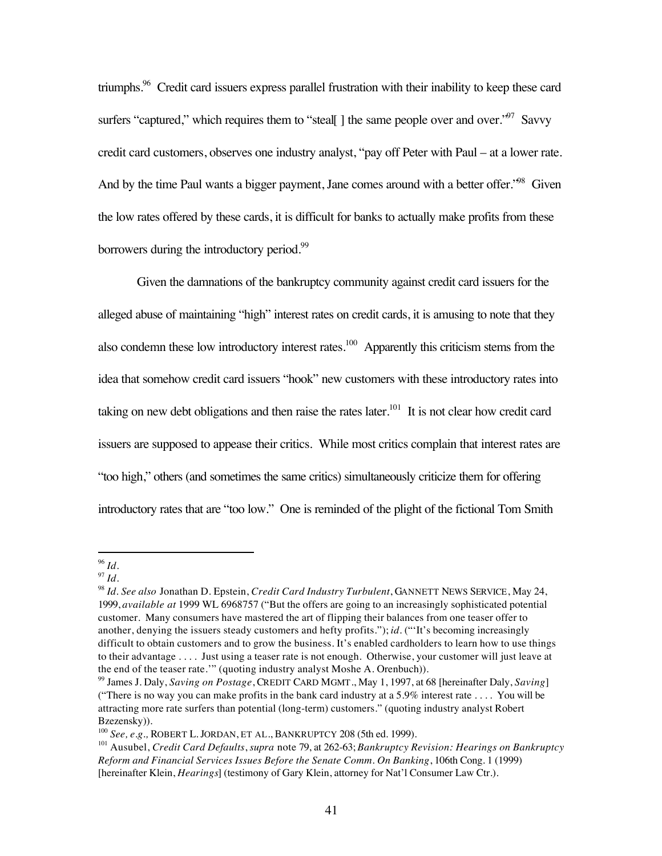triumphs.96 Credit card issuers express parallel frustration with their inability to keep these card surfers "captured," which requires them to "steal[] the same people over and over."<sup>97</sup> Savvy credit card customers, observes one industry analyst, "pay off Peter with Paul – at a lower rate. And by the time Paul wants a bigger payment, Jane comes around with a better offer.<sup>98</sup> Given the low rates offered by these cards, it is difficult for banks to actually make profits from these borrowers during the introductory period.<sup>99</sup>

Given the damnations of the bankruptcy community against credit card issuers for the alleged abuse of maintaining "high" interest rates on credit cards, it is amusing to note that they also condemn these low introductory interest rates.<sup>100</sup> Apparently this criticism stems from the idea that somehow credit card issuers "hook" new customers with these introductory rates into taking on new debt obligations and then raise the rates later.<sup>101</sup> It is not clear how credit card issuers are supposed to appease their critics. While most critics complain that interest rates are "too high," others (and sometimes the same critics) simultaneously criticize them for offering introductory rates that are "too low." One is reminded of the plight of the fictional Tom Smith

 <sup>96</sup> *Id.*

 $97$  *Id.* 

<sup>98</sup> *Id. See also* Jonathan D. Epstein, *Credit Card Industry Turbulent*, GANNETT NEWS SERVICE, May 24, 1999, *available at* 1999 WL 6968757 ("But the offers are going to an increasingly sophisticated potential customer. Many consumers have mastered the art of flipping their balances from one teaser offer to another, denying the issuers steady customers and hefty profits."); *id.* ("'It's becoming increasingly difficult to obtain customers and to grow the business. It's enabled cardholders to learn how to use things to their advantage . . . . Just using a teaser rate is not enough. Otherwise, your customer will just leave at the end of the teaser rate.'" (quoting industry analyst Moshe A. Orenbuch)).

<sup>99</sup> James J. Daly, *Saving on Postage*, CREDIT CARD MGMT., May 1, 1997, at 68 [hereinafter Daly, *Saving*] ("There is no way you can make profits in the bank card industry at a 5.9% interest rate . . . . You will be attracting more rate surfers than potential (long-term) customers." (quoting industry analyst Robert Bzezensky)).

<sup>100</sup> *See, e.g.,* ROBERT L. JORDAN, ET AL., BANKRUPTCY 208 (5th ed. 1999).

<sup>101</sup> Ausubel, *Credit Card Defaults*, *supra* note 79, at 262-63; *Bankruptcy Revision: Hearings on Bankruptcy Reform and Financial Services Issues Before the Senate Comm. On Banking*, 106th Cong. 1 (1999) [hereinafter Klein, *Hearings*] (testimony of Gary Klein, attorney for Nat'l Consumer Law Ctr.).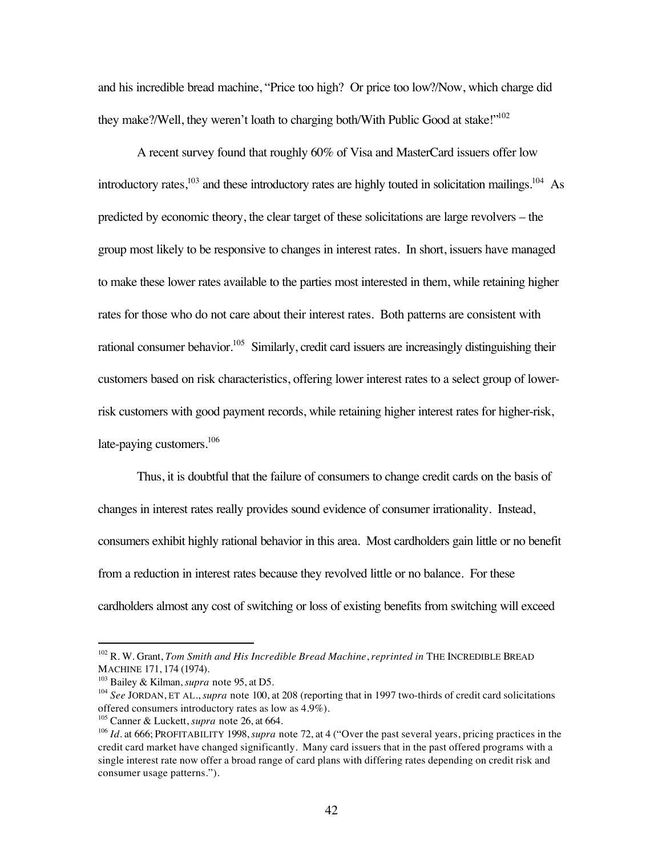and his incredible bread machine, "Price too high? Or price too low?/Now, which charge did they make?/Well, they weren't loath to charging both/With Public Good at stake!"<sup>102</sup>

A recent survey found that roughly 60% of Visa and MasterCard issuers offer low introductory rates, $103$  and these introductory rates are highly touted in solicitation mailings.<sup>104</sup> As predicted by economic theory, the clear target of these solicitations are large revolvers – the group most likely to be responsive to changes in interest rates. In short, issuers have managed to make these lower rates available to the parties most interested in them, while retaining higher rates for those who do not care about their interest rates. Both patterns are consistent with rational consumer behavior.<sup>105</sup> Similarly, credit card issuers are increasingly distinguishing their customers based on risk characteristics, offering lower interest rates to a select group of lowerrisk customers with good payment records, while retaining higher interest rates for higher-risk, late-paying customers.<sup>106</sup>

Thus, it is doubtful that the failure of consumers to change credit cards on the basis of changes in interest rates really provides sound evidence of consumer irrationality. Instead, consumers exhibit highly rational behavior in this area. Most cardholders gain little or no benefit from a reduction in interest rates because they revolved little or no balance. For these cardholders almost any cost of switching or loss of existing benefits from switching will exceed

 <sup>102</sup> R. W. Grant, *Tom Smith and His Incredible Bread Machine*, *reprinted in* THE INCREDIBLE BREAD MACHINE 171, 174 (1974).

<sup>103</sup> Bailey & Kilman, *supra* note 95, at D5.

<sup>&</sup>lt;sup>104</sup> See JORDAN, ET AL., *supra* note 100, at 208 (reporting that in 1997 two-thirds of credit card solicitations offered consumers introductory rates as low as 4.9%).

<sup>105</sup> Canner & Luckett, *supra* note 26, at 664.

<sup>106</sup> *Id.* at 666; PROFITABILITY 1998, *supra* note 72, at 4 ("Over the past several years, pricing practices in the credit card market have changed significantly. Many card issuers that in the past offered programs with a single interest rate now offer a broad range of card plans with differing rates depending on credit risk and consumer usage patterns.").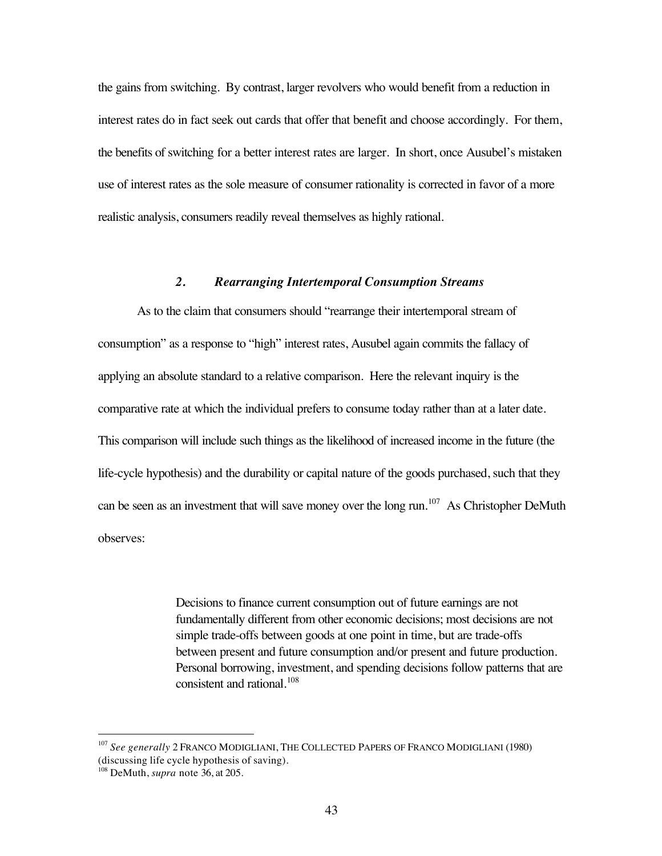the gains from switching. By contrast, larger revolvers who would benefit from a reduction in interest rates do in fact seek out cards that offer that benefit and choose accordingly. For them, the benefits of switching for a better interest rates are larger. In short, once Ausubel's mistaken use of interest rates as the sole measure of consumer rationality is corrected in favor of a more realistic analysis, consumers readily reveal themselves as highly rational.

## *2. Rearranging Intertemporal Consumption Streams*

As to the claim that consumers should "rearrange their intertemporal stream of consumption" as a response to "high" interest rates, Ausubel again commits the fallacy of applying an absolute standard to a relative comparison. Here the relevant inquiry is the comparative rate at which the individual prefers to consume today rather than at a later date. This comparison will include such things as the likelihood of increased income in the future (the life-cycle hypothesis) and the durability or capital nature of the goods purchased, such that they can be seen as an investment that will save money over the long run.<sup>107</sup> As Christopher DeMuth observes:

> Decisions to finance current consumption out of future earnings are not fundamentally different from other economic decisions; most decisions are not simple trade-offs between goods at one point in time, but are trade-offs between present and future consumption and/or present and future production. Personal borrowing, investment, and spending decisions follow patterns that are consistent and rational.<sup>108</sup>

 <sup>107</sup> *See generally* 2 FRANCO MODIGLIANI, THE COLLECTED PAPERS OF FRANCO MODIGLIANI (1980) (discussing life cycle hypothesis of saving).

<sup>108</sup> DeMuth, *supra* note 36, at 205.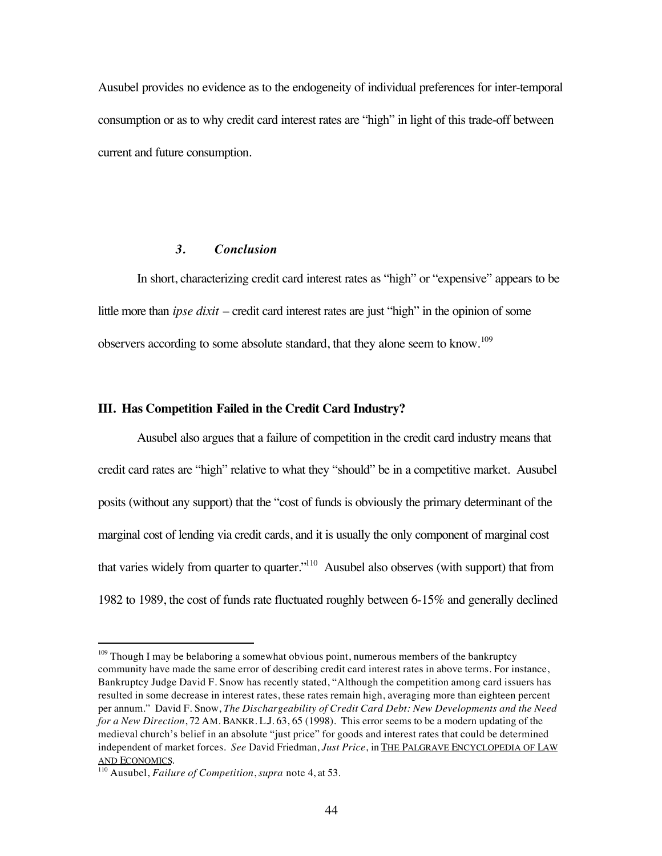Ausubel provides no evidence as to the endogeneity of individual preferences for inter-temporal consumption or as to why credit card interest rates are "high" in light of this trade-off between current and future consumption.

## *3. Conclusion*

In short, characterizing credit card interest rates as "high" or "expensive" appears to be little more than *ipse dixit* – credit card interest rates are just "high" in the opinion of some observers according to some absolute standard, that they alone seem to know.<sup>109</sup>

#### **III. Has Competition Failed in the Credit Card Industry?**

Ausubel also argues that a failure of competition in the credit card industry means that credit card rates are "high" relative to what they "should" be in a competitive market. Ausubel posits (without any support) that the "cost of funds is obviously the primary determinant of the marginal cost of lending via credit cards, and it is usually the only component of marginal cost that varies widely from quarter to quarter."110 Ausubel also observes (with support) that from 1982 to 1989, the cost of funds rate fluctuated roughly between 6-15% and generally declined

<sup>&</sup>lt;sup>109</sup> Though I may be belaboring a somewhat obvious point, numerous members of the bankruptcy community have made the same error of describing credit card interest rates in above terms. For instance, Bankruptcy Judge David F. Snow has recently stated, "Although the competition among card issuers has resulted in some decrease in interest rates, these rates remain high, averaging more than eighteen percent per annum." David F. Snow, *The Dischargeability of Credit Card Debt: New Developments and the Need for a New Direction*, 72 AM. BANKR. L.J. 63, 65 (1998). This error seems to be a modern updating of the medieval church's belief in an absolute "just price" for goods and interest rates that could be determined independent of market forces. *See* David Friedman, *Just Price*, in THE PALGRAVE ENCYCLOPEDIA OF LAW AND ECONOMICS.

<sup>110</sup> Ausubel, *Failure of Competition*, *supra* note 4, at 53.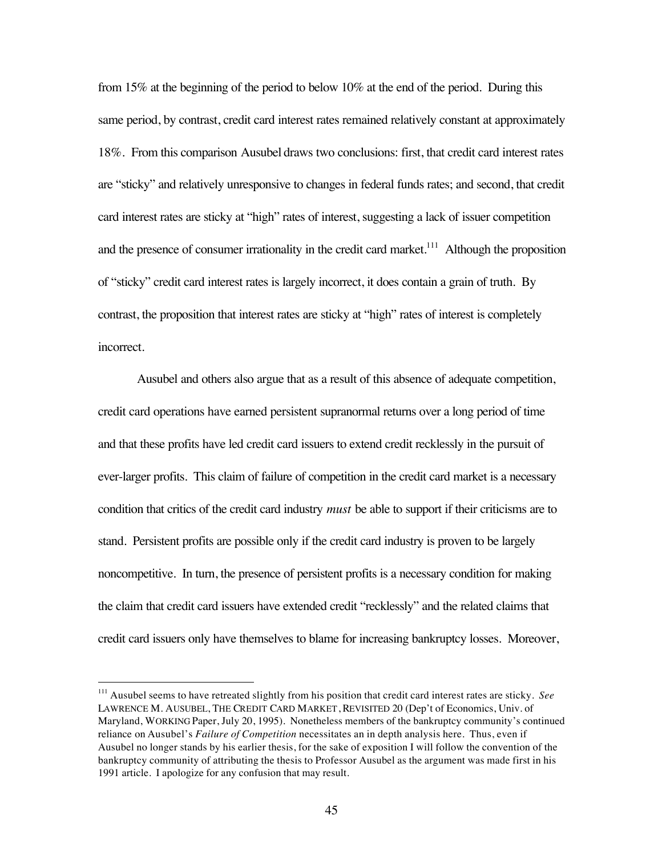from 15% at the beginning of the period to below 10% at the end of the period. During this same period, by contrast, credit card interest rates remained relatively constant at approximately 18%. From this comparison Ausubel draws two conclusions: first, that credit card interest rates are "sticky" and relatively unresponsive to changes in federal funds rates; and second, that credit card interest rates are sticky at "high" rates of interest, suggesting a lack of issuer competition and the presence of consumer irrationality in the credit card market.<sup>111</sup> Although the proposition of "sticky" credit card interest rates is largely incorrect, it does contain a grain of truth. By contrast, the proposition that interest rates are sticky at "high" rates of interest is completely incorrect.

Ausubel and others also argue that as a result of this absence of adequate competition, credit card operations have earned persistent supranormal returns over a long period of time and that these profits have led credit card issuers to extend credit recklessly in the pursuit of ever-larger profits. This claim of failure of competition in the credit card market is a necessary condition that critics of the credit card industry *must* be able to support if their criticisms are to stand. Persistent profits are possible only if the credit card industry is proven to be largely noncompetitive. In turn, the presence of persistent profits is a necessary condition for making the claim that credit card issuers have extended credit "recklessly" and the related claims that credit card issuers only have themselves to blame for increasing bankruptcy losses. Moreover,

 <sup>111</sup> Ausubel seems to have retreated slightly from his position that credit card interest rates are sticky. *See* LAWRENCE M. AUSUBEL, THE CREDIT CARD MARKET, REVISITED 20 (Dep't of Economics, Univ. of Maryland, WORKING Paper, July 20, 1995). Nonetheless members of the bankruptcy community's continued reliance on Ausubel's *Failure of Competition* necessitates an in depth analysis here. Thus, even if Ausubel no longer stands by his earlier thesis, for the sake of exposition I will follow the convention of the bankruptcy community of attributing the thesis to Professor Ausubel as the argument was made first in his 1991 article. I apologize for any confusion that may result.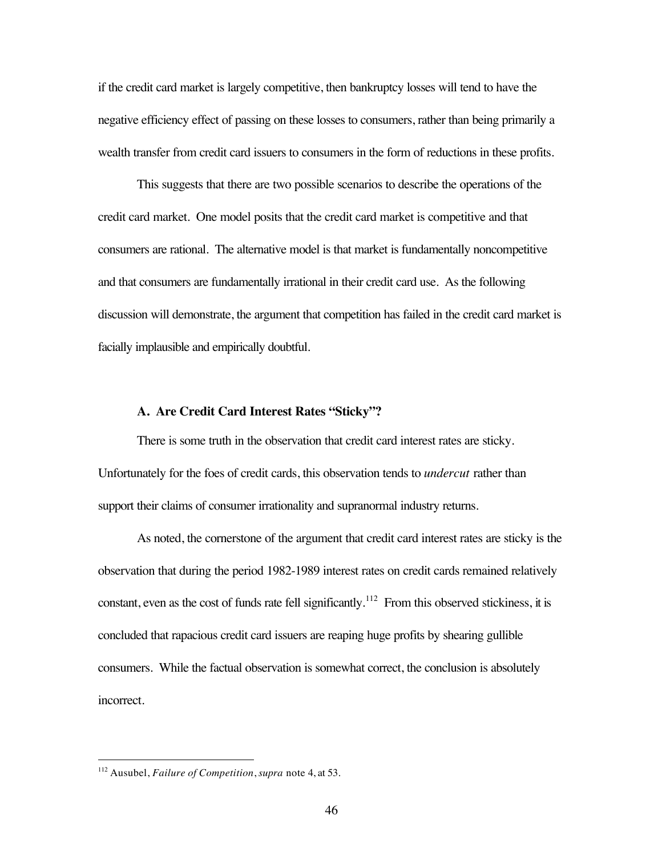if the credit card market is largely competitive, then bankruptcy losses will tend to have the negative efficiency effect of passing on these losses to consumers, rather than being primarily a wealth transfer from credit card issuers to consumers in the form of reductions in these profits.

This suggests that there are two possible scenarios to describe the operations of the credit card market. One model posits that the credit card market is competitive and that consumers are rational. The alternative model is that market is fundamentally noncompetitive and that consumers are fundamentally irrational in their credit card use. As the following discussion will demonstrate, the argument that competition has failed in the credit card market is facially implausible and empirically doubtful.

#### **A. Are Credit Card Interest Rates "Sticky"?**

There is some truth in the observation that credit card interest rates are sticky. Unfortunately for the foes of credit cards, this observation tends to *undercut* rather than support their claims of consumer irrationality and supranormal industry returns.

As noted, the cornerstone of the argument that credit card interest rates are sticky is the observation that during the period 1982-1989 interest rates on credit cards remained relatively constant, even as the cost of funds rate fell significantly.<sup>112</sup> From this observed stickiness, it is concluded that rapacious credit card issuers are reaping huge profits by shearing gullible consumers. While the factual observation is somewhat correct, the conclusion is absolutely incorrect.

 <sup>112</sup> Ausubel, *Failure of Competition*, *supra* note 4, at 53.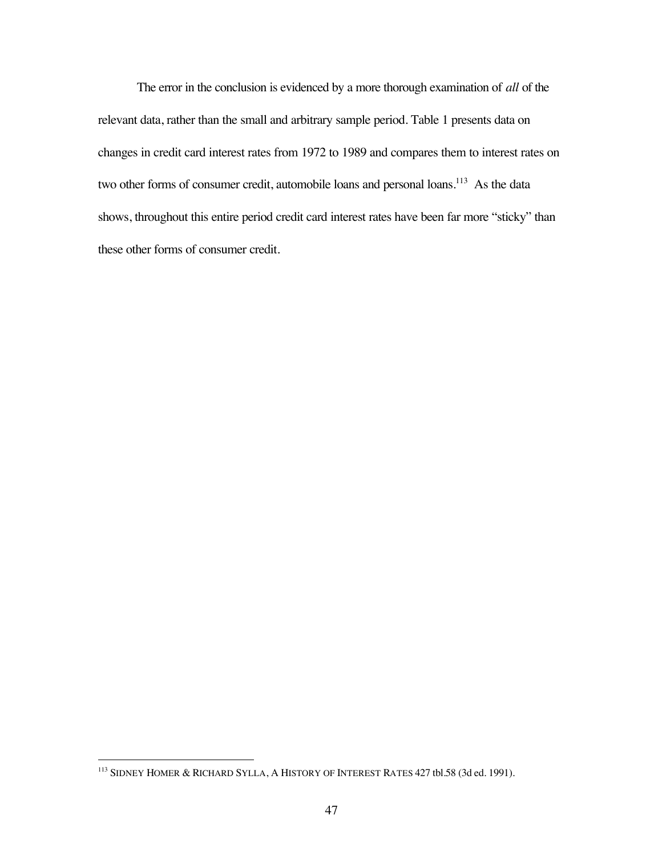The error in the conclusion is evidenced by a more thorough examination of *all* of the relevant data, rather than the small and arbitrary sample period. Table 1 presents data on changes in credit card interest rates from 1972 to 1989 and compares them to interest rates on two other forms of consumer credit, automobile loans and personal loans.<sup>113</sup> As the data shows, throughout this entire period credit card interest rates have been far more "sticky" than these other forms of consumer credit.

 <sup>113</sup> SIDNEY HOMER & RICHARD SYLLA, A HISTORY OF INTEREST RATES 427 tbl.58 (3d ed. 1991).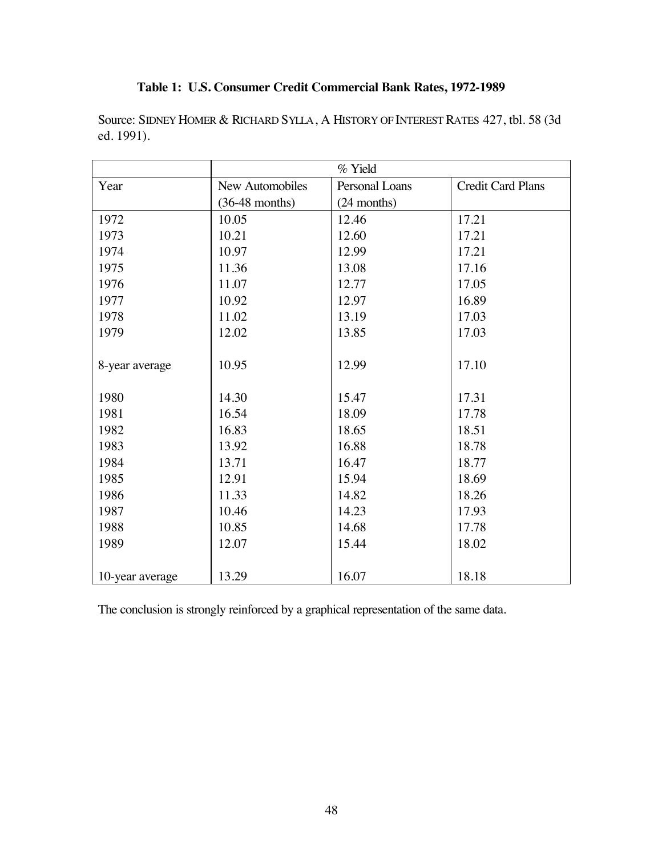# **Table 1: U.S. Consumer Credit Commercial Bank Rates, 1972-1989**

| Source: SIDNEY HOMER & RICHARD SYLLA, A HISTORY OF INTEREST RATES 427, tbl. 58 (3d) |  |
|-------------------------------------------------------------------------------------|--|
| ed. 1991).                                                                          |  |

|                 | % Yield          |                |                          |
|-----------------|------------------|----------------|--------------------------|
| Year            | New Automobiles  | Personal Loans | <b>Credit Card Plans</b> |
|                 | $(36-48$ months) | (24 months)    |                          |
| 1972            | 10.05            | 12.46          | 17.21                    |
| 1973            | 10.21            | 12.60          | 17.21                    |
| 1974            | 10.97            | 12.99          | 17.21                    |
| 1975            | 11.36            | 13.08          | 17.16                    |
| 1976            | 11.07            | 12.77          | 17.05                    |
| 1977            | 10.92            | 12.97          | 16.89                    |
| 1978            | 11.02            | 13.19          | 17.03                    |
| 1979            | 12.02            | 13.85          | 17.03                    |
|                 |                  |                |                          |
| 8-year average  | 10.95            | 12.99          | 17.10                    |
|                 |                  |                |                          |
| 1980            | 14.30            | 15.47          | 17.31                    |
| 1981            | 16.54            | 18.09          | 17.78                    |
| 1982            | 16.83            | 18.65          | 18.51                    |
| 1983            | 13.92            | 16.88          | 18.78                    |
| 1984            | 13.71            | 16.47          | 18.77                    |
| 1985            | 12.91            | 15.94          | 18.69                    |
| 1986            | 11.33            | 14.82          | 18.26                    |
| 1987            | 10.46            | 14.23          | 17.93                    |
| 1988            | 10.85            | 14.68          | 17.78                    |
| 1989            | 12.07            | 15.44          | 18.02                    |
|                 |                  |                |                          |
| 10-year average | 13.29            | 16.07          | 18.18                    |

The conclusion is strongly reinforced by a graphical representation of the same data.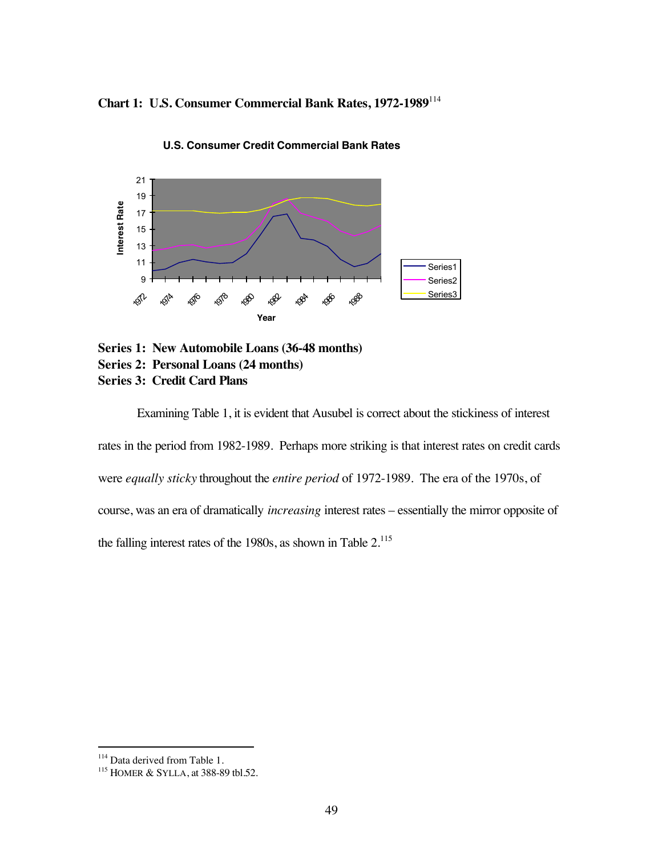**Chart 1: U.S. Consumer Commercial Bank Rates, 1972-1989**<sup>114</sup>



**U.S. Consumer Credit Commercial Bank Rates**

**Series 1: New Automobile Loans (36-48 months) Series 2: Personal Loans (24 months) Series 3: Credit Card Plans**

Examining Table 1, it is evident that Ausubel is correct about the stickiness of interest rates in the period from 1982-1989. Perhaps more striking is that interest rates on credit cards were *equally sticky* throughout the *entire period* of 1972-1989. The era of the 1970s, of course, was an era of dramatically *increasing* interest rates – essentially the mirror opposite of the falling interest rates of the 1980s, as shown in Table 2.<sup>115</sup>

<sup>&</sup>lt;sup>114</sup> Data derived from Table 1.

<sup>&</sup>lt;sup>115</sup> HOMER & SYLLA, at 388-89 tbl.52.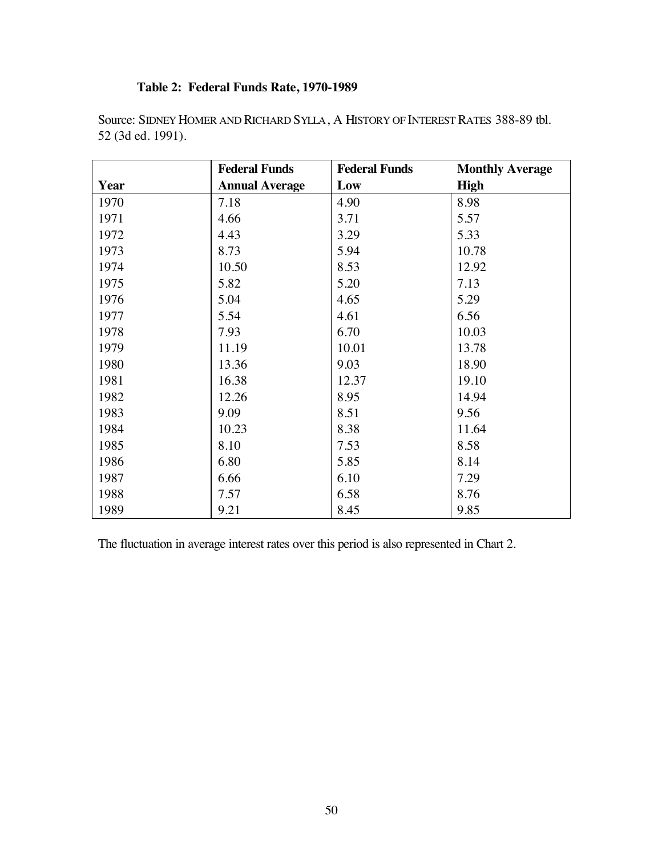# **Table 2: Federal Funds Rate, 1970-1989**

|      | <b>Federal Funds</b>  | <b>Federal Funds</b> | <b>Monthly Average</b> |
|------|-----------------------|----------------------|------------------------|
| Year | <b>Annual Average</b> | Low                  | <b>High</b>            |
| 1970 | 7.18                  | 4.90                 | 8.98                   |
| 1971 | 4.66                  | 3.71                 | 5.57                   |
| 1972 | 4.43                  | 3.29                 | 5.33                   |
| 1973 | 8.73                  | 5.94                 | 10.78                  |
| 1974 | 10.50                 | 8.53                 | 12.92                  |
| 1975 | 5.82                  | 5.20                 | 7.13                   |
| 1976 | 5.04                  | 4.65                 | 5.29                   |
| 1977 | 5.54                  | 4.61                 | 6.56                   |
| 1978 | 7.93                  | 6.70                 | 10.03                  |
| 1979 | 11.19                 | 10.01                | 13.78                  |
| 1980 | 13.36                 | 9.03                 | 18.90                  |
| 1981 | 16.38                 | 12.37                | 19.10                  |
| 1982 | 12.26                 | 8.95                 | 14.94                  |
| 1983 | 9.09                  | 8.51                 | 9.56                   |
| 1984 | 10.23                 | 8.38                 | 11.64                  |
| 1985 | 8.10                  | 7.53                 | 8.58                   |
| 1986 | 6.80                  | 5.85                 | 8.14                   |
| 1987 | 6.66                  | 6.10                 | 7.29                   |
| 1988 | 7.57                  | 6.58                 | 8.76                   |
| 1989 | 9.21                  | 8.45                 | 9.85                   |

Source: SIDNEY HOMER AND RICHARD SYLLA, A HISTORY OF INTEREST RATES 388-89 tbl. 52 (3d ed. 1991).

The fluctuation in average interest rates over this period is also represented in Chart 2.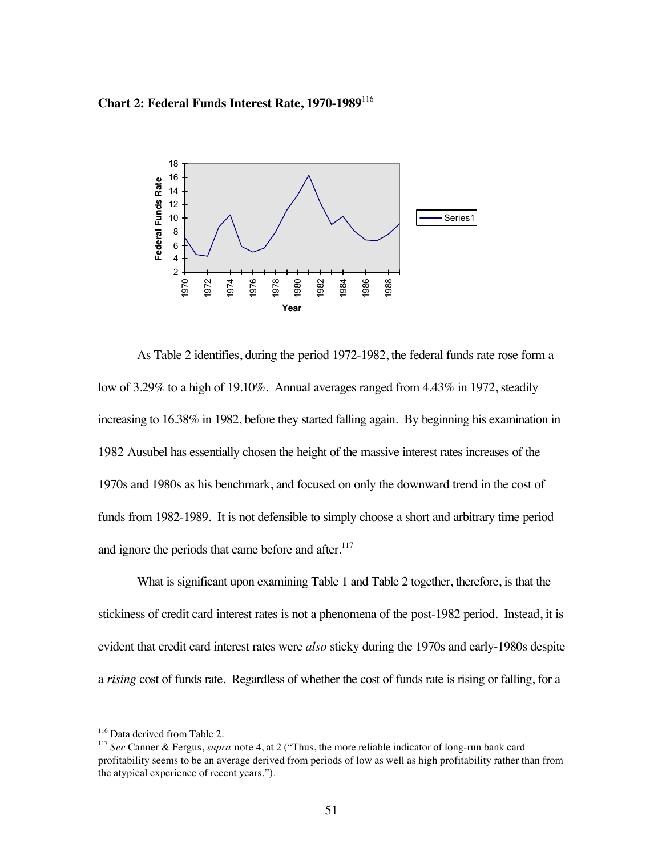**Chart 2: Federal Funds Interest Rate, 1970-1989**<sup>116</sup>



As Table 2 identifies, during the period 1972-1982, the federal funds rate rose form a low of 3.29% to a high of 19.10%. Annual averages ranged from 4.43% in 1972, steadily increasing to 16.38% in 1982, before they started falling again. By beginning his examination in 1982 Ausubel has essentially chosen the height of the massive interest rates increases of the 1970s and 1980s as his benchmark, and focused on only the downward trend in the cost of funds from 1982-1989. It is not defensible to simply choose a short and arbitrary time period and ignore the periods that came before and after.<sup>117</sup>

What is significant upon examining Table 1 and Table 2 together, therefore, is that the stickiness of credit card interest rates is not a phenomena of the post-1982 period. Instead, it is evident that credit card interest rates were *also* sticky during the 1970s and early-1980s despite a *rising* cost of funds rate. Regardless of whether the cost of funds rate is rising or falling, for a

<sup>&</sup>lt;sup>116</sup> Data derived from Table 2.

<sup>117</sup> *See* Canner & Fergus, *supra* note 4, at 2 ("Thus, the more reliable indicator of long-run bank card profitability seems to be an average derived from periods of low as well as high profitability rather than from the atypical experience of recent years.").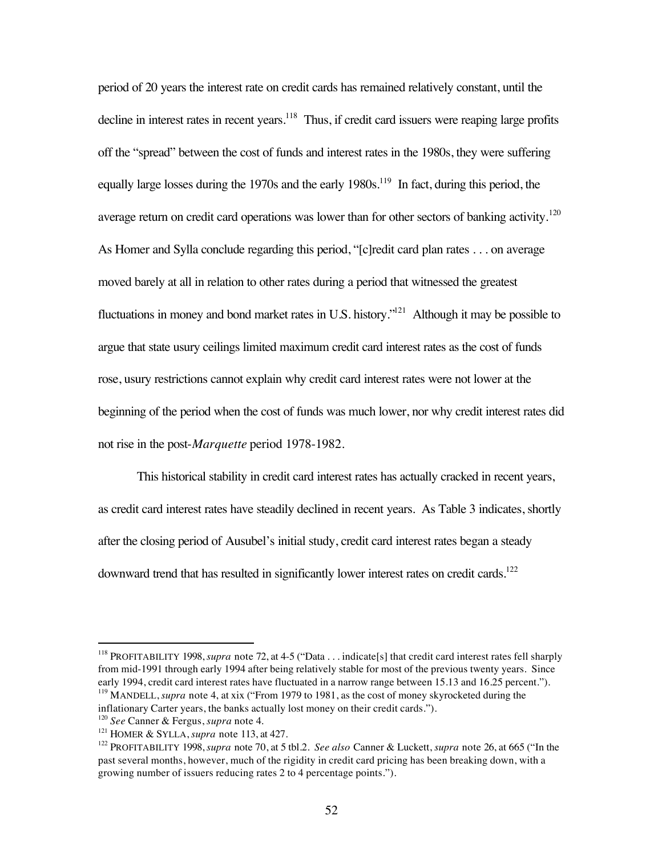period of 20 years the interest rate on credit cards has remained relatively constant, until the decline in interest rates in recent years.<sup>118</sup> Thus, if credit card issuers were reaping large profits off the "spread" between the cost of funds and interest rates in the 1980s, they were suffering equally large losses during the 1970s and the early  $1980s$ .<sup>119</sup> In fact, during this period, the average return on credit card operations was lower than for other sectors of banking activity.<sup>120</sup> As Homer and Sylla conclude regarding this period, "[c]redit card plan rates . . . on average moved barely at all in relation to other rates during a period that witnessed the greatest fluctuations in money and bond market rates in U.S. history.<sup> $121$ </sup> Although it may be possible to argue that state usury ceilings limited maximum credit card interest rates as the cost of funds rose, usury restrictions cannot explain why credit card interest rates were not lower at the beginning of the period when the cost of funds was much lower, nor why credit interest rates did not rise in the post-*Marquette* period 1978-1982.

This historical stability in credit card interest rates has actually cracked in recent years, as credit card interest rates have steadily declined in recent years. As Table 3 indicates, shortly after the closing period of Ausubel's initial study, credit card interest rates began a steady downward trend that has resulted in significantly lower interest rates on credit cards.<sup>122</sup>

 <sup>118</sup> PROFITABILITY 1998, *supra* note 72, at 4-5 ("Data . . . indicate[s] that credit card interest rates fell sharply from mid-1991 through early 1994 after being relatively stable for most of the previous twenty years. Since early 1994, credit card interest rates have fluctuated in a narrow range between 15.13 and 16.25 percent."). <sup>119</sup> MANDELL, *supra* note 4, at xix ("From 1979 to 1981, as the cost of money skyrocketed during the

inflationary Carter years, the banks actually lost money on their credit cards.").

<sup>120</sup> *See* Canner & Fergus, *supra* note 4.

<sup>121</sup> HOMER & SYLLA, *supra* note 113, at 427.

<sup>122</sup> PROFITABILITY 1998, *supra* note 70, at 5 tbl.2. *See also* Canner & Luckett, *supra* note 26, at 665 ("In the past several months, however, much of the rigidity in credit card pricing has been breaking down, with a growing number of issuers reducing rates 2 to 4 percentage points.").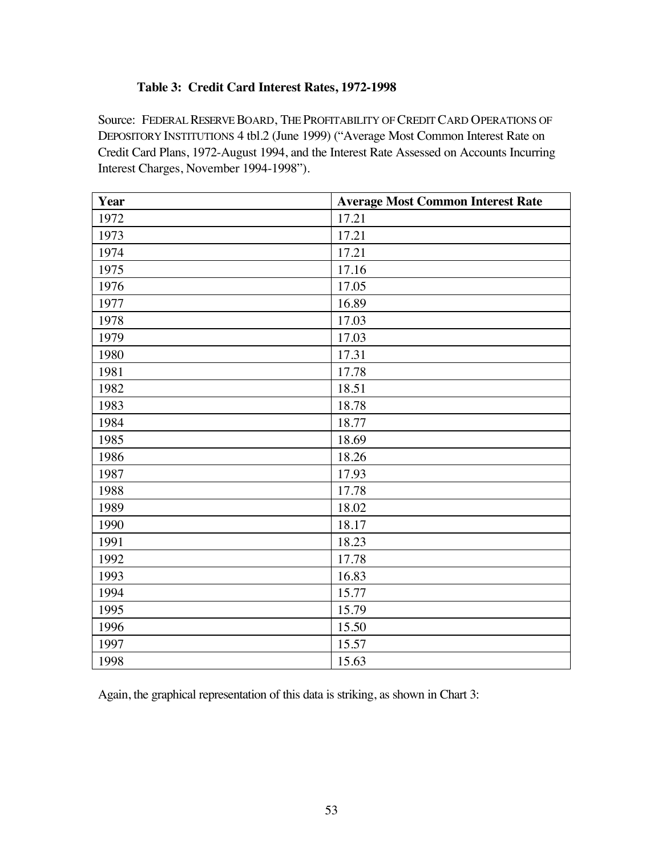## **Table 3: Credit Card Interest Rates, 1972-1998**

Source: FEDERAL RESERVE BOARD, THE PROFITABILITY OF CREDIT CARD OPERATIONS OF DEPOSITORY INSTITUTIONS 4 tbl.2 (June 1999) ("Average Most Common Interest Rate on Credit Card Plans, 1972-August 1994, and the Interest Rate Assessed on Accounts Incurring Interest Charges, November 1994-1998").

| Year | <b>Average Most Common Interest Rate</b> |
|------|------------------------------------------|
| 1972 | 17.21                                    |
| 1973 | 17.21                                    |
| 1974 | 17.21                                    |
| 1975 | 17.16                                    |
| 1976 | 17.05                                    |
| 1977 | 16.89                                    |
| 1978 | 17.03                                    |
| 1979 | 17.03                                    |
| 1980 | 17.31                                    |
| 1981 | 17.78                                    |
| 1982 | 18.51                                    |
| 1983 | 18.78                                    |
| 1984 | 18.77                                    |
| 1985 | 18.69                                    |
| 1986 | 18.26                                    |
| 1987 | 17.93                                    |
| 1988 | 17.78                                    |
| 1989 | 18.02                                    |
| 1990 | 18.17                                    |
| 1991 | 18.23                                    |
| 1992 | 17.78                                    |
| 1993 | 16.83                                    |
| 1994 | 15.77                                    |
| 1995 | 15.79                                    |
| 1996 | 15.50                                    |
| 1997 | 15.57                                    |
| 1998 | 15.63                                    |

Again, the graphical representation of this data is striking, as shown in Chart 3: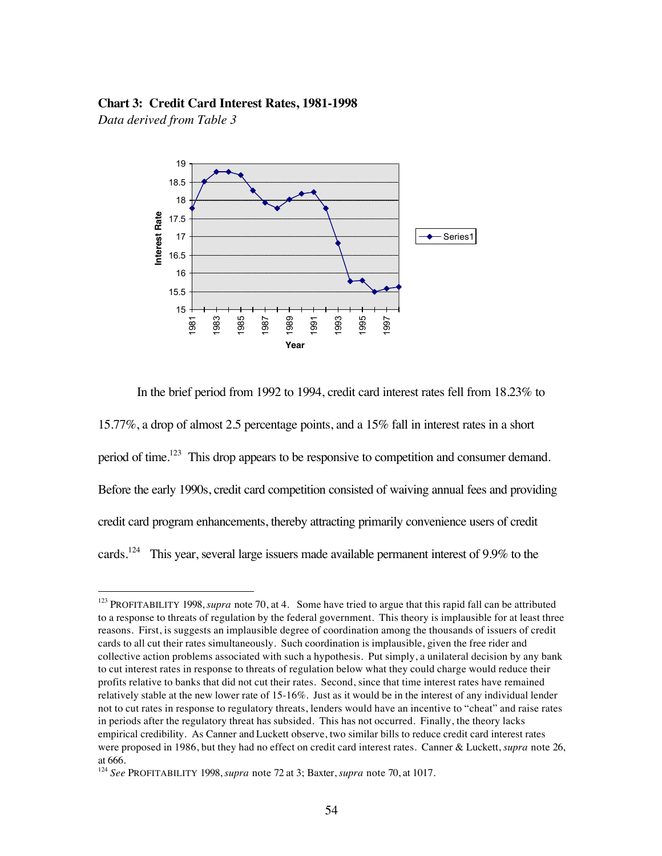#### **Chart 3: Credit Card Interest Rates, 1981-1998**

*Data derived from Table 3*



In the brief period from 1992 to 1994, credit card interest rates fell from 18.23% to

15.77%, a drop of almost 2.5 percentage points, and a 15% fall in interest rates in a short period of time.<sup>123</sup> This drop appears to be responsive to competition and consumer demand. Before the early 1990s, credit card competition consisted of waiving annual fees and providing credit card program enhancements, thereby attracting primarily convenience users of credit cards.<sup>124</sup> This year, several large issuers made available permanent interest of 9.9% to the

 <sup>123</sup> PROFITABILITY 1998, *supra* note 70, at 4. Some have tried to argue that this rapid fall can be attributed to a response to threats of regulation by the federal government. This theory is implausible for at least three reasons. First, is suggests an implausible degree of coordination among the thousands of issuers of credit cards to all cut their rates simultaneously. Such coordination is implausible, given the free rider and collective action problems associated with such a hypothesis. Put simply, a unilateral decision by any bank to cut interest rates in response to threats of regulation below what they could charge would reduce their profits relative to banks that did not cut their rates. Second, since that time interest rates have remained relatively stable at the new lower rate of 15-16%. Just as it would be in the interest of any individual lender not to cut rates in response to regulatory threats, lenders would have an incentive to "cheat" and raise rates in periods after the regulatory threat has subsided. This has not occurred. Finally, the theory lacks empirical credibility. As Canner and Luckett observe, two similar bills to reduce credit card interest rates were proposed in 1986, but they had no effect on credit card interest rates. Canner & Luckett, *supra* note 26, at 666.

<sup>124</sup> *See* PROFITABILITY 1998, *supra* note 72 at 3; Baxter, *supra* note 70, at 1017.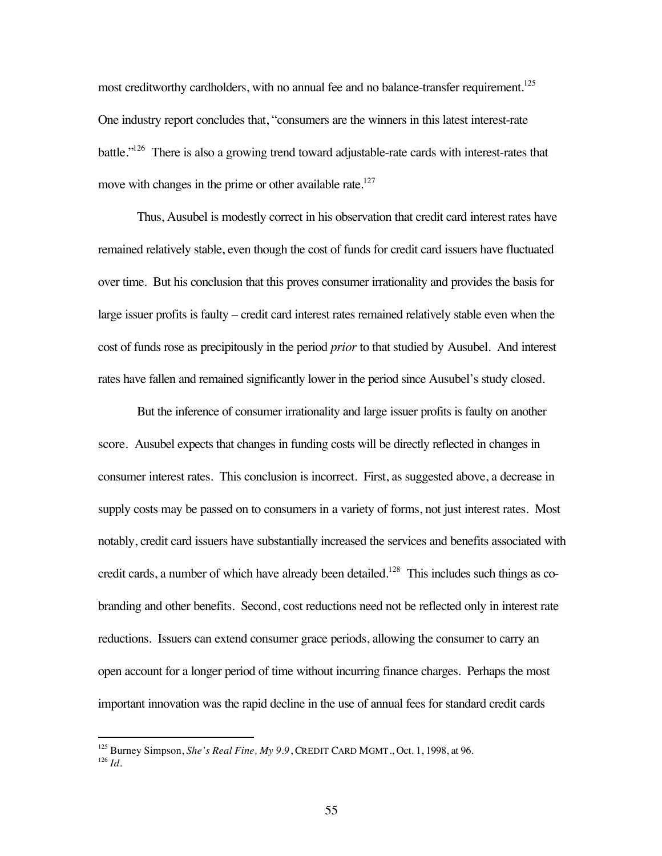most creditworthy cardholders, with no annual fee and no balance-transfer requirement.<sup>125</sup> One industry report concludes that, "consumers are the winners in this latest interest-rate battle."126 There is also a growing trend toward adjustable-rate cards with interest-rates that move with changes in the prime or other available rate.<sup>127</sup>

Thus, Ausubel is modestly correct in his observation that credit card interest rates have remained relatively stable, even though the cost of funds for credit card issuers have fluctuated over time. But his conclusion that this proves consumer irrationality and provides the basis for large issuer profits is faulty – credit card interest rates remained relatively stable even when the cost of funds rose as precipitously in the period *prior* to that studied by Ausubel. And interest rates have fallen and remained significantly lower in the period since Ausubel's study closed.

But the inference of consumer irrationality and large issuer profits is faulty on another score. Ausubel expects that changes in funding costs will be directly reflected in changes in consumer interest rates. This conclusion is incorrect. First, as suggested above, a decrease in supply costs may be passed on to consumers in a variety of forms, not just interest rates. Most notably, credit card issuers have substantially increased the services and benefits associated with credit cards, a number of which have already been detailed.<sup>128</sup> This includes such things as cobranding and other benefits. Second, cost reductions need not be reflected only in interest rate reductions. Issuers can extend consumer grace periods, allowing the consumer to carry an open account for a longer period of time without incurring finance charges. Perhaps the most important innovation was the rapid decline in the use of annual fees for standard credit cards

 <sup>125</sup> Burney Simpson, *She's Real Fine, My 9.9*, CREDIT CARD MGMT., Oct. 1, 1998, at 96. <sup>126</sup> *Id.*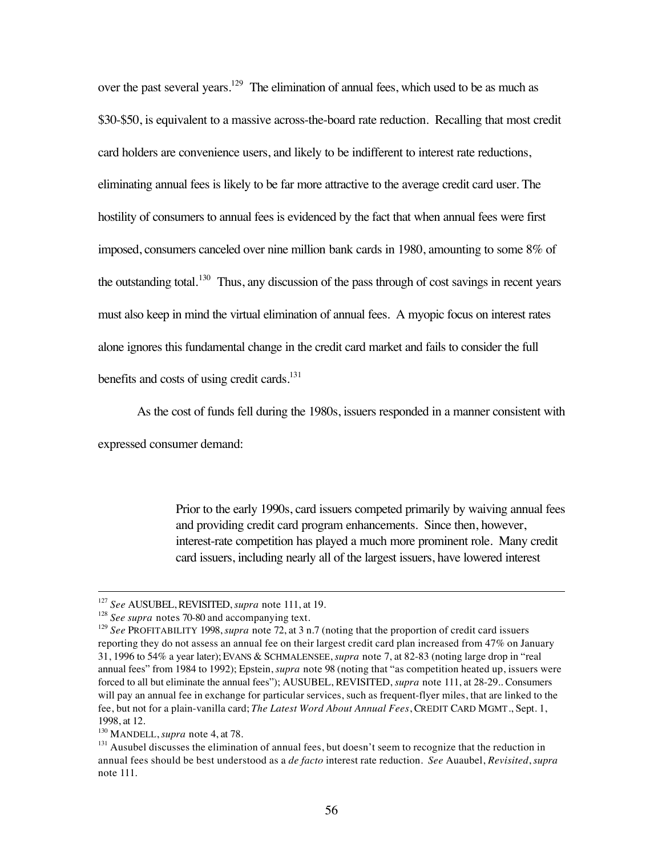over the past several years.<sup>129</sup> The elimination of annual fees, which used to be as much as \$30-\$50, is equivalent to a massive across-the-board rate reduction. Recalling that most credit card holders are convenience users, and likely to be indifferent to interest rate reductions, eliminating annual fees is likely to be far more attractive to the average credit card user. The hostility of consumers to annual fees is evidenced by the fact that when annual fees were first imposed, consumers canceled over nine million bank cards in 1980, amounting to some 8% of the outstanding total.<sup>130</sup> Thus, any discussion of the pass through of cost savings in recent years must also keep in mind the virtual elimination of annual fees. A myopic focus on interest rates alone ignores this fundamental change in the credit card market and fails to consider the full benefits and costs of using credit cards. $131$ 

As the cost of funds fell during the 1980s, issuers responded in a manner consistent with

expressed consumer demand:

Prior to the early 1990s, card issuers competed primarily by waiving annual fees and providing credit card program enhancements. Since then, however, interest-rate competition has played a much more prominent role. Many credit card issuers, including nearly all of the largest issuers, have lowered interest

 <sup>127</sup> *See* AUSUBEL, REVISITED, *supra* note 111, at 19.

<sup>&</sup>lt;sup>128</sup> See supra notes 70-80 and accompanying text.

<sup>129</sup> *See* PROFITABILITY 1998, *supra* note 72, at 3 n.7 (noting that the proportion of credit card issuers reporting they do not assess an annual fee on their largest credit card plan increased from 47% on January 31, 1996 to 54% a year later); EVANS & SCHMALENSEE, *supra* note 7, at 82-83 (noting large drop in "real annual fees" from 1984 to 1992); Epstein, *supra* note 98 (noting that "as competition heated up, issuers were forced to all but eliminate the annual fees"); AUSUBEL, REVISITED, *supra* note 111, at 28-29.. Consumers will pay an annual fee in exchange for particular services, such as frequent-flyer miles, that are linked to the fee, but not for a plain-vanilla card; *The Latest Word About Annual Fees*, CREDIT CARD MGMT., Sept. 1, 1998, at 12.

<sup>130</sup> MANDELL, *supra* note 4, at 78.

<sup>&</sup>lt;sup>131</sup> Ausubel discusses the elimination of annual fees, but doesn't seem to recognize that the reduction in annual fees should be best understood as a *de facto* interest rate reduction. *See* Auaubel, *Revisited*, *supra* note 111.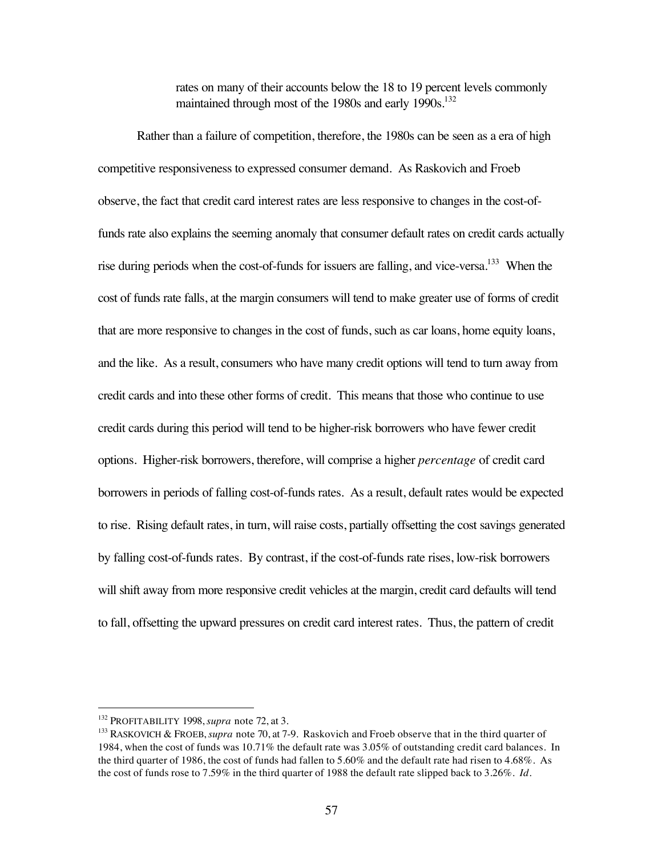rates on many of their accounts below the 18 to 19 percent levels commonly maintained through most of the 1980s and early 1990s.<sup>132</sup>

Rather than a failure of competition, therefore, the 1980s can be seen as a era of high competitive responsiveness to expressed consumer demand. As Raskovich and Froeb observe, the fact that credit card interest rates are less responsive to changes in the cost-offunds rate also explains the seeming anomaly that consumer default rates on credit cards actually rise during periods when the cost-of-funds for issuers are falling, and vice-versa.<sup>133</sup> When the cost of funds rate falls, at the margin consumers will tend to make greater use of forms of credit that are more responsive to changes in the cost of funds, such as car loans, home equity loans, and the like. As a result, consumers who have many credit options will tend to turn away from credit cards and into these other forms of credit. This means that those who continue to use credit cards during this period will tend to be higher-risk borrowers who have fewer credit options. Higher-risk borrowers, therefore, will comprise a higher *percentage* of credit card borrowers in periods of falling cost-of-funds rates. As a result, default rates would be expected to rise. Rising default rates, in turn, will raise costs, partially offsetting the cost savings generated by falling cost-of-funds rates. By contrast, if the cost-of-funds rate rises, low-risk borrowers will shift away from more responsive credit vehicles at the margin, credit card defaults will tend to fall, offsetting the upward pressures on credit card interest rates. Thus, the pattern of credit

 <sup>132</sup> PROFITABILITY 1998, *supra* note 72, at 3.

<sup>133</sup> RASKOVICH & FROEB, *supra* note 70, at 7-9. Raskovich and Froeb observe that in the third quarter of 1984, when the cost of funds was 10.71% the default rate was 3.05% of outstanding credit card balances. In the third quarter of 1986, the cost of funds had fallen to 5.60% and the default rate had risen to 4.68%. As the cost of funds rose to 7.59% in the third quarter of 1988 the default rate slipped back to 3.26%. *Id.*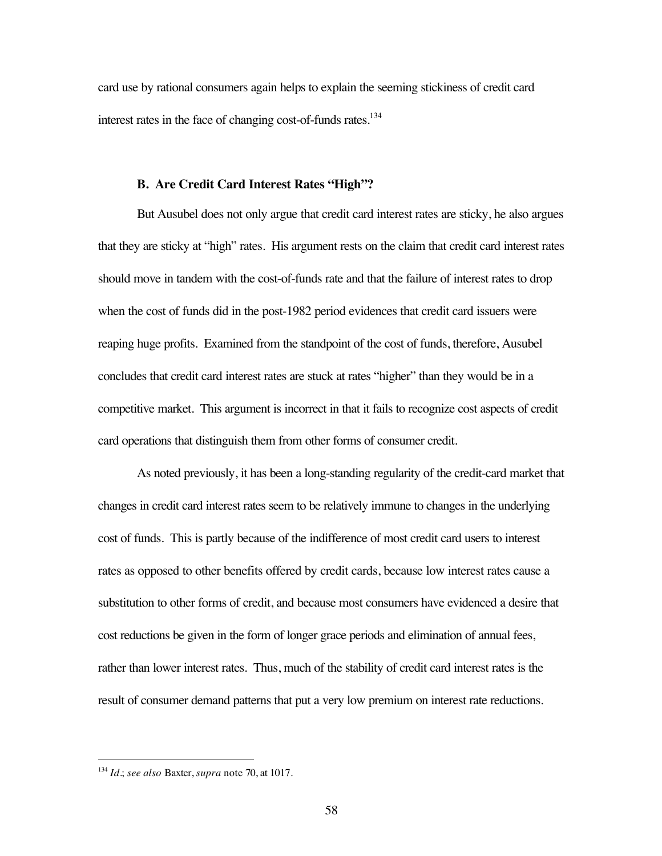card use by rational consumers again helps to explain the seeming stickiness of credit card interest rates in the face of changing cost-of-funds rates.<sup>134</sup>

## **B. Are Credit Card Interest Rates "High"?**

But Ausubel does not only argue that credit card interest rates are sticky, he also argues that they are sticky at "high" rates. His argument rests on the claim that credit card interest rates should move in tandem with the cost-of-funds rate and that the failure of interest rates to drop when the cost of funds did in the post-1982 period evidences that credit card issuers were reaping huge profits. Examined from the standpoint of the cost of funds, therefore, Ausubel concludes that credit card interest rates are stuck at rates "higher" than they would be in a competitive market. This argument is incorrect in that it fails to recognize cost aspects of credit card operations that distinguish them from other forms of consumer credit.

As noted previously, it has been a long-standing regularity of the credit-card market that changes in credit card interest rates seem to be relatively immune to changes in the underlying cost of funds. This is partly because of the indifference of most credit card users to interest rates as opposed to other benefits offered by credit cards, because low interest rates cause a substitution to other forms of credit, and because most consumers have evidenced a desire that cost reductions be given in the form of longer grace periods and elimination of annual fees, rather than lower interest rates. Thus, much of the stability of credit card interest rates is the result of consumer demand patterns that put a very low premium on interest rate reductions.

 <sup>134</sup> *Id.*; *see also* Baxter, *supra* note 70, at 1017.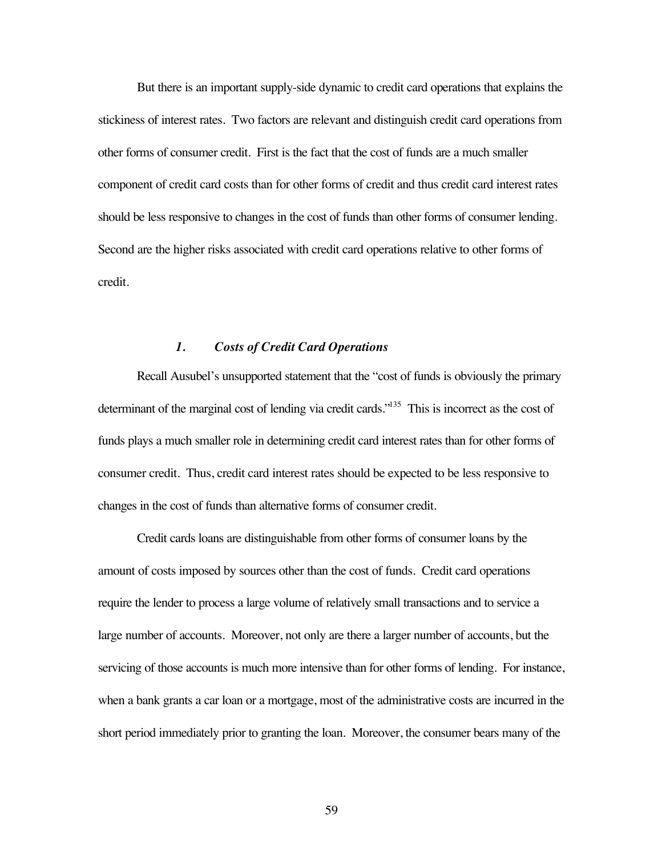But there is an important supply-side dynamic to credit card operations that explains the stickiness of interest rates. Two factors are relevant and distinguish credit card operations from other forms of consumer credit. First is the fact that the cost of funds are a much smaller component of credit card costs than for other forms of credit and thus credit card interest rates should be less responsive to changes in the cost of funds than other forms of consumer lending. Second are the higher risks associated with credit card operations relative to other forms of credit.

## *1. Costs of Credit Card Operations*

Recall Ausubel's unsupported statement that the "cost of funds is obviously the primary determinant of the marginal cost of lending via credit cards."<sup>135</sup> This is incorrect as the cost of funds plays a much smaller role in determining credit card interest rates than for other forms of consumer credit. Thus, credit card interest rates should be expected to be less responsive to changes in the cost of funds than alternative forms of consumer credit.

Credit cards loans are distinguishable from other forms of consumer loans by the amount of costs imposed by sources other than the cost of funds. Credit card operations require the lender to process a large volume of relatively small transactions and to service a large number of accounts. Moreover, not only are there a larger number of accounts, but the servicing of those accounts is much more intensive than for other forms of lending. For instance, when a bank grants a car loan or a mortgage, most of the administrative costs are incurred in the short period immediately prior to granting the loan. Moreover, the consumer bears many of the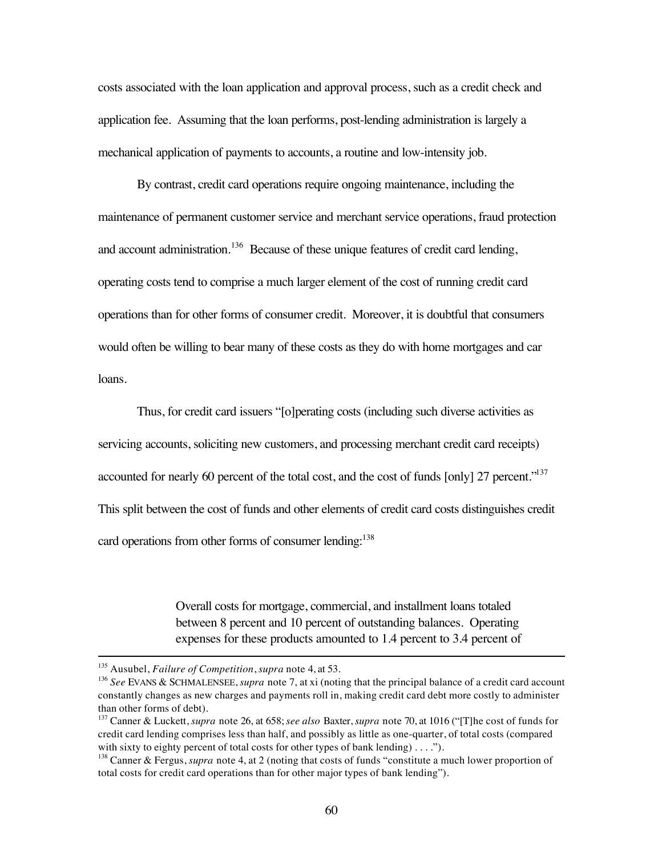costs associated with the loan application and approval process, such as a credit check and application fee. Assuming that the loan performs, post-lending administration is largely a mechanical application of payments to accounts, a routine and low-intensity job.

By contrast, credit card operations require ongoing maintenance, including the maintenance of permanent customer service and merchant service operations, fraud protection and account administration.<sup>136</sup> Because of these unique features of credit card lending, operating costs tend to comprise a much larger element of the cost of running credit card operations than for other forms of consumer credit. Moreover, it is doubtful that consumers would often be willing to bear many of these costs as they do with home mortgages and car loans.

Thus, for credit card issuers "[o]perating costs (including such diverse activities as servicing accounts, soliciting new customers, and processing merchant credit card receipts) accounted for nearly 60 percent of the total cost, and the cost of funds [only] 27 percent."<sup>137</sup> This split between the cost of funds and other elements of credit card costs distinguishes credit card operations from other forms of consumer lending:<sup>138</sup>

> Overall costs for mortgage, commercial, and installment loans totaled between 8 percent and 10 percent of outstanding balances. Operating expenses for these products amounted to 1.4 percent to 3.4 percent of

 <sup>135</sup> Ausubel, *Failure of Competition*, *supra* note 4, at 53.

<sup>136</sup> *See* EVANS & SCHMALENSEE, *supra* note 7, at xi (noting that the principal balance of a credit card account constantly changes as new charges and payments roll in, making credit card debt more costly to administer than other forms of debt).

<sup>137</sup> Canner & Luckett, *supra* note 26, at 658; *see also* Baxter, *supra* note 70, at 1016 ("[T]he cost of funds for credit card lending comprises less than half, and possibly as little as one-quarter, of total costs (compared with sixty to eighty percent of total costs for other types of bank lending) . . . .").

<sup>138</sup> Canner & Fergus, *supra* note 4, at 2 (noting that costs of funds "constitute a much lower proportion of total costs for credit card operations than for other major types of bank lending").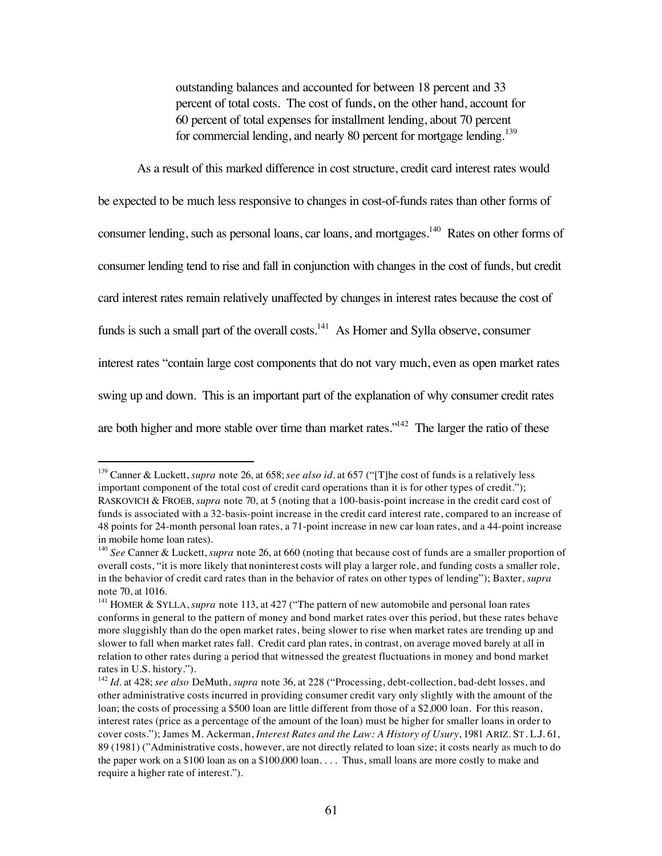outstanding balances and accounted for between 18 percent and 33 percent of total costs. The cost of funds, on the other hand, account for 60 percent of total expenses for installment lending, about 70 percent for commercial lending, and nearly 80 percent for mortgage lending.<sup>139</sup>

As a result of this marked difference in cost structure, credit card interest rates would

be expected to be much less responsive to changes in cost-of-funds rates than other forms of consumer lending, such as personal loans, car loans, and mortgages.<sup>140</sup> Rates on other forms of consumer lending tend to rise and fall in conjunction with changes in the cost of funds, but credit card interest rates remain relatively unaffected by changes in interest rates because the cost of funds is such a small part of the overall costs.<sup>141</sup> As Homer and Sylla observe, consumer interest rates "contain large cost components that do not vary much, even as open market rates swing up and down. This is an important part of the explanation of why consumer credit rates are both higher and more stable over time than market rates."<sup>142</sup> The larger the ratio of these

 <sup>139</sup> Canner & Luckett, *supra* note 26, at 658; *see also id.* at 657 ("[T]he cost of funds is a relatively less important component of the total cost of credit card operations than it is for other types of credit."); RASKOVICH & FROEB, *supra* note 70, at 5 (noting that a 100-basis-point increase in the credit card cost of funds is associated with a 32-basis-point increase in the credit card interest rate, compared to an increase of 48 points for 24-month personal loan rates, a 71-point increase in new car loan rates, and a 44-point increase in mobile home loan rates).

<sup>140</sup> *See* Canner & Luckett, *supra* note 26, at 660 (noting that because cost of funds are a smaller proportion of overall costs, "it is more likely that noninterest costs will play a larger role, and funding costs a smaller role, in the behavior of credit card rates than in the behavior of rates on other types of lending"); Baxter, *supra* note 70, at 1016.

<sup>&</sup>lt;sup>141</sup> HOMER & SYLLA, *supra* note 113, at 427 ("The pattern of new automobile and personal loan rates conforms in general to the pattern of money and bond market rates over this period, but these rates behave more sluggishly than do the open market rates, being slower to rise when market rates are trending up and slower to fall when market rates fall. Credit card plan rates, in contrast, on average moved barely at all in relation to other rates during a period that witnessed the greatest fluctuations in money and bond market rates in U.S. history.").

<sup>142</sup> *Id.* at 428; *see also* DeMuth, *supra* note 36, at 228 ("Processing, debt-collection, bad-debt losses, and other administrative costs incurred in providing consumer credit vary only slightly with the amount of the loan; the costs of processing a \$500 loan are little different from those of a \$2,000 loan. For this reason, interest rates (price as a percentage of the amount of the loan) must be higher for smaller loans in order to cover costs."); James M. Ackerman, *Interest Rates and the Law: A History of Usury*, 1981 ARIZ. ST. L.J. 61, 89 (1981) ("Administrative costs, however, are not directly related to loan size; it costs nearly as much to do the paper work on a \$100 loan as on a \$100,000 loan. . . . Thus, small loans are more costly to make and require a higher rate of interest.").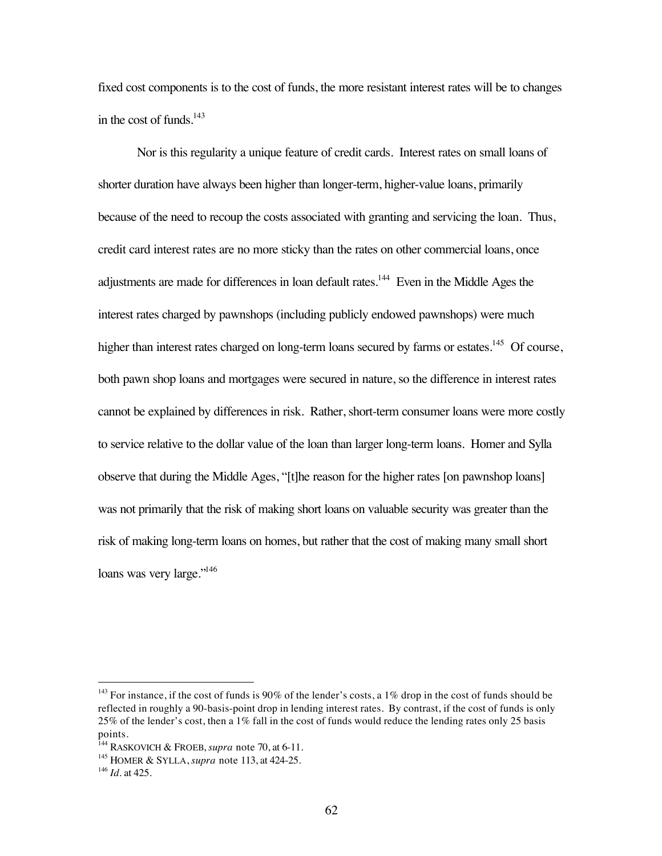fixed cost components is to the cost of funds, the more resistant interest rates will be to changes in the cost of funds. $143$ 

Nor is this regularity a unique feature of credit cards. Interest rates on small loans of shorter duration have always been higher than longer-term, higher-value loans, primarily because of the need to recoup the costs associated with granting and servicing the loan. Thus, credit card interest rates are no more sticky than the rates on other commercial loans, once adjustments are made for differences in loan default rates.<sup>144</sup> Even in the Middle Ages the interest rates charged by pawnshops (including publicly endowed pawnshops) were much higher than interest rates charged on long-term loans secured by farms or estates.<sup>145</sup> Of course, both pawn shop loans and mortgages were secured in nature, so the difference in interest rates cannot be explained by differences in risk. Rather, short-term consumer loans were more costly to service relative to the dollar value of the loan than larger long-term loans. Homer and Sylla observe that during the Middle Ages, "[t]he reason for the higher rates [on pawnshop loans] was not primarily that the risk of making short loans on valuable security was greater than the risk of making long-term loans on homes, but rather that the cost of making many small short loans was very large."<sup>146</sup>

<sup>&</sup>lt;sup>143</sup> For instance, if the cost of funds is 90% of the lender's costs, a 1% drop in the cost of funds should be reflected in roughly a 90-basis-point drop in lending interest rates. By contrast, if the cost of funds is only 25% of the lender's cost, then a 1% fall in the cost of funds would reduce the lending rates only 25 basis points.

<sup>144</sup> RASKOVICH & FROEB, *supra* note 70, at 6-11.

<sup>145</sup> HOMER & SYLLA, *supra* note 113, at 424-25.

<sup>146</sup> *Id.* at 425.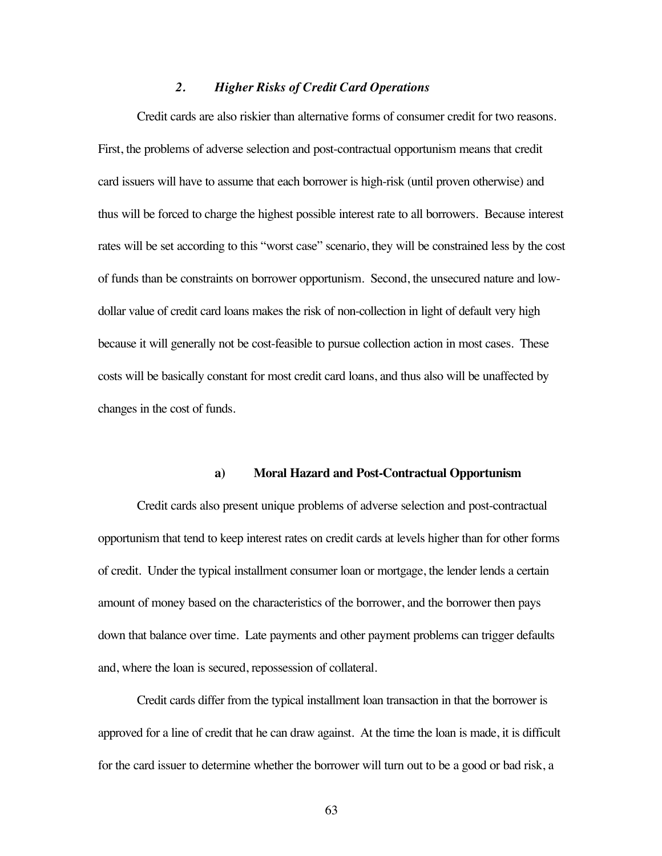### *2. Higher Risks of Credit Card Operations*

Credit cards are also riskier than alternative forms of consumer credit for two reasons. First, the problems of adverse selection and post-contractual opportunism means that credit card issuers will have to assume that each borrower is high-risk (until proven otherwise) and thus will be forced to charge the highest possible interest rate to all borrowers. Because interest rates will be set according to this "worst case" scenario, they will be constrained less by the cost of funds than be constraints on borrower opportunism. Second, the unsecured nature and lowdollar value of credit card loans makes the risk of non-collection in light of default very high because it will generally not be cost-feasible to pursue collection action in most cases. These costs will be basically constant for most credit card loans, and thus also will be unaffected by changes in the cost of funds.

#### **a) Moral Hazard and Post-Contractual Opportunism**

Credit cards also present unique problems of adverse selection and post-contractual opportunism that tend to keep interest rates on credit cards at levels higher than for other forms of credit. Under the typical installment consumer loan or mortgage, the lender lends a certain amount of money based on the characteristics of the borrower, and the borrower then pays down that balance over time. Late payments and other payment problems can trigger defaults and, where the loan is secured, repossession of collateral.

Credit cards differ from the typical installment loan transaction in that the borrower is approved for a line of credit that he can draw against. At the time the loan is made, it is difficult for the card issuer to determine whether the borrower will turn out to be a good or bad risk, a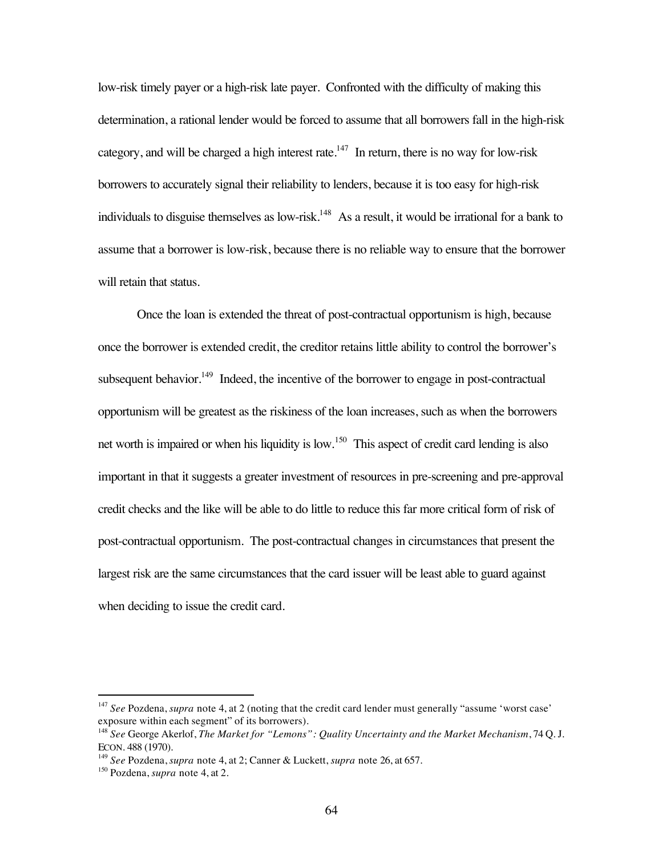low-risk timely payer or a high-risk late payer. Confronted with the difficulty of making this determination, a rational lender would be forced to assume that all borrowers fall in the high-risk category, and will be charged a high interest rate.<sup>147</sup> In return, there is no way for low-risk borrowers to accurately signal their reliability to lenders, because it is too easy for high-risk individuals to disguise themselves as low-risk.<sup>148</sup> As a result, it would be irrational for a bank to assume that a borrower is low-risk, because there is no reliable way to ensure that the borrower will retain that status.

Once the loan is extended the threat of post-contractual opportunism is high, because once the borrower is extended credit, the creditor retains little ability to control the borrower's subsequent behavior.<sup>149</sup> Indeed, the incentive of the borrower to engage in post-contractual opportunism will be greatest as the riskiness of the loan increases, such as when the borrowers net worth is impaired or when his liquidity is low.<sup>150</sup> This aspect of credit card lending is also important in that it suggests a greater investment of resources in pre-screening and pre-approval credit checks and the like will be able to do little to reduce this far more critical form of risk of post-contractual opportunism. The post-contractual changes in circumstances that present the largest risk are the same circumstances that the card issuer will be least able to guard against when deciding to issue the credit card.

<sup>&</sup>lt;sup>147</sup> See Pozdena, *supra* note 4, at 2 (noting that the credit card lender must generally "assume 'worst case' exposure within each segment" of its borrowers).

<sup>148</sup> *See* George Akerlof, *The Market for "Lemons": Quality Uncertainty and the Market Mechanism*, 74 Q. J. ECON. 488 (1970).

<sup>149</sup> *See* Pozdena, *supra* note 4, at 2; Canner & Luckett, *supra* note 26, at 657.

<sup>150</sup> Pozdena, *supra* note 4, at 2.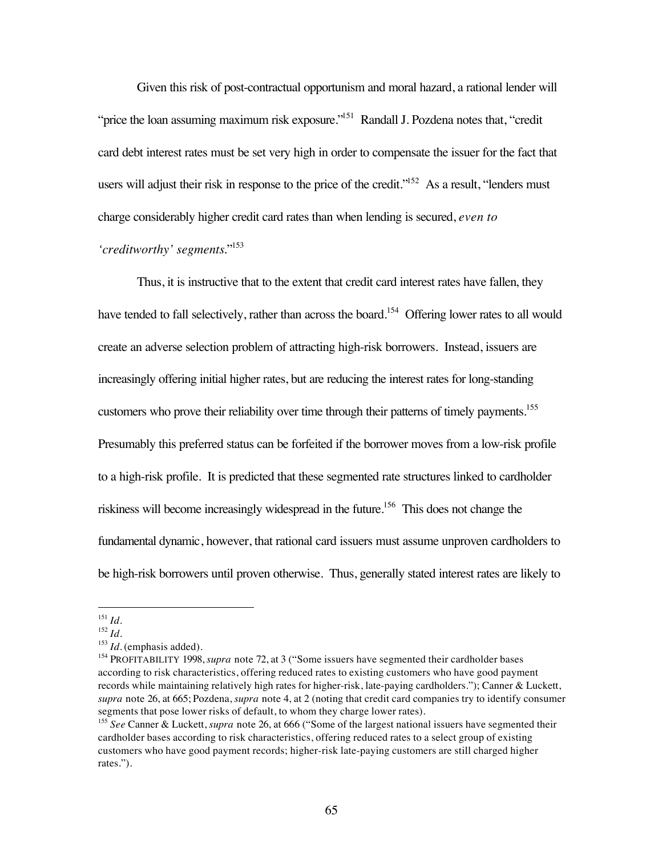Given this risk of post-contractual opportunism and moral hazard, a rational lender will "price the loan assuming maximum risk exposure."<sup>151</sup> Randall J. Pozdena notes that, "credit" card debt interest rates must be set very high in order to compensate the issuer for the fact that users will adjust their risk in response to the price of the credit."<sup>152</sup> As a result, "lenders must charge considerably higher credit card rates than when lending is secured, *even to 'creditworthy' segments*."153

Thus, it is instructive that to the extent that credit card interest rates have fallen, they have tended to fall selectively, rather than across the board.<sup>154</sup> Offering lower rates to all would create an adverse selection problem of attracting high-risk borrowers. Instead, issuers are increasingly offering initial higher rates, but are reducing the interest rates for long-standing customers who prove their reliability over time through their patterns of timely payments.<sup>155</sup> Presumably this preferred status can be forfeited if the borrower moves from a low-risk profile to a high-risk profile. It is predicted that these segmented rate structures linked to cardholder riskiness will become increasingly widespread in the future.156 This does not change the fundamental dynamic, however, that rational card issuers must assume unproven cardholders to be high-risk borrowers until proven otherwise. Thus, generally stated interest rates are likely to

 <sup>151</sup> *Id.*

<sup>152</sup> *Id.*

<sup>&</sup>lt;sup>153</sup> *Id.* (emphasis added).

<sup>&</sup>lt;sup>154</sup> PROFITABILITY 1998, *supra* note 72, at 3 ("Some issuers have segmented their cardholder bases according to risk characteristics, offering reduced rates to existing customers who have good payment records while maintaining relatively high rates for higher-risk, late-paying cardholders."); Canner & Luckett, *supra* note 26, at 665; Pozdena, *supra* note 4, at 2 (noting that credit card companies try to identify consumer segments that pose lower risks of default, to whom they charge lower rates).

<sup>155</sup> *See* Canner & Luckett, *supra* note 26, at 666 ("Some of the largest national issuers have segmented their cardholder bases according to risk characteristics, offering reduced rates to a select group of existing customers who have good payment records; higher-risk late-paying customers are still charged higher rates.").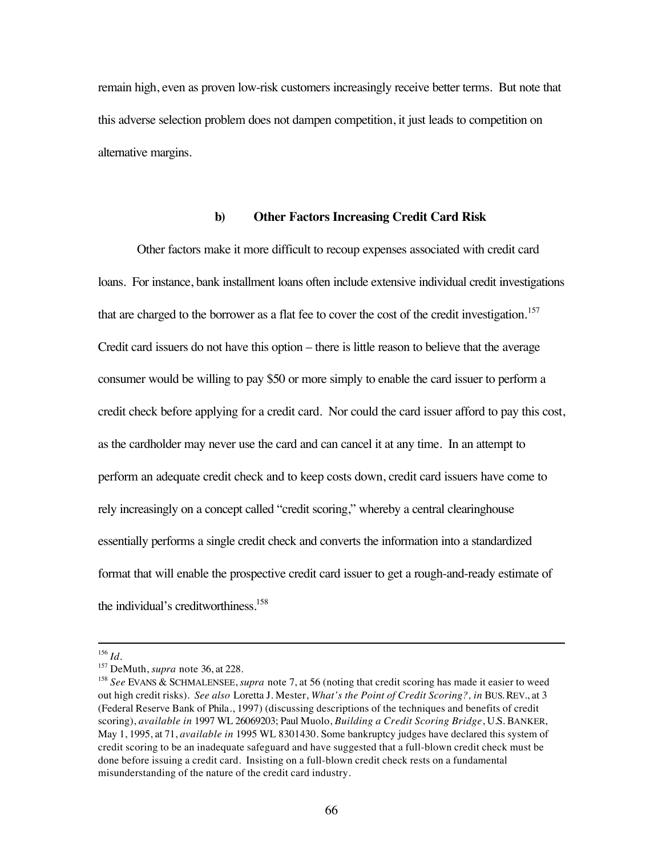remain high, even as proven low-risk customers increasingly receive better terms. But note that this adverse selection problem does not dampen competition, it just leads to competition on alternative margins.

### **b) Other Factors Increasing Credit Card Risk**

Other factors make it more difficult to recoup expenses associated with credit card loans. For instance, bank installment loans often include extensive individual credit investigations that are charged to the borrower as a flat fee to cover the cost of the credit investigation.<sup>157</sup> Credit card issuers do not have this option – there is little reason to believe that the average consumer would be willing to pay \$50 or more simply to enable the card issuer to perform a credit check before applying for a credit card. Nor could the card issuer afford to pay this cost, as the cardholder may never use the card and can cancel it at any time. In an attempt to perform an adequate credit check and to keep costs down, credit card issuers have come to rely increasingly on a concept called "credit scoring," whereby a central clearinghouse essentially performs a single credit check and converts the information into a standardized format that will enable the prospective credit card issuer to get a rough-and-ready estimate of the individual's creditworthiness.<sup>158</sup>

 <sup>156</sup> *Id.*

<sup>157</sup> DeMuth, *supra* note 36, at 228.

<sup>158</sup> *See* EVANS & SCHMALENSEE, *supra* note 7, at 56 (noting that credit scoring has made it easier to weed out high credit risks). *See also* Loretta J. Mester, *What's the Point of Credit Scoring?, in* BUS. REV., at 3 (Federal Reserve Bank of Phila., 1997) (discussing descriptions of the techniques and benefits of credit scoring), *available in* 1997 WL 26069203; Paul Muolo, *Building a Credit Scoring Bridge*, U.S. BANKER, May 1, 1995, at 71, *available in* 1995 WL 8301430. Some bankruptcy judges have declared this system of credit scoring to be an inadequate safeguard and have suggested that a full-blown credit check must be done before issuing a credit card. Insisting on a full-blown credit check rests on a fundamental misunderstanding of the nature of the credit card industry.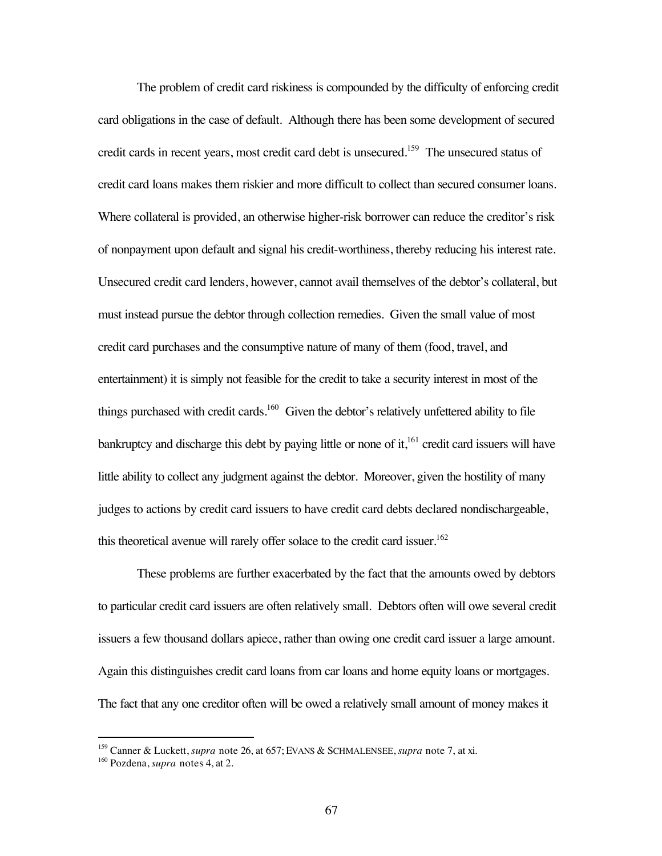The problem of credit card riskiness is compounded by the difficulty of enforcing credit card obligations in the case of default. Although there has been some development of secured credit cards in recent years, most credit card debt is unsecured.159 The unsecured status of credit card loans makes them riskier and more difficult to collect than secured consumer loans. Where collateral is provided, an otherwise higher-risk borrower can reduce the creditor's risk of nonpayment upon default and signal his credit-worthiness, thereby reducing his interest rate. Unsecured credit card lenders, however, cannot avail themselves of the debtor's collateral, but must instead pursue the debtor through collection remedies. Given the small value of most credit card purchases and the consumptive nature of many of them (food, travel, and entertainment) it is simply not feasible for the credit to take a security interest in most of the things purchased with credit cards.<sup>160</sup> Given the debtor's relatively unfettered ability to file bankruptcy and discharge this debt by paying little or none of it,<sup>161</sup> credit card issuers will have little ability to collect any judgment against the debtor. Moreover, given the hostility of many judges to actions by credit card issuers to have credit card debts declared nondischargeable, this theoretical avenue will rarely offer solace to the credit card issuer.<sup>162</sup>

These problems are further exacerbated by the fact that the amounts owed by debtors to particular credit card issuers are often relatively small. Debtors often will owe several credit issuers a few thousand dollars apiece, rather than owing one credit card issuer a large amount. Again this distinguishes credit card loans from car loans and home equity loans or mortgages. The fact that any one creditor often will be owed a relatively small amount of money makes it

 <sup>159</sup> Canner & Luckett, *supra* note 26, at 657; EVANS & SCHMALENSEE, *supra* note 7, at xi.

<sup>160</sup> Pozdena, *supra* notes 4, at 2.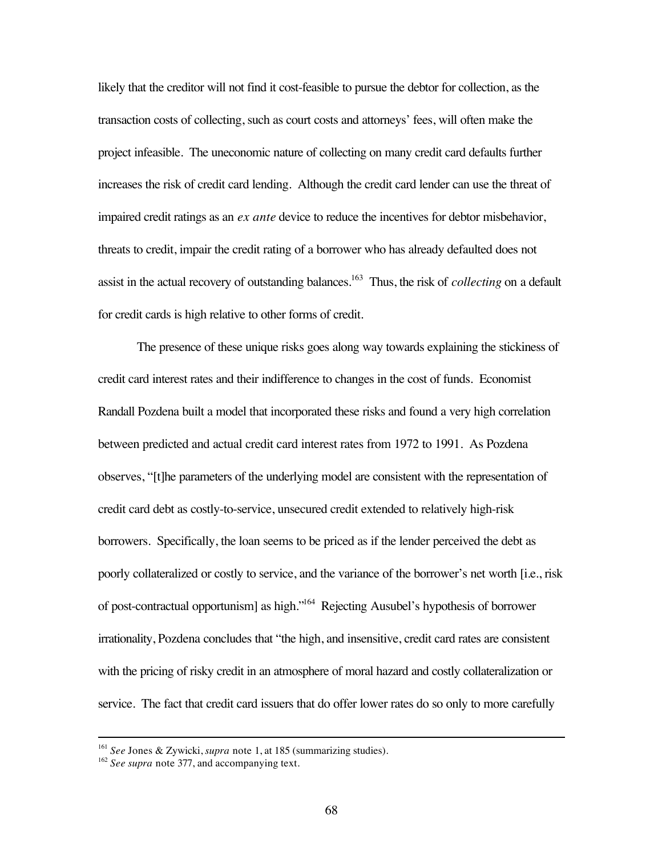likely that the creditor will not find it cost-feasible to pursue the debtor for collection, as the transaction costs of collecting, such as court costs and attorneys' fees, will often make the project infeasible. The uneconomic nature of collecting on many credit card defaults further increases the risk of credit card lending. Although the credit card lender can use the threat of impaired credit ratings as an *ex ante* device to reduce the incentives for debtor misbehavior, threats to credit, impair the credit rating of a borrower who has already defaulted does not assist in the actual recovery of outstanding balances.<sup>163</sup> Thus, the risk of *collecting* on a default for credit cards is high relative to other forms of credit.

The presence of these unique risks goes along way towards explaining the stickiness of credit card interest rates and their indifference to changes in the cost of funds. Economist Randall Pozdena built a model that incorporated these risks and found a very high correlation between predicted and actual credit card interest rates from 1972 to 1991. As Pozdena observes, "[t]he parameters of the underlying model are consistent with the representation of credit card debt as costly-to-service, unsecured credit extended to relatively high-risk borrowers. Specifically, the loan seems to be priced as if the lender perceived the debt as poorly collateralized or costly to service, and the variance of the borrower's net worth [i.e., risk of post-contractual opportunism] as high."164 Rejecting Ausubel's hypothesis of borrower irrationality, Pozdena concludes that "the high, and insensitive, credit card rates are consistent with the pricing of risky credit in an atmosphere of moral hazard and costly collateralization or service. The fact that credit card issuers that do offer lower rates do so only to more carefully

 <sup>161</sup> *See* Jones & Zywicki, *supra* note 1, at 185 (summarizing studies).

<sup>162</sup> *See supra* note 377, and accompanying text.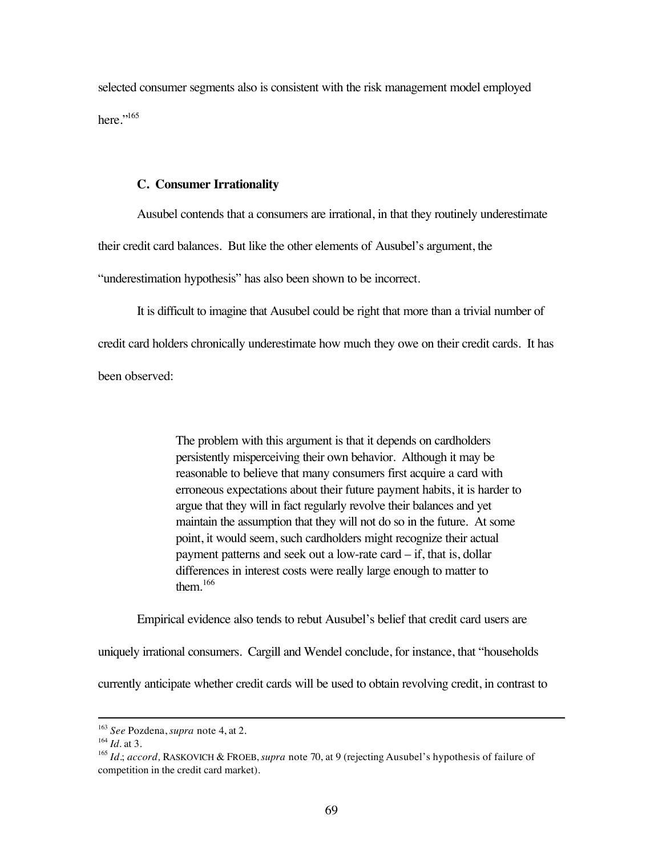selected consumer segments also is consistent with the risk management model employed here." $165$ 

#### **C. Consumer Irrationality**

Ausubel contends that a consumers are irrational, in that they routinely underestimate their credit card balances. But like the other elements of Ausubel's argument, the

"underestimation hypothesis" has also been shown to be incorrect.

It is difficult to imagine that Ausubel could be right that more than a trivial number of credit card holders chronically underestimate how much they owe on their credit cards. It has been observed:

> The problem with this argument is that it depends on cardholders persistently misperceiving their own behavior. Although it may be reasonable to believe that many consumers first acquire a card with erroneous expectations about their future payment habits, it is harder to argue that they will in fact regularly revolve their balances and yet maintain the assumption that they will not do so in the future. At some point, it would seem, such cardholders might recognize their actual payment patterns and seek out a low-rate card – if, that is, dollar differences in interest costs were really large enough to matter to them. $166$

Empirical evidence also tends to rebut Ausubel's belief that credit card users are

uniquely irrational consumers. Cargill and Wendel conclude, for instance, that "households

currently anticipate whether credit cards will be used to obtain revolving credit, in contrast to

 <sup>163</sup> *See* Pozdena, *supra* note 4, at 2.

<sup>164</sup> *Id.* at 3.

<sup>165</sup> *Id.*; *accord,* RASKOVICH & FROEB, *supra* note 70, at 9 (rejecting Ausubel's hypothesis of failure of competition in the credit card market).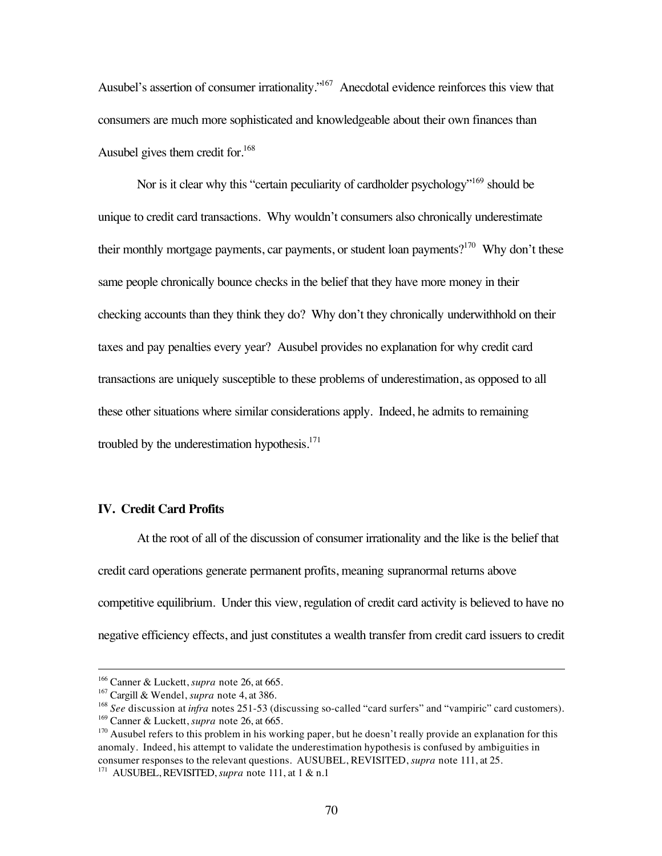Ausubel's assertion of consumer irrationality."<sup>167</sup> Anecdotal evidence reinforces this view that consumers are much more sophisticated and knowledgeable about their own finances than Ausubel gives them credit for.<sup>168</sup>

Nor is it clear why this "certain peculiarity of cardholder psychology"<sup>169</sup> should be unique to credit card transactions. Why wouldn't consumers also chronically underestimate their monthly mortgage payments, car payments, or student loan payments?<sup>170</sup> Why don't these same people chronically bounce checks in the belief that they have more money in their checking accounts than they think they do? Why don't they chronically underwithhold on their taxes and pay penalties every year? Ausubel provides no explanation for why credit card transactions are uniquely susceptible to these problems of underestimation, as opposed to all these other situations where similar considerations apply. Indeed, he admits to remaining troubled by the underestimation hypothesis. $171$ 

## **IV. Credit Card Profits**

At the root of all of the discussion of consumer irrationality and the like is the belief that credit card operations generate permanent profits, meaning supranormal returns above competitive equilibrium. Under this view, regulation of credit card activity is believed to have no negative efficiency effects, and just constitutes a wealth transfer from credit card issuers to credit

 <sup>166</sup> Canner & Luckett, *supra* note 26, at 665.

<sup>167</sup> Cargill & Wendel, *supra* note 4, at 386.

<sup>&</sup>lt;sup>168</sup> *See* discussion at *infra* notes 251-53 (discussing so-called "card surfers" and "vampiric" card customers). 169 Canner & Luckett, *supra* note 26, at 665.

<sup>&</sup>lt;sup>170</sup> Ausubel refers to this problem in his working paper, but he doesn't really provide an explanation for this anomaly. Indeed, his attempt to validate the underestimation hypothesis is confused by ambiguities in consumer responses to the relevant questions. AUSUBEL, REVISITED, *supra* note 111, at 25.

<sup>171</sup> AUSUBEL, REVISITED, *supra* note 111, at 1 & n.1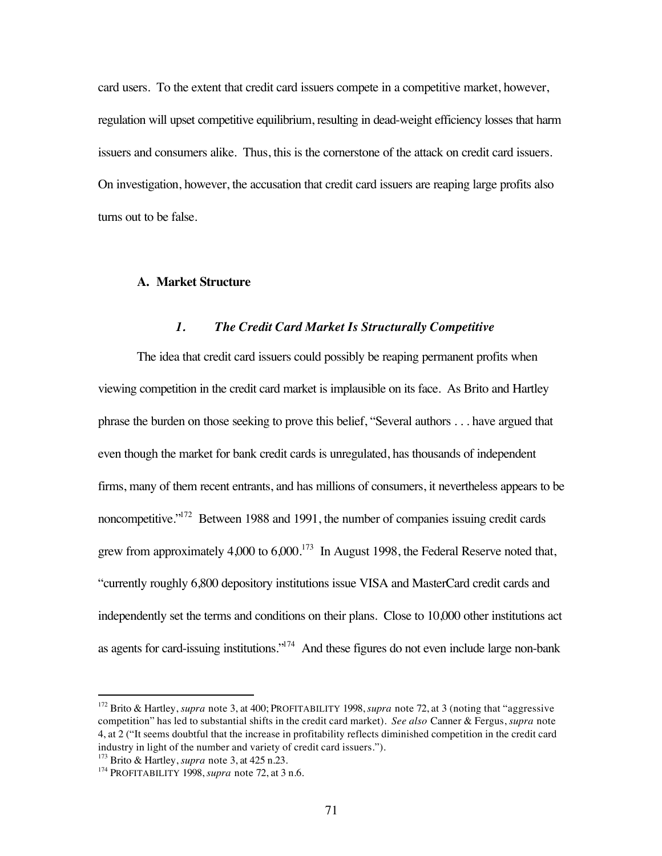card users. To the extent that credit card issuers compete in a competitive market, however, regulation will upset competitive equilibrium, resulting in dead-weight efficiency losses that harm issuers and consumers alike. Thus, this is the cornerstone of the attack on credit card issuers. On investigation, however, the accusation that credit card issuers are reaping large profits also turns out to be false.

## **A. Market Structure**

## *1. The Credit Card Market Is Structurally Competitive*

The idea that credit card issuers could possibly be reaping permanent profits when viewing competition in the credit card market is implausible on its face. As Brito and Hartley phrase the burden on those seeking to prove this belief, "Several authors . . . have argued that even though the market for bank credit cards is unregulated, has thousands of independent firms, many of them recent entrants, and has millions of consumers, it nevertheless appears to be noncompetitive."<sup>172</sup> Between 1988 and 1991, the number of companies issuing credit cards grew from approximately  $4,000$  to  $6,000$ .<sup>173</sup> In August 1998, the Federal Reserve noted that, "currently roughly 6,800 depository institutions issue VISA and MasterCard credit cards and independently set the terms and conditions on their plans. Close to 10,000 other institutions act as agents for card-issuing institutions."174 And these figures do not even include large non-bank

 <sup>172</sup> Brito & Hartley, *supra* note 3, at 400; PROFITABILITY 1998, *supra* note 72, at 3 (noting that "aggressive competition" has led to substantial shifts in the credit card market). *See also* Canner & Fergus, *supra* note 4, at 2 ("It seems doubtful that the increase in profitability reflects diminished competition in the credit card industry in light of the number and variety of credit card issuers.").

<sup>&</sup>lt;sup>173</sup> Brito & Hartley, *supra* note 3, at 425 n.23.

<sup>&</sup>lt;sup>174</sup> PROFITABILITY 1998, *supra* note 72, at 3 n.6.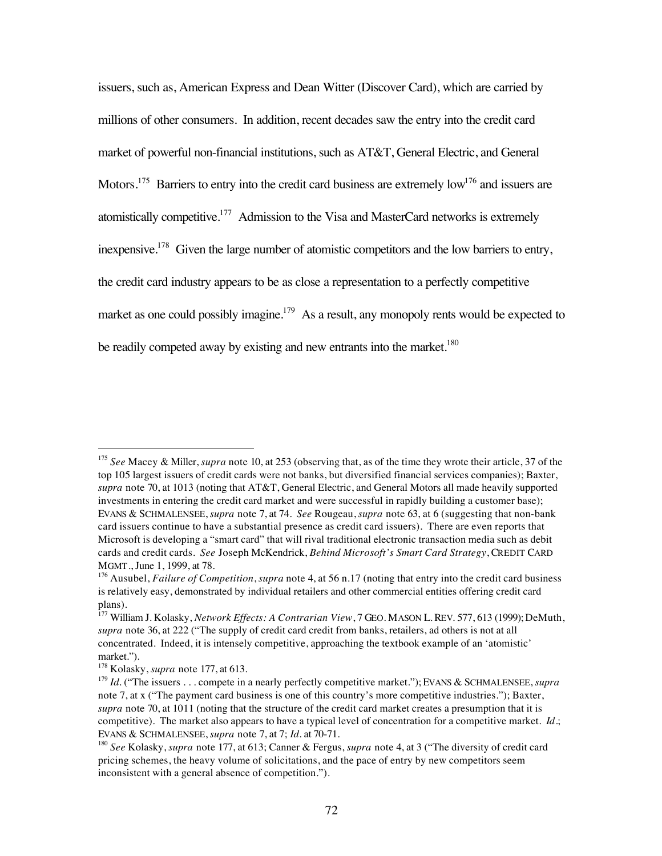issuers, such as, American Express and Dean Witter (Discover Card), which are carried by millions of other consumers. In addition, recent decades saw the entry into the credit card market of powerful non-financial institutions, such as AT&T, General Electric, and General Motors.<sup>175</sup> Barriers to entry into the credit card business are extremely low<sup>176</sup> and issuers are atomistically competitive.<sup>177</sup> Admission to the Visa and MasterCard networks is extremely inexpensive.<sup>178</sup> Given the large number of atomistic competitors and the low barriers to entry, the credit card industry appears to be as close a representation to a perfectly competitive market as one could possibly imagine.<sup>179</sup> As a result, any monopoly rents would be expected to be readily competed away by existing and new entrants into the market.<sup>180</sup>

 <sup>175</sup> *See* Macey & Miller, *supra* note 10, at 253 (observing that, as of the time they wrote their article, 37 of the top 105 largest issuers of credit cards were not banks, but diversified financial services companies); Baxter, *supra* note 70, at 1013 (noting that AT&T, General Electric, and General Motors all made heavily supported investments in entering the credit card market and were successful in rapidly building a customer base); EVANS & SCHMALENSEE, *supra* note 7, at 74. *See* Rougeau, *supra* note 63, at 6 (suggesting that non-bank card issuers continue to have a substantial presence as credit card issuers). There are even reports that Microsoft is developing a "smart card" that will rival traditional electronic transaction media such as debit cards and credit cards. *See* Joseph McKendrick, *Behind Microsoft's Smart Card Strategy*, CREDIT CARD MGMT., June 1, 1999, at 78.

<sup>176</sup> Ausubel, *Failure of Competition*, *supra* note 4, at 56 n.17 (noting that entry into the credit card business is relatively easy, demonstrated by individual retailers and other commercial entities offering credit card plans).

<sup>177</sup> William J. Kolasky, *Network Effects: A Contrarian View*, 7 GEO. MASON L. REV. 577, 613 (1999); DeMuth, *supra* note 36, at 222 ("The supply of credit card credit from banks, retailers, ad others is not at all concentrated. Indeed, it is intensely competitive, approaching the textbook example of an 'atomistic' market.").

<sup>178</sup> Kolasky, *supra* note 177, at 613.

<sup>&</sup>lt;sup>179</sup> *Id.* ("The issuers . . . compete in a nearly perfectly competitive market."); EVANS & SCHMALENSEE, *supra* note 7, at x ("The payment card business is one of this country's more competitive industries."); Baxter, *supra* note 70, at 1011 (noting that the structure of the credit card market creates a presumption that it is competitive). The market also appears to have a typical level of concentration for a competitive market. *Id*.; EVANS & SCHMALENSEE, *supra* note 7, at 7; *Id.* at 70-71.

<sup>180</sup> *See* Kolasky, *supra* note 177, at 613; Canner & Fergus, *supra* note 4, at 3 ("The diversity of credit card pricing schemes, the heavy volume of solicitations, and the pace of entry by new competitors seem inconsistent with a general absence of competition.").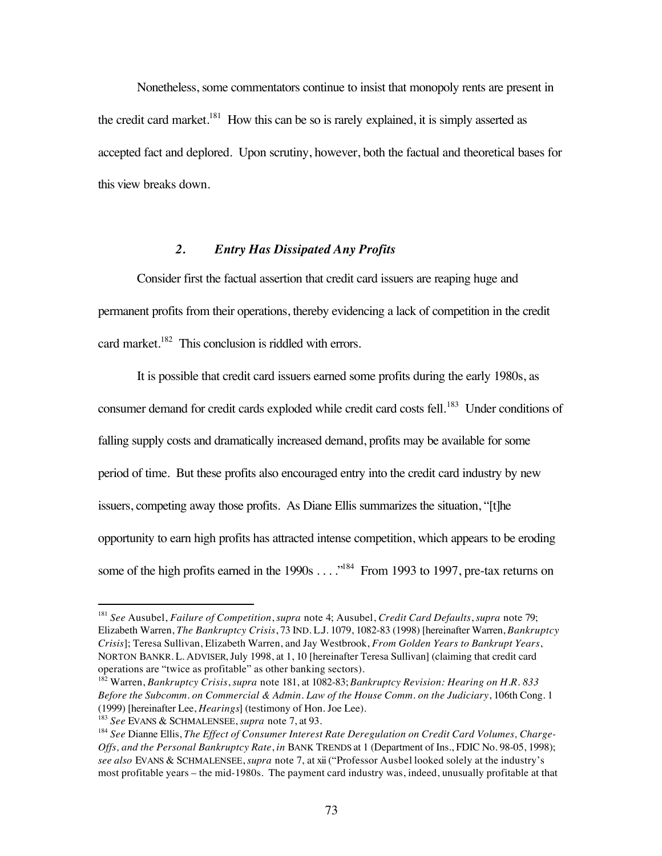Nonetheless, some commentators continue to insist that monopoly rents are present in the credit card market. $^{181}$  How this can be so is rarely explained, it is simply asserted as accepted fact and deplored. Upon scrutiny, however, both the factual and theoretical bases for this view breaks down.

### *2. Entry Has Dissipated Any Profits*

Consider first the factual assertion that credit card issuers are reaping huge and permanent profits from their operations, thereby evidencing a lack of competition in the credit card market.<sup>182</sup> This conclusion is riddled with errors.

It is possible that credit card issuers earned some profits during the early 1980s, as consumer demand for credit cards exploded while credit card costs fell.<sup>183</sup> Under conditions of falling supply costs and dramatically increased demand, profits may be available for some period of time. But these profits also encouraged entry into the credit card industry by new issuers, competing away those profits. As Diane Ellis summarizes the situation, "[t]he opportunity to earn high profits has attracted intense competition, which appears to be eroding some of the high profits earned in the 1990s . . . .<sup>184</sup> From 1993 to 1997, pre-tax returns on

 <sup>181</sup> *See* Ausubel, *Failure of Competition*, *supra* note 4; Ausubel, *Credit Card Defaults*, *supra* note 79; Elizabeth Warren, *The Bankruptcy Crisis*, 73 IND. L.J. 1079, 1082-83 (1998) [hereinafter Warren, *Bankruptcy Crisis*]; Teresa Sullivan, Elizabeth Warren, and Jay Westbrook, *From Golden Years to Bankrupt Years*, NORTON BANKR. L. ADVISER, July 1998, at 1, 10 [hereinafter Teresa Sullivan] (claiming that credit card operations are "twice as profitable" as other banking sectors).

<sup>182</sup> Warren, *Bankruptcy Crisis*, *supra* note 181, at 1082-83; *Bankruptcy Revision: Hearing on H.R. 833 Before the Subcomm. on Commercial & Admin. Law of the House Comm. on the Judiciary*, 106th Cong. 1 (1999) [hereinafter Lee, *Hearings*] (testimony of Hon. Joe Lee).

<sup>183</sup> *See* EVANS & SCHMALENSEE, *supra* note 7, at 93.

<sup>&</sup>lt;sup>184</sup> See Dianne Ellis, *The Effect of Consumer Interest Rate Deregulation on Credit Card Volumes, Charge-Offs, and the Personal Bankruptcy Rate*, *in* BANK TRENDS at 1 (Department of Ins., FDIC No. 98-05, 1998); *see also* EVANS & SCHMALENSEE, *supra* note 7, at xii ("Professor Ausbel looked solely at the industry's most profitable years – the mid-1980s. The payment card industry was, indeed, unusually profitable at that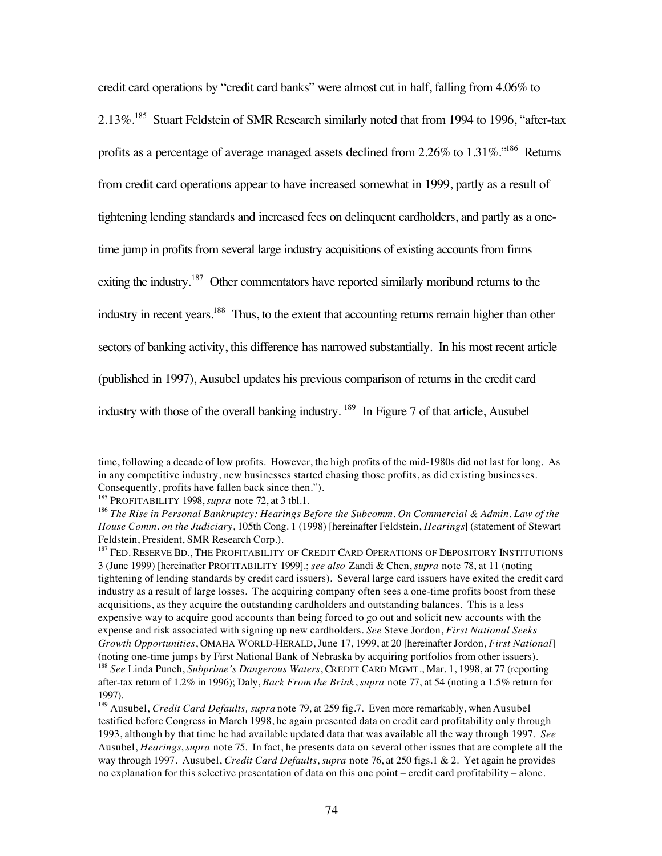credit card operations by "credit card banks" were almost cut in half, falling from 4.06% to

2.13%.<sup>185</sup> Stuart Feldstein of SMR Research similarly noted that from 1994 to 1996, "after-tax

profits as a percentage of average managed assets declined from 2.26% to 1.31%."186 Returns

from credit card operations appear to have increased somewhat in 1999, partly as a result of

tightening lending standards and increased fees on delinquent cardholders, and partly as a one-

time jump in profits from several large industry acquisitions of existing accounts from firms

exiting the industry.<sup>187</sup> Other commentators have reported similarly moribund returns to the

industry in recent years.<sup>188</sup> Thus, to the extent that accounting returns remain higher than other

sectors of banking activity, this difference has narrowed substantially. In his most recent article

(published in 1997), Ausubel updates his previous comparison of returns in the credit card

industry with those of the overall banking industry. <sup>189</sup> In Figure 7 of that article, Ausubel

 $\overline{a}$ 

time, following a decade of low profits. However, the high profits of the mid-1980s did not last for long. As in any competitive industry, new businesses started chasing those profits, as did existing businesses. Consequently, profits have fallen back since then.").

<sup>&</sup>lt;sup>185</sup> PROFITABILITY 1998, *supra* note 72, at 3 tbl.1.

<sup>186</sup> *The Rise in Personal Bankruptcy: Hearings Before the Subcomm. On Commercial & Admin. Law of the House Comm. on the Judiciary*, 105th Cong. 1 (1998) [hereinafter Feldstein, *Hearings*] (statement of Stewart Feldstein, President, SMR Research Corp.).

<sup>&</sup>lt;sup>187</sup> FED. RESERVE BD., THE PROFITABILITY OF CREDIT CARD OPERATIONS OF DEPOSITORY INSTITUTIONS 3 (June 1999) [hereinafter PROFITABILITY 1999].; *see also* Zandi & Chen, *supra* note 78, at 11 (noting tightening of lending standards by credit card issuers). Several large card issuers have exited the credit card industry as a result of large losses. The acquiring company often sees a one-time profits boost from these acquisitions, as they acquire the outstanding cardholders and outstanding balances. This is a less expensive way to acquire good accounts than being forced to go out and solicit new accounts with the expense and risk associated with signing up new cardholders. *See* Steve Jordon, *First National Seeks Growth Opportunities*, OMAHA WORLD-HERALD, June 17, 1999, at 20 [hereinafter Jordon, *First National*] (noting one-time jumps by First National Bank of Nebraska by acquiring portfolios from other issuers). <sup>188</sup> *See* Linda Punch, *Subprime's Dangerous Waters*, CREDIT CARD MGMT., Mar. 1, 1998, at 77 (reporting after-tax return of 1.2% in 1996); Daly, *Back From the Brink*, *supra* note 77, at 54 (noting a 1.5% return for 1997).

<sup>189</sup> Ausubel, *Credit Card Defaults, supra* note 79, at 259 fig.7. Even more remarkably, when Ausubel testified before Congress in March 1998, he again presented data on credit card profitability only through 1993, although by that time he had available updated data that was available all the way through 1997. *See* Ausubel, *Hearings*, *supra* note 75. In fact, he presents data on several other issues that are complete all the way through 1997. Ausubel, *Credit Card Defaults*, *supra* note 76, at 250 figs.1 & 2. Yet again he provides no explanation for this selective presentation of data on this one point – credit card profitability – alone.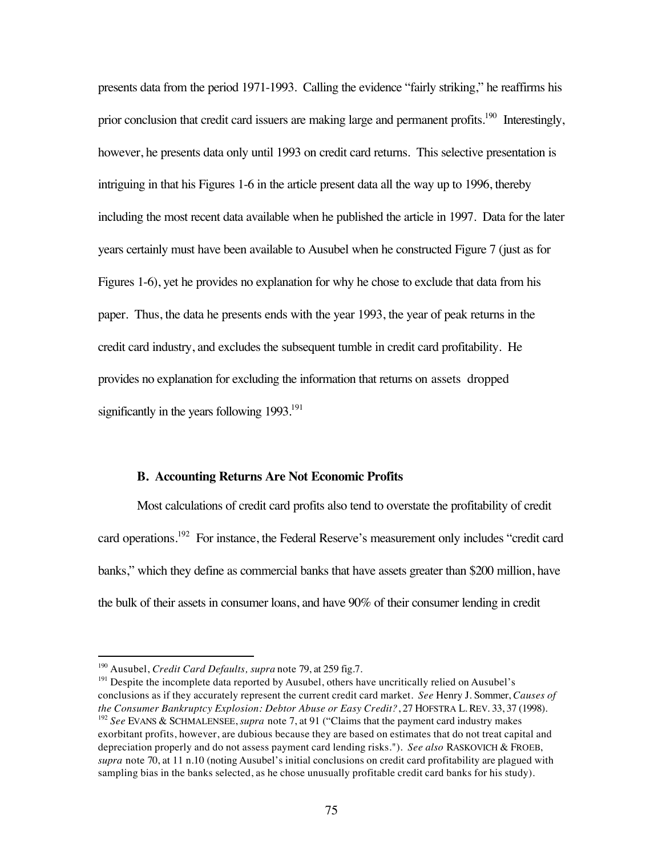presents data from the period 1971-1993. Calling the evidence "fairly striking," he reaffirms his prior conclusion that credit card issuers are making large and permanent profits.<sup>190</sup> Interestingly, however, he presents data only until 1993 on credit card returns. This selective presentation is intriguing in that his Figures 1-6 in the article present data all the way up to 1996, thereby including the most recent data available when he published the article in 1997. Data for the later years certainly must have been available to Ausubel when he constructed Figure 7 (just as for Figures 1-6), yet he provides no explanation for why he chose to exclude that data from his paper. Thus, the data he presents ends with the year 1993, the year of peak returns in the credit card industry, and excludes the subsequent tumble in credit card profitability. He provides no explanation for excluding the information that returns on assets dropped significantly in the years following  $1993$ <sup>191</sup>

#### **B. Accounting Returns Are Not Economic Profits**

Most calculations of credit card profits also tend to overstate the profitability of credit card operations.<sup>192</sup> For instance, the Federal Reserve's measurement only includes "credit card banks," which they define as commercial banks that have assets greater than \$200 million, have the bulk of their assets in consumer loans, and have 90% of their consumer lending in credit

 <sup>190</sup> Ausubel, *Credit Card Defaults, supra* note 79, at 259 fig.7.

<sup>&</sup>lt;sup>191</sup> Despite the incomplete data reported by Ausubel, others have uncritically relied on Ausubel's conclusions as if they accurately represent the current credit card market. *See* Henry J. Sommer, *Causes of the Consumer Bankruptcy Explosion: Debtor Abuse or Easy Credit?*, 27 HOFSTRA L. REV. 33, 37 (1998). <sup>192</sup> *See* EVANS & SCHMALENSEE, *supra* note 7, at 91 ("Claims that the payment card industry makes exorbitant profits, however, are dubious because they are based on estimates that do not treat capital and depreciation properly and do not assess payment card lending risks."). *See also* RASKOVICH & FROEB, *supra* note 70, at 11 n.10 (noting Ausubel's initial conclusions on credit card profitability are plagued with sampling bias in the banks selected, as he chose unusually profitable credit card banks for his study).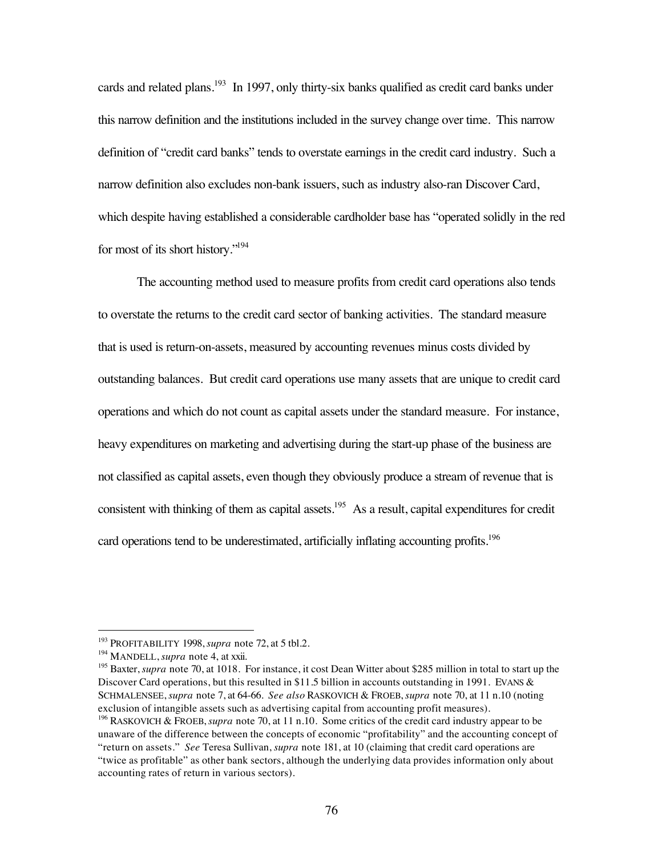cards and related plans.<sup>193</sup> In 1997, only thirty-six banks qualified as credit card banks under this narrow definition and the institutions included in the survey change over time. This narrow definition of "credit card banks" tends to overstate earnings in the credit card industry. Such a narrow definition also excludes non-bank issuers, such as industry also-ran Discover Card, which despite having established a considerable cardholder base has "operated solidly in the red for most of its short history."194

The accounting method used to measure profits from credit card operations also tends to overstate the returns to the credit card sector of banking activities. The standard measure that is used is return-on-assets, measured by accounting revenues minus costs divided by outstanding balances. But credit card operations use many assets that are unique to credit card operations and which do not count as capital assets under the standard measure. For instance, heavy expenditures on marketing and advertising during the start-up phase of the business are not classified as capital assets, even though they obviously produce a stream of revenue that is consistent with thinking of them as capital assets.<sup>195</sup> As a result, capital expenditures for credit card operations tend to be underestimated, artificially inflating accounting profits.<sup>196</sup>

 <sup>193</sup> PROFITABILITY 1998, *supra* note 72, at 5 tbl.2.

<sup>194</sup> MANDELL, *supra* note 4, at xxii.

<sup>&</sup>lt;sup>195</sup> Baxter, *supra* note 70, at 1018. For instance, it cost Dean Witter about \$285 million in total to start up the Discover Card operations, but this resulted in \$11.5 billion in accounts outstanding in 1991. EVANS & SCHMALENSEE, *supra* note 7, at 64-66. *See also* RASKOVICH & FROEB, *supra* note 70, at 11 n.10 (noting exclusion of intangible assets such as advertising capital from accounting profit measures).

<sup>196</sup> RASKOVICH & FROEB, *supra* note 70, at 11 n.10. Some critics of the credit card industry appear to be unaware of the difference between the concepts of economic "profitability" and the accounting concept of "return on assets." *See* Teresa Sullivan, *supra* note 181, at 10 (claiming that credit card operations are "twice as profitable" as other bank sectors, although the underlying data provides information only about accounting rates of return in various sectors).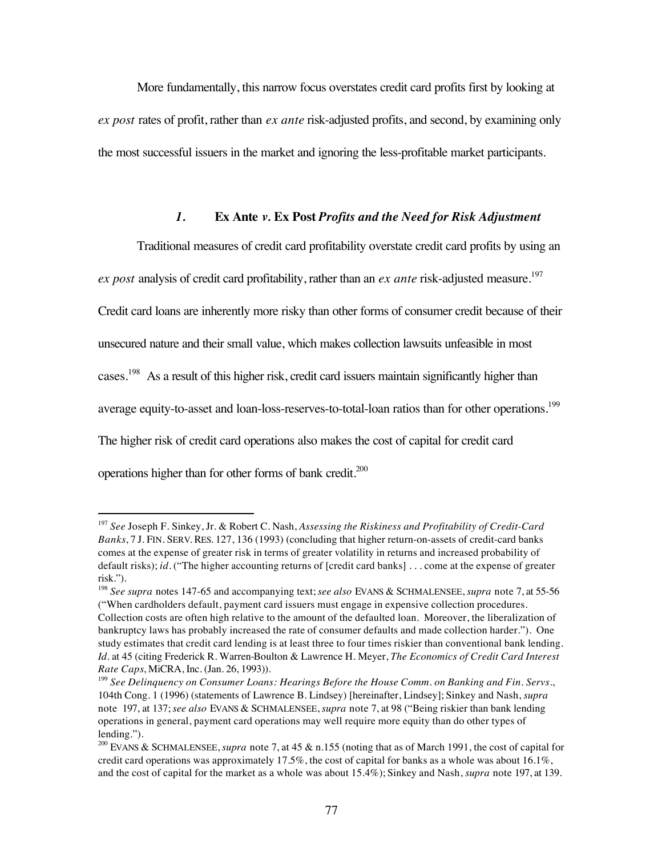More fundamentally, this narrow focus overstates credit card profits first by looking at *ex post* rates of profit, rather than *ex ante* risk-adjusted profits, and second, by examining only the most successful issuers in the market and ignoring the less-profitable market participants.

### *1.* **Ex Ante** *v.* **Ex Post** *Profits and the Need for Risk Adjustment*

Traditional measures of credit card profitability overstate credit card profits by using an *ex post* analysis of credit card profitability, rather than an *ex ante* risk-adjusted measure.<sup>197</sup> Credit card loans are inherently more risky than other forms of consumer credit because of their unsecured nature and their small value, which makes collection lawsuits unfeasible in most cases.198 As a result of this higher risk, credit card issuers maintain significantly higher than average equity-to-asset and loan-loss-reserves-to-total-loan ratios than for other operations.<sup>199</sup> The higher risk of credit card operations also makes the cost of capital for credit card operations higher than for other forms of bank credit.200

 <sup>197</sup> *See* Joseph F. Sinkey, Jr. & Robert C. Nash, *Assessing the Riskiness and Profitability of Credit-Card Banks*, 7 J. FIN. SERV. RES. 127, 136 (1993) (concluding that higher return-on-assets of credit-card banks comes at the expense of greater risk in terms of greater volatility in returns and increased probability of default risks); *id.* ("The higher accounting returns of [credit card banks] . . . come at the expense of greater risk.").

<sup>198</sup> *See supra* notes 147-65 and accompanying text; *see also* EVANS & SCHMALENSEE, *supra* note 7, at 55-56 ("When cardholders default, payment card issuers must engage in expensive collection procedures. Collection costs are often high relative to the amount of the defaulted loan. Moreover, the liberalization of bankruptcy laws has probably increased the rate of consumer defaults and made collection harder."). One study estimates that credit card lending is at least three to four times riskier than conventional bank lending. *Id.* at 45 (citing Frederick R. Warren-Boulton & Lawrence H. Meyer, *The Economics of Credit Card Interest Rate Caps*, MiCRA, Inc. (Jan. 26, 1993)).

<sup>199</sup> *See Delinquency on Consumer Loans: Hearings Before the House Comm. on Banking and Fin. Servs.*, 104th Cong. 1 (1996) (statements of Lawrence B. Lindsey) [hereinafter, Lindsey]; Sinkey and Nash, *supra* note 197, at 137; *see also* EVANS & SCHMALENSEE, *supra* note 7, at 98 ("Being riskier than bank lending operations in general, payment card operations may well require more equity than do other types of lending.").

<sup>200</sup> EVANS & SCHMALENSEE, *supra* note 7, at 45 & n.155 (noting that as of March 1991, the cost of capital for credit card operations was approximately 17.5%, the cost of capital for banks as a whole was about 16.1%, and the cost of capital for the market as a whole was about 15.4%); Sinkey and Nash, *supra* note 197, at 139.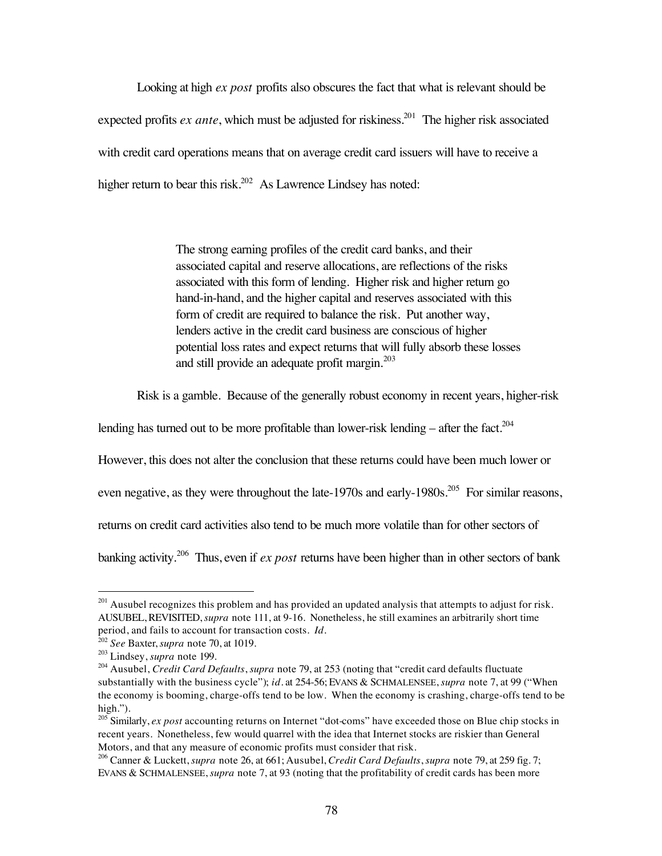Looking at high *ex post* profits also obscures the fact that what is relevant should be expected profits *ex ante*, which must be adjusted for riskiness.<sup>201</sup> The higher risk associated with credit card operations means that on average credit card issuers will have to receive a higher return to bear this risk.<sup>202</sup> As Lawrence Lindsey has noted:

> The strong earning profiles of the credit card banks, and their associated capital and reserve allocations, are reflections of the risks associated with this form of lending. Higher risk and higher return go hand-in-hand, and the higher capital and reserves associated with this form of credit are required to balance the risk. Put another way, lenders active in the credit card business are conscious of higher potential loss rates and expect returns that will fully absorb these losses and still provide an adequate profit margin.<sup>203</sup>

Risk is a gamble. Because of the generally robust economy in recent years, higher-risk

lending has turned out to be more profitable than lower-risk lending – after the fact.<sup>204</sup>

However, this does not alter the conclusion that these returns could have been much lower or

even negative, as they were throughout the late-1970s and early-1980s.<sup>205</sup> For similar reasons,

returns on credit card activities also tend to be much more volatile than for other sectors of

banking activity.<sup>206</sup> Thus, even if *ex post* returns have been higher than in other sectors of bank

 $201$  Ausubel recognizes this problem and has provided an updated analysis that attempts to adjust for risk. AUSUBEL, REVISITED, *supra* note 111, at 9-16. Nonetheless, he still examines an arbitrarily short time period, and fails to account for transaction costs. *Id.*

<sup>202</sup> *See* Baxter, *supra* note 70, at 1019.

<sup>203</sup> Lindsey, *supra* note 199.

<sup>204</sup> Ausubel, *Credit Card Defaults*, *supra* note 79, at 253 (noting that "credit card defaults fluctuate substantially with the business cycle"); *id.* at 254-56; EVANS & SCHMALENSEE, *supra* note 7, at 99 ("When the economy is booming, charge-offs tend to be low. When the economy is crashing, charge-offs tend to be high.").

<sup>205</sup> Similarly, *ex post* accounting returns on Internet "dot-coms" have exceeded those on Blue chip stocks in recent years. Nonetheless, few would quarrel with the idea that Internet stocks are riskier than General Motors, and that any measure of economic profits must consider that risk.

<sup>206</sup> Canner & Luckett, *supra* note 26, at 661; Ausubel, *Credit Card Defaults*, *supra* note 79, at 259 fig. 7; EVANS & SCHMALENSEE, *supra* note 7, at 93 (noting that the profitability of credit cards has been more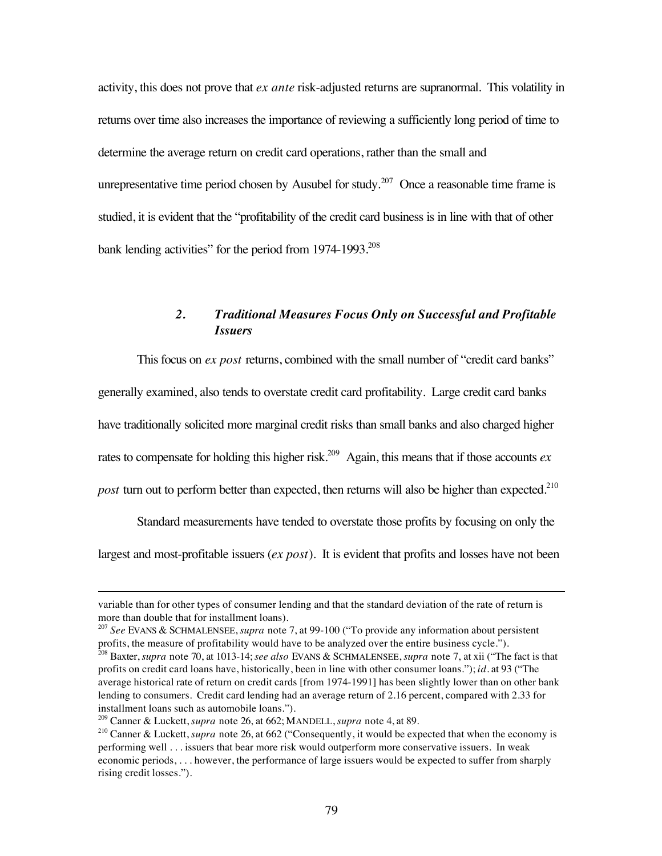activity, this does not prove that *ex ante* risk-adjusted returns are supranormal. This volatility in returns over time also increases the importance of reviewing a sufficiently long period of time to determine the average return on credit card operations, rather than the small and unrepresentative time period chosen by Ausubel for study.<sup>207</sup> Once a reasonable time frame is studied, it is evident that the "profitability of the credit card business is in line with that of other bank lending activities" for the period from 1974-1993.<sup>208</sup>

## *2. Traditional Measures Focus Only on Successful and Profitable Issuers*

This focus on *ex post* returns, combined with the small number of "credit card banks" generally examined, also tends to overstate credit card profitability. Large credit card banks have traditionally solicited more marginal credit risks than small banks and also charged higher rates to compensate for holding this higher risk.<sup>209</sup> Again, this means that if those accounts  $ex$ *post* turn out to perform better than expected, then returns will also be higher than expected.<sup>210</sup>

Standard measurements have tended to overstate those profits by focusing on only the largest and most-profitable issuers (*ex post*). It is evident that profits and losses have not been

 $\overline{a}$ 

variable than for other types of consumer lending and that the standard deviation of the rate of return is more than double that for installment loans).

<sup>207</sup> *See* EVANS & SCHMALENSEE, *supra* note 7, at 99-100 ("To provide any information about persistent profits, the measure of profitability would have to be analyzed over the entire business cycle.").

<sup>208</sup> Baxter, *supra* note 70, at 1013-14; *see also* EVANS & SCHMALENSEE, *supra* note 7, at xii ("The fact is that profits on credit card loans have, historically, been in line with other consumer loans."); *id.* at 93 ("The average historical rate of return on credit cards [from 1974-1991] has been slightly lower than on other bank lending to consumers. Credit card lending had an average return of 2.16 percent, compared with 2.33 for installment loans such as automobile loans.").

<sup>209</sup> Canner & Luckett, *supra* note 26, at 662; MANDELL, *supra* note 4, at 89.

<sup>&</sup>lt;sup>210</sup> Canner & Luckett, *supra* note 26, at 662 ("Consequently, it would be expected that when the economy is performing well . . . issuers that bear more risk would outperform more conservative issuers. In weak economic periods, . . . however, the performance of large issuers would be expected to suffer from sharply rising credit losses.").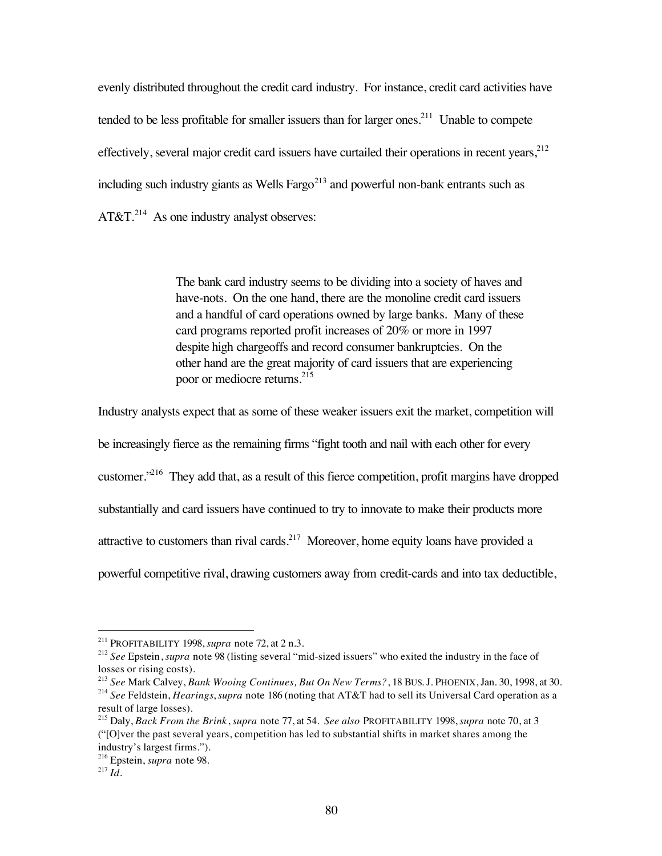evenly distributed throughout the credit card industry. For instance, credit card activities have tended to be less profitable for smaller issuers than for larger ones.<sup>211</sup> Unable to compete effectively, several major credit card issuers have curtailed their operations in recent years,  $212$ including such industry giants as Wells Fargo $^{213}$  and powerful non-bank entrants such as  $AT&T.^{214}$  As one industry analyst observes:

> The bank card industry seems to be dividing into a society of haves and have-nots. On the one hand, there are the monoline credit card issuers and a handful of card operations owned by large banks. Many of these card programs reported profit increases of 20% or more in 1997 despite high chargeoffs and record consumer bankruptcies. On the other hand are the great majority of card issuers that are experiencing poor or mediocre returns.<sup>215</sup>

Industry analysts expect that as some of these weaker issuers exit the market, competition will

be increasingly fierce as the remaining firms "fight tooth and nail with each other for every

customer."216 They add that, as a result of this fierce competition, profit margins have dropped

substantially and card issuers have continued to try to innovate to make their products more

attractive to customers than rival cards.217 Moreover, home equity loans have provided a

powerful competitive rival, drawing customers away from credit-cards and into tax deductible,

 <sup>211</sup> PROFITABILITY 1998, *supra* note 72, at 2 n.3.

<sup>212</sup> *See* Epstein, *supra* note 98 (listing several "mid-sized issuers" who exited the industry in the face of losses or rising costs).

<sup>213</sup> *See* Mark Calvey, *Bank Wooing Continues, But On New Terms?*, 18 BUS. J. PHOENIX, Jan. 30, 1998, at 30. <sup>214</sup> *See* Feldstein, *Hearings*, *supra* note 186 (noting that AT&T had to sell its Universal Card operation as a result of large losses).

<sup>215</sup> Daly, *Back From the Brink*, *supra* note 77, at 54. *See also* PROFITABILITY 1998, *supra* note 70, at 3 ("[O]ver the past several years, competition has led to substantial shifts in market shares among the industry's largest firms.").

<sup>216</sup> Epstein, *supra* note 98.

 $^{217}Id.$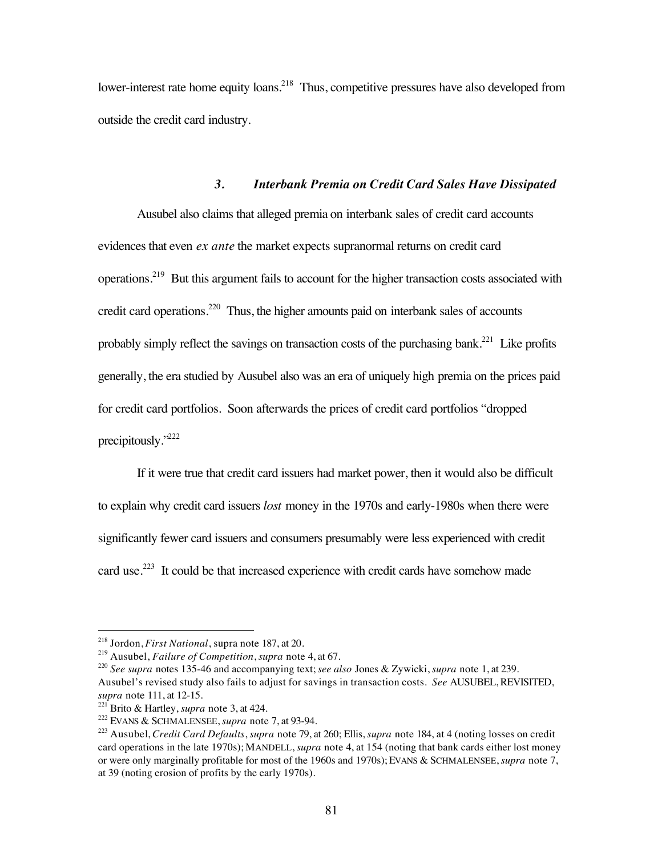lower-interest rate home equity loans.<sup>218</sup> Thus, competitive pressures have also developed from outside the credit card industry.

### *3. Interbank Premia on Credit Card Sales Have Dissipated*

Ausubel also claims that alleged premia on interbank sales of credit card accounts evidences that even *ex ante* the market expects supranormal returns on credit card operations.219 But this argument fails to account for the higher transaction costs associated with credit card operations.<sup>220</sup> Thus, the higher amounts paid on interbank sales of accounts probably simply reflect the savings on transaction costs of the purchasing bank.<sup>221</sup> Like profits generally, the era studied by Ausubel also was an era of uniquely high premia on the prices paid for credit card portfolios. Soon afterwards the prices of credit card portfolios "dropped precipitously."222

If it were true that credit card issuers had market power, then it would also be difficult to explain why credit card issuers *lost* money in the 1970s and early-1980s when there were significantly fewer card issuers and consumers presumably were less experienced with credit card use.223 It could be that increased experience with credit cards have somehow made

 <sup>218</sup> Jordon, *First National*, supra note 187, at 20.

<sup>219</sup> Ausubel, *Failure of Competition*, *supra* note 4, at 67.

<sup>220</sup> *See supra* notes 135-46 and accompanying text; *see also* Jones & Zywicki, *supra* note 1, at 239. Ausubel's revised study also fails to adjust for savings in transaction costs. *See* AUSUBEL, REVISITED, *supra* note 111, at 12-15.

<sup>221</sup> Brito & Hartley, *supra* note 3, at 424.

<sup>222</sup> EVANS & SCHMALENSEE, *supra* note 7, at 93-94.

<sup>223</sup> Ausubel, *Credit Card Defaults*, *supra* note 79, at 260; Ellis, *supra* note 184, at 4 (noting losses on credit card operations in the late 1970s); MANDELL, *supra* note 4, at 154 (noting that bank cards either lost money or were only marginally profitable for most of the 1960s and 1970s); EVANS & SCHMALENSEE, *supra* note 7, at 39 (noting erosion of profits by the early 1970s).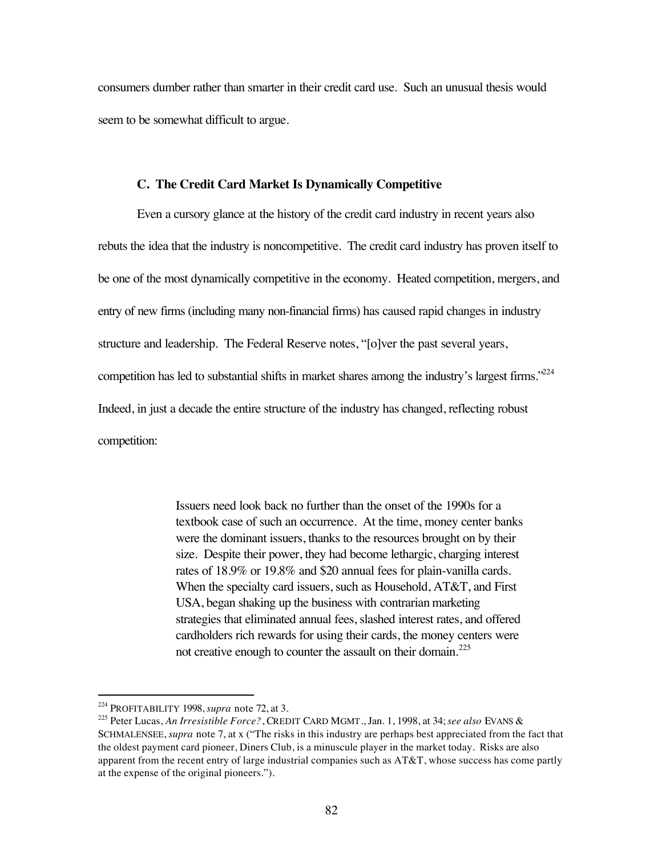consumers dumber rather than smarter in their credit card use. Such an unusual thesis would seem to be somewhat difficult to argue.

#### **C. The Credit Card Market Is Dynamically Competitive**

Even a cursory glance at the history of the credit card industry in recent years also rebuts the idea that the industry is noncompetitive. The credit card industry has proven itself to be one of the most dynamically competitive in the economy. Heated competition, mergers, and entry of new firms (including many non-financial firms) has caused rapid changes in industry structure and leadership. The Federal Reserve notes, "[o]ver the past several years, competition has led to substantial shifts in market shares among the industry's largest firms."<sup>224</sup> Indeed, in just a decade the entire structure of the industry has changed, reflecting robust competition:

> Issuers need look back no further than the onset of the 1990s for a textbook case of such an occurrence. At the time, money center banks were the dominant issuers, thanks to the resources brought on by their size. Despite their power, they had become lethargic, charging interest rates of 18.9% or 19.8% and \$20 annual fees for plain-vanilla cards. When the specialty card issuers, such as Household, AT&T, and First USA, began shaking up the business with contrarian marketing strategies that eliminated annual fees, slashed interest rates, and offered cardholders rich rewards for using their cards, the money centers were not creative enough to counter the assault on their domain. $225$

 <sup>224</sup> PROFITABILITY 1998, *supra* note 72, at 3.

<sup>225</sup> Peter Lucas, *An Irresistible Force?*, CREDIT CARD MGMT., Jan. 1, 1998, at 34; *see also* EVANS & SCHMALENSEE, *supra* note 7, at x ("The risks in this industry are perhaps best appreciated from the fact that the oldest payment card pioneer, Diners Club, is a minuscule player in the market today. Risks are also apparent from the recent entry of large industrial companies such as AT&T, whose success has come partly at the expense of the original pioneers.").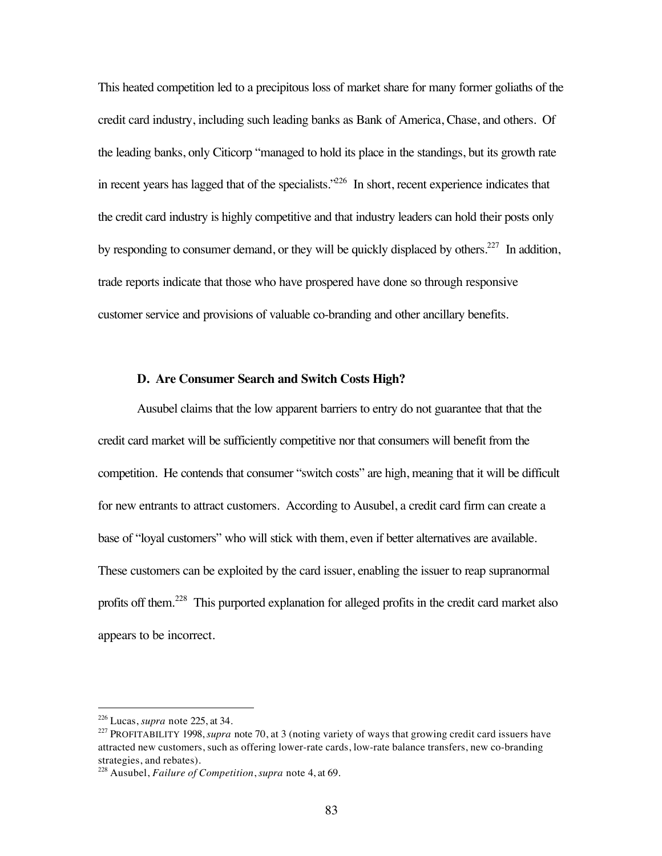This heated competition led to a precipitous loss of market share for many former goliaths of the credit card industry, including such leading banks as Bank of America, Chase, and others. Of the leading banks, only Citicorp "managed to hold its place in the standings, but its growth rate in recent years has lagged that of the specialists. $226$  In short, recent experience indicates that the credit card industry is highly competitive and that industry leaders can hold their posts only by responding to consumer demand, or they will be quickly displaced by others.<sup>227</sup> In addition, trade reports indicate that those who have prospered have done so through responsive customer service and provisions of valuable co-branding and other ancillary benefits.

#### **D. Are Consumer Search and Switch Costs High?**

Ausubel claims that the low apparent barriers to entry do not guarantee that that the credit card market will be sufficiently competitive nor that consumers will benefit from the competition. He contends that consumer "switch costs" are high, meaning that it will be difficult for new entrants to attract customers. According to Ausubel, a credit card firm can create a base of "loyal customers" who will stick with them, even if better alternatives are available. These customers can be exploited by the card issuer, enabling the issuer to reap supranormal profits off them.<sup>228</sup> This purported explanation for alleged profits in the credit card market also appears to be incorrect.

 <sup>226</sup> Lucas, *supra* note 225, at 34.

<sup>&</sup>lt;sup>227</sup> PROFITABILITY 1998, *supra* note 70, at 3 (noting variety of ways that growing credit card issuers have attracted new customers, such as offering lower-rate cards, low-rate balance transfers, new co-branding strategies, and rebates).

<sup>228</sup> Ausubel, *Failure of Competition*, *supra* note 4, at 69.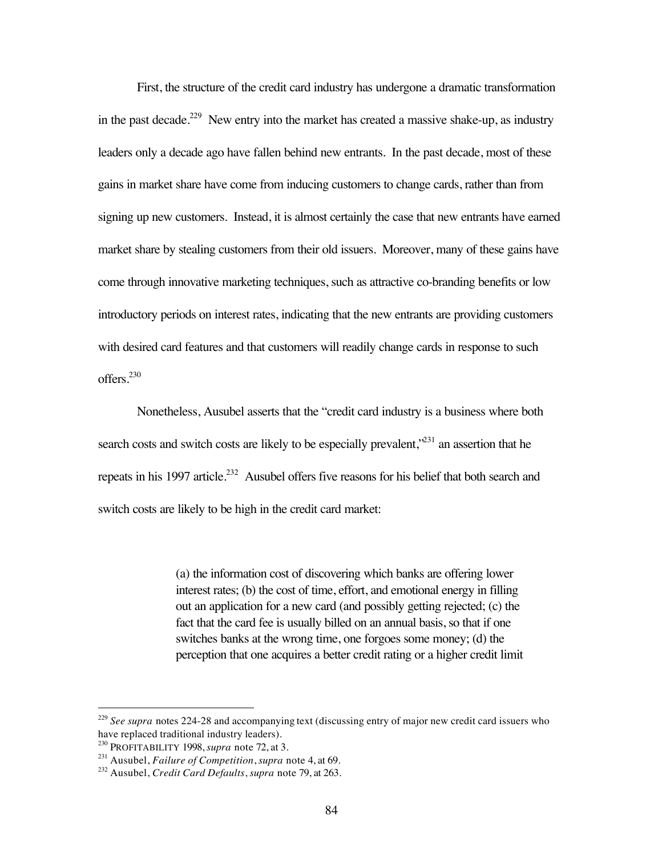First, the structure of the credit card industry has undergone a dramatic transformation in the past decade.<sup>229</sup> New entry into the market has created a massive shake-up, as industry leaders only a decade ago have fallen behind new entrants. In the past decade, most of these gains in market share have come from inducing customers to change cards, rather than from signing up new customers. Instead, it is almost certainly the case that new entrants have earned market share by stealing customers from their old issuers. Moreover, many of these gains have come through innovative marketing techniques, such as attractive co-branding benefits or low introductory periods on interest rates, indicating that the new entrants are providing customers with desired card features and that customers will readily change cards in response to such offers.<sup>230</sup>

Nonetheless, Ausubel asserts that the "credit card industry is a business where both search costs and switch costs are likely to be especially prevalent,<sup> $231$ </sup> an assertion that he repeats in his 1997 article.<sup>232</sup> Ausubel offers five reasons for his belief that both search and switch costs are likely to be high in the credit card market:

> (a) the information cost of discovering which banks are offering lower interest rates; (b) the cost of time, effort, and emotional energy in filling out an application for a new card (and possibly getting rejected; (c) the fact that the card fee is usually billed on an annual basis, so that if one switches banks at the wrong time, one forgoes some money; (d) the perception that one acquires a better credit rating or a higher credit limit

<sup>&</sup>lt;sup>229</sup> See supra notes 224-28 and accompanying text (discussing entry of major new credit card issuers who have replaced traditional industry leaders).

<sup>230</sup> PROFITABILITY 1998, *supra* note 72, at 3.

<sup>231</sup> Ausubel, *Failure of Competition*, *supra* note 4, at 69.

<sup>232</sup> Ausubel, *Credit Card Defaults*, *supra* note 79, at 263.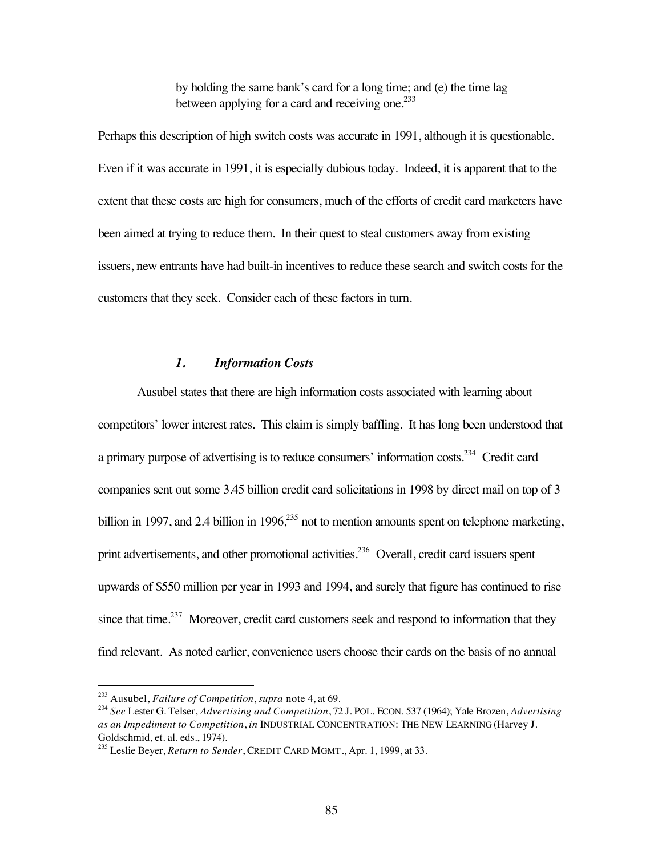by holding the same bank's card for a long time; and (e) the time lag between applying for a card and receiving one. $233$ 

Perhaps this description of high switch costs was accurate in 1991, although it is questionable. Even if it was accurate in 1991, it is especially dubious today. Indeed, it is apparent that to the extent that these costs are high for consumers, much of the efforts of credit card marketers have been aimed at trying to reduce them. In their quest to steal customers away from existing issuers, new entrants have had built-in incentives to reduce these search and switch costs for the customers that they seek. Consider each of these factors in turn.

## *1. Information Costs*

Ausubel states that there are high information costs associated with learning about competitors' lower interest rates. This claim is simply baffling. It has long been understood that a primary purpose of advertising is to reduce consumers' information costs.234 Credit card companies sent out some 3.45 billion credit card solicitations in 1998 by direct mail on top of 3 billion in 1997, and 2.4 billion in 1996, $^{235}$  not to mention amounts spent on telephone marketing, print advertisements, and other promotional activities.<sup>236</sup> Overall, credit card issuers spent upwards of \$550 million per year in 1993 and 1994, and surely that figure has continued to rise since that time.<sup>237</sup> Moreover, credit card customers seek and respond to information that they find relevant. As noted earlier, convenience users choose their cards on the basis of no annual

 <sup>233</sup> Ausubel, *Failure of Competition*, *supra* note 4, at 69.

<sup>234</sup> *See* Lester G. Telser, *Advertising and Competition*, 72 J. POL. ECON. 537 (1964); Yale Brozen, *Advertising as an Impediment to Competition*, *in* INDUSTRIAL CONCENTRATION: THE NEW LEARNING (Harvey J. Goldschmid, et. al. eds., 1974).

<sup>235</sup> Leslie Beyer, *Return to Sender*, CREDIT CARD MGMT., Apr. 1, 1999, at 33.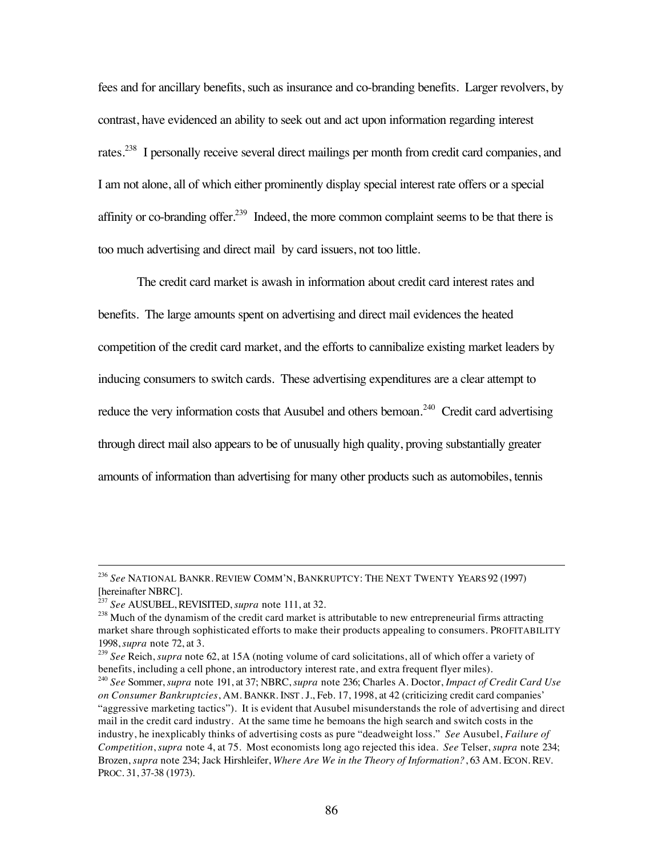fees and for ancillary benefits, such as insurance and co-branding benefits. Larger revolvers, by contrast, have evidenced an ability to seek out and act upon information regarding interest rates.238 I personally receive several direct mailings per month from credit card companies, and I am not alone, all of which either prominently display special interest rate offers or a special affinity or co-branding offer.<sup>239</sup> Indeed, the more common complaint seems to be that there is too much advertising and direct mail by card issuers, not too little.

The credit card market is awash in information about credit card interest rates and benefits. The large amounts spent on advertising and direct mail evidences the heated competition of the credit card market, and the efforts to cannibalize existing market leaders by inducing consumers to switch cards. These advertising expenditures are a clear attempt to reduce the very information costs that Ausubel and others bemoan.<sup>240</sup> Credit card advertising through direct mail also appears to be of unusually high quality, proving substantially greater amounts of information than advertising for many other products such as automobiles, tennis

 <sup>236</sup> *See* NATIONAL BANKR. REVIEW COMM'N, BANKRUPTCY: THE NEXT TWENTY YEARS 92 (1997) [hereinafter NBRC].

<sup>237</sup> *See* AUSUBEL, REVISITED, *supra* note 111, at 32.

 $238$  Much of the dynamism of the credit card market is attributable to new entrepreneurial firms attracting market share through sophisticated efforts to make their products appealing to consumers. PROFITABILITY 1998, *supra* note 72, at 3.

<sup>239</sup> *See* Reich, *supra* note 62, at 15A (noting volume of card solicitations, all of which offer a variety of benefits, including a cell phone, an introductory interest rate, and extra frequent flyer miles).

<sup>240</sup> *See* Sommer, *supra* note 191, at 37; NBRC, *supra* note 236; Charles A. Doctor, *Impact of Credit Card Use on Consumer Bankruptcies*, AM. BANKR. INST. J., Feb. 17, 1998, at 42 (criticizing credit card companies' "aggressive marketing tactics"). It is evident that Ausubel misunderstands the role of advertising and direct mail in the credit card industry. At the same time he bemoans the high search and switch costs in the industry, he inexplicably thinks of advertising costs as pure "deadweight loss." *See* Ausubel, *Failure of Competition*, *supra* note 4, at 75. Most economists long ago rejected this idea. *See* Telser, *supra* note 234; Brozen, *supra* note 234; Jack Hirshleifer, *Where Are We in the Theory of Information?*, 63 AM. ECON. REV. PROC. 31, 37-38 (1973).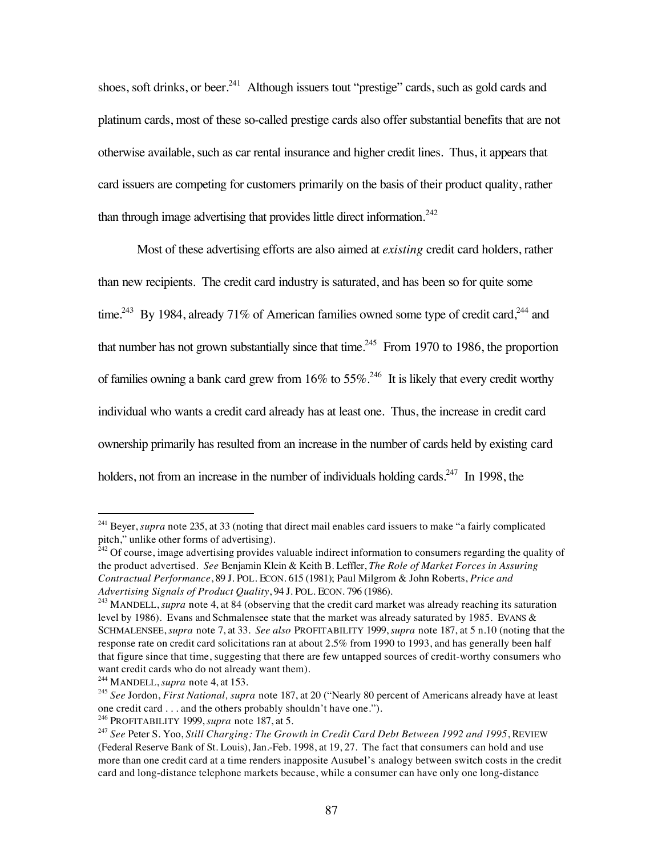shoes, soft drinks, or beer.<sup>241</sup> Although issuers tout "prestige" cards, such as gold cards and platinum cards, most of these so-called prestige cards also offer substantial benefits that are not otherwise available, such as car rental insurance and higher credit lines. Thus, it appears that card issuers are competing for customers primarily on the basis of their product quality, rather than through image advertising that provides little direct information.<sup>242</sup>

Most of these advertising efforts are also aimed at *existing* credit card holders, rather than new recipients. The credit card industry is saturated, and has been so for quite some time.<sup>243</sup> By 1984, already 71% of American families owned some type of credit card,<sup>244</sup> and that number has not grown substantially since that time.<sup>245</sup> From 1970 to 1986, the proportion of families owning a bank card grew from  $16\%$  to  $55\%$ .<sup>246</sup> It is likely that every credit worthy individual who wants a credit card already has at least one. Thus, the increase in credit card ownership primarily has resulted from an increase in the number of cards held by existing card holders, not from an increase in the number of individuals holding cards.<sup>247</sup> In 1998, the

<sup>&</sup>lt;sup>241</sup> Beyer, *supra* note 235, at 33 (noting that direct mail enables card issuers to make "a fairly complicated pitch," unlike other forms of advertising).

 $^{242}$  Of course, image advertising provides valuable indirect information to consumers regarding the quality of the product advertised. *See* Benjamin Klein & Keith B. Leffler, *The Role of Market Forces in Assuring Contractual Performance*, 89 J. POL. ECON. 615 (1981); Paul Milgrom & John Roberts, *Price and Advertising Signals of Product Quality*, 94 J. POL. ECON. 796 (1986).

<sup>243</sup> MANDELL, *supra* note 4, at 84 (observing that the credit card market was already reaching its saturation level by 1986). Evans and Schmalensee state that the market was already saturated by 1985. EVANS & SCHMALENSEE, *supra* note 7, at 33. *See also* PROFITABILITY 1999, *supra* note 187, at 5 n.10 (noting that the response rate on credit card solicitations ran at about 2.5% from 1990 to 1993, and has generally been half that figure since that time, suggesting that there are few untapped sources of credit-worthy consumers who want credit cards who do not already want them).

<sup>244</sup> MANDELL, *supra* note 4, at 153.

<sup>245</sup> *See* Jordon, *First National, supra* note 187, at 20 ("Nearly 80 percent of Americans already have at least one credit card . . . and the others probably shouldn't have one.").

<sup>246</sup> PROFITABILITY 1999, *supra* note 187, at 5.

<sup>247</sup> *See* Peter S. Yoo, *Still Charging: The Growth in Credit Card Debt Between 1992 and 1995*, REVIEW (Federal Reserve Bank of St. Louis), Jan.-Feb. 1998, at 19, 27. The fact that consumers can hold and use more than one credit card at a time renders inapposite Ausubel's analogy between switch costs in the credit card and long-distance telephone markets because, while a consumer can have only one long-distance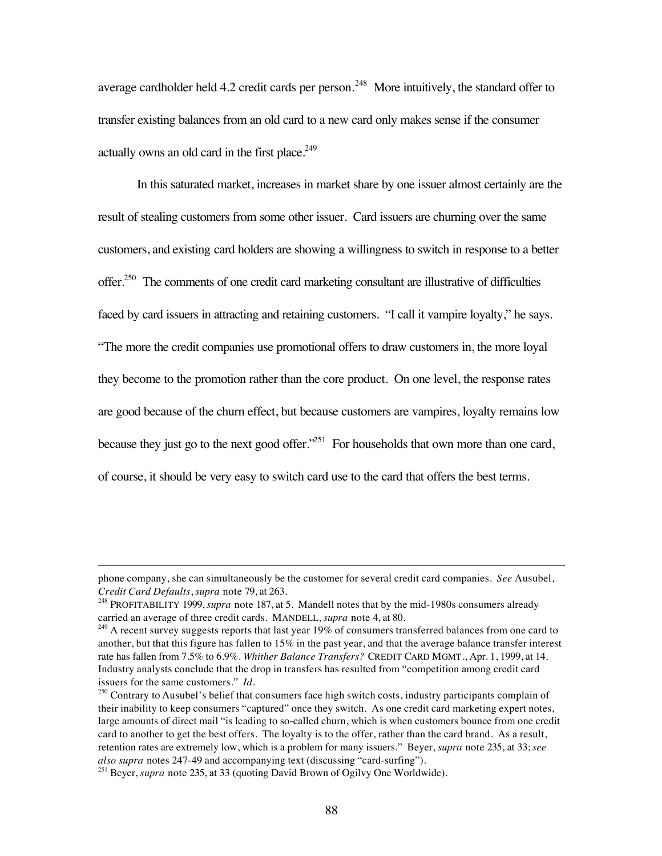average cardholder held 4.2 credit cards per person.<sup>248</sup> More intuitively, the standard offer to transfer existing balances from an old card to a new card only makes sense if the consumer actually owns an old card in the first place.<sup>249</sup>

In this saturated market, increases in market share by one issuer almost certainly are the result of stealing customers from some other issuer. Card issuers are churning over the same customers, and existing card holders are showing a willingness to switch in response to a better offer.<sup>250</sup> The comments of one credit card marketing consultant are illustrative of difficulties faced by card issuers in attracting and retaining customers. "I call it vampire loyalty," he says. "The more the credit companies use promotional offers to draw customers in, the more loyal they become to the promotion rather than the core product. On one level, the response rates are good because of the churn effect, but because customers are vampires, loyalty remains low because they just go to the next good offer.<sup> $251$ </sup> For households that own more than one card, of course, it should be very easy to switch card use to the card that offers the best terms.

 $\overline{a}$ 

phone company, she can simultaneously be the customer for several credit card companies. *See* Ausubel, *Credit Card Defaults*, *supra* note 79, at 263.

<sup>248</sup> PROFITABILITY 1999, *supra* note 187, at 5. Mandell notes that by the mid-1980s consumers already carried an average of three credit cards. MANDELL, *supra* note 4, at 80.

 $^{249}$  A recent survey suggests reports that last year 19% of consumers transferred balances from one card to another, but that this figure has fallen to 15% in the past year, and that the average balance transfer interest rate has fallen from 7.5% to 6.9%. *Whither Balance Transfers?* CREDIT CARD MGMT., Apr. 1, 1999, at 14. Industry analysts conclude that the drop in transfers has resulted from "competition among credit card issuers for the same customers." *Id.*

<sup>&</sup>lt;sup>250</sup> Contrary to Ausubel's belief that consumers face high switch costs, industry participants complain of their inability to keep consumers "captured" once they switch. As one credit card marketing expert notes, large amounts of direct mail "is leading to so-called churn, which is when customers bounce from one credit card to another to get the best offers. The loyalty is to the offer, rather than the card brand. As a result, retention rates are extremely low, which is a problem for many issuers." Beyer, *supra* note 235, at 33; *see also supra* notes 247-49 and accompanying text (discussing "card-surfing").

<sup>251</sup> Beyer, *supra* note 235, at 33 (quoting David Brown of Ogilvy One Worldwide).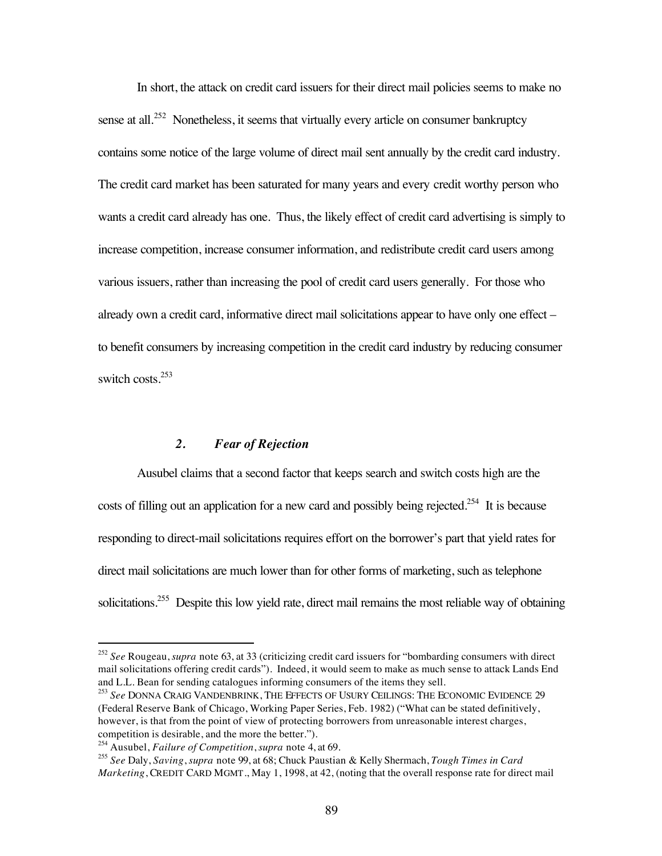In short, the attack on credit card issuers for their direct mail policies seems to make no sense at all.<sup>252</sup> Nonetheless, it seems that virtually every article on consumer bankruptcy contains some notice of the large volume of direct mail sent annually by the credit card industry. The credit card market has been saturated for many years and every credit worthy person who wants a credit card already has one. Thus, the likely effect of credit card advertising is simply to increase competition, increase consumer information, and redistribute credit card users among various issuers, rather than increasing the pool of credit card users generally. For those who already own a credit card, informative direct mail solicitations appear to have only one effect – to benefit consumers by increasing competition in the credit card industry by reducing consumer switch costs.<sup>253</sup>

#### *2. Fear of Rejection*

Ausubel claims that a second factor that keeps search and switch costs high are the costs of filling out an application for a new card and possibly being rejected.<sup>254</sup> It is because responding to direct-mail solicitations requires effort on the borrower's part that yield rates for direct mail solicitations are much lower than for other forms of marketing, such as telephone solicitations.<sup>255</sup> Despite this low yield rate, direct mail remains the most reliable way of obtaining

 <sup>252</sup> *See* Rougeau, *supra* note 63, at 33 (criticizing credit card issuers for "bombarding consumers with direct mail solicitations offering credit cards"). Indeed, it would seem to make as much sense to attack Lands End and L.L. Bean for sending catalogues informing consumers of the items they sell.

<sup>253</sup> *See* DONNA CRAIG VANDENBRINK, THE EFFECTS OF USURY CEILINGS: THE ECONOMIC EVIDENCE 29 (Federal Reserve Bank of Chicago, Working Paper Series, Feb. 1982) ("What can be stated definitively, however, is that from the point of view of protecting borrowers from unreasonable interest charges, competition is desirable, and the more the better.").

<sup>254</sup> Ausubel, *Failure of Competition*, *supra* note 4, at 69.

<sup>255</sup> *See* Daly, *Saving*, *supra* note 99, at 68; Chuck Paustian & Kelly Shermach, *Tough Times in Card Marketing*, CREDIT CARD MGMT., May 1, 1998, at 42, (noting that the overall response rate for direct mail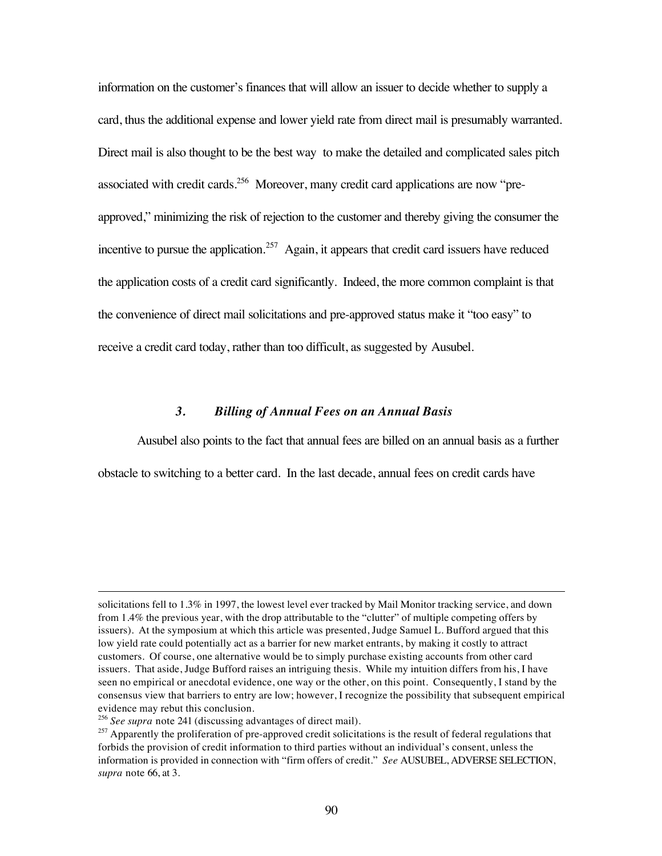information on the customer's finances that will allow an issuer to decide whether to supply a card, thus the additional expense and lower yield rate from direct mail is presumably warranted. Direct mail is also thought to be the best way to make the detailed and complicated sales pitch associated with credit cards.<sup>256</sup> Moreover, many credit card applications are now "preapproved," minimizing the risk of rejection to the customer and thereby giving the consumer the incentive to pursue the application.<sup>257</sup> Again, it appears that credit card issuers have reduced the application costs of a credit card significantly. Indeed, the more common complaint is that the convenience of direct mail solicitations and pre-approved status make it "too easy" to receive a credit card today, rather than too difficult, as suggested by Ausubel.

### *3. Billing of Annual Fees on an Annual Basis*

Ausubel also points to the fact that annual fees are billed on an annual basis as a further obstacle to switching to a better card. In the last decade, annual fees on credit cards have

 $\overline{a}$ 

solicitations fell to 1.3% in 1997, the lowest level ever tracked by Mail Monitor tracking service, and down from 1.4% the previous year, with the drop attributable to the "clutter" of multiple competing offers by issuers). At the symposium at which this article was presented, Judge Samuel L. Bufford argued that this low yield rate could potentially act as a barrier for new market entrants, by making it costly to attract customers. Of course, one alternative would be to simply purchase existing accounts from other card issuers. That aside, Judge Bufford raises an intriguing thesis. While my intuition differs from his, I have seen no empirical or anecdotal evidence, one way or the other, on this point. Consequently, I stand by the consensus view that barriers to entry are low; however, I recognize the possibility that subsequent empirical evidence may rebut this conclusion.

<sup>256</sup> *See supra* note 241 (discussing advantages of direct mail).

<sup>&</sup>lt;sup>257</sup> Apparently the proliferation of pre-approved credit solicitations is the result of federal regulations that forbids the provision of credit information to third parties without an individual's consent, unless the information is provided in connection with "firm offers of credit." *See* AUSUBEL, ADVERSE SELECTION, *supra* note 66, at 3.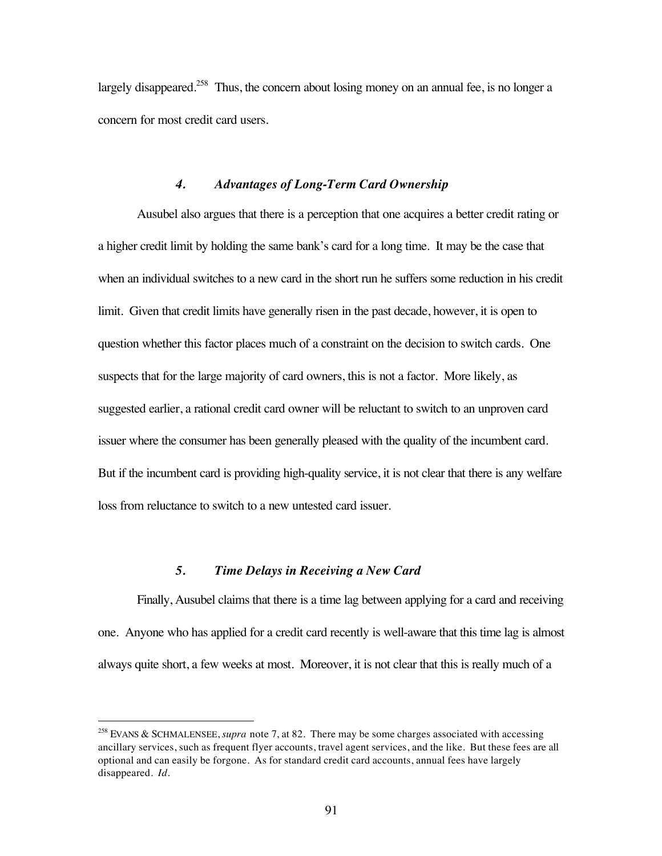largely disappeared.<sup>258</sup> Thus, the concern about losing money on an annual fee, is no longer a concern for most credit card users.

### *4. Advantages of Long-Term Card Ownership*

Ausubel also argues that there is a perception that one acquires a better credit rating or a higher credit limit by holding the same bank's card for a long time. It may be the case that when an individual switches to a new card in the short run he suffers some reduction in his credit limit. Given that credit limits have generally risen in the past decade, however, it is open to question whether this factor places much of a constraint on the decision to switch cards. One suspects that for the large majority of card owners, this is not a factor. More likely, as suggested earlier, a rational credit card owner will be reluctant to switch to an unproven card issuer where the consumer has been generally pleased with the quality of the incumbent card. But if the incumbent card is providing high-quality service, it is not clear that there is any welfare loss from reluctance to switch to a new untested card issuer.

### *5. Time Delays in Receiving a New Card*

Finally, Ausubel claims that there is a time lag between applying for a card and receiving one. Anyone who has applied for a credit card recently is well-aware that this time lag is almost always quite short, a few weeks at most. Moreover, it is not clear that this is really much of a

 <sup>258</sup> EVANS & SCHMALENSEE, *supra* note 7, at 82. There may be some charges associated with accessing ancillary services, such as frequent flyer accounts, travel agent services, and the like. But these fees are all optional and can easily be forgone. As for standard credit card accounts, annual fees have largely disappeared. *Id.*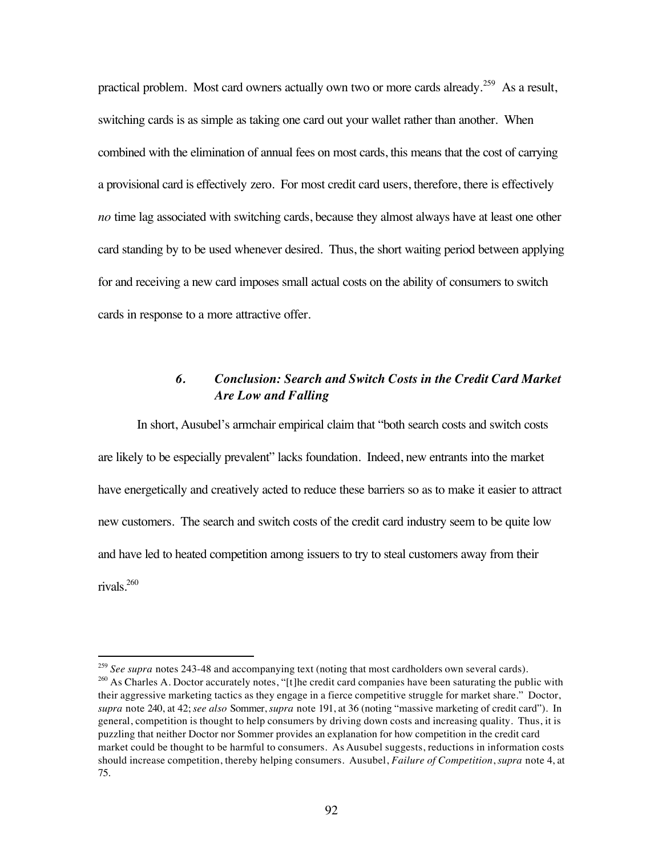practical problem. Most card owners actually own two or more cards already.<sup>259</sup> As a result, switching cards is as simple as taking one card out your wallet rather than another. When combined with the elimination of annual fees on most cards, this means that the cost of carrying a provisional card is effectively zero. For most credit card users, therefore, there is effectively *no* time lag associated with switching cards, because they almost always have at least one other card standing by to be used whenever desired. Thus, the short waiting period between applying for and receiving a new card imposes small actual costs on the ability of consumers to switch cards in response to a more attractive offer.

## *6. Conclusion: Search and Switch Costs in the Credit Card Market Are Low and Falling*

In short, Ausubel's armchair empirical claim that "both search costs and switch costs are likely to be especially prevalent" lacks foundation. Indeed, new entrants into the market have energetically and creatively acted to reduce these barriers so as to make it easier to attract new customers. The search and switch costs of the credit card industry seem to be quite low and have led to heated competition among issuers to try to steal customers away from their rivals.260

<sup>&</sup>lt;sup>259</sup> See supra notes 243-48 and accompanying text (noting that most cardholders own several cards). <sup>260</sup> As Charles A. Doctor accurately notes, "[t]he credit card companies have been saturating the public with their aggressive marketing tactics as they engage in a fierce competitive struggle for market share." Doctor, *supra* note 240, at 42; *see also* Sommer, *supra* note 191, at 36 (noting "massive marketing of credit card"). In general, competition is thought to help consumers by driving down costs and increasing quality. Thus, it is

puzzling that neither Doctor nor Sommer provides an explanation for how competition in the credit card market could be thought to be harmful to consumers. As Ausubel suggests, reductions in information costs should increase competition, thereby helping consumers. Ausubel, *Failure of Competition*, *supra* note 4, at 75.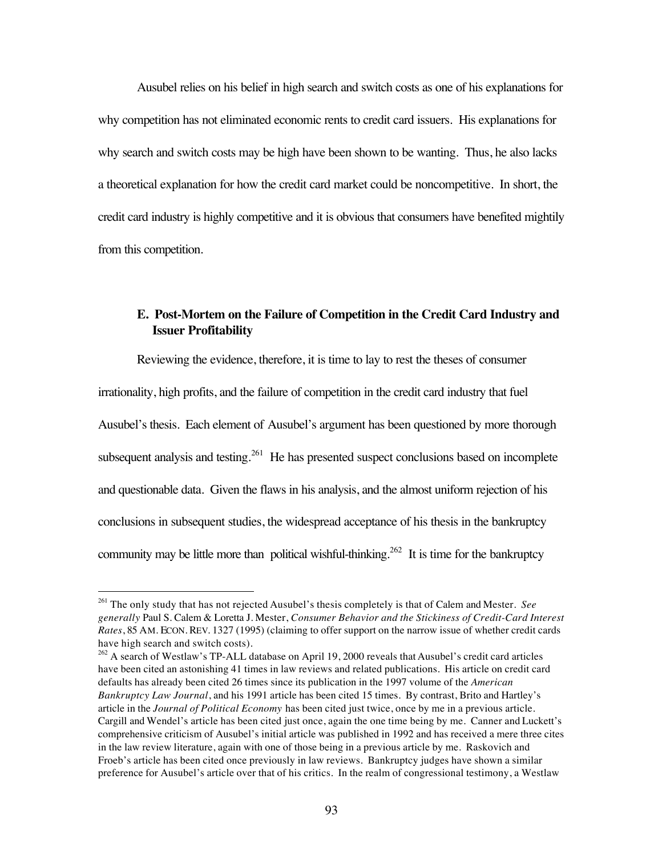Ausubel relies on his belief in high search and switch costs as one of his explanations for why competition has not eliminated economic rents to credit card issuers. His explanations for why search and switch costs may be high have been shown to be wanting. Thus, he also lacks a theoretical explanation for how the credit card market could be noncompetitive. In short, the credit card industry is highly competitive and it is obvious that consumers have benefited mightily from this competition.

# **E. Post-Mortem on the Failure of Competition in the Credit Card Industry and Issuer Profitability**

Reviewing the evidence, therefore, it is time to lay to rest the theses of consumer irrationality, high profits, and the failure of competition in the credit card industry that fuel Ausubel's thesis. Each element of Ausubel's argument has been questioned by more thorough subsequent analysis and testing.<sup>261</sup> He has presented suspect conclusions based on incomplete and questionable data. Given the flaws in his analysis, and the almost uniform rejection of his conclusions in subsequent studies, the widespread acceptance of his thesis in the bankruptcy community may be little more than political wishful-thinking.<sup>262</sup> It is time for the bankruptcy

 <sup>261</sup> The only study that has not rejected Ausubel's thesis completely is that of Calem and Mester. *See generally* Paul S. Calem & Loretta J. Mester, *Consumer Behavior and the Stickiness of Credit-Card Interest Rates*, 85 AM. ECON. REV. 1327 (1995) (claiming to offer support on the narrow issue of whether credit cards have high search and switch costs).

<sup>&</sup>lt;sup>262</sup> A search of Westlaw's TP-ALL database on April 19, 2000 reveals that Ausubel's credit card articles have been cited an astonishing 41 times in law reviews and related publications. His article on credit card defaults has already been cited 26 times since its publication in the 1997 volume of the *American Bankruptcy Law Journal*, and his 1991 article has been cited 15 times. By contrast, Brito and Hartley's article in the *Journal of Political Economy* has been cited just twice, once by me in a previous article. Cargill and Wendel's article has been cited just once, again the one time being by me. Canner and Luckett's comprehensive criticism of Ausubel's initial article was published in 1992 and has received a mere three cites in the law review literature, again with one of those being in a previous article by me. Raskovich and Froeb's article has been cited once previously in law reviews. Bankruptcy judges have shown a similar preference for Ausubel's article over that of his critics. In the realm of congressional testimony, a Westlaw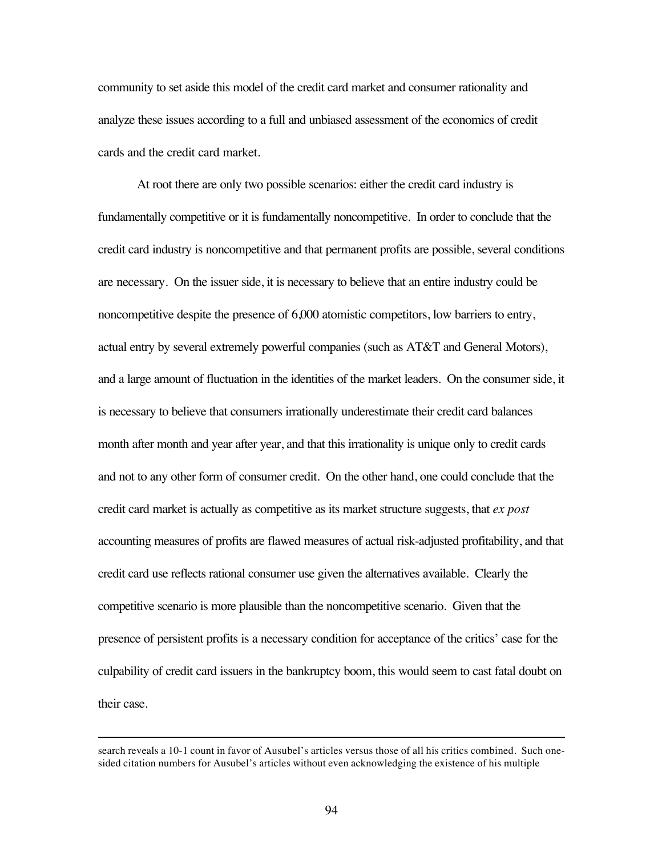community to set aside this model of the credit card market and consumer rationality and analyze these issues according to a full and unbiased assessment of the economics of credit cards and the credit card market.

At root there are only two possible scenarios: either the credit card industry is fundamentally competitive or it is fundamentally noncompetitive. In order to conclude that the credit card industry is noncompetitive and that permanent profits are possible, several conditions are necessary. On the issuer side, it is necessary to believe that an entire industry could be noncompetitive despite the presence of 6,000 atomistic competitors, low barriers to entry, actual entry by several extremely powerful companies (such as AT&T and General Motors), and a large amount of fluctuation in the identities of the market leaders. On the consumer side, it is necessary to believe that consumers irrationally underestimate their credit card balances month after month and year after year, and that this irrationality is unique only to credit cards and not to any other form of consumer credit. On the other hand, one could conclude that the credit card market is actually as competitive as its market structure suggests, that *ex post* accounting measures of profits are flawed measures of actual risk-adjusted profitability, and that credit card use reflects rational consumer use given the alternatives available. Clearly the competitive scenario is more plausible than the noncompetitive scenario. Given that the presence of persistent profits is a necessary condition for acceptance of the critics' case for the culpability of credit card issuers in the bankruptcy boom, this would seem to cast fatal doubt on their case.

 $\overline{a}$ 

search reveals a 10-1 count in favor of Ausubel's articles versus those of all his critics combined. Such onesided citation numbers for Ausubel's articles without even acknowledging the existence of his multiple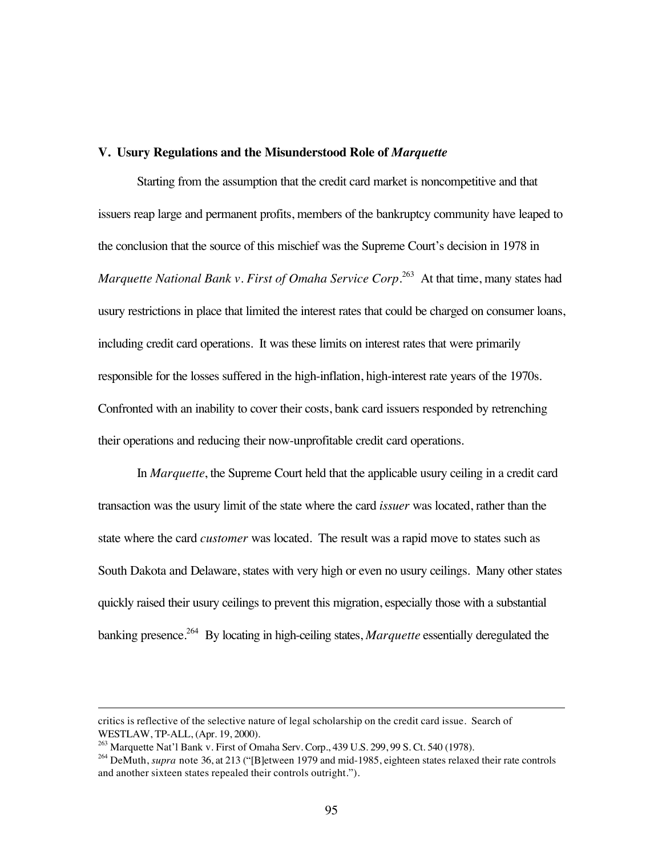#### **V. Usury Regulations and the Misunderstood Role of** *Marquette*

Starting from the assumption that the credit card market is noncompetitive and that issuers reap large and permanent profits, members of the bankruptcy community have leaped to the conclusion that the source of this mischief was the Supreme Court's decision in 1978 in *Marquette National Bank v. First of Omaha Service Corp.*<sup>263</sup> At that time, many states had usury restrictions in place that limited the interest rates that could be charged on consumer loans, including credit card operations. It was these limits on interest rates that were primarily responsible for the losses suffered in the high-inflation, high-interest rate years of the 1970s. Confronted with an inability to cover their costs, bank card issuers responded by retrenching their operations and reducing their now-unprofitable credit card operations.

In *Marquette*, the Supreme Court held that the applicable usury ceiling in a credit card transaction was the usury limit of the state where the card *issuer* was located, rather than the state where the card *customer* was located. The result was a rapid move to states such as South Dakota and Delaware, states with very high or even no usury ceilings. Many other states quickly raised their usury ceilings to prevent this migration, especially those with a substantial banking presence.<sup>264</sup> By locating in high-ceiling states, *Marquette* essentially deregulated the

 $\overline{a}$ 

critics is reflective of the selective nature of legal scholarship on the credit card issue. Search of WESTLAW, TP-ALL, (Apr. 19, 2000).

<sup>&</sup>lt;sup>263</sup> Marquette Nat'l Bank v. First of Omaha Serv. Corp., 439 U.S. 299, 99 S. Ct. 540 (1978).

<sup>&</sup>lt;sup>264</sup> DeMuth, *supra* note 36, at 213 ("[B]etween 1979 and mid-1985, eighteen states relaxed their rate controls and another sixteen states repealed their controls outright.").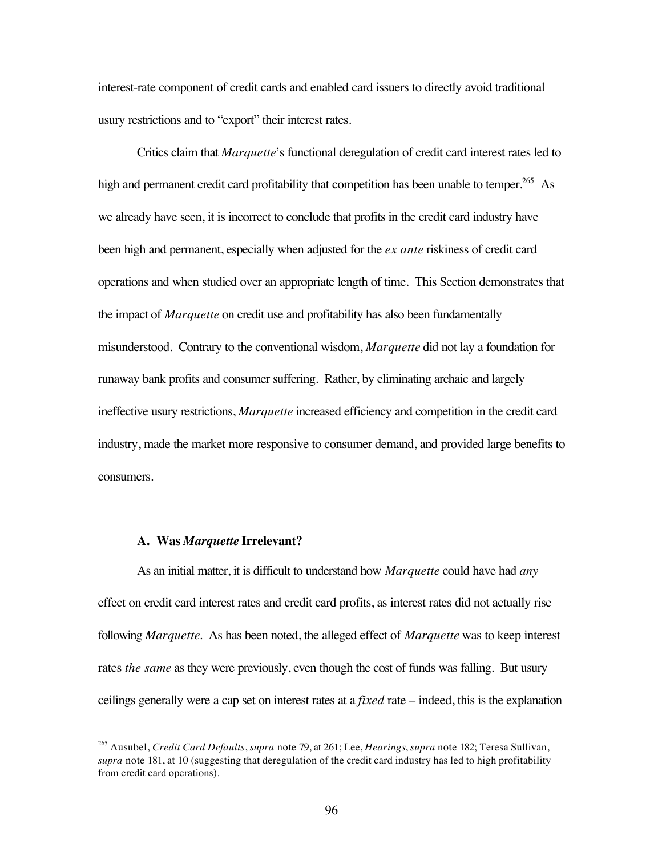interest-rate component of credit cards and enabled card issuers to directly avoid traditional usury restrictions and to "export" their interest rates.

Critics claim that *Marquette*'s functional deregulation of credit card interest rates led to high and permanent credit card profitability that competition has been unable to temper.<sup>265</sup> As we already have seen, it is incorrect to conclude that profits in the credit card industry have been high and permanent, especially when adjusted for the *ex ante* riskiness of credit card operations and when studied over an appropriate length of time. This Section demonstrates that the impact of *Marquette* on credit use and profitability has also been fundamentally misunderstood. Contrary to the conventional wisdom, *Marquette* did not lay a foundation for runaway bank profits and consumer suffering. Rather, by eliminating archaic and largely ineffective usury restrictions, *Marquette* increased efficiency and competition in the credit card industry, made the market more responsive to consumer demand, and provided large benefits to consumers.

#### **A. Was** *Marquette* **Irrelevant?**

As an initial matter, it is difficult to understand how *Marquette* could have had *any* effect on credit card interest rates and credit card profits, as interest rates did not actually rise following *Marquette*. As has been noted, the alleged effect of *Marquette* was to keep interest rates *the same* as they were previously, even though the cost of funds was falling. But usury ceilings generally were a cap set on interest rates at a *fixed* rate – indeed, this is the explanation

 <sup>265</sup> Ausubel, *Credit Card Defaults*, *supra* note 79, at 261; Lee, *Hearings*, *supra* note 182; Teresa Sullivan, *supra* note 181, at 10 (suggesting that deregulation of the credit card industry has led to high profitability from credit card operations).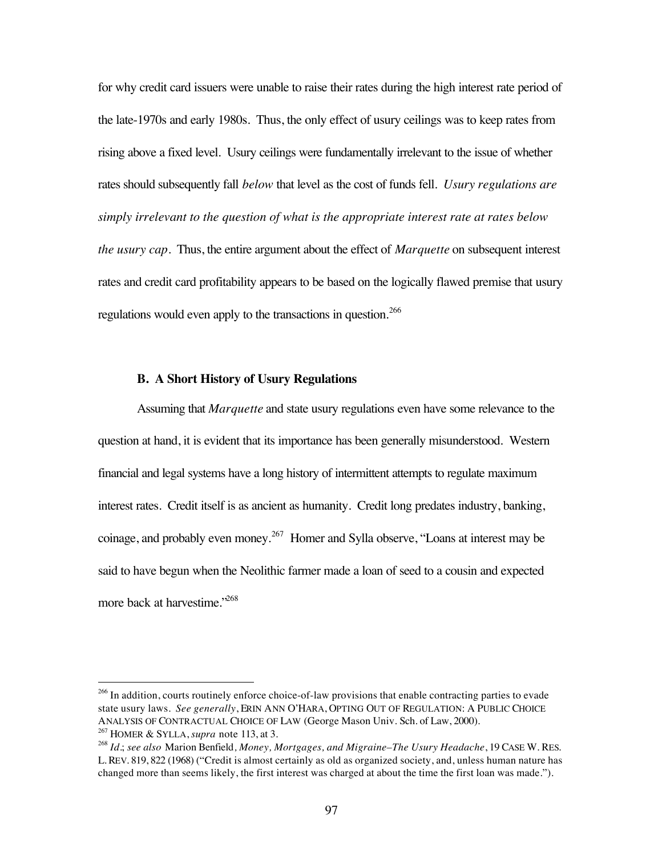for why credit card issuers were unable to raise their rates during the high interest rate period of the late-1970s and early 1980s. Thus, the only effect of usury ceilings was to keep rates from rising above a fixed level. Usury ceilings were fundamentally irrelevant to the issue of whether rates should subsequently fall *below* that level as the cost of funds fell. *Usury regulations are simply irrelevant to the question of what is the appropriate interest rate at rates below the usury cap*. Thus, the entire argument about the effect of *Marquette* on subsequent interest rates and credit card profitability appears to be based on the logically flawed premise that usury regulations would even apply to the transactions in question.<sup>266</sup>

### **B. A Short History of Usury Regulations**

Assuming that *Marquette* and state usury regulations even have some relevance to the question at hand, it is evident that its importance has been generally misunderstood. Western financial and legal systems have a long history of intermittent attempts to regulate maximum interest rates. Credit itself is as ancient as humanity. Credit long predates industry, banking, coinage, and probably even money.<sup>267</sup> Homer and Sylla observe, "Loans at interest may be said to have begun when the Neolithic farmer made a loan of seed to a cousin and expected more back at harvestime."<sup>268</sup>

<sup>&</sup>lt;sup>266</sup> In addition, courts routinely enforce choice-of-law provisions that enable contracting parties to evade state usury laws. *See generally*, ERIN ANN O'HARA, OPTING OUT OF REGULATION: A PUBLIC CHOICE ANALYSIS OF CONTRACTUAL CHOICE OF LAW (George Mason Univ. Sch. of Law, 2000). <sup>267</sup> HOMER & SYLLA, *supra* note 113, at 3.

<sup>268</sup> *Id.*; *see also* Marion Benfield*, Money, Mortgages, and Migraine–The Usury Headache*, 19 CASE W. RES. L. REV. 819, 822 (1968) ("Credit is almost certainly as old as organized society, and, unless human nature has changed more than seems likely, the first interest was charged at about the time the first loan was made.").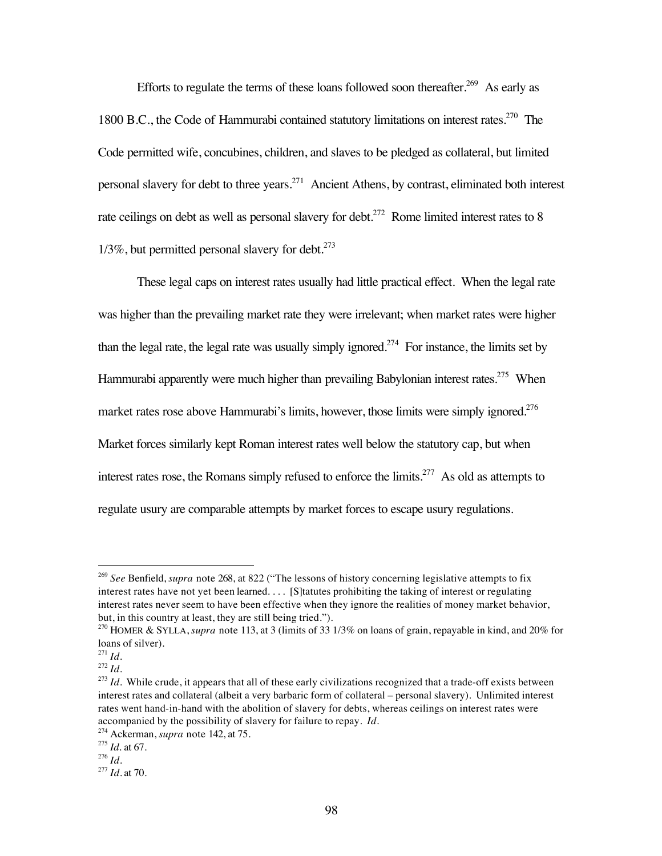Efforts to regulate the terms of these loans followed soon thereafter.<sup>269</sup> As early as 1800 B.C., the Code of Hammurabi contained statutory limitations on interest rates.<sup>270</sup> The Code permitted wife, concubines, children, and slaves to be pledged as collateral, but limited personal slavery for debt to three years.271 Ancient Athens, by contrast, eliminated both interest rate ceilings on debt as well as personal slavery for debt.<sup>272</sup> Rome limited interest rates to 8  $1/3\%$ , but permitted personal slavery for debt.<sup>273</sup>

These legal caps on interest rates usually had little practical effect. When the legal rate was higher than the prevailing market rate they were irrelevant; when market rates were higher than the legal rate, the legal rate was usually simply ignored.<sup>274</sup> For instance, the limits set by Hammurabi apparently were much higher than prevailing Babylonian interest rates.<sup>275</sup> When market rates rose above Hammurabi's limits, however, those limits were simply ignored.<sup>276</sup> Market forces similarly kept Roman interest rates well below the statutory cap, but when interest rates rose, the Romans simply refused to enforce the limits.<sup>277</sup> As old as attempts to regulate usury are comparable attempts by market forces to escape usury regulations.

 <sup>269</sup> *See* Benfield, *supra* note 268, at 822 ("The lessons of history concerning legislative attempts to fix interest rates have not yet been learned. . . . [S]tatutes prohibiting the taking of interest or regulating interest rates never seem to have been effective when they ignore the realities of money market behavior, but, in this country at least, they are still being tried.").

<sup>270</sup> HOMER & SYLLA, *supra* note 113, at 3 (limits of 33 1/3% on loans of grain, repayable in kind, and 20% for loans of silver).

 $^{271}$ *Id.* 

 $^{272}$  *Id.* 

<sup>&</sup>lt;sup>273</sup> *Id*. While crude, it appears that all of these early civilizations recognized that a trade-off exists between interest rates and collateral (albeit a very barbaric form of collateral – personal slavery). Unlimited interest rates went hand-in-hand with the abolition of slavery for debts, whereas ceilings on interest rates were accompanied by the possibility of slavery for failure to repay. *Id.*

<sup>274</sup> Ackerman, *supra* note 142, at 75.

<sup>275</sup> *Id.* at 67.

<sup>276</sup> *Id.*

<sup>277</sup> *Id.* at 70.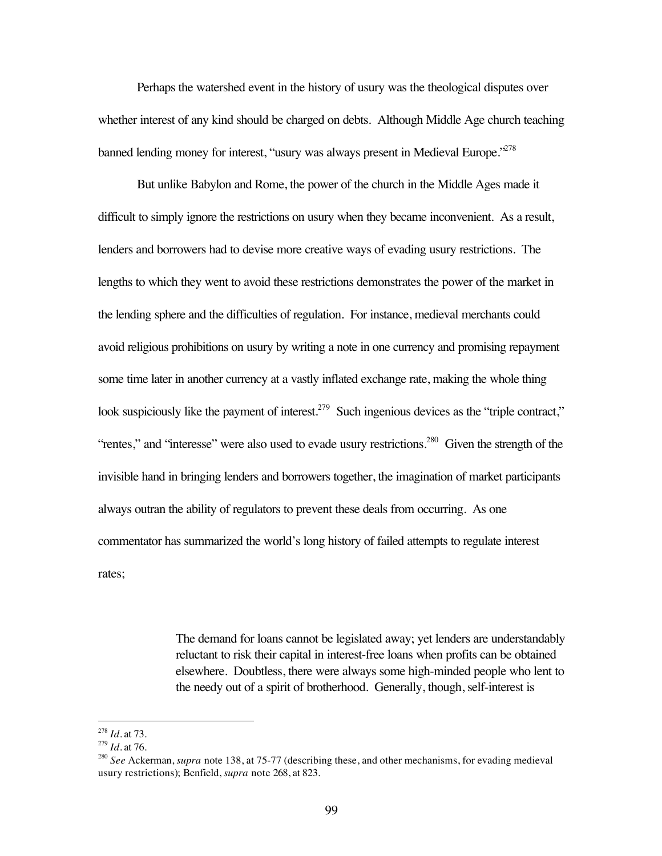Perhaps the watershed event in the history of usury was the theological disputes over whether interest of any kind should be charged on debts. Although Middle Age church teaching banned lending money for interest, "usury was always present in Medieval Europe."<sup>278</sup>

But unlike Babylon and Rome, the power of the church in the Middle Ages made it difficult to simply ignore the restrictions on usury when they became inconvenient. As a result, lenders and borrowers had to devise more creative ways of evading usury restrictions. The lengths to which they went to avoid these restrictions demonstrates the power of the market in the lending sphere and the difficulties of regulation. For instance, medieval merchants could avoid religious prohibitions on usury by writing a note in one currency and promising repayment some time later in another currency at a vastly inflated exchange rate, making the whole thing look suspiciously like the payment of interest.<sup>279</sup> Such ingenious devices as the "triple contract," "rentes," and "interesse" were also used to evade usury restrictions.<sup>280</sup> Given the strength of the invisible hand in bringing lenders and borrowers together, the imagination of market participants always outran the ability of regulators to prevent these deals from occurring. As one commentator has summarized the world's long history of failed attempts to regulate interest rates;

> The demand for loans cannot be legislated away; yet lenders are understandably reluctant to risk their capital in interest-free loans when profits can be obtained elsewhere. Doubtless, there were always some high-minded people who lent to the needy out of a spirit of brotherhood. Generally, though, self-interest is

 <sup>278</sup> *Id.* at 73.

<sup>279</sup> *Id.* at 76.

<sup>&</sup>lt;sup>280</sup> *See* Ackerman, *supra* note 138, at 75-77 (describing these, and other mechanisms, for evading medieval usury restrictions); Benfield, *supra* note 268, at 823.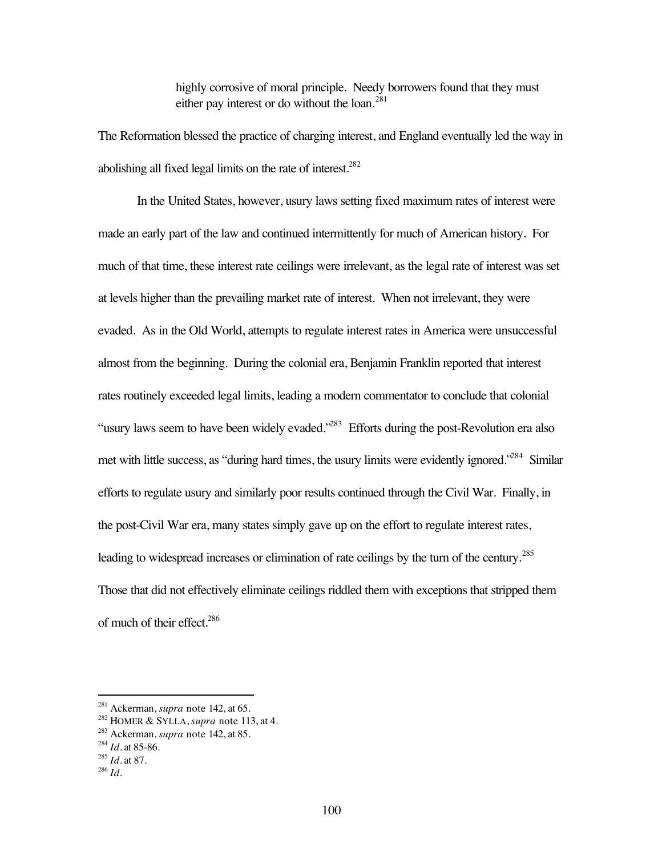highly corrosive of moral principle. Needy borrowers found that they must either pay interest or do without the loan. $^{281}$ 

The Reformation blessed the practice of charging interest, and England eventually led the way in abolishing all fixed legal limits on the rate of interest. $282$ 

In the United States, however, usury laws setting fixed maximum rates of interest were made an early part of the law and continued intermittently for much of American history. For much of that time, these interest rate ceilings were irrelevant, as the legal rate of interest was set at levels higher than the prevailing market rate of interest. When not irrelevant, they were evaded. As in the Old World, attempts to regulate interest rates in America were unsuccessful almost from the beginning. During the colonial era, Benjamin Franklin reported that interest rates routinely exceeded legal limits, leading a modern commentator to conclude that colonial "usury laws seem to have been widely evaded."<sup>283</sup> Efforts during the post-Revolution era also met with little success, as "during hard times, the usury limits were evidently ignored."<sup>284</sup> Similar efforts to regulate usury and similarly poor results continued through the Civil War. Finally, in the post-Civil War era, many states simply gave up on the effort to regulate interest rates, leading to widespread increases or elimination of rate ceilings by the turn of the century.<sup>285</sup> Those that did not effectively eliminate ceilings riddled them with exceptions that stripped them of much of their effect.<sup>286</sup>

 <sup>281</sup> Ackerman, *supra* note 142, at 65.

<sup>282</sup> HOMER & SYLLA, *supra* note 113, at 4.

<sup>283</sup> Ackerman, *supra* note 142, at 85.

<sup>284</sup> *Id.* at 85-86.

<sup>285</sup> *Id.* at 87.

<sup>286</sup> *Id.*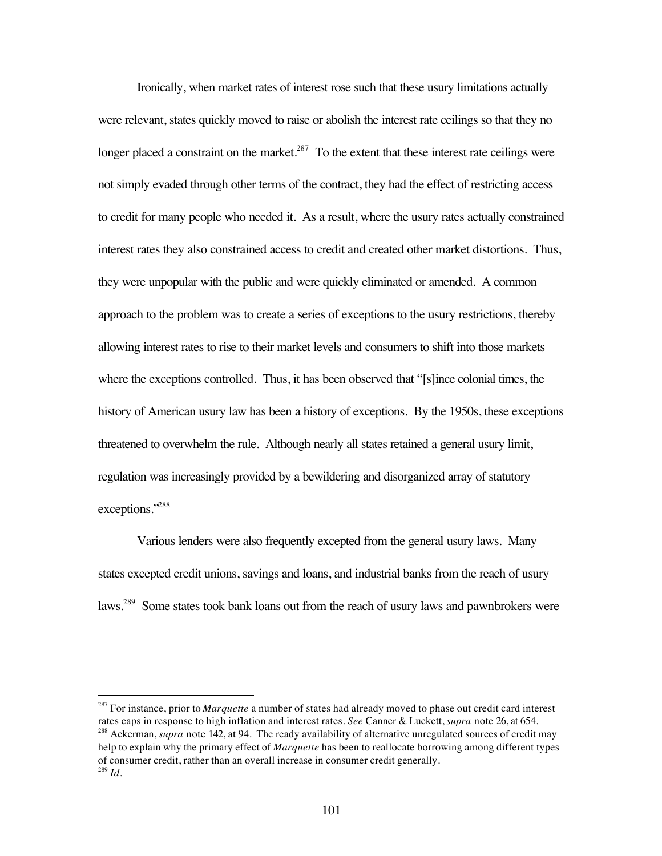Ironically, when market rates of interest rose such that these usury limitations actually were relevant, states quickly moved to raise or abolish the interest rate ceilings so that they no longer placed a constraint on the market.<sup>287</sup> To the extent that these interest rate ceilings were not simply evaded through other terms of the contract, they had the effect of restricting access to credit for many people who needed it. As a result, where the usury rates actually constrained interest rates they also constrained access to credit and created other market distortions. Thus, they were unpopular with the public and were quickly eliminated or amended. A common approach to the problem was to create a series of exceptions to the usury restrictions, thereby allowing interest rates to rise to their market levels and consumers to shift into those markets where the exceptions controlled. Thus, it has been observed that "[s]ince colonial times, the history of American usury law has been a history of exceptions. By the 1950s, these exceptions threatened to overwhelm the rule. Although nearly all states retained a general usury limit, regulation was increasingly provided by a bewildering and disorganized array of statutory exceptions."<sup>288</sup>

Various lenders were also frequently excepted from the general usury laws. Many states excepted credit unions, savings and loans, and industrial banks from the reach of usury laws.<sup>289</sup> Some states took bank loans out from the reach of usury laws and pawnbrokers were

<sup>&</sup>lt;sup>287</sup> For instance, prior to *Marquette* a number of states had already moved to phase out credit card interest rates caps in response to high inflation and interest rates. *See* Canner & Luckett, *supra* note 26, at 654.

<sup>288</sup> Ackerman, *supra* note 142, at 94. The ready availability of alternative unregulated sources of credit may help to explain why the primary effect of *Marquette* has been to reallocate borrowing among different types of consumer credit, rather than an overall increase in consumer credit generally. <sup>289</sup> *Id.*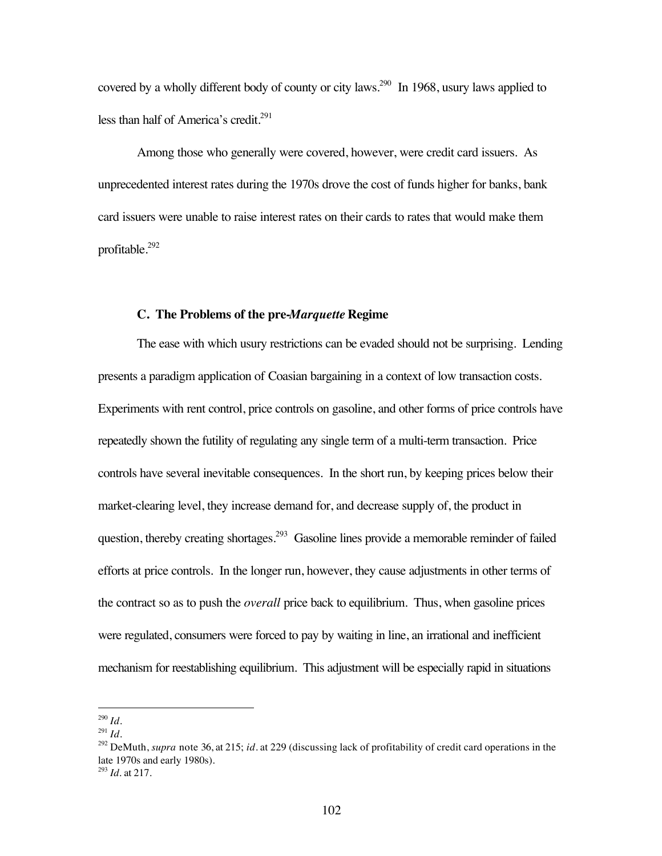covered by a wholly different body of county or city laws.<sup>290</sup> In 1968, usury laws applied to less than half of America's credit.<sup>291</sup>

Among those who generally were covered, however, were credit card issuers. As unprecedented interest rates during the 1970s drove the cost of funds higher for banks, bank card issuers were unable to raise interest rates on their cards to rates that would make them profitable.292

#### **C. The Problems of the pre-***Marquette* **Regime**

The ease with which usury restrictions can be evaded should not be surprising. Lending presents a paradigm application of Coasian bargaining in a context of low transaction costs. Experiments with rent control, price controls on gasoline, and other forms of price controls have repeatedly shown the futility of regulating any single term of a multi-term transaction. Price controls have several inevitable consequences. In the short run, by keeping prices below their market-clearing level, they increase demand for, and decrease supply of, the product in question, thereby creating shortages.<sup>293</sup> Gasoline lines provide a memorable reminder of failed efforts at price controls. In the longer run, however, they cause adjustments in other terms of the contract so as to push the *overall* price back to equilibrium. Thus, when gasoline prices were regulated, consumers were forced to pay by waiting in line, an irrational and inefficient mechanism for reestablishing equilibrium. This adjustment will be especially rapid in situations

 <sup>290</sup> *Id.*

 $^{291}$  *Id.* 

<sup>292</sup> DeMuth, *supra* note 36, at 215; *id*. at 229 (discussing lack of profitability of credit card operations in the late 1970s and early 1980s).

<sup>293</sup> *Id.* at 217.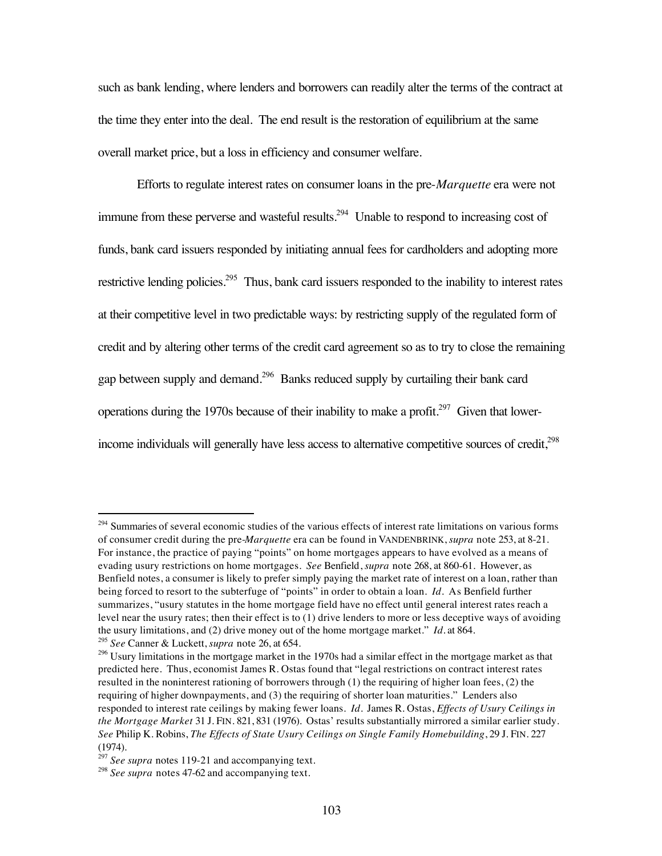such as bank lending, where lenders and borrowers can readily alter the terms of the contract at the time they enter into the deal. The end result is the restoration of equilibrium at the same overall market price, but a loss in efficiency and consumer welfare.

Efforts to regulate interest rates on consumer loans in the pre-*Marquette* era were not immune from these perverse and wasteful results.<sup>294</sup> Unable to respond to increasing cost of funds, bank card issuers responded by initiating annual fees for cardholders and adopting more restrictive lending policies.<sup>295</sup> Thus, bank card issuers responded to the inability to interest rates at their competitive level in two predictable ways: by restricting supply of the regulated form of credit and by altering other terms of the credit card agreement so as to try to close the remaining gap between supply and demand.296 Banks reduced supply by curtailing their bank card operations during the 1970s because of their inability to make a profit.<sup>297</sup> Given that lowerincome individuals will generally have less access to alternative competitive sources of credit,<sup>298</sup>

<sup>&</sup>lt;sup>294</sup> Summaries of several economic studies of the various effects of interest rate limitations on various forms of consumer credit during the pre-*Marquette* era can be found in VANDENBRINK, *supra* note 253, at 8-21. For instance, the practice of paying "points" on home mortgages appears to have evolved as a means of evading usury restrictions on home mortgages. *See* Benfield, *supra* note 268, at 860-61. However, as Benfield notes, a consumer is likely to prefer simply paying the market rate of interest on a loan, rather than being forced to resort to the subterfuge of "points" in order to obtain a loan. *Id.* As Benfield further summarizes, "usury statutes in the home mortgage field have no effect until general interest rates reach a level near the usury rates; then their effect is to (1) drive lenders to more or less deceptive ways of avoiding the usury limitations, and (2) drive money out of the home mortgage market." *Id.* at 864.

<sup>295</sup> *See* Canner & Luckett, *supra* note 26, at 654.

<sup>&</sup>lt;sup>296</sup> Usury limitations in the mortgage market in the 1970s had a similar effect in the mortgage market as that predicted here. Thus, economist James R. Ostas found that "legal restrictions on contract interest rates resulted in the noninterest rationing of borrowers through (1) the requiring of higher loan fees, (2) the requiring of higher downpayments, and (3) the requiring of shorter loan maturities." Lenders also responded to interest rate ceilings by making fewer loans. *Id.* James R. Ostas, *Effects of Usury Ceilings in the Mortgage Market* 31 J. FIN. 821, 831 (1976). Ostas' results substantially mirrored a similar earlier study. *See* Philip K. Robins, *The Effects of State Usury Ceilings on Single Family Homebuilding*, 29 J. FIN. 227 (1974).

<sup>&</sup>lt;sup>297</sup> See supra notes 119-21 and accompanying text.

<sup>&</sup>lt;sup>298</sup> See supra notes 47-62 and accompanying text.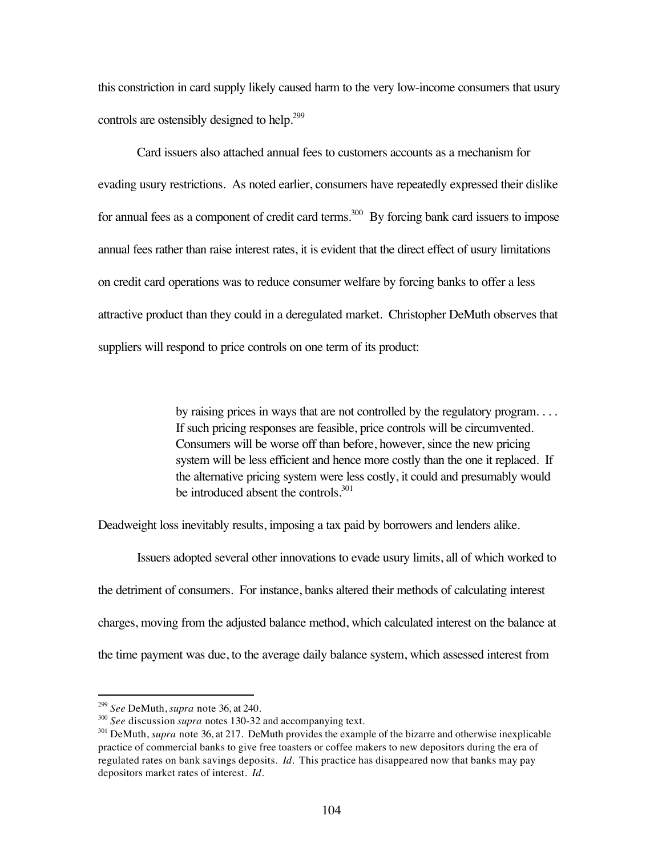this constriction in card supply likely caused harm to the very low-income consumers that usury controls are ostensibly designed to help.<sup>299</sup>

Card issuers also attached annual fees to customers accounts as a mechanism for evading usury restrictions. As noted earlier, consumers have repeatedly expressed their dislike for annual fees as a component of credit card terms.<sup>300</sup> By forcing bank card issuers to impose annual fees rather than raise interest rates, it is evident that the direct effect of usury limitations on credit card operations was to reduce consumer welfare by forcing banks to offer a less attractive product than they could in a deregulated market. Christopher DeMuth observes that suppliers will respond to price controls on one term of its product:

> by raising prices in ways that are not controlled by the regulatory program. . . . If such pricing responses are feasible, price controls will be circumvented. Consumers will be worse off than before, however, since the new pricing system will be less efficient and hence more costly than the one it replaced. If the alternative pricing system were less costly, it could and presumably would be introduced absent the controls. $301$

Deadweight loss inevitably results, imposing a tax paid by borrowers and lenders alike.

Issuers adopted several other innovations to evade usury limits, all of which worked to the detriment of consumers. For instance, banks altered their methods of calculating interest charges, moving from the adjusted balance method, which calculated interest on the balance at the time payment was due, to the average daily balance system, which assessed interest from

 <sup>299</sup> *See* DeMuth, *supra* note 36, at 240.

<sup>300</sup> *See* discussion *supra* notes 130-32 and accompanying text.

<sup>&</sup>lt;sup>301</sup> DeMuth, *supra* note 36, at 217. DeMuth provides the example of the bizarre and otherwise inexplicable practice of commercial banks to give free toasters or coffee makers to new depositors during the era of regulated rates on bank savings deposits. *Id.* This practice has disappeared now that banks may pay depositors market rates of interest. *Id.*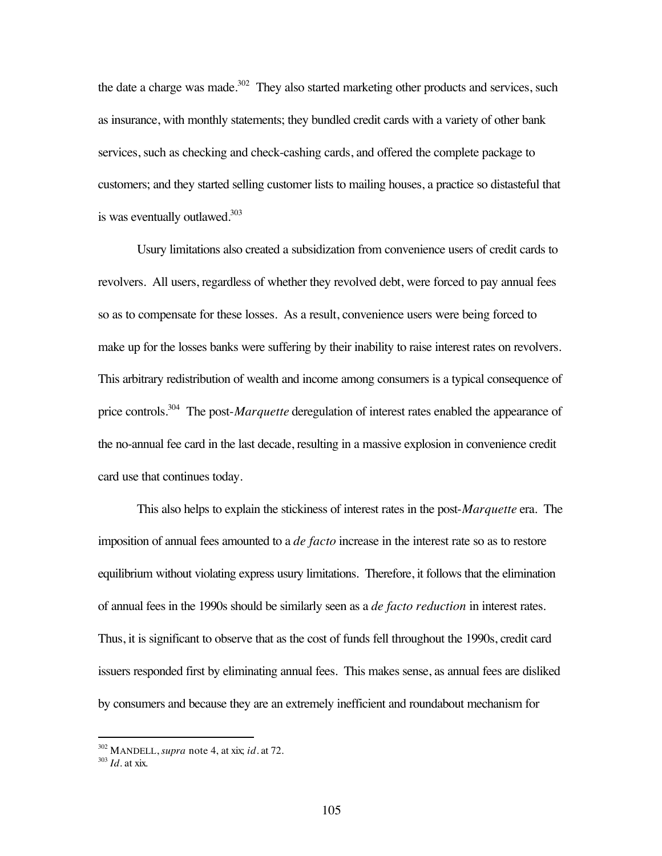the date a charge was made. $302$  They also started marketing other products and services, such as insurance, with monthly statements; they bundled credit cards with a variety of other bank services, such as checking and check-cashing cards, and offered the complete package to customers; and they started selling customer lists to mailing houses, a practice so distasteful that is was eventually outlawed. $303$ 

Usury limitations also created a subsidization from convenience users of credit cards to revolvers. All users, regardless of whether they revolved debt, were forced to pay annual fees so as to compensate for these losses. As a result, convenience users were being forced to make up for the losses banks were suffering by their inability to raise interest rates on revolvers. This arbitrary redistribution of wealth and income among consumers is a typical consequence of price controls.304 The post-*Marquette* deregulation of interest rates enabled the appearance of the no-annual fee card in the last decade, resulting in a massive explosion in convenience credit card use that continues today.

This also helps to explain the stickiness of interest rates in the post-*Marquette* era. The imposition of annual fees amounted to a *de facto* increase in the interest rate so as to restore equilibrium without violating express usury limitations. Therefore, it follows that the elimination of annual fees in the 1990s should be similarly seen as a *de facto reduction* in interest rates. Thus, it is significant to observe that as the cost of funds fell throughout the 1990s, credit card issuers responded first by eliminating annual fees. This makes sense, as annual fees are disliked by consumers and because they are an extremely inefficient and roundabout mechanism for

 <sup>302</sup> MANDELL, *supra* note 4, at xix; *id.* at 72.

<sup>303</sup> *Id.* at xix.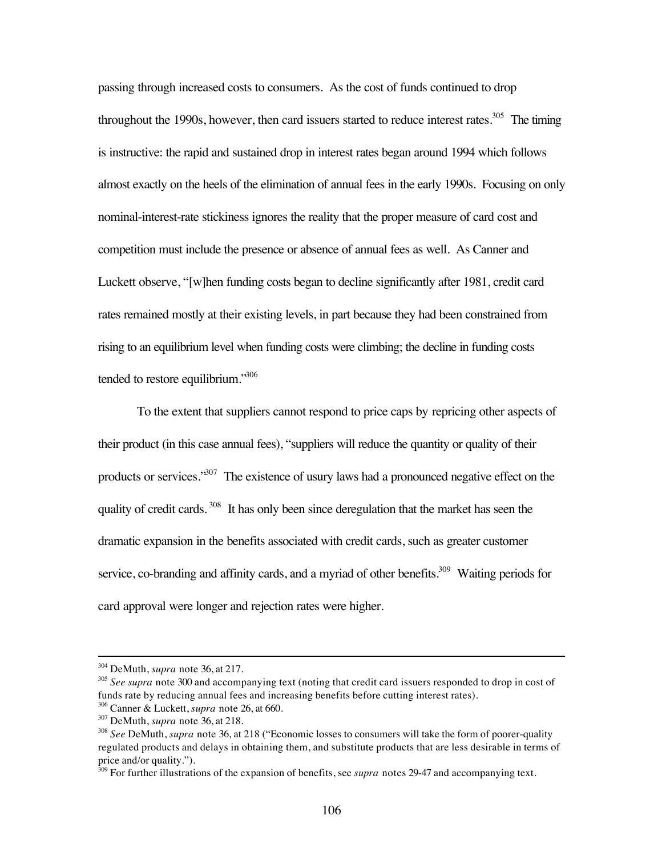passing through increased costs to consumers. As the cost of funds continued to drop throughout the 1990s, however, then card issuers started to reduce interest rates.<sup>305</sup> The timing is instructive: the rapid and sustained drop in interest rates began around 1994 which follows almost exactly on the heels of the elimination of annual fees in the early 1990s. Focusing on only nominal-interest-rate stickiness ignores the reality that the proper measure of card cost and competition must include the presence or absence of annual fees as well. As Canner and Luckett observe, "[w]hen funding costs began to decline significantly after 1981, credit card rates remained mostly at their existing levels, in part because they had been constrained from rising to an equilibrium level when funding costs were climbing; the decline in funding costs tended to restore equilibrium."<sup>306</sup>

To the extent that suppliers cannot respond to price caps by repricing other aspects of their product (in this case annual fees), "suppliers will reduce the quantity or quality of their products or services."<sup>307</sup> The existence of usury laws had a pronounced negative effect on the quality of credit cards. <sup>308</sup> It has only been since deregulation that the market has seen the dramatic expansion in the benefits associated with credit cards, such as greater customer service, co-branding and affinity cards, and a myriad of other benefits.<sup>309</sup> Waiting periods for card approval were longer and rejection rates were higher.

 <sup>304</sup> DeMuth, *supra* note 36, at 217.

<sup>&</sup>lt;sup>305</sup> See supra note 300 and accompanying text (noting that credit card issuers responded to drop in cost of funds rate by reducing annual fees and increasing benefits before cutting interest rates). 306 Canner & Luckett, *supra* note 26, at 660.

<sup>307</sup> DeMuth, *supra* note 36, at 218.

<sup>308</sup> *See* DeMuth, *supra* note 36, at 218 ("Economic losses to consumers will take the form of poorer-quality regulated products and delays in obtaining them, and substitute products that are less desirable in terms of price and/or quality.").

<sup>&</sup>lt;sup>309</sup> For further illustrations of the expansion of benefits, see *supra* notes 29-47 and accompanying text.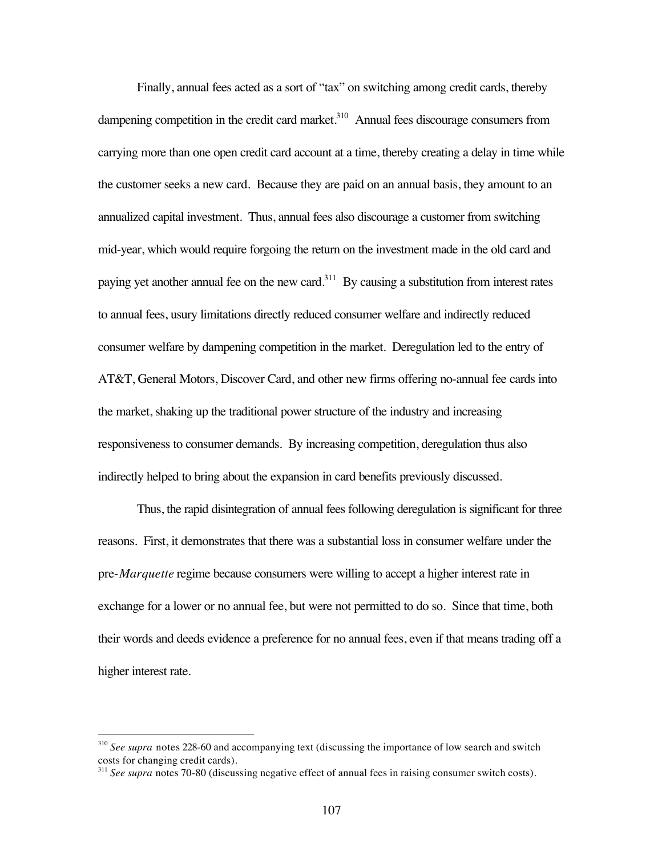Finally, annual fees acted as a sort of "tax" on switching among credit cards, thereby dampening competition in the credit card market. $310$  Annual fees discourage consumers from carrying more than one open credit card account at a time, thereby creating a delay in time while the customer seeks a new card. Because they are paid on an annual basis, they amount to an annualized capital investment. Thus, annual fees also discourage a customer from switching mid-year, which would require forgoing the return on the investment made in the old card and paying yet another annual fee on the new card.<sup>311</sup> By causing a substitution from interest rates to annual fees, usury limitations directly reduced consumer welfare and indirectly reduced consumer welfare by dampening competition in the market. Deregulation led to the entry of AT&T, General Motors, Discover Card, and other new firms offering no-annual fee cards into the market, shaking up the traditional power structure of the industry and increasing responsiveness to consumer demands. By increasing competition, deregulation thus also indirectly helped to bring about the expansion in card benefits previously discussed.

Thus, the rapid disintegration of annual fees following deregulation is significant for three reasons. First, it demonstrates that there was a substantial loss in consumer welfare under the pre-*Marquette* regime because consumers were willing to accept a higher interest rate in exchange for a lower or no annual fee, but were not permitted to do so. Since that time, both their words and deeds evidence a preference for no annual fees, even if that means trading off a higher interest rate.

<sup>&</sup>lt;sup>310</sup> See supra notes 228-60 and accompanying text (discussing the importance of low search and switch costs for changing credit cards).

<sup>&</sup>lt;sup>311</sup> See supra notes 70-80 (discussing negative effect of annual fees in raising consumer switch costs).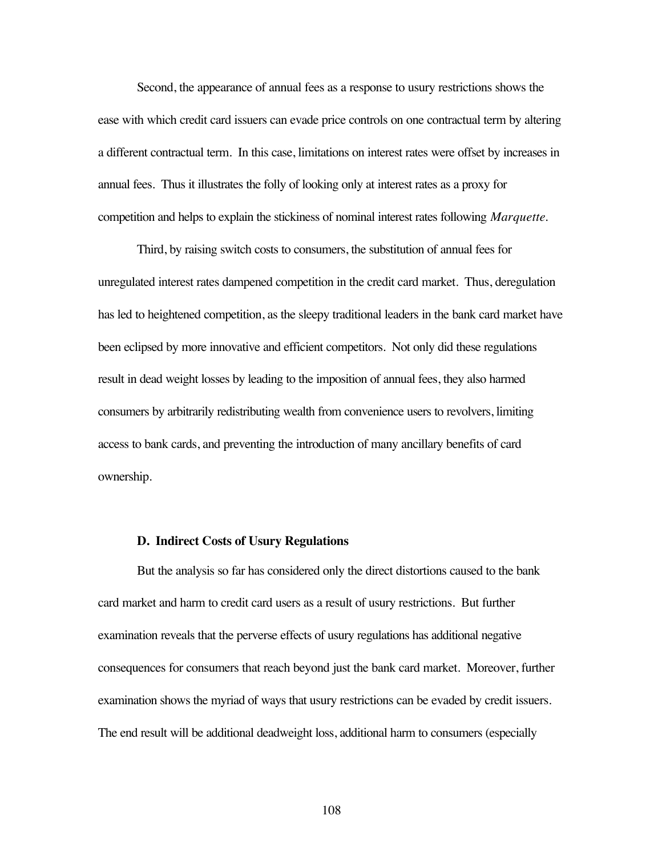Second, the appearance of annual fees as a response to usury restrictions shows the ease with which credit card issuers can evade price controls on one contractual term by altering a different contractual term. In this case, limitations on interest rates were offset by increases in annual fees. Thus it illustrates the folly of looking only at interest rates as a proxy for competition and helps to explain the stickiness of nominal interest rates following *Marquette*.

Third, by raising switch costs to consumers, the substitution of annual fees for unregulated interest rates dampened competition in the credit card market. Thus, deregulation has led to heightened competition, as the sleepy traditional leaders in the bank card market have been eclipsed by more innovative and efficient competitors. Not only did these regulations result in dead weight losses by leading to the imposition of annual fees, they also harmed consumers by arbitrarily redistributing wealth from convenience users to revolvers, limiting access to bank cards, and preventing the introduction of many ancillary benefits of card ownership.

## **D. Indirect Costs of Usury Regulations**

But the analysis so far has considered only the direct distortions caused to the bank card market and harm to credit card users as a result of usury restrictions. But further examination reveals that the perverse effects of usury regulations has additional negative consequences for consumers that reach beyond just the bank card market. Moreover, further examination shows the myriad of ways that usury restrictions can be evaded by credit issuers. The end result will be additional deadweight loss, additional harm to consumers (especially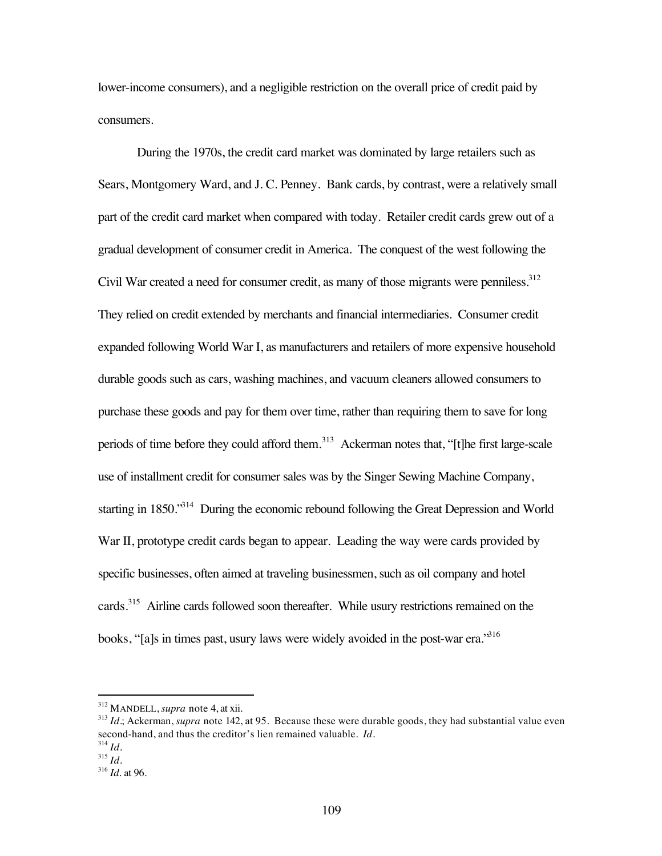lower-income consumers), and a negligible restriction on the overall price of credit paid by consumers.

During the 1970s, the credit card market was dominated by large retailers such as Sears, Montgomery Ward, and J. C. Penney. Bank cards, by contrast, were a relatively small part of the credit card market when compared with today. Retailer credit cards grew out of a gradual development of consumer credit in America. The conquest of the west following the Civil War created a need for consumer credit, as many of those migrants were penniless.<sup>312</sup> They relied on credit extended by merchants and financial intermediaries. Consumer credit expanded following World War I, as manufacturers and retailers of more expensive household durable goods such as cars, washing machines, and vacuum cleaners allowed consumers to purchase these goods and pay for them over time, rather than requiring them to save for long periods of time before they could afford them.<sup>313</sup> Ackerman notes that, "[t]he first large-scale use of installment credit for consumer sales was by the Singer Sewing Machine Company, starting in 1850.<sup>314</sup> During the economic rebound following the Great Depression and World War II, prototype credit cards began to appear. Leading the way were cards provided by specific businesses, often aimed at traveling businessmen, such as oil company and hotel cards.<sup>315</sup> Airline cards followed soon thereafter. While usury restrictions remained on the books, "[a]s in times past, usury laws were widely avoided in the post-war era."<sup>316</sup>

 <sup>312</sup> MANDELL, *supra* note 4, at xii.

<sup>&</sup>lt;sup>313</sup> *Id*.; Ackerman, *supra* note 142, at 95. Because these were durable goods, they had substantial value even second-hand, and thus the creditor's lien remained valuable. *Id.*

<sup>314</sup> *Id.* <sup>315</sup> *Id.*

<sup>316</sup> *Id.* at 96.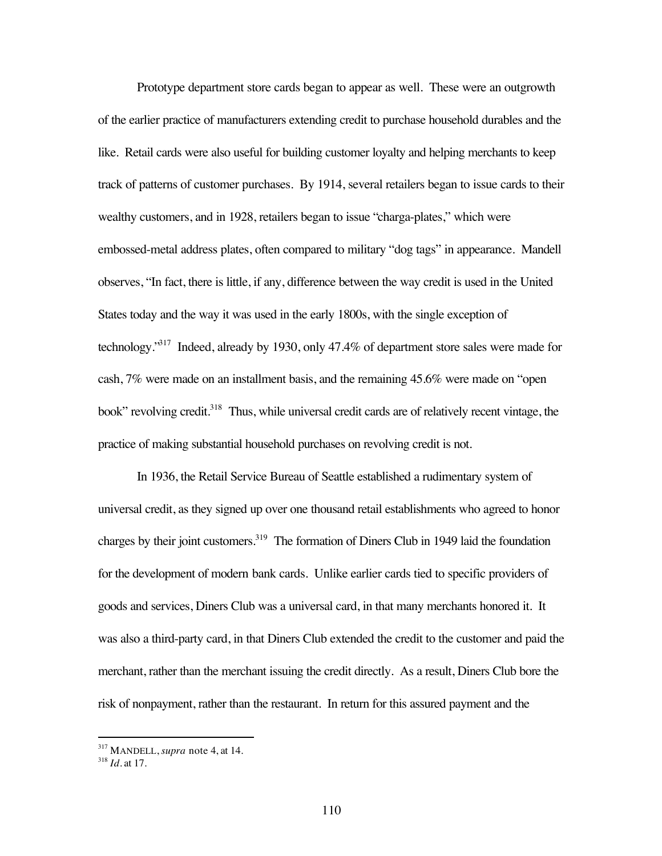Prototype department store cards began to appear as well. These were an outgrowth of the earlier practice of manufacturers extending credit to purchase household durables and the like. Retail cards were also useful for building customer loyalty and helping merchants to keep track of patterns of customer purchases. By 1914, several retailers began to issue cards to their wealthy customers, and in 1928, retailers began to issue "charga-plates," which were embossed-metal address plates, often compared to military "dog tags" in appearance. Mandell observes, "In fact, there is little, if any, difference between the way credit is used in the United States today and the way it was used in the early 1800s, with the single exception of technology."317 Indeed, already by 1930, only 47.4% of department store sales were made for cash, 7% were made on an installment basis, and the remaining 45.6% were made on "open book" revolving credit.<sup>318</sup> Thus, while universal credit cards are of relatively recent vintage, the practice of making substantial household purchases on revolving credit is not.

In 1936, the Retail Service Bureau of Seattle established a rudimentary system of universal credit, as they signed up over one thousand retail establishments who agreed to honor charges by their joint customers.<sup>319</sup> The formation of Diners Club in 1949 laid the foundation for the development of modern bank cards. Unlike earlier cards tied to specific providers of goods and services, Diners Club was a universal card, in that many merchants honored it. It was also a third-party card, in that Diners Club extended the credit to the customer and paid the merchant, rather than the merchant issuing the credit directly. As a result, Diners Club bore the risk of nonpayment, rather than the restaurant. In return for this assured payment and the

 <sup>317</sup> MANDELL, *supra* note 4, at 14.

<sup>318</sup> *Id.* at 17.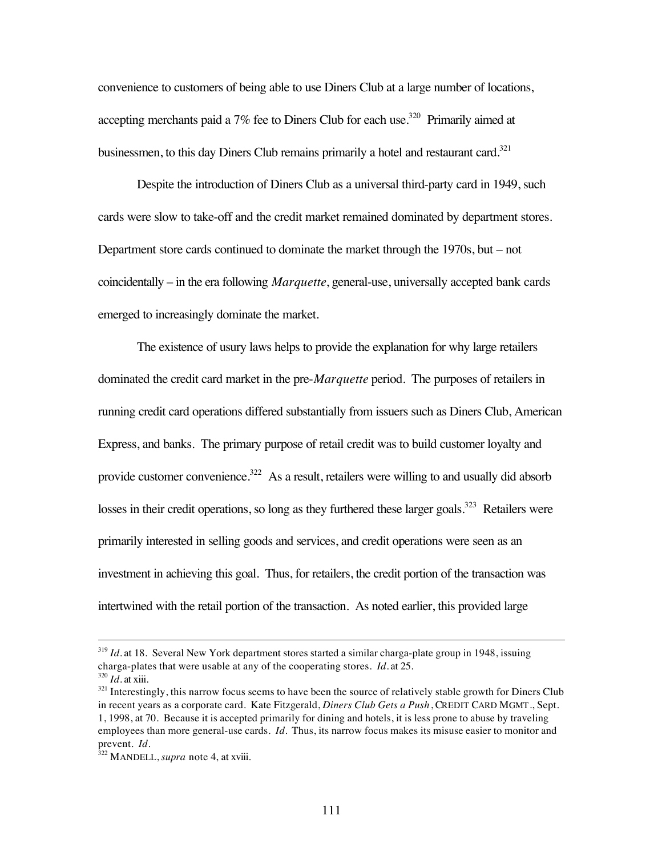convenience to customers of being able to use Diners Club at a large number of locations, accepting merchants paid a  $7\%$  fee to Diners Club for each use.<sup>320</sup> Primarily aimed at businessmen, to this day Diners Club remains primarily a hotel and restaurant card.<sup>321</sup>

Despite the introduction of Diners Club as a universal third-party card in 1949, such cards were slow to take-off and the credit market remained dominated by department stores. Department store cards continued to dominate the market through the 1970s, but – not coincidentally – in the era following *Marquette*, general-use, universally accepted bank cards emerged to increasingly dominate the market.

The existence of usury laws helps to provide the explanation for why large retailers dominated the credit card market in the pre-*Marquette* period. The purposes of retailers in running credit card operations differed substantially from issuers such as Diners Club, American Express, and banks. The primary purpose of retail credit was to build customer loyalty and provide customer convenience.<sup>322</sup> As a result, retailers were willing to and usually did absorb losses in their credit operations, so long as they furthered these larger goals.<sup>323</sup> Retailers were primarily interested in selling goods and services, and credit operations were seen as an investment in achieving this goal. Thus, for retailers, the credit portion of the transaction was intertwined with the retail portion of the transaction. As noted earlier, this provided large

<sup>&</sup>lt;sup>319</sup> *Id.* at 18. Several New York department stores started a similar charga-plate group in 1948, issuing charga-plates that were usable at any of the cooperating stores. *Id.* at 25.  $320$  *Id.* at xiii.

<sup>&</sup>lt;sup>321</sup> Interestingly, this narrow focus seems to have been the source of relatively stable growth for Diners Club in recent years as a corporate card. Kate Fitzgerald, *Diners Club Gets a Push*, CREDIT CARD MGMT., Sept. 1, 1998, at 70. Because it is accepted primarily for dining and hotels, it is less prone to abuse by traveling employees than more general-use cards. *Id.* Thus, its narrow focus makes its misuse easier to monitor and prevent. *Id.*

<sup>&</sup>lt;sup>322</sup> MANDELL, *supra* note 4, at xviii.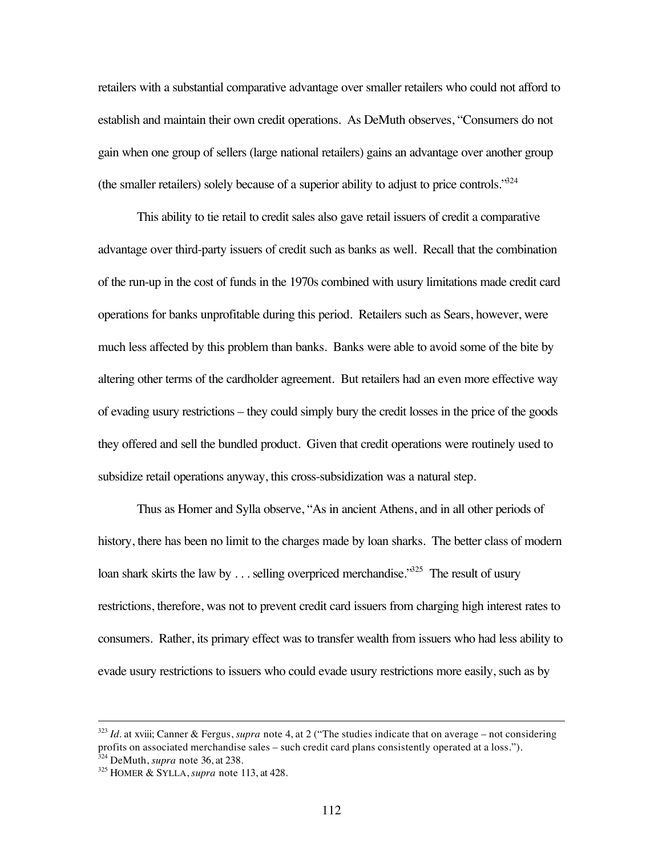retailers with a substantial comparative advantage over smaller retailers who could not afford to establish and maintain their own credit operations. As DeMuth observes, "Consumers do not gain when one group of sellers (large national retailers) gains an advantage over another group (the smaller retailers) solely because of a superior ability to adjust to price controls.<sup>324</sup>

This ability to tie retail to credit sales also gave retail issuers of credit a comparative advantage over third-party issuers of credit such as banks as well. Recall that the combination of the run-up in the cost of funds in the 1970s combined with usury limitations made credit card operations for banks unprofitable during this period. Retailers such as Sears, however, were much less affected by this problem than banks. Banks were able to avoid some of the bite by altering other terms of the cardholder agreement. But retailers had an even more effective way of evading usury restrictions – they could simply bury the credit losses in the price of the goods they offered and sell the bundled product. Given that credit operations were routinely used to subsidize retail operations anyway, this cross-subsidization was a natural step.

Thus as Homer and Sylla observe, "As in ancient Athens, and in all other periods of history, there has been no limit to the charges made by loan sharks. The better class of modern loan shark skirts the law by ... selling overpriced merchandise.<sup>325</sup> The result of usury restrictions, therefore, was not to prevent credit card issuers from charging high interest rates to consumers. Rather, its primary effect was to transfer wealth from issuers who had less ability to evade usury restrictions to issuers who could evade usury restrictions more easily, such as by

 <sup>323</sup> *Id.* at xviii; Canner & Fergus, *supra* note 4, at 2 ("The studies indicate that on average – not considering profits on associated merchandise sales – such credit card plans consistently operated at a loss."). <sup>324</sup> DeMuth, *supra* note 36, at 238.

<sup>325</sup> HOMER & SYLLA, *supra* note 113, at 428.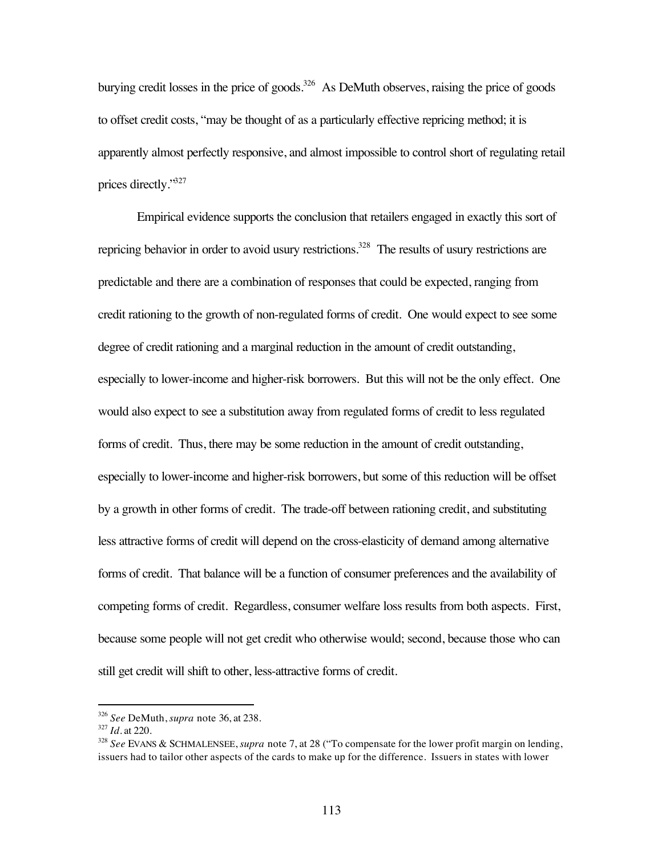burying credit losses in the price of goods.<sup>326</sup> As DeMuth observes, raising the price of goods to offset credit costs, "may be thought of as a particularly effective repricing method; it is apparently almost perfectly responsive, and almost impossible to control short of regulating retail prices directly."327

Empirical evidence supports the conclusion that retailers engaged in exactly this sort of repricing behavior in order to avoid usury restrictions.<sup>328</sup> The results of usury restrictions are predictable and there are a combination of responses that could be expected, ranging from credit rationing to the growth of non-regulated forms of credit. One would expect to see some degree of credit rationing and a marginal reduction in the amount of credit outstanding, especially to lower-income and higher-risk borrowers. But this will not be the only effect. One would also expect to see a substitution away from regulated forms of credit to less regulated forms of credit. Thus, there may be some reduction in the amount of credit outstanding, especially to lower-income and higher-risk borrowers, but some of this reduction will be offset by a growth in other forms of credit. The trade-off between rationing credit, and substituting less attractive forms of credit will depend on the cross-elasticity of demand among alternative forms of credit. That balance will be a function of consumer preferences and the availability of competing forms of credit. Regardless, consumer welfare loss results from both aspects. First, because some people will not get credit who otherwise would; second, because those who can still get credit will shift to other, less-attractive forms of credit.

 <sup>326</sup> *See* DeMuth, *supra* note 36, at 238.

<sup>327</sup> *Id.* at 220.

<sup>328</sup> *See* EVANS & SCHMALENSEE, *supra* note 7, at 28 ("To compensate for the lower profit margin on lending, issuers had to tailor other aspects of the cards to make up for the difference. Issuers in states with lower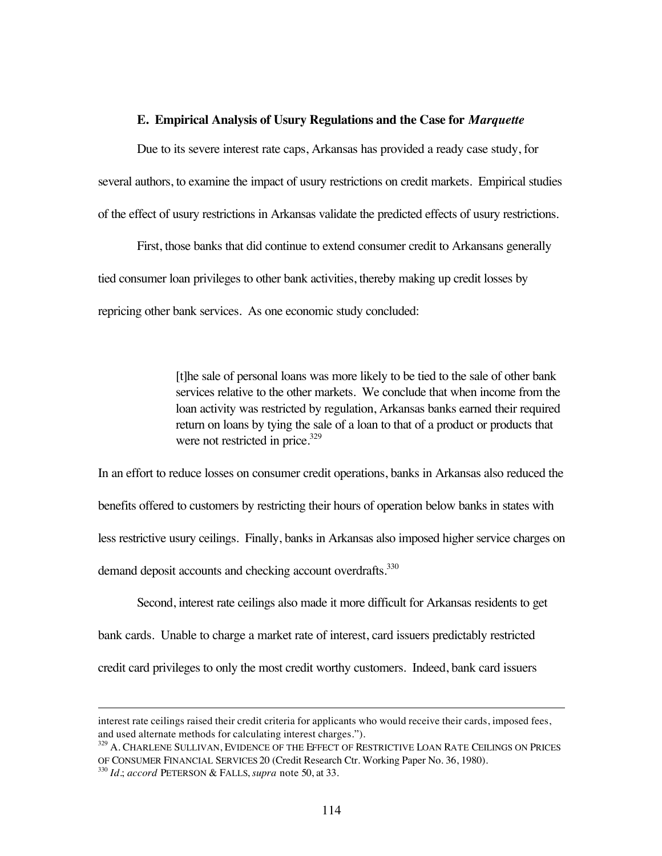### **E. Empirical Analysis of Usury Regulations and the Case for** *Marquette*

Due to its severe interest rate caps, Arkansas has provided a ready case study, for several authors, to examine the impact of usury restrictions on credit markets. Empirical studies of the effect of usury restrictions in Arkansas validate the predicted effects of usury restrictions.

First, those banks that did continue to extend consumer credit to Arkansans generally tied consumer loan privileges to other bank activities, thereby making up credit losses by repricing other bank services. As one economic study concluded:

> [t]he sale of personal loans was more likely to be tied to the sale of other bank services relative to the other markets. We conclude that when income from the loan activity was restricted by regulation, Arkansas banks earned their required return on loans by tying the sale of a loan to that of a product or products that were not restricted in price.<sup>329</sup>

In an effort to reduce losses on consumer credit operations, banks in Arkansas also reduced the benefits offered to customers by restricting their hours of operation below banks in states with less restrictive usury ceilings. Finally, banks in Arkansas also imposed higher service charges on demand deposit accounts and checking account overdrafts.<sup>330</sup>

Second, interest rate ceilings also made it more difficult for Arkansas residents to get bank cards. Unable to charge a market rate of interest, card issuers predictably restricted credit card privileges to only the most credit worthy customers. Indeed, bank card issuers

 $\overline{a}$ 

interest rate ceilings raised their credit criteria for applicants who would receive their cards, imposed fees, and used alternate methods for calculating interest charges.").

<sup>&</sup>lt;sup>329</sup> A. CHARLENE SULLIVAN, EVIDENCE OF THE EFFECT OF RESTRICTIVE LOAN RATE CEILINGS ON PRICES OF CONSUMER FINANCIAL SERVICES 20 (Credit Research Ctr. Working Paper No. 36, 1980). <sup>330</sup> *Id.*; *accord* PETERSON & FALLS, *supra* note 50, at 33.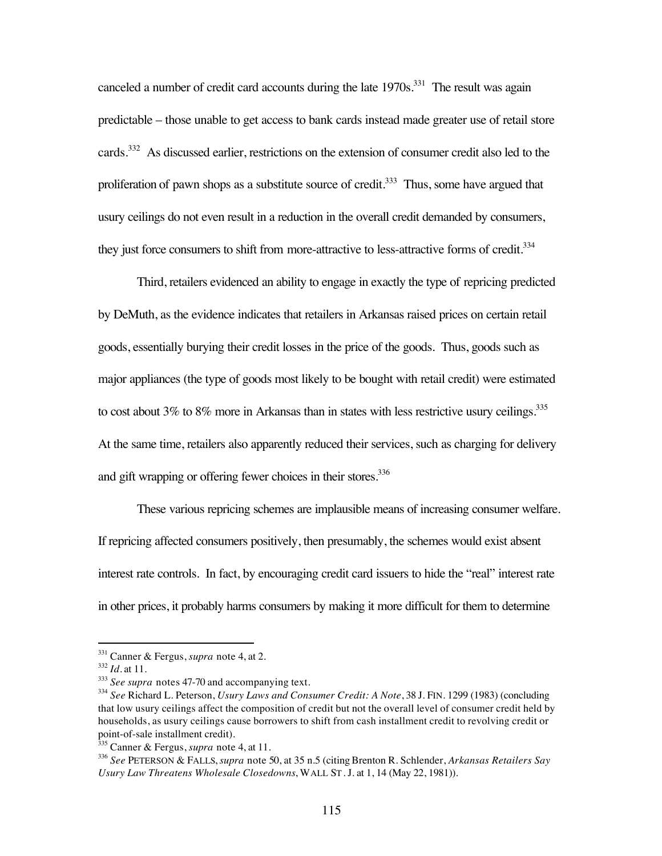canceled a number of credit card accounts during the late  $1970s$ <sup>331</sup>. The result was again predictable – those unable to get access to bank cards instead made greater use of retail store cards.332 As discussed earlier, restrictions on the extension of consumer credit also led to the proliferation of pawn shops as a substitute source of credit.<sup>333</sup> Thus, some have argued that usury ceilings do not even result in a reduction in the overall credit demanded by consumers, they just force consumers to shift from more-attractive to less-attractive forms of credit.<sup>334</sup>

Third, retailers evidenced an ability to engage in exactly the type of repricing predicted by DeMuth, as the evidence indicates that retailers in Arkansas raised prices on certain retail goods, essentially burying their credit losses in the price of the goods. Thus, goods such as major appliances (the type of goods most likely to be bought with retail credit) were estimated to cost about 3% to 8% more in Arkansas than in states with less restrictive usury ceilings.<sup>335</sup> At the same time, retailers also apparently reduced their services, such as charging for delivery and gift wrapping or offering fewer choices in their stores.<sup>336</sup>

These various repricing schemes are implausible means of increasing consumer welfare. If repricing affected consumers positively, then presumably, the schemes would exist absent interest rate controls. In fact, by encouraging credit card issuers to hide the "real" interest rate in other prices, it probably harms consumers by making it more difficult for them to determine

 <sup>331</sup> Canner & Fergus, *supra* note 4, at 2.

<sup>332</sup> *Id.* at 11.

<sup>&</sup>lt;sup>333</sup> *See supra* notes 47-70 and accompanying text.

<sup>334</sup> *See* Richard L. Peterson, *Usury Laws and Consumer Credit: A Note*, 38 J. FIN. 1299 (1983) (concluding that low usury ceilings affect the composition of credit but not the overall level of consumer credit held by households, as usury ceilings cause borrowers to shift from cash installment credit to revolving credit or point-of-sale installment credit).

<sup>335</sup> Canner & Fergus, *supra* note 4, at 11.

<sup>336</sup> *See* PETERSON & FALLS, *supra* note 50, at 35 n.5 (citing Brenton R. Schlender, *Arkansas Retailers Say Usury Law Threatens Wholesale Closedowns*, WALL ST. J. at 1, 14 (May 22, 1981)).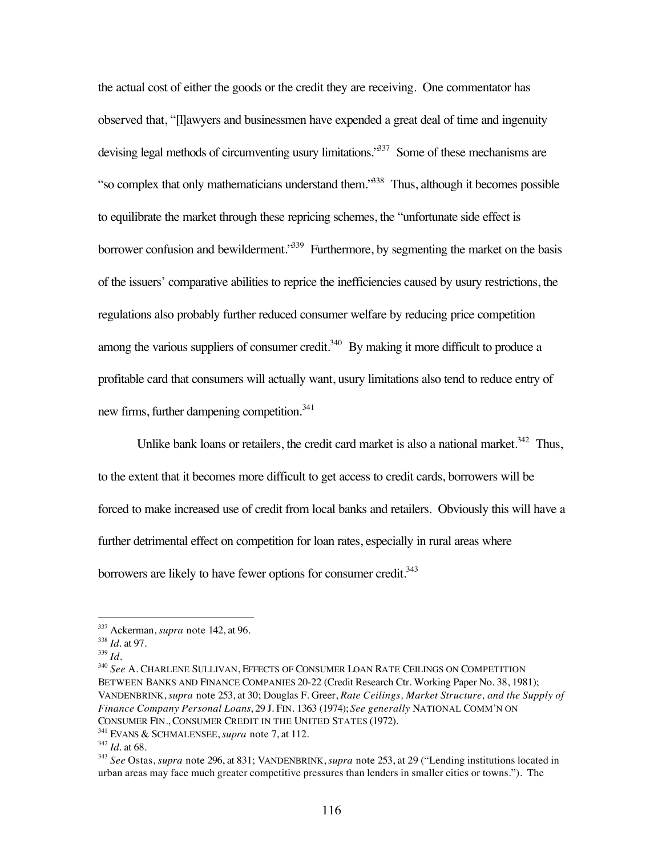the actual cost of either the goods or the credit they are receiving. One commentator has observed that, "[l]awyers and businessmen have expended a great deal of time and ingenuity devising legal methods of circumventing usury limitations.<sup>337</sup> Some of these mechanisms are "so complex that only mathematicians understand them."338 Thus, although it becomes possible to equilibrate the market through these repricing schemes, the "unfortunate side effect is borrower confusion and bewilderment.<sup>339</sup> Furthermore, by segmenting the market on the basis of the issuers' comparative abilities to reprice the inefficiencies caused by usury restrictions, the regulations also probably further reduced consumer welfare by reducing price competition among the various suppliers of consumer credit.<sup>340</sup> By making it more difficult to produce a profitable card that consumers will actually want, usury limitations also tend to reduce entry of new firms, further dampening competition.<sup>341</sup>

Unlike bank loans or retailers, the credit card market is also a national market.<sup>342</sup> Thus, to the extent that it becomes more difficult to get access to credit cards, borrowers will be forced to make increased use of credit from local banks and retailers. Obviously this will have a further detrimental effect on competition for loan rates, especially in rural areas where borrowers are likely to have fewer options for consumer credit.<sup>343</sup>

 <sup>337</sup> Ackerman, *supra* note 142, at 96.

<sup>338</sup> *Id.* at 97.

<sup>339</sup> *Id.*

<sup>340</sup> *See* A. CHARLENE SULLIVAN, EFFECTS OF CONSUMER LOAN RATE CEILINGS ON COMPETITION BETWEEN BANKS AND FINANCE COMPANIES 20-22 (Credit Research Ctr. Working Paper No. 38, 1981); VANDENBRINK, *supra* note 253, at 30; Douglas F. Greer, *Rate Ceilings, Market Structure, and the Supply of Finance Company Personal Loans*, 29 J. FIN. 1363 (1974); *See generally* NATIONAL COMM'N ON CONSUMER FIN., CONSUMER CREDIT IN THE UNITED STATES (1972).

<sup>341</sup> EVANS & SCHMALENSEE, *supra* note 7, at 112.

<sup>342</sup> *Id.* at 68.

<sup>343</sup> *See* Ostas, *supra* note 296, at 831; VANDENBRINK, *supra* note 253, at 29 ("Lending institutions located in urban areas may face much greater competitive pressures than lenders in smaller cities or towns."). The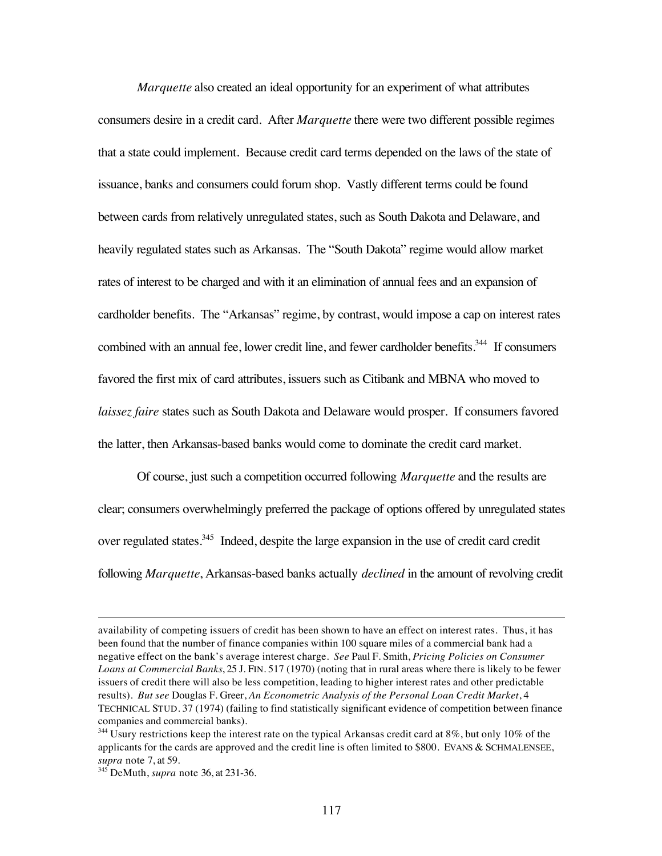*Marquette* also created an ideal opportunity for an experiment of what attributes consumers desire in a credit card. After *Marquette* there were two different possible regimes that a state could implement. Because credit card terms depended on the laws of the state of issuance, banks and consumers could forum shop. Vastly different terms could be found between cards from relatively unregulated states, such as South Dakota and Delaware, and heavily regulated states such as Arkansas. The "South Dakota" regime would allow market rates of interest to be charged and with it an elimination of annual fees and an expansion of cardholder benefits. The "Arkansas" regime, by contrast, would impose a cap on interest rates combined with an annual fee, lower credit line, and fewer cardholder benefits.<sup>344</sup> If consumers favored the first mix of card attributes, issuers such as Citibank and MBNA who moved to *laissez faire* states such as South Dakota and Delaware would prosper. If consumers favored the latter, then Arkansas-based banks would come to dominate the credit card market.

Of course, just such a competition occurred following *Marquette* and the results are clear; consumers overwhelmingly preferred the package of options offered by unregulated states over regulated states.<sup>345</sup> Indeed, despite the large expansion in the use of credit card credit following *Marquette*, Arkansas-based banks actually *declined* in the amount of revolving credit

 $\overline{a}$ 

availability of competing issuers of credit has been shown to have an effect on interest rates. Thus, it has been found that the number of finance companies within 100 square miles of a commercial bank had a negative effect on the bank's average interest charge. *See* Paul F. Smith, *Pricing Policies on Consumer Loans at Commercial Banks*, 25 J. FIN. 517 (1970) (noting that in rural areas where there is likely to be fewer issuers of credit there will also be less competition, leading to higher interest rates and other predictable results). *But see* Douglas F. Greer, *An Econometric Analysis of the Personal Loan Credit Market*, 4 TECHNICAL STUD. 37 (1974) (failing to find statistically significant evidence of competition between finance companies and commercial banks).

 $344$  Usury restrictions keep the interest rate on the typical Arkansas credit card at 8%, but only 10% of the applicants for the cards are approved and the credit line is often limited to \$800. EVANS & SCHMALENSEE, *supra* note 7, at 59.

<sup>345</sup> DeMuth, *supra* note 36, at 231-36.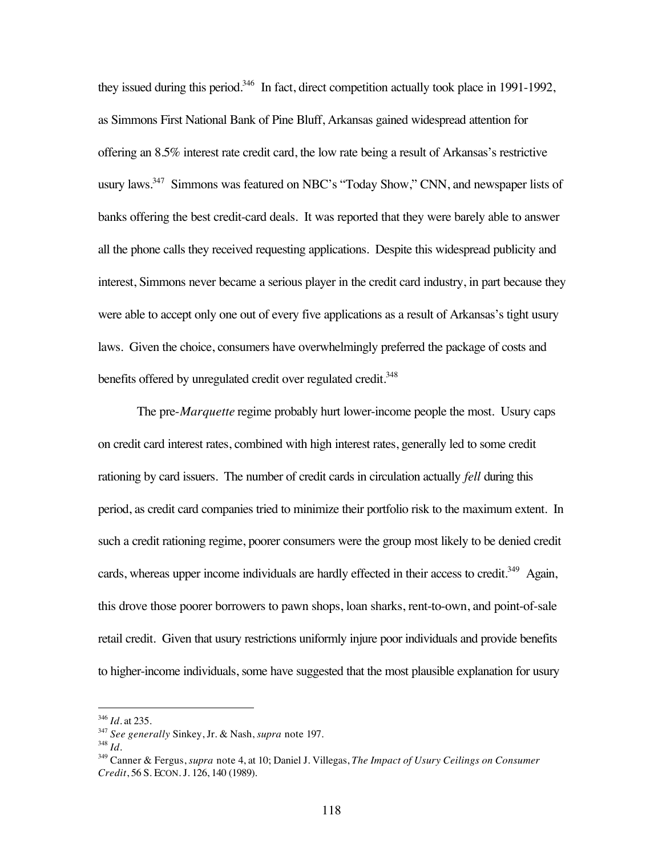they issued during this period.<sup>346</sup> In fact, direct competition actually took place in 1991-1992, as Simmons First National Bank of Pine Bluff, Arkansas gained widespread attention for offering an 8.5% interest rate credit card, the low rate being a result of Arkansas's restrictive usury laws.<sup>347</sup> Simmons was featured on NBC's "Today Show," CNN, and newspaper lists of banks offering the best credit-card deals. It was reported that they were barely able to answer all the phone calls they received requesting applications. Despite this widespread publicity and interest, Simmons never became a serious player in the credit card industry, in part because they were able to accept only one out of every five applications as a result of Arkansas's tight usury laws. Given the choice, consumers have overwhelmingly preferred the package of costs and benefits offered by unregulated credit over regulated credit.<sup>348</sup>

The pre-*Marquette* regime probably hurt lower-income people the most. Usury caps on credit card interest rates, combined with high interest rates, generally led to some credit rationing by card issuers. The number of credit cards in circulation actually *fell* during this period, as credit card companies tried to minimize their portfolio risk to the maximum extent. In such a credit rationing regime, poorer consumers were the group most likely to be denied credit cards, whereas upper income individuals are hardly effected in their access to credit.<sup>349</sup> Again, this drove those poorer borrowers to pawn shops, loan sharks, rent-to-own, and point-of-sale retail credit. Given that usury restrictions uniformly injure poor individuals and provide benefits to higher-income individuals, some have suggested that the most plausible explanation for usury

 <sup>346</sup> *Id.* at 235.

<sup>347</sup> *See generally* Sinkey, Jr. & Nash, *supra* note 197.

<sup>348</sup> *Id.*

<sup>349</sup> Canner & Fergus, *supra* note 4, at 10; Daniel J. Villegas, *The Impact of Usury Ceilings on Consumer Credit*, 56 S. ECON. J. 126, 140 (1989).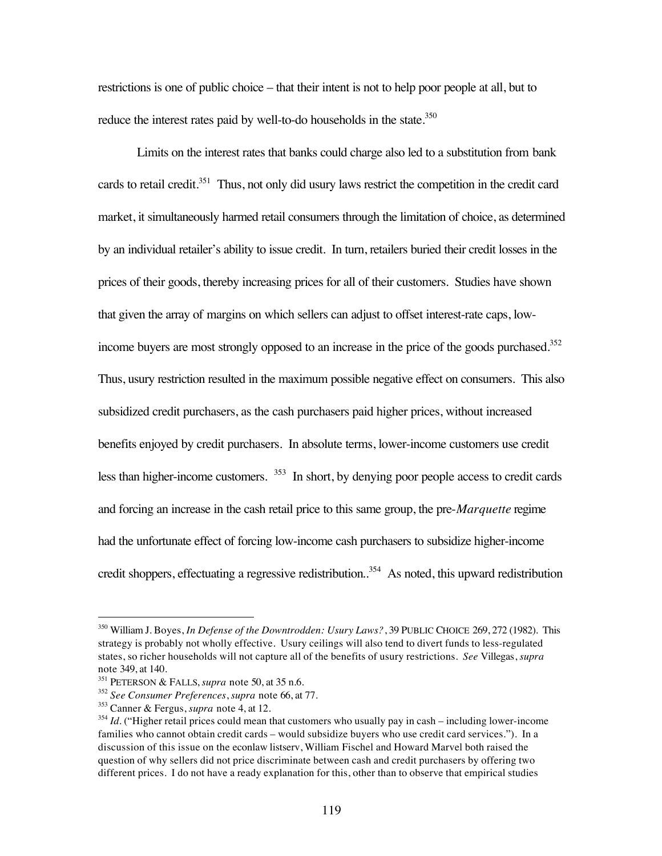restrictions is one of public choice – that their intent is not to help poor people at all, but to reduce the interest rates paid by well-to-do households in the state.<sup>350</sup>

Limits on the interest rates that banks could charge also led to a substitution from bank cards to retail credit.<sup>351</sup> Thus, not only did usury laws restrict the competition in the credit card market, it simultaneously harmed retail consumers through the limitation of choice, as determined by an individual retailer's ability to issue credit. In turn, retailers buried their credit losses in the prices of their goods, thereby increasing prices for all of their customers. Studies have shown that given the array of margins on which sellers can adjust to offset interest-rate caps, lowincome buyers are most strongly opposed to an increase in the price of the goods purchased.<sup>352</sup> Thus, usury restriction resulted in the maximum possible negative effect on consumers. This also subsidized credit purchasers, as the cash purchasers paid higher prices, without increased benefits enjoyed by credit purchasers. In absolute terms, lower-income customers use credit less than higher-income customers. 353 In short, by denying poor people access to credit cards and forcing an increase in the cash retail price to this same group, the pre-*Marquette* regime had the unfortunate effect of forcing low-income cash purchasers to subsidize higher-income credit shoppers, effectuating a regressive redistribution.<sup>354</sup> As noted, this upward redistribution

 <sup>350</sup> William J. Boyes, *In Defense of the Downtrodden: Usury Laws?*, 39 PUBLIC CHOICE 269, 272 (1982). This strategy is probably not wholly effective. Usury ceilings will also tend to divert funds to less-regulated states, so richer households will not capture all of the benefits of usury restrictions. *See* Villegas, *supra* note 349, at 140.

<sup>351</sup> PETERSON & FALLS, *supra* note 50, at 35 n.6.

<sup>352</sup> *See Consumer Preferences*, *supra* note 66, at 77.

<sup>353</sup> Canner & Fergus, *supra* note 4, at 12.

<sup>&</sup>lt;sup>354</sup> *Id.* ("Higher retail prices could mean that customers who usually pay in cash – including lower-income families who cannot obtain credit cards – would subsidize buyers who use credit card services."). In a discussion of this issue on the econlaw listserv, William Fischel and Howard Marvel both raised the question of why sellers did not price discriminate between cash and credit purchasers by offering two different prices. I do not have a ready explanation for this, other than to observe that empirical studies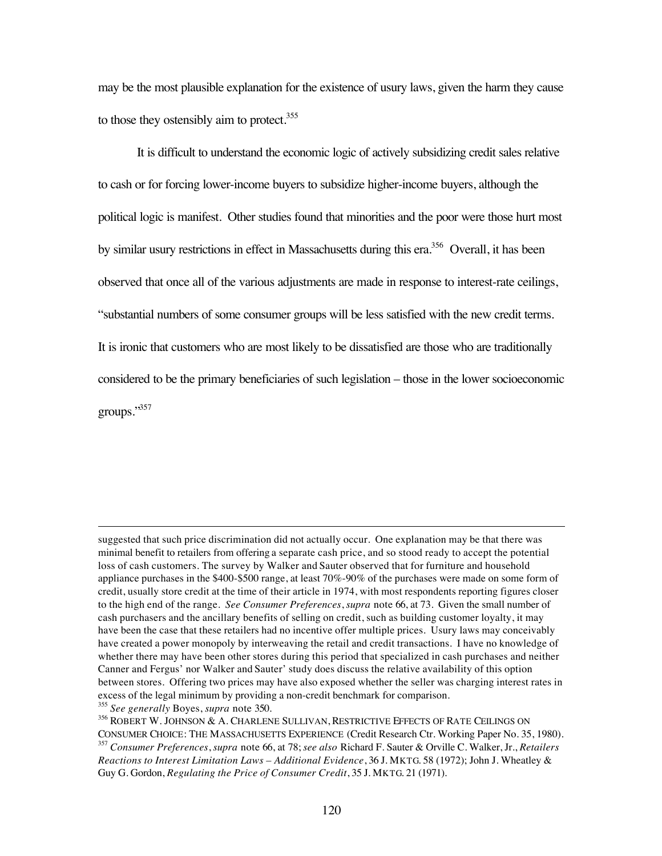may be the most plausible explanation for the existence of usury laws, given the harm they cause to those they ostensibly aim to protect. $355$ 

It is difficult to understand the economic logic of actively subsidizing credit sales relative to cash or for forcing lower-income buyers to subsidize higher-income buyers, although the political logic is manifest. Other studies found that minorities and the poor were those hurt most by similar usury restrictions in effect in Massachusetts during this era.<sup>356</sup> Overall, it has been observed that once all of the various adjustments are made in response to interest-rate ceilings, "substantial numbers of some consumer groups will be less satisfied with the new credit terms. It is ironic that customers who are most likely to be dissatisfied are those who are traditionally considered to be the primary beneficiaries of such legislation – those in the lower socioeconomic groups."357

 $\overline{a}$ 

suggested that such price discrimination did not actually occur. One explanation may be that there was minimal benefit to retailers from offering a separate cash price, and so stood ready to accept the potential loss of cash customers. The survey by Walker and Sauter observed that for furniture and household appliance purchases in the \$400-\$500 range, at least 70%-90% of the purchases were made on some form of credit, usually store credit at the time of their article in 1974, with most respondents reporting figures closer to the high end of the range. *See Consumer Preferences*, *supra* note 66, at 73. Given the small number of cash purchasers and the ancillary benefits of selling on credit, such as building customer loyalty, it may have been the case that these retailers had no incentive offer multiple prices. Usury laws may conceivably have created a power monopoly by interweaving the retail and credit transactions. I have no knowledge of whether there may have been other stores during this period that specialized in cash purchases and neither Canner and Fergus' nor Walker and Sauter' study does discuss the relative availability of this option between stores. Offering two prices may have also exposed whether the seller was charging interest rates in excess of the legal minimum by providing a non-credit benchmark for comparison. <sup>355</sup> *See generally* Boyes, *supra* note 350.

<sup>356</sup> ROBERT W. JOHNSON & A. CHARLENE SULLIVAN, RESTRICTIVE EFFECTS OF RATE CEILINGS ON CONSUMER CHOICE: THE MASSACHUSETTS EXPERIENCE (Credit Research Ctr. Working Paper No. 35, 1980). <sup>357</sup> *Consumer Preferences*, *supra* note 66, at 78; *see also* Richard F. Sauter & Orville C. Walker, Jr., *Retailers*

*Reactions to Interest Limitation Laws – Additional Evidence*, 36 J. MKTG. 58 (1972); John J. Wheatley & Guy G. Gordon, *Regulating the Price of Consumer Credit*, 35 J. MKTG. 21 (1971).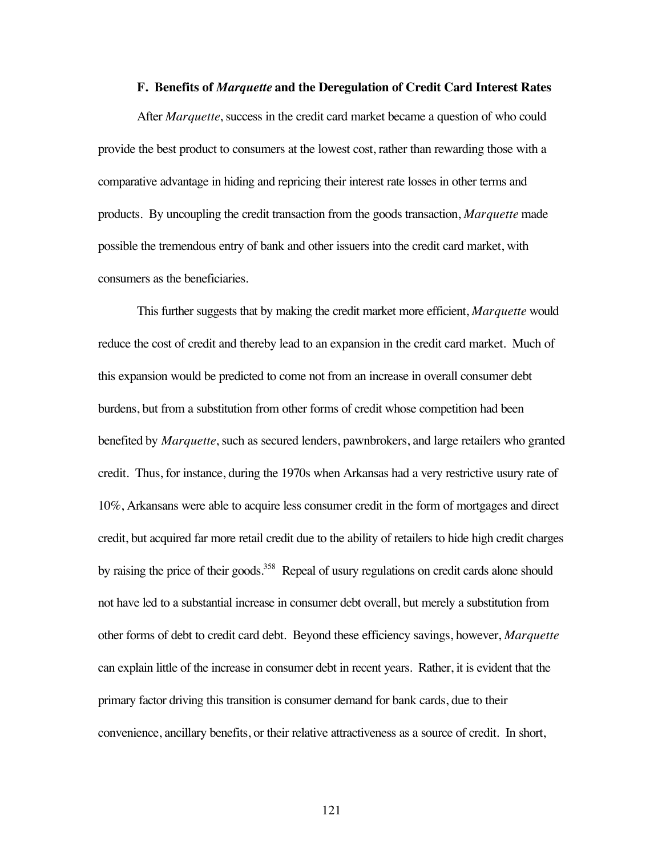### **F. Benefits of** *Marquette* **and the Deregulation of Credit Card Interest Rates**

After *Marquette*, success in the credit card market became a question of who could provide the best product to consumers at the lowest cost, rather than rewarding those with a comparative advantage in hiding and repricing their interest rate losses in other terms and products. By uncoupling the credit transaction from the goods transaction, *Marquette* made possible the tremendous entry of bank and other issuers into the credit card market, with consumers as the beneficiaries.

This further suggests that by making the credit market more efficient, *Marquette* would reduce the cost of credit and thereby lead to an expansion in the credit card market. Much of this expansion would be predicted to come not from an increase in overall consumer debt burdens, but from a substitution from other forms of credit whose competition had been benefited by *Marquette*, such as secured lenders, pawnbrokers, and large retailers who granted credit. Thus, for instance, during the 1970s when Arkansas had a very restrictive usury rate of 10%, Arkansans were able to acquire less consumer credit in the form of mortgages and direct credit, but acquired far more retail credit due to the ability of retailers to hide high credit charges by raising the price of their goods.<sup>358</sup> Repeal of usury regulations on credit cards alone should not have led to a substantial increase in consumer debt overall, but merely a substitution from other forms of debt to credit card debt. Beyond these efficiency savings, however, *Marquette* can explain little of the increase in consumer debt in recent years. Rather, it is evident that the primary factor driving this transition is consumer demand for bank cards, due to their convenience, ancillary benefits, or their relative attractiveness as a source of credit. In short,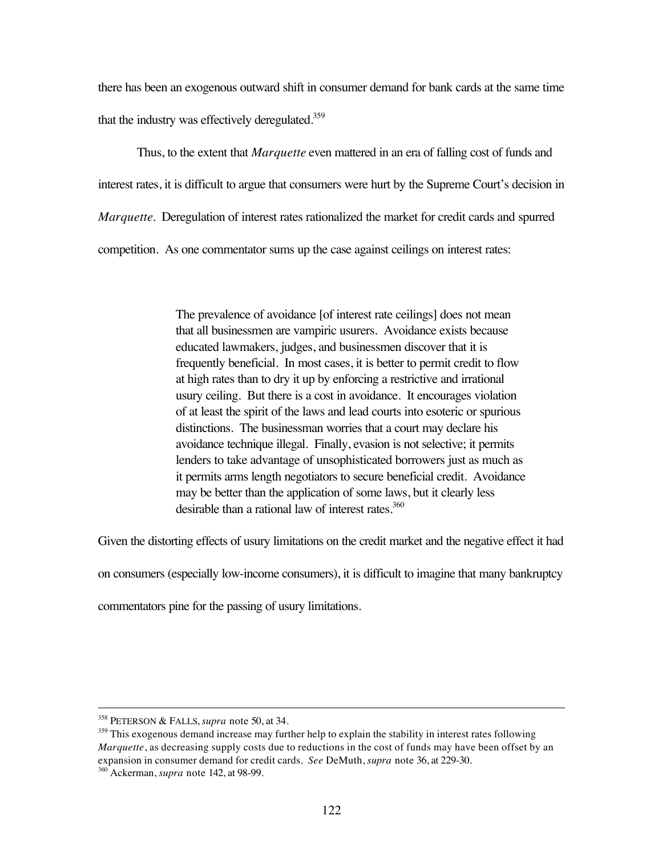there has been an exogenous outward shift in consumer demand for bank cards at the same time that the industry was effectively deregulated. $359$ 

Thus, to the extent that *Marquette* even mattered in an era of falling cost of funds and interest rates, it is difficult to argue that consumers were hurt by the Supreme Court's decision in *Marquette*. Deregulation of interest rates rationalized the market for credit cards and spurred competition. As one commentator sums up the case against ceilings on interest rates:

> The prevalence of avoidance [of interest rate ceilings] does not mean that all businessmen are vampiric usurers. Avoidance exists because educated lawmakers, judges, and businessmen discover that it is frequently beneficial. In most cases, it is better to permit credit to flow at high rates than to dry it up by enforcing a restrictive and irrational usury ceiling. But there is a cost in avoidance. It encourages violation of at least the spirit of the laws and lead courts into esoteric or spurious distinctions. The businessman worries that a court may declare his avoidance technique illegal. Finally, evasion is not selective; it permits lenders to take advantage of unsophisticated borrowers just as much as it permits arms length negotiators to secure beneficial credit. Avoidance may be better than the application of some laws, but it clearly less desirable than a rational law of interest rates.<sup>360</sup>

Given the distorting effects of usury limitations on the credit market and the negative effect it had

on consumers (especially low-income consumers), it is difficult to imagine that many bankruptcy

commentators pine for the passing of usury limitations.

 <sup>358</sup> PETERSON & FALLS, *supra* note 50, at 34.

 $359$  This exogenous demand increase may further help to explain the stability in interest rates following *Marquette*, as decreasing supply costs due to reductions in the cost of funds may have been offset by an expansion in consumer demand for credit cards. *See* DeMuth, *supra* note 36, at 229-30.

<sup>360</sup> Ackerman, *supra* note 142, at 98-99.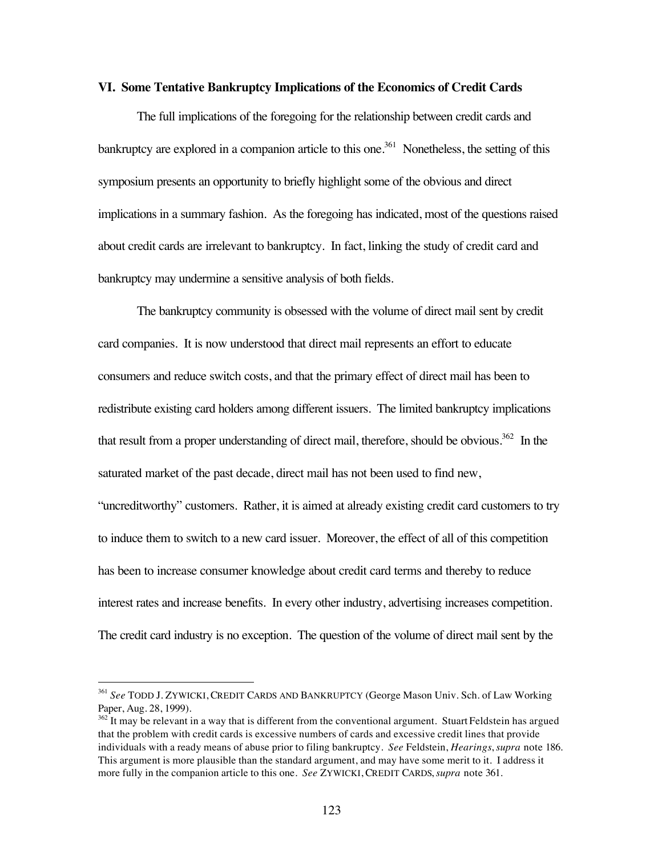#### **VI. Some Tentative Bankruptcy Implications of the Economics of Credit Cards**

The full implications of the foregoing for the relationship between credit cards and bankruptcy are explored in a companion article to this one.<sup>361</sup> Nonetheless, the setting of this symposium presents an opportunity to briefly highlight some of the obvious and direct implications in a summary fashion. As the foregoing has indicated, most of the questions raised about credit cards are irrelevant to bankruptcy. In fact, linking the study of credit card and bankruptcy may undermine a sensitive analysis of both fields.

The bankruptcy community is obsessed with the volume of direct mail sent by credit card companies. It is now understood that direct mail represents an effort to educate consumers and reduce switch costs, and that the primary effect of direct mail has been to redistribute existing card holders among different issuers. The limited bankruptcy implications that result from a proper understanding of direct mail, therefore, should be obvious.<sup>362</sup> In the saturated market of the past decade, direct mail has not been used to find new, "uncreditworthy" customers. Rather, it is aimed at already existing credit card customers to try to induce them to switch to a new card issuer. Moreover, the effect of all of this competition has been to increase consumer knowledge about credit card terms and thereby to reduce interest rates and increase benefits. In every other industry, advertising increases competition.

The credit card industry is no exception. The question of the volume of direct mail sent by the

 <sup>361</sup> *See* TODD J. ZYWICKI, CREDIT CARDS AND BANKRUPTCY (George Mason Univ. Sch. of Law Working Paper, Aug. 28, 1999).

<sup>&</sup>lt;sup>362</sup> It may be relevant in a way that is different from the conventional argument. Stuart Feldstein has argued that the problem with credit cards is excessive numbers of cards and excessive credit lines that provide individuals with a ready means of abuse prior to filing bankruptcy. *See* Feldstein, *Hearings*, *supra* note 186. This argument is more plausible than the standard argument, and may have some merit to it. I address it more fully in the companion article to this one. *See* ZYWICKI, CREDIT CARDS, *supra* note 361.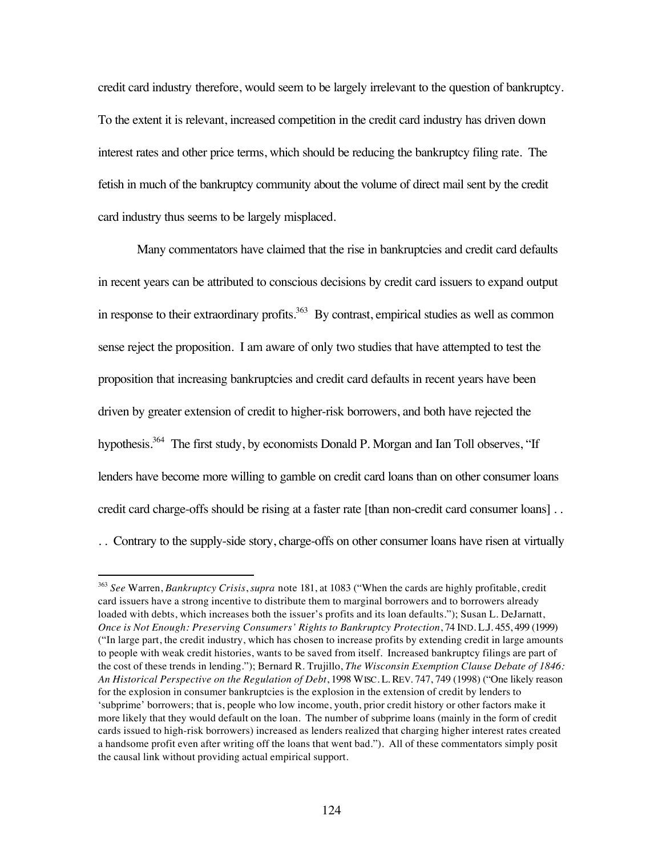credit card industry therefore, would seem to be largely irrelevant to the question of bankruptcy. To the extent it is relevant, increased competition in the credit card industry has driven down interest rates and other price terms, which should be reducing the bankruptcy filing rate. The fetish in much of the bankruptcy community about the volume of direct mail sent by the credit card industry thus seems to be largely misplaced.

Many commentators have claimed that the rise in bankruptcies and credit card defaults in recent years can be attributed to conscious decisions by credit card issuers to expand output in response to their extraordinary profits.<sup>363</sup> By contrast, empirical studies as well as common sense reject the proposition. I am aware of only two studies that have attempted to test the proposition that increasing bankruptcies and credit card defaults in recent years have been driven by greater extension of credit to higher-risk borrowers, and both have rejected the hypothesis.<sup>364</sup> The first study, by economists Donald P. Morgan and Ian Toll observes, "If lenders have become more willing to gamble on credit card loans than on other consumer loans credit card charge-offs should be rising at a faster rate [than non-credit card consumer loans] . . . . Contrary to the supply-side story, charge-offs on other consumer loans have risen at virtually

 <sup>363</sup> *See* Warren, *Bankruptcy Crisis*, *supra* note 181, at 1083 ("When the cards are highly profitable, credit card issuers have a strong incentive to distribute them to marginal borrowers and to borrowers already loaded with debts, which increases both the issuer's profits and its loan defaults."); Susan L. DeJarnatt, *Once is Not Enough: Preserving Consumers' Rights to Bankruptcy Protection*, 74 IND. L.J. 455, 499 (1999) ("In large part, the credit industry, which has chosen to increase profits by extending credit in large amounts to people with weak credit histories, wants to be saved from itself. Increased bankruptcy filings are part of the cost of these trends in lending."); Bernard R. Trujillo, *The Wisconsin Exemption Clause Debate of 1846: An Historical Perspective on the Regulation of Debt*, 1998 WISC. L. REV. 747, 749 (1998) ("One likely reason for the explosion in consumer bankruptcies is the explosion in the extension of credit by lenders to 'subprime' borrowers; that is, people who low income, youth, prior credit history or other factors make it more likely that they would default on the loan. The number of subprime loans (mainly in the form of credit cards issued to high-risk borrowers) increased as lenders realized that charging higher interest rates created a handsome profit even after writing off the loans that went bad."). All of these commentators simply posit the causal link without providing actual empirical support.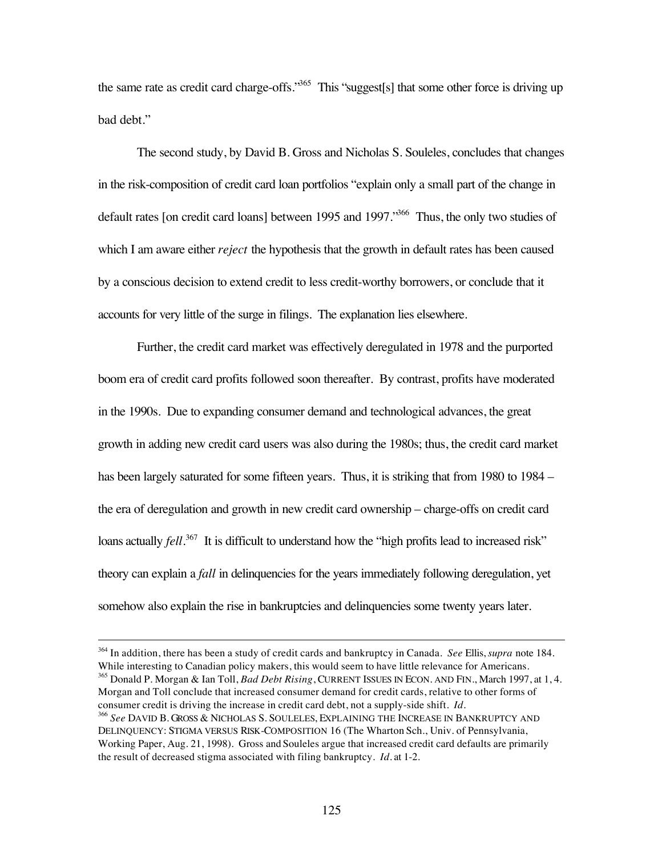the same rate as credit card charge-offs."<sup>365</sup> This "suggest[s] that some other force is driving up bad debt."

The second study, by David B. Gross and Nicholas S. Souleles, concludes that changes in the risk-composition of credit card loan portfolios "explain only a small part of the change in default rates [on credit card loans] between 1995 and 1997.<sup>366</sup> Thus, the only two studies of which I am aware either *reject* the hypothesis that the growth in default rates has been caused by a conscious decision to extend credit to less credit-worthy borrowers, or conclude that it accounts for very little of the surge in filings. The explanation lies elsewhere.

Further, the credit card market was effectively deregulated in 1978 and the purported boom era of credit card profits followed soon thereafter. By contrast, profits have moderated in the 1990s. Due to expanding consumer demand and technological advances, the great growth in adding new credit card users was also during the 1980s; thus, the credit card market has been largely saturated for some fifteen years. Thus, it is striking that from 1980 to 1984 – the era of deregulation and growth in new credit card ownership – charge-offs on credit card loans actually *fell*.<sup>367</sup> It is difficult to understand how the "high profits lead to increased risk" theory can explain a *fall* in delinquencies for the years immediately following deregulation, yet somehow also explain the rise in bankruptcies and delinquencies some twenty years later.

 364 In addition, there has been a study of credit cards and bankruptcy in Canada. *See* Ellis, *supra* note 184. While interesting to Canadian policy makers, this would seem to have little relevance for Americans.

365 Donald P. Morgan & Ian Toll, *Bad Debt Rising*, CURRENT ISSUES IN ECON. AND FIN., March 1997, at 1, 4. Morgan and Toll conclude that increased consumer demand for credit cards, relative to other forms of consumer credit is driving the increase in credit card debt, not a supply-side shift. *Id.*

<sup>366</sup> *See* DAVID B. GROSS & NICHOLAS S. SOULELES, EXPLAINING THE INCREASE IN BANKRUPTCY AND DELINQUENCY: STIGMA VERSUS RISK-COMPOSITION 16 (The Wharton Sch., Univ. of Pennsylvania, Working Paper, Aug. 21, 1998). Gross and Souleles argue that increased credit card defaults are primarily the result of decreased stigma associated with filing bankruptcy. *Id.* at 1-2.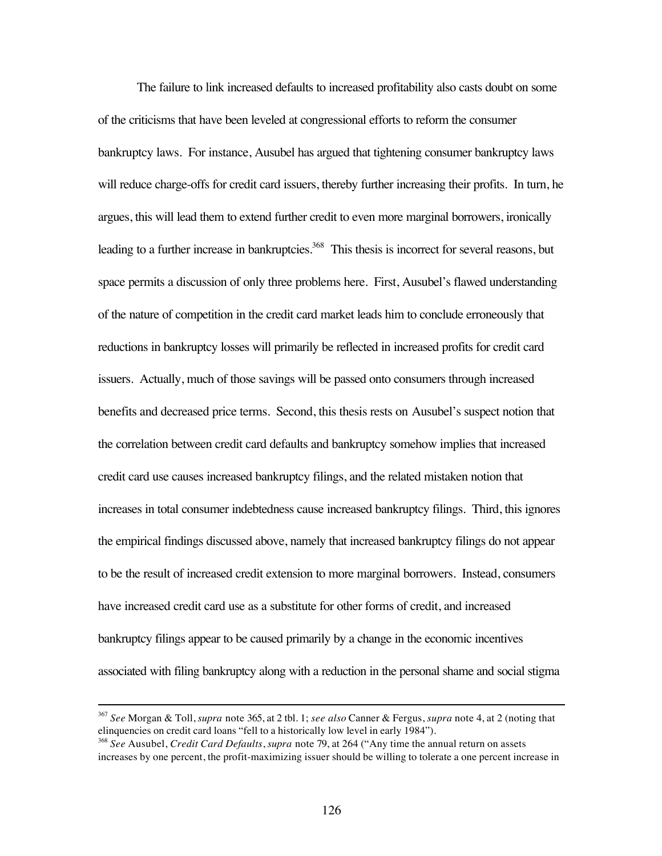The failure to link increased defaults to increased profitability also casts doubt on some of the criticisms that have been leveled at congressional efforts to reform the consumer bankruptcy laws. For instance, Ausubel has argued that tightening consumer bankruptcy laws will reduce charge-offs for credit card issuers, thereby further increasing their profits. In turn, he argues, this will lead them to extend further credit to even more marginal borrowers, ironically leading to a further increase in bankruptcies.<sup>368</sup> This thesis is incorrect for several reasons, but space permits a discussion of only three problems here. First, Ausubel's flawed understanding of the nature of competition in the credit card market leads him to conclude erroneously that reductions in bankruptcy losses will primarily be reflected in increased profits for credit card issuers. Actually, much of those savings will be passed onto consumers through increased benefits and decreased price terms. Second, this thesis rests on Ausubel's suspect notion that the correlation between credit card defaults and bankruptcy somehow implies that increased credit card use causes increased bankruptcy filings, and the related mistaken notion that increases in total consumer indebtedness cause increased bankruptcy filings. Third, this ignores the empirical findings discussed above, namely that increased bankruptcy filings do not appear to be the result of increased credit extension to more marginal borrowers. Instead, consumers have increased credit card use as a substitute for other forms of credit, and increased bankruptcy filings appear to be caused primarily by a change in the economic incentives associated with filing bankruptcy along with a reduction in the personal shame and social stigma

 <sup>367</sup> *See* Morgan & Toll, *supra* note 365, at 2 tbl. 1; *see also* Canner & Fergus, *supra* note 4, at 2 (noting that elinquencies on credit card loans "fell to a historically low level in early 1984").

<sup>368</sup> *See* Ausubel, *Credit Card Defaults*, *supra* note 79, at 264 ("Any time the annual return on assets increases by one percent, the profit-maximizing issuer should be willing to tolerate a one percent increase in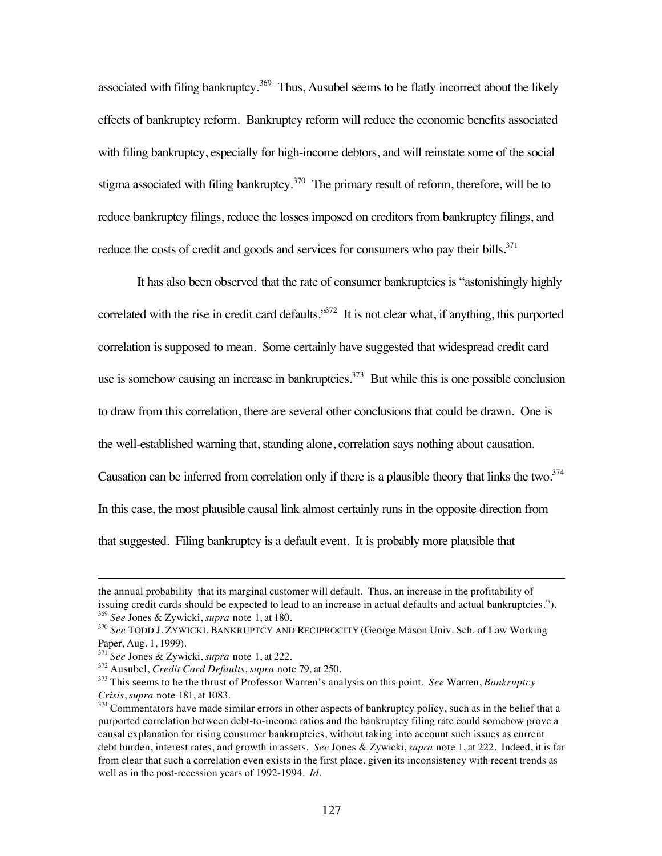associated with filing bankruptcy.<sup>369</sup> Thus, Ausubel seems to be flatly incorrect about the likely effects of bankruptcy reform. Bankruptcy reform will reduce the economic benefits associated with filing bankruptcy, especially for high-income debtors, and will reinstate some of the social stigma associated with filing bankruptcy.<sup>370</sup> The primary result of reform, therefore, will be to reduce bankruptcy filings, reduce the losses imposed on creditors from bankruptcy filings, and reduce the costs of credit and goods and services for consumers who pay their bills. $371$ 

It has also been observed that the rate of consumer bankruptcies is "astonishingly highly correlated with the rise in credit card defaults."<sup>372</sup> It is not clear what, if anything, this purported correlation is supposed to mean. Some certainly have suggested that widespread credit card use is somehow causing an increase in bankruptcies.<sup>373</sup> But while this is one possible conclusion to draw from this correlation, there are several other conclusions that could be drawn. One is the well-established warning that, standing alone, correlation says nothing about causation. Causation can be inferred from correlation only if there is a plausible theory that links the two.<sup>374</sup> In this case, the most plausible causal link almost certainly runs in the opposite direction from that suggested. Filing bankruptcy is a default event. It is probably more plausible that

 $\overline{a}$ 

the annual probability that its marginal customer will default. Thus, an increase in the profitability of issuing credit cards should be expected to lead to an increase in actual defaults and actual bankruptcies."). <sup>369</sup> *See* Jones & Zywicki, *supra* note 1, at 180.

<sup>370</sup> *See* TODD J. ZYWICKI, BANKRUPTCY AND RECIPROCITY (George Mason Univ. Sch. of Law Working Paper, Aug. 1, 1999).

<sup>371</sup> *See* Jones & Zywicki, *supra* note 1, at 222.

<sup>372</sup> Ausubel, *Credit Card Defaults*, *supra* note 79, at 250.

<sup>373</sup> This seems to be the thrust of Professor Warren's analysis on this point. *See* Warren, *Bankruptcy Crisis*, *supra* note 181, at 1083.

<sup>&</sup>lt;sup>374</sup> Commentators have made similar errors in other aspects of bankruptcy policy, such as in the belief that a purported correlation between debt-to-income ratios and the bankruptcy filing rate could somehow prove a causal explanation for rising consumer bankruptcies, without taking into account such issues as current debt burden, interest rates, and growth in assets. *See* Jones & Zywicki, *supra* note 1, at 222. Indeed, it is far from clear that such a correlation even exists in the first place, given its inconsistency with recent trends as well as in the post-recession years of 1992-1994. *Id.*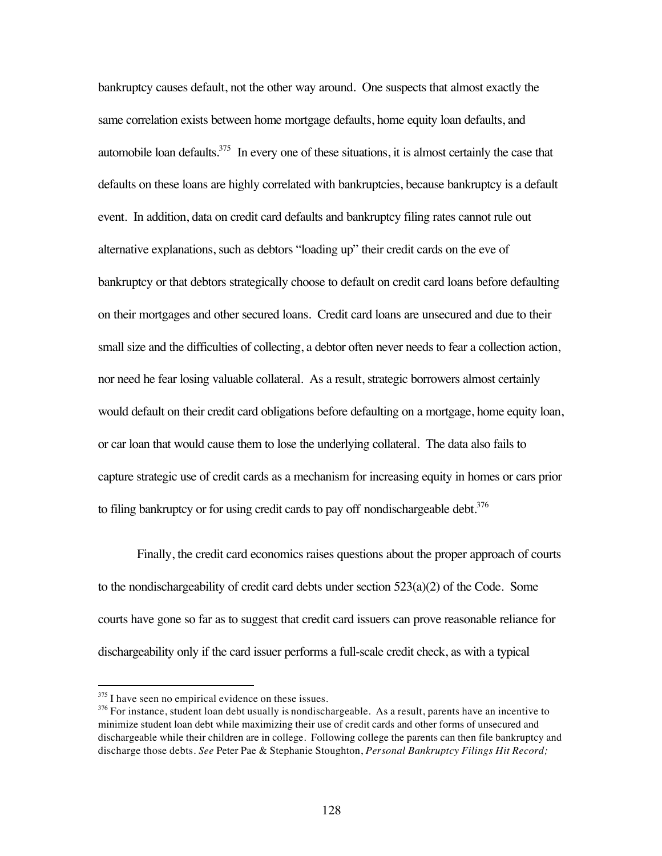bankruptcy causes default, not the other way around. One suspects that almost exactly the same correlation exists between home mortgage defaults, home equity loan defaults, and automobile loan defaults.<sup>375</sup> In every one of these situations, it is almost certainly the case that defaults on these loans are highly correlated with bankruptcies, because bankruptcy is a default event. In addition, data on credit card defaults and bankruptcy filing rates cannot rule out alternative explanations, such as debtors "loading up" their credit cards on the eve of bankruptcy or that debtors strategically choose to default on credit card loans before defaulting on their mortgages and other secured loans. Credit card loans are unsecured and due to their small size and the difficulties of collecting, a debtor often never needs to fear a collection action, nor need he fear losing valuable collateral. As a result, strategic borrowers almost certainly would default on their credit card obligations before defaulting on a mortgage, home equity loan, or car loan that would cause them to lose the underlying collateral. The data also fails to capture strategic use of credit cards as a mechanism for increasing equity in homes or cars prior to filing bankruptcy or for using credit cards to pay off nondischargeable debt.<sup>376</sup>

Finally, the credit card economics raises questions about the proper approach of courts to the nondischargeability of credit card debts under section  $523(a)(2)$  of the Code. Some courts have gone so far as to suggest that credit card issuers can prove reasonable reliance for dischargeability only if the card issuer performs a full-scale credit check, as with a typical

<sup>&</sup>lt;sup>375</sup> I have seen no empirical evidence on these issues.

 $376$  For instance, student loan debt usually is nondischargeable. As a result, parents have an incentive to minimize student loan debt while maximizing their use of credit cards and other forms of unsecured and dischargeable while their children are in college. Following college the parents can then file bankruptcy and discharge those debts. *See* Peter Pae & Stephanie Stoughton, *Personal Bankruptcy Filings Hit Record;*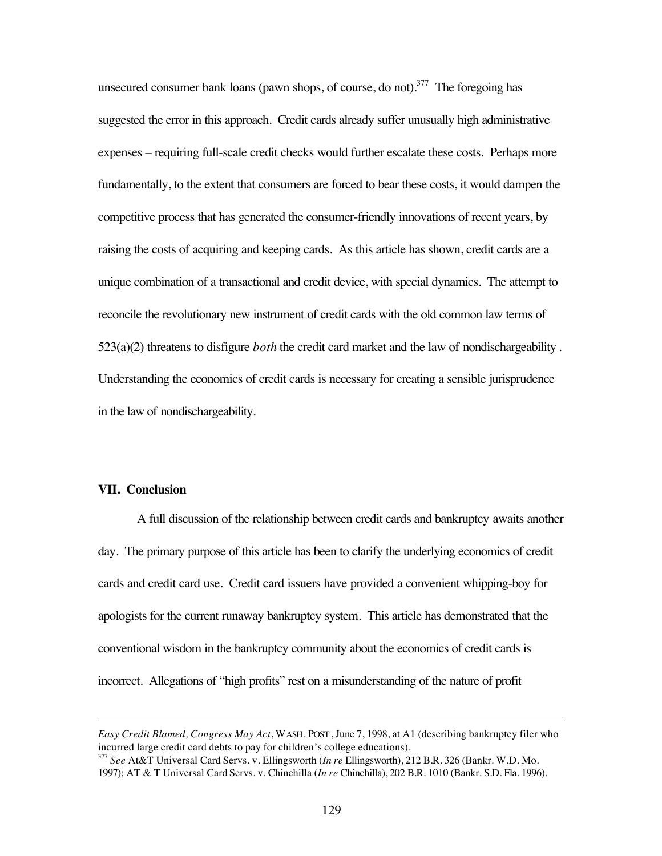unsecured consumer bank loans (pawn shops, of course, do not).<sup>377</sup> The foregoing has suggested the error in this approach. Credit cards already suffer unusually high administrative expenses – requiring full-scale credit checks would further escalate these costs. Perhaps more fundamentally, to the extent that consumers are forced to bear these costs, it would dampen the competitive process that has generated the consumer-friendly innovations of recent years, by raising the costs of acquiring and keeping cards. As this article has shown, credit cards are a unique combination of a transactional and credit device, with special dynamics. The attempt to reconcile the revolutionary new instrument of credit cards with the old common law terms of 523(a)(2) threatens to disfigure *both* the credit card market and the law of nondischargeability . Understanding the economics of credit cards is necessary for creating a sensible jurisprudence in the law of nondischargeability.

# **VII. Conclusion**

 $\overline{a}$ 

A full discussion of the relationship between credit cards and bankruptcy awaits another day. The primary purpose of this article has been to clarify the underlying economics of credit cards and credit card use. Credit card issuers have provided a convenient whipping-boy for apologists for the current runaway bankruptcy system. This article has demonstrated that the conventional wisdom in the bankruptcy community about the economics of credit cards is incorrect. Allegations of "high profits" rest on a misunderstanding of the nature of profit

*Easy Credit Blamed, Congress May Act*, WASH. POST, June 7, 1998, at A1 (describing bankruptcy filer who incurred large credit card debts to pay for children's college educations).

<sup>377</sup> *See* At&T Universal Card Servs. v. Ellingsworth (*In re* Ellingsworth), 212 B.R. 326 (Bankr. W.D. Mo. 1997); AT & T Universal Card Servs. v. Chinchilla (*In re* Chinchilla), 202 B.R. 1010 (Bankr. S.D. Fla. 1996).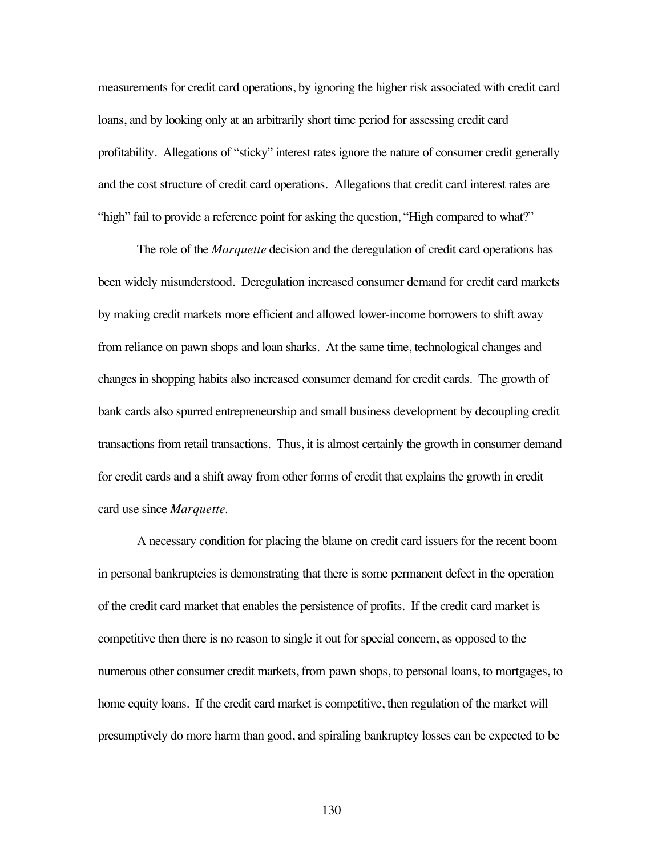measurements for credit card operations, by ignoring the higher risk associated with credit card loans, and by looking only at an arbitrarily short time period for assessing credit card profitability. Allegations of "sticky" interest rates ignore the nature of consumer credit generally and the cost structure of credit card operations. Allegations that credit card interest rates are "high" fail to provide a reference point for asking the question, "High compared to what?"

The role of the *Marquette* decision and the deregulation of credit card operations has been widely misunderstood. Deregulation increased consumer demand for credit card markets by making credit markets more efficient and allowed lower-income borrowers to shift away from reliance on pawn shops and loan sharks. At the same time, technological changes and changes in shopping habits also increased consumer demand for credit cards. The growth of bank cards also spurred entrepreneurship and small business development by decoupling credit transactions from retail transactions. Thus, it is almost certainly the growth in consumer demand for credit cards and a shift away from other forms of credit that explains the growth in credit card use since *Marquette*.

A necessary condition for placing the blame on credit card issuers for the recent boom in personal bankruptcies is demonstrating that there is some permanent defect in the operation of the credit card market that enables the persistence of profits. If the credit card market is competitive then there is no reason to single it out for special concern, as opposed to the numerous other consumer credit markets, from pawn shops, to personal loans, to mortgages, to home equity loans. If the credit card market is competitive, then regulation of the market will presumptively do more harm than good, and spiraling bankruptcy losses can be expected to be